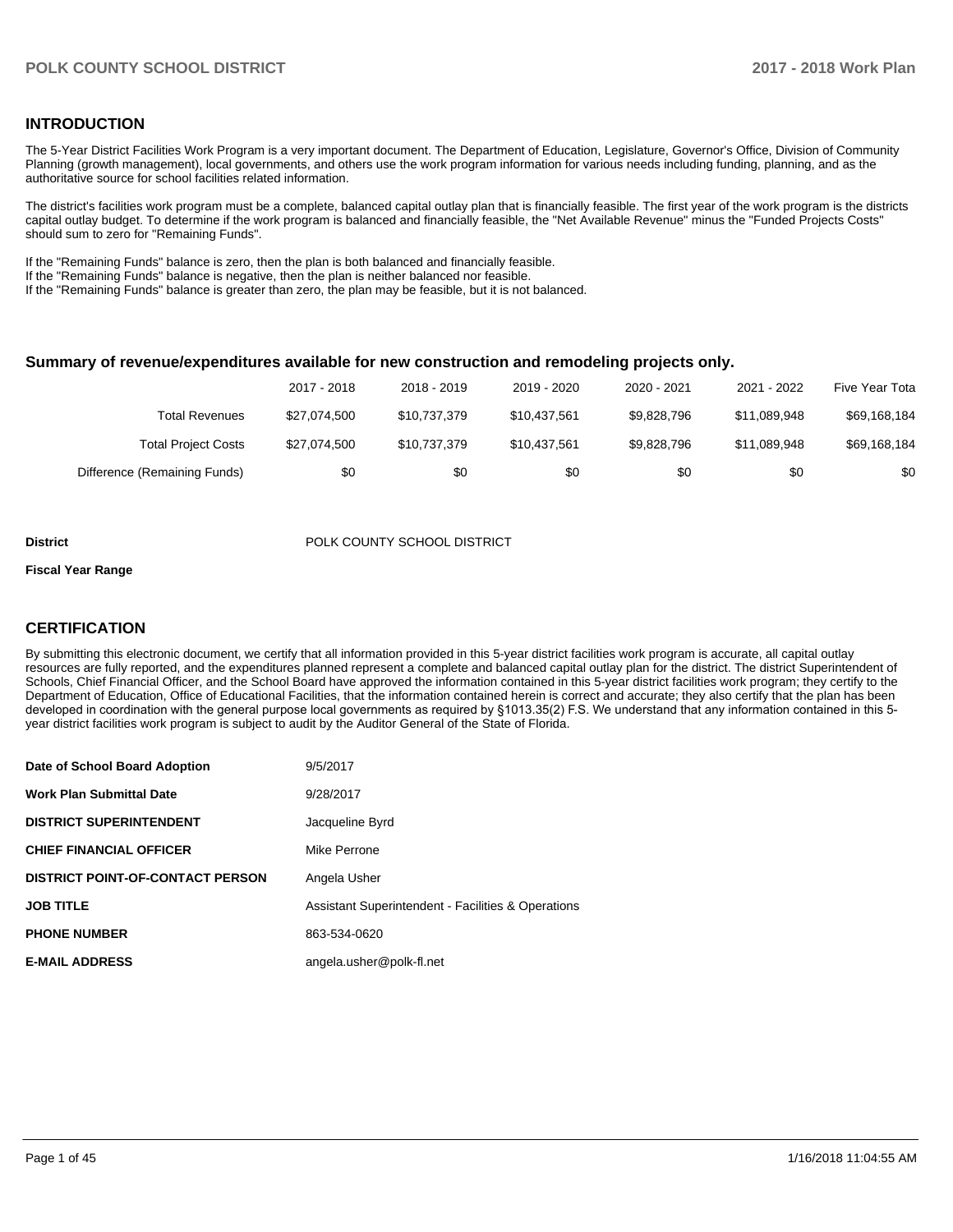#### **INTRODUCTION**

The 5-Year District Facilities Work Program is a very important document. The Department of Education, Legislature, Governor's Office, Division of Community Planning (growth management), local governments, and others use the work program information for various needs including funding, planning, and as the authoritative source for school facilities related information.

The district's facilities work program must be a complete, balanced capital outlay plan that is financially feasible. The first year of the work program is the districts capital outlay budget. To determine if the work program is balanced and financially feasible, the "Net Available Revenue" minus the "Funded Projects Costs" should sum to zero for "Remaining Funds".

If the "Remaining Funds" balance is zero, then the plan is both balanced and financially feasible.

If the "Remaining Funds" balance is negative, then the plan is neither balanced nor feasible.

If the "Remaining Funds" balance is greater than zero, the plan may be feasible, but it is not balanced.

#### **Summary of revenue/expenditures available for new construction and remodeling projects only.**

|                              | 2017 - 2018  | 2018 - 2019  | 2019 - 2020  | 2020 - 2021 | 2021 - 2022  | Five Year Tota |
|------------------------------|--------------|--------------|--------------|-------------|--------------|----------------|
| Total Revenues               | \$27,074,500 | \$10,737,379 | \$10.437.561 | \$9.828.796 | \$11.089.948 | \$69,168,184   |
| <b>Total Project Costs</b>   | \$27,074,500 | \$10,737,379 | \$10.437.561 | \$9.828.796 | \$11.089.948 | \$69,168,184   |
| Difference (Remaining Funds) | \$0          | \$0          | \$0          | \$0         | \$0          | \$0            |

#### **District District POLK COUNTY SCHOOL DISTRICT**

#### **Fiscal Year Range**

#### **CERTIFICATION**

By submitting this electronic document, we certify that all information provided in this 5-year district facilities work program is accurate, all capital outlay resources are fully reported, and the expenditures planned represent a complete and balanced capital outlay plan for the district. The district Superintendent of Schools, Chief Financial Officer, and the School Board have approved the information contained in this 5-year district facilities work program; they certify to the Department of Education, Office of Educational Facilities, that the information contained herein is correct and accurate; they also certify that the plan has been developed in coordination with the general purpose local governments as required by §1013.35(2) F.S. We understand that any information contained in this 5year district facilities work program is subject to audit by the Auditor General of the State of Florida.

| Date of School Board Adoption           | 9/5/2017                                                      |
|-----------------------------------------|---------------------------------------------------------------|
| <b>Work Plan Submittal Date</b>         | 9/28/2017                                                     |
| <b>DISTRICT SUPERINTENDENT</b>          | Jacqueline Byrd                                               |
| <b>CHIEF FINANCIAL OFFICER</b>          | Mike Perrone                                                  |
| <b>DISTRICT POINT-OF-CONTACT PERSON</b> | Angela Usher                                                  |
| <b>JOB TITLE</b>                        | <b>Assistant Superintendent - Facilities &amp; Operations</b> |
| <b>PHONE NUMBER</b>                     | 863-534-0620                                                  |
| <b>E-MAIL ADDRESS</b>                   | angela.usher@polk-fl.net                                      |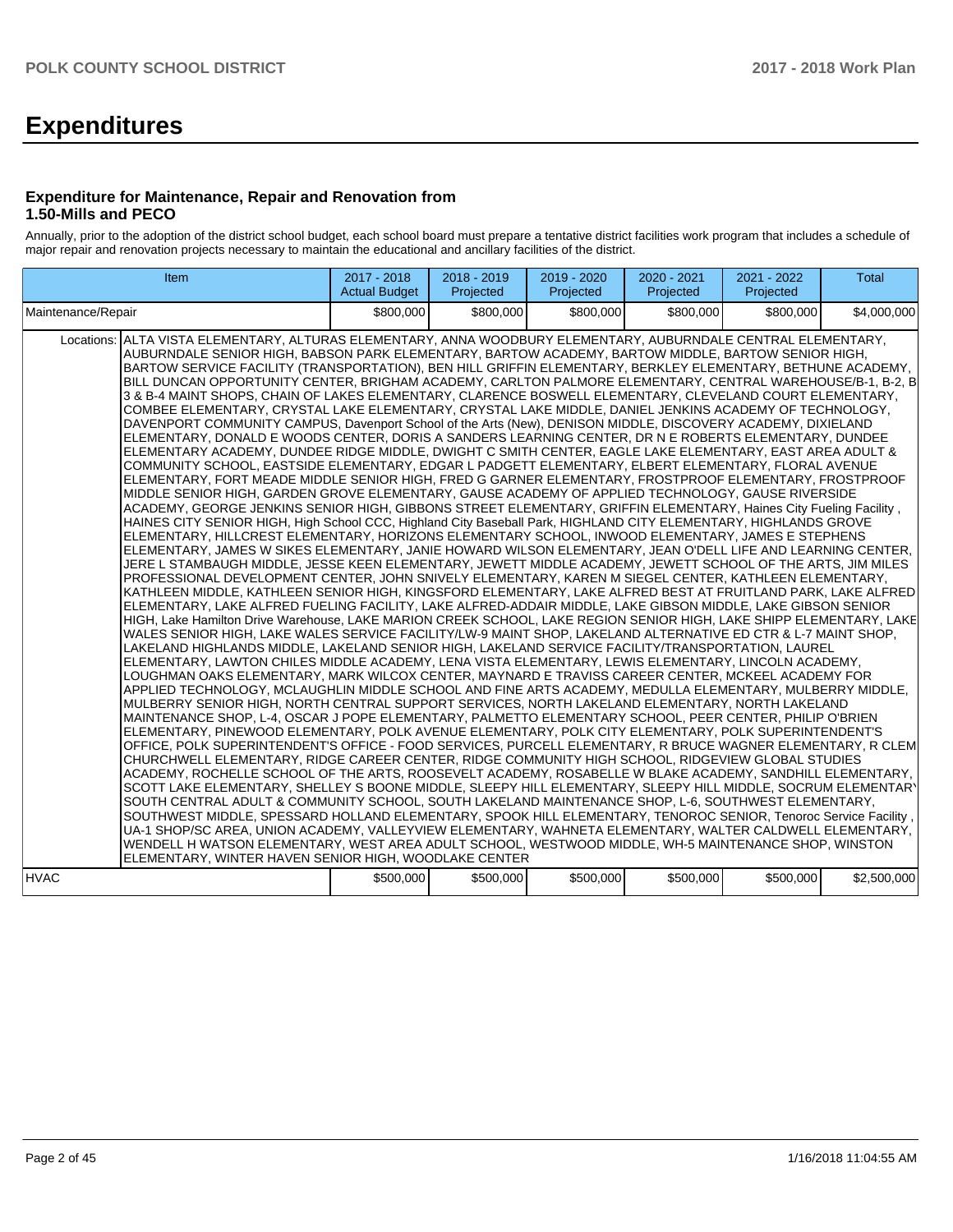# **Expenditures**

#### **Expenditure for Maintenance, Repair and Renovation from 1.50-Mills and PECO**

Annually, prior to the adoption of the district school budget, each school board must prepare a tentative district facilities work program that includes a schedule of major repair and renovation projects necessary to maintain the educational and ancillary facilities of the district.

| Item                                                                                                                                                                                                                                                                                                                                                                                                                                                                                                                                                                                                                                                                                                                                                                                                                                                                                                                                                                                                                                                                                                                                                                                                                                                                                                                                                                                                                                                                                                                                                                                                                                                                                                                                                                                                                                                                                                                                                                                                                                                                                                                                                                                                                                                                                                                                                                                                                                                                                                                                                                                                                                                                                                                                                                                                                                                                                                                                                                                                                                                                                                                                                                                                                                                                                                                                                                                                                                                                                                                                                                                                                                                                                                                                                                                                                                                                                                                                                                                                                                                                                                                                                                                                        | 2017 - 2018<br><b>Actual Budget</b> | 2018 - 2019<br>Projected | 2019 - 2020<br>Projected | 2020 - 2021<br>Projected | 2021 - 2022<br>Projected | <b>Total</b> |
|-------------------------------------------------------------------------------------------------------------------------------------------------------------------------------------------------------------------------------------------------------------------------------------------------------------------------------------------------------------------------------------------------------------------------------------------------------------------------------------------------------------------------------------------------------------------------------------------------------------------------------------------------------------------------------------------------------------------------------------------------------------------------------------------------------------------------------------------------------------------------------------------------------------------------------------------------------------------------------------------------------------------------------------------------------------------------------------------------------------------------------------------------------------------------------------------------------------------------------------------------------------------------------------------------------------------------------------------------------------------------------------------------------------------------------------------------------------------------------------------------------------------------------------------------------------------------------------------------------------------------------------------------------------------------------------------------------------------------------------------------------------------------------------------------------------------------------------------------------------------------------------------------------------------------------------------------------------------------------------------------------------------------------------------------------------------------------------------------------------------------------------------------------------------------------------------------------------------------------------------------------------------------------------------------------------------------------------------------------------------------------------------------------------------------------------------------------------------------------------------------------------------------------------------------------------------------------------------------------------------------------------------------------------------------------------------------------------------------------------------------------------------------------------------------------------------------------------------------------------------------------------------------------------------------------------------------------------------------------------------------------------------------------------------------------------------------------------------------------------------------------------------------------------------------------------------------------------------------------------------------------------------------------------------------------------------------------------------------------------------------------------------------------------------------------------------------------------------------------------------------------------------------------------------------------------------------------------------------------------------------------------------------------------------------------------------------------------------------------------------------------------------------------------------------------------------------------------------------------------------------------------------------------------------------------------------------------------------------------------------------------------------------------------------------------------------------------------------------------------------------------------------------------------------------------------------------------------|-------------------------------------|--------------------------|--------------------------|--------------------------|--------------------------|--------------|
| Maintenance/Repair                                                                                                                                                                                                                                                                                                                                                                                                                                                                                                                                                                                                                                                                                                                                                                                                                                                                                                                                                                                                                                                                                                                                                                                                                                                                                                                                                                                                                                                                                                                                                                                                                                                                                                                                                                                                                                                                                                                                                                                                                                                                                                                                                                                                                                                                                                                                                                                                                                                                                                                                                                                                                                                                                                                                                                                                                                                                                                                                                                                                                                                                                                                                                                                                                                                                                                                                                                                                                                                                                                                                                                                                                                                                                                                                                                                                                                                                                                                                                                                                                                                                                                                                                                                          | \$800,000                           | \$800,000                | \$800,000                | \$800,000                | \$800,000                | \$4,000,000  |
| ALTA VISTA ELEMENTARY, ALTURAS ELEMENTARY, ANNA WOODBURY ELEMENTARY, AUBURNDALE CENTRAL ELEMENTARY,<br>Locations:<br>AUBURNDALE SENIOR HIGH, BABSON PARK ELEMENTARY, BARTOW ACADEMY, BARTOW MIDDLE, BARTOW SENIOR HIGH,<br>BARTOW SERVICE FACILITY (TRANSPORTATION), BEN HILL GRIFFIN ELEMENTARY, BERKLEY ELEMENTARY, BETHUNE ACADEMY,<br>BILL DUNCAN OPPORTUNITY CENTER, BRIGHAM ACADEMY, CARLTON PALMORE ELEMENTARY, CENTRAL WAREHOUSE/B-1, B-2, B<br>3 & B-4 MAINT SHOPS, CHAIN OF LAKES ELEMENTARY, CLARENCE BOSWELL ELEMENTARY, CLEVELAND COURT ELEMENTARY,<br>COMBEE ELEMENTARY, CRYSTAL LAKE ELEMENTARY, CRYSTAL LAKE MIDDLE, DANIEL JENKINS ACADEMY OF TECHNOLOGY,<br>DAVENPORT COMMUNITY CAMPUS, Davenport School of the Arts (New), DENISON MIDDLE, DISCOVERY ACADEMY, DIXIELAND<br>ELEMENTARY, DONALD E WOODS CENTER, DORIS A SANDERS LEARNING CENTER, DR N E ROBERTS ELEMENTARY, DUNDEE<br>ELEMENTARY ACADEMY, DUNDEE RIDGE MIDDLE, DWIGHT C SMITH CENTER, EAGLE LAKE ELEMENTARY, EAST AREA ADULT &<br>COMMUNITY SCHOOL, EASTSIDE ELEMENTARY, EDGAR L PADGETT ELEMENTARY, ELBERT ELEMENTARY, FLORAL AVENUE<br>ELEMENTARY, FORT MEADE MIDDLE SENIOR HIGH, FRED G GARNER ELEMENTARY, FROSTPROOF ELEMENTARY, FROSTPROOF<br>MIDDLE SENIOR HIGH, GARDEN GROVE ELEMENTARY, GAUSE ACADEMY OF APPLIED TECHNOLOGY, GAUSE RIVERSIDE<br>ACADEMY, GEORGE JENKINS SENIOR HIGH, GIBBONS STREET ELEMENTARY, GRIFFIN ELEMENTARY, Haines City Fueling Facility,<br>HAINES CITY SENIOR HIGH, High School CCC, Highland City Baseball Park, HIGHLAND CITY ELEMENTARY, HIGHLANDS GROVE<br>ELEMENTARY, HILLCREST ELEMENTARY, HORIZONS ELEMENTARY SCHOOL, INWOOD ELEMENTARY, JAMES E STEPHENS<br>ELEMENTARY, JAMES W SIKES ELEMENTARY, JANIE HOWARD WILSON ELEMENTARY, JEAN O'DELL LIFE AND LEARNING CENTER,<br>JERE L STAMBAUGH MIDDLE, JESSE KEEN ELEMENTARY, JEWETT MIDDLE ACADEMY, JEWETT SCHOOL OF THE ARTS, JIM MILES<br>PROFESSIONAL DEVELOPMENT CENTER, JOHN SNIVELY ELEMENTARY, KAREN M SIEGEL CENTER, KATHLEEN ELEMENTARY,<br>KATHLEEN MIDDLE, KATHLEEN SENIOR HIGH, KINGSFORD ELEMENTARY, LAKE ALFRED BEST AT FRUITLAND PARK, LAKE ALFRED<br>ELEMENTARY, LAKE ALFRED FUELING FACILITY, LAKE ALFRED-ADDAIR MIDDLE, LAKE GIBSON MIDDLE, LAKE GIBSON SENIOR<br>HIGH, Lake Hamilton Drive Warehouse, LAKE MARION CREEK SCHOOL, LAKE REGION SENIOR HIGH, LAKE SHIPP ELEMENTARY, LAKE<br>WALES SENIOR HIGH, LAKE WALES SERVICE FACILITY/LW-9 MAINT SHOP, LAKELAND ALTERNATIVE ED CTR & L-7 MAINT SHOP,<br>LAKELAND HIGHLANDS MIDDLE, LAKELAND SENIOR HIGH, LAKELAND SERVICE FACILITY/TRANSPORTATION, LAUREL<br>ELEMENTARY, LAWTON CHILES MIDDLE ACADEMY, LENA VISTA ELEMENTARY, LEWIS ELEMENTARY, LINCOLN ACADEMY,<br>LOUGHMAN OAKS ELEMENTARY, MARK WILCOX CENTER, MAYNARD E TRAVISS CAREER CENTER, MCKEEL ACADEMY FOR<br>APPLIED TECHNOLOGY, MCLAUGHLIN MIDDLE SCHOOL AND FINE ARTS ACADEMY, MEDULLA ELEMENTARY, MULBERRY MIDDLE,<br>MULBERRY SENIOR HIGH, NORTH CENTRAL SUPPORT SERVICES, NORTH LAKELAND ELEMENTARY, NORTH LAKELAND<br>MAINTENANCE SHOP, L-4, OSCAR J POPE ELEMENTARY, PALMETTO ELEMENTARY SCHOOL, PEER CENTER, PHILIP O'BRIEN<br>ELEMENTARY, PINEWOOD ELEMENTARY, POLK AVENUE ELEMENTARY, POLK CITY ELEMENTARY, POLK SUPERINTENDENT'S<br>OFFICE, POLK SUPERINTENDENT'S OFFICE - FOOD SERVICES, PURCELL ELEMENTARY, R BRUCE WAGNER ELEMENTARY, R CLEM<br>CHURCHWELL ELEMENTARY, RIDGE CAREER CENTER, RIDGE COMMUNITY HIGH SCHOOL, RIDGEVIEW GLOBAL STUDIES<br>ACADEMY, ROCHELLE SCHOOL OF THE ARTS, ROOSEVELT ACADEMY, ROSABELLE W BLAKE ACADEMY, SANDHILL ELEMENTARY,<br>SCOTT LAKE ELEMENTARY, SHELLEY S BOONE MIDDLE, SLEEPY HILL ELEMENTARY, SLEEPY HILL MIDDLE, SOCRUM ELEMENTARY<br>SOUTH CENTRAL ADULT & COMMUNITY SCHOOL, SOUTH LAKELAND MAINTENANCE SHOP, L-6, SOUTHWEST ELEMENTARY,<br>SOUTHWEST MIDDLE, SPESSARD HOLLAND ELEMENTARY, SPOOK HILL ELEMENTARY, TENOROC SENIOR, Tenoroc Service Facility,<br>UA-1 SHOP/SC AREA, UNION ACADEMY, VALLEYVIEW ELEMENTARY, WAHNETA ELEMENTARY, WALTER CALDWELL ELEMENTARY,<br>WENDELL H WATSON ELEMENTARY, WEST AREA ADULT SCHOOL, WESTWOOD MIDDLE, WH-5 MAINTENANCE SHOP, WINSTON<br>ELEMENTARY, WINTER HAVEN SENIOR HIGH, WOODLAKE CENTER |                                     |                          |                          |                          |                          |              |
| <b>HVAC</b>                                                                                                                                                                                                                                                                                                                                                                                                                                                                                                                                                                                                                                                                                                                                                                                                                                                                                                                                                                                                                                                                                                                                                                                                                                                                                                                                                                                                                                                                                                                                                                                                                                                                                                                                                                                                                                                                                                                                                                                                                                                                                                                                                                                                                                                                                                                                                                                                                                                                                                                                                                                                                                                                                                                                                                                                                                                                                                                                                                                                                                                                                                                                                                                                                                                                                                                                                                                                                                                                                                                                                                                                                                                                                                                                                                                                                                                                                                                                                                                                                                                                                                                                                                                                 | \$500,000                           | \$500.000                | \$500,000                | \$500,000                | \$500,000                | \$2,500,000  |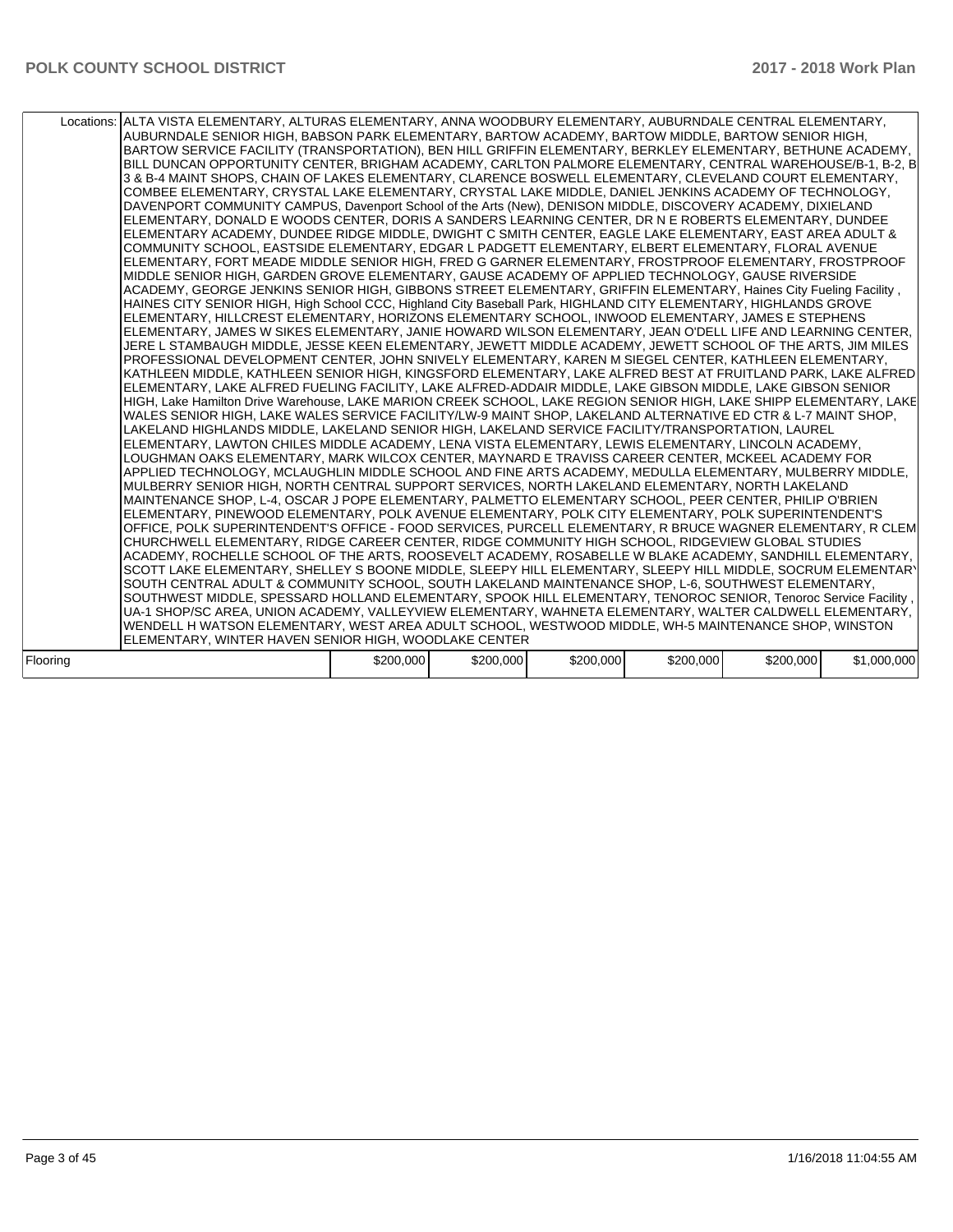|          | Locations: ALTA VISTA ELEMENTARY, ALTURAS ELEMENTARY, ANNA WOODBURY ELEMENTARY, AUBURNDALE CENTRAL ELEMENTARY,<br>AUBURNDALE SENIOR HIGH, BABSON PARK ELEMENTARY, BARTOW ACADEMY, BARTOW MIDDLE, BARTOW SENIOR HIGH,<br>BARTOW SERVICE FACILITY (TRANSPORTATION), BEN HILL GRIFFIN ELEMENTARY, BERKLEY ELEMENTARY, BETHUNE ACADEMY,<br>BILL DUNCAN OPPORTUNITY CENTER, BRIGHAM ACADEMY, CARLTON PALMORE ELEMENTARY, CENTRAL WAREHOUSE/B-1, B-2, B<br>3 & B-4 MAINT SHOPS. CHAIN OF LAKES ELEMENTARY. CLARENCE BOSWELL ELEMENTARY. CLEVELAND COURT ELEMENTARY.<br>COMBEE ELEMENTARY, CRYSTAL LAKE ELEMENTARY, CRYSTAL LAKE MIDDLE, DANIEL JENKINS ACADEMY OF TECHNOLOGY,<br>DAVENPORT COMMUNITY CAMPUS, Davenport School of the Arts (New), DENISON MIDDLE, DISCOVERY ACADEMY, DIXIELAND<br>ELEMENTARY, DONALD E WOODS CENTER, DORIS A SANDERS LEARNING CENTER, DR N E ROBERTS ELEMENTARY, DUNDEE<br>ELEMENTARY ACADEMY, DUNDEE RIDGE MIDDLE, DWIGHT C SMITH CENTER, EAGLE LAKE ELEMENTARY, EAST AREA ADULT &<br>COMMUNITY SCHOOL, EASTSIDE ELEMENTARY, EDGAR L PADGETT ELEMENTARY, ELBERT ELEMENTARY, FLORAL AVENUE<br>ELEMENTARY, FORT MEADE MIDDLE SENIOR HIGH, FRED G GARNER ELEMENTARY, FROSTPROOF ELEMENTARY, FROSTPROOF<br>MIDDLE SENIOR HIGH, GARDEN GROVE ELEMENTARY, GAUSE ACADEMY OF APPLIED TECHNOLOGY, GAUSE RIVERSIDE<br>ACADEMY, GEORGE JENKINS SENIOR HIGH, GIBBONS STREET ELEMENTARY, GRIFFIN ELEMENTARY, Haines City Fueling Facility,<br>HAINES CITY SENIOR HIGH, High School CCC, Highland City Baseball Park, HIGHLAND CITY ELEMENTARY, HIGHLANDS GROVE<br>ELEMENTARY, HILLCREST ELEMENTARY, HORIZONS ELEMENTARY SCHOOL, INWOOD ELEMENTARY, JAMES E STEPHENS<br>ELEMENTARY, JAMES W SIKES ELEMENTARY, JANIE HOWARD WILSON ELEMENTARY, JEAN O'DELL LIFE AND LEARNING CENTER,<br>JERE L STAMBAUGH MIDDLE, JESSE KEEN ELEMENTARY, JEWETT MIDDLE ACADEMY, JEWETT SCHOOL OF THE ARTS, JIM MILES<br>PROFESSIONAL DEVELOPMENT CENTER, JOHN SNIVELY ELEMENTARY, KAREN M SIEGEL CENTER, KATHLEEN ELEMENTARY,<br>KATHLEEN MIDDLE, KATHLEEN SENIOR HIGH, KINGSFORD ELEMENTARY, LAKE ALFRED BEST AT FRUITLAND PARK, LAKE ALFRED<br>ELEMENTARY. LAKE ALFRED FUELING FACILITY. LAKE ALFRED-ADDAIR MIDDLE. LAKE GIBSON MIDDLE. LAKE GIBSON SENIOR<br>HIGH. Lake Hamilton Drive Warehouse. LAKE MARION CREEK SCHOOL. LAKE REGION SENIOR HIGH. LAKE SHIPP ELEMENTARY. LAKE<br>WALES SENIOR HIGH, LAKE WALES SERVICE FACILITY/LW-9 MAINT SHOP, LAKELAND ALTERNATIVE ED CTR & L-7 MAINT SHOP,<br>LAKELAND HIGHLANDS MIDDLE, LAKELAND SENIOR HIGH, LAKELAND SERVICE FACILITY/TRANSPORTATION, LAUREL<br>ELEMENTARY, LAWTON CHILES MIDDLE ACADEMY, LENA VISTA ELEMENTARY, LEWIS ELEMENTARY, LINCOLN ACADEMY,<br>LOUGHMAN OAKS ELEMENTARY, MARK WILCOX CENTER, MAYNARD E TRAVISS CAREER CENTER, MCKEEL ACADEMY FOR<br>APPLIED TECHNOLOGY, MCLAUGHLIN MIDDLE SCHOOL AND FINE ARTS ACADEMY, MEDULLA ELEMENTARY, MULBERRY MIDDLE,<br>MULBERRY SENIOR HIGH, NORTH CENTRAL SUPPORT SERVICES, NORTH LAKELAND ELEMENTARY, NORTH LAKELAND<br>MAINTENANCE SHOP, L-4, OSCAR J POPE ELEMENTARY, PALMETTO ELEMENTARY SCHOOL, PEER CENTER, PHILIP O'BRIEN<br>ELEMENTARY, PINEWOOD ELEMENTARY, POLK AVENUE ELEMENTARY, POLK CITY ELEMENTARY, POLK SUPERINTENDENT'S<br>OFFICE, POLK SUPERINTENDENT'S OFFICE - FOOD SERVICES, PURCELL ELEMENTARY, R BRUCE WAGNER ELEMENTARY, R CLEM<br>CHURCHWELL ELEMENTARY, RIDGE CAREER CENTER, RIDGE COMMUNITY HIGH SCHOOL, RIDGEVIEW GLOBAL STUDIES<br>ACADEMY, ROCHELLE SCHOOL OF THE ARTS, ROOSEVELT ACADEMY, ROSABELLE W BLAKE ACADEMY, SANDHILL ELEMENTARY,<br>SCOTT LAKE ELEMENTARY, SHELLEY S BOONE MIDDLE, SLEEPY HILL ELEMENTARY, SLEEPY HILL MIDDLE, SOCRUM ELEMENTARY<br>SOUTH CENTRAL ADULT & COMMUNITY SCHOOL, SOUTH LAKELAND MAINTENANCE SHOP, L-6, SOUTHWEST ELEMENTARY,<br>SOUTHWEST MIDDLE, SPESSARD HOLLAND ELEMENTARY, SPOOK HILL ELEMENTARY, TENOROC SENIOR, Tenoroc Service Facility,<br>UA-1 SHOP/SC AREA, UNION ACADEMY, VALLEYVIEW ELEMENTARY, WAHNETA ELEMENTARY, WALTER CALDWELL ELEMENTARY,<br>WENDELL H WATSON ELEMENTARY, WEST AREA ADULT SCHOOL, WESTWOOD MIDDLE, WH-5 MAINTENANCE SHOP, WINSTON |           |           |           |           |           |             |
|----------|-------------------------------------------------------------------------------------------------------------------------------------------------------------------------------------------------------------------------------------------------------------------------------------------------------------------------------------------------------------------------------------------------------------------------------------------------------------------------------------------------------------------------------------------------------------------------------------------------------------------------------------------------------------------------------------------------------------------------------------------------------------------------------------------------------------------------------------------------------------------------------------------------------------------------------------------------------------------------------------------------------------------------------------------------------------------------------------------------------------------------------------------------------------------------------------------------------------------------------------------------------------------------------------------------------------------------------------------------------------------------------------------------------------------------------------------------------------------------------------------------------------------------------------------------------------------------------------------------------------------------------------------------------------------------------------------------------------------------------------------------------------------------------------------------------------------------------------------------------------------------------------------------------------------------------------------------------------------------------------------------------------------------------------------------------------------------------------------------------------------------------------------------------------------------------------------------------------------------------------------------------------------------------------------------------------------------------------------------------------------------------------------------------------------------------------------------------------------------------------------------------------------------------------------------------------------------------------------------------------------------------------------------------------------------------------------------------------------------------------------------------------------------------------------------------------------------------------------------------------------------------------------------------------------------------------------------------------------------------------------------------------------------------------------------------------------------------------------------------------------------------------------------------------------------------------------------------------------------------------------------------------------------------------------------------------------------------------------------------------------------------------------------------------------------------------------------------------------------------------------------------------------------------------------------------------------------------------------------------------------------------------------------------------------------------------------------------------------------------------------------------------------------------------------------------------------------------------------------------------------------------------------------------------------------------------------------------------------------------------------------------------------------------------------------------------------------------------------------------------------------------------------------|-----------|-----------|-----------|-----------|-----------|-------------|
|          | ELEMENTARY, WINTER HAVEN SENIOR HIGH, WOODLAKE CENTER                                                                                                                                                                                                                                                                                                                                                                                                                                                                                                                                                                                                                                                                                                                                                                                                                                                                                                                                                                                                                                                                                                                                                                                                                                                                                                                                                                                                                                                                                                                                                                                                                                                                                                                                                                                                                                                                                                                                                                                                                                                                                                                                                                                                                                                                                                                                                                                                                                                                                                                                                                                                                                                                                                                                                                                                                                                                                                                                                                                                                                                                                                                                                                                                                                                                                                                                                                                                                                                                                                                                                                                                                                                                                                                                                                                                                                                                                                                                                                                                                                                                                           |           |           |           |           |           |             |
|          |                                                                                                                                                                                                                                                                                                                                                                                                                                                                                                                                                                                                                                                                                                                                                                                                                                                                                                                                                                                                                                                                                                                                                                                                                                                                                                                                                                                                                                                                                                                                                                                                                                                                                                                                                                                                                                                                                                                                                                                                                                                                                                                                                                                                                                                                                                                                                                                                                                                                                                                                                                                                                                                                                                                                                                                                                                                                                                                                                                                                                                                                                                                                                                                                                                                                                                                                                                                                                                                                                                                                                                                                                                                                                                                                                                                                                                                                                                                                                                                                                                                                                                                                                 |           |           |           |           |           |             |
| Flooring |                                                                                                                                                                                                                                                                                                                                                                                                                                                                                                                                                                                                                                                                                                                                                                                                                                                                                                                                                                                                                                                                                                                                                                                                                                                                                                                                                                                                                                                                                                                                                                                                                                                                                                                                                                                                                                                                                                                                                                                                                                                                                                                                                                                                                                                                                                                                                                                                                                                                                                                                                                                                                                                                                                                                                                                                                                                                                                                                                                                                                                                                                                                                                                                                                                                                                                                                                                                                                                                                                                                                                                                                                                                                                                                                                                                                                                                                                                                                                                                                                                                                                                                                                 | \$200,000 | \$200,000 | \$200,000 | \$200,000 | \$200,000 | \$1,000,000 |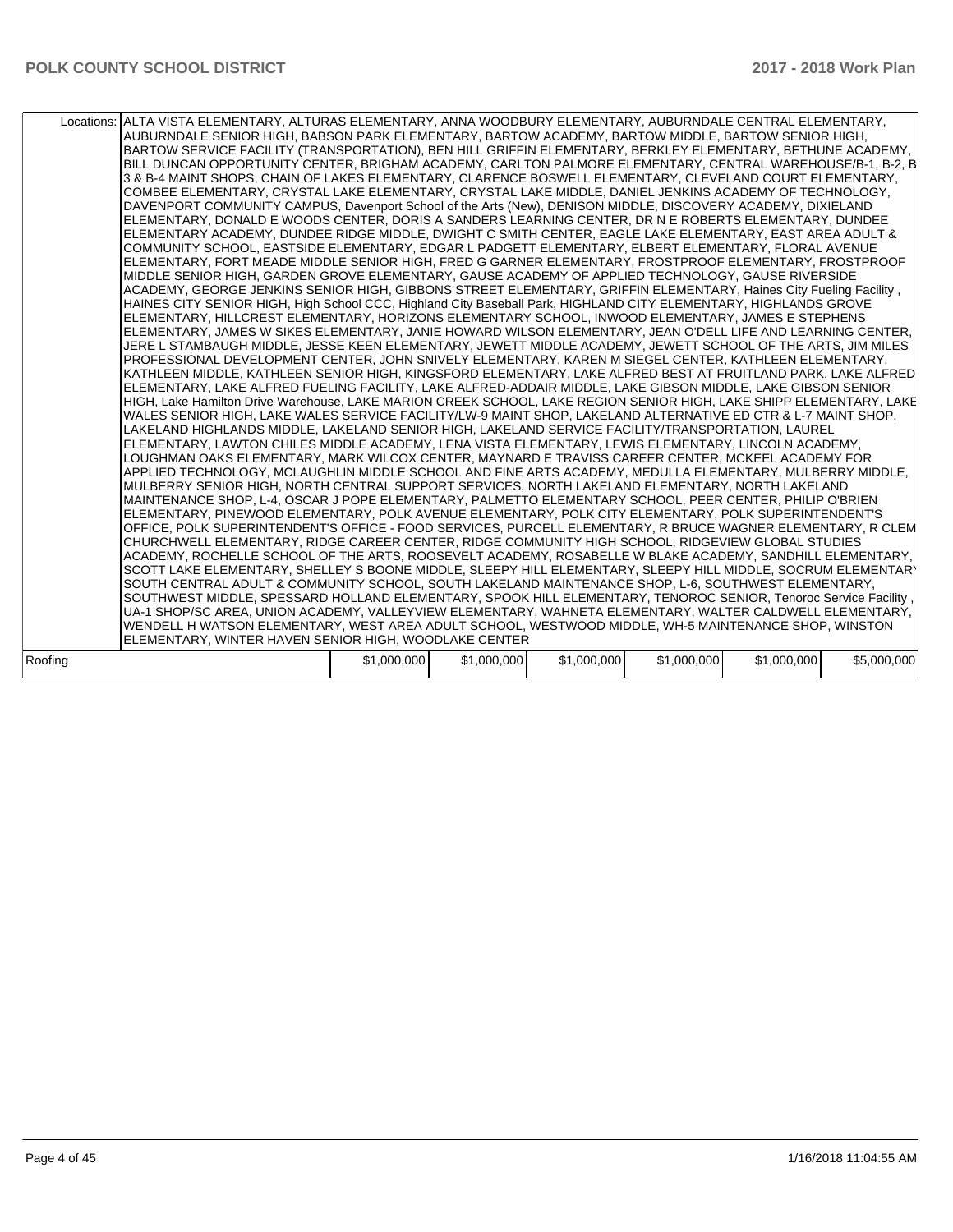|         | Locations: ALTA VISTA ELEMENTARY, ALTURAS ELEMENTARY, ANNA WOODBURY ELEMENTARY, AUBURNDALE CENTRAL ELEMENTARY,<br>AUBURNDALE SENIOR HIGH, BABSON PARK ELEMENTARY, BARTOW ACADEMY, BARTOW MIDDLE, BARTOW SENIOR HIGH,<br>BARTOW SERVICE FACILITY (TRANSPORTATION), BEN HILL GRIFFIN ELEMENTARY, BERKLEY ELEMENTARY, BETHUNE ACADEMY,<br>BILL DUNCAN OPPORTUNITY CENTER, BRIGHAM ACADEMY, CARLTON PALMORE ELEMENTARY, CENTRAL WAREHOUSE/B-1, B-2, B<br>3 & B-4 MAINT SHOPS. CHAIN OF LAKES ELEMENTARY. CLARENCE BOSWELL ELEMENTARY. CLEVELAND COURT ELEMENTARY.<br>COMBEE ELEMENTARY. CRYSTAL LAKE ELEMENTARY. CRYSTAL LAKE MIDDLE. DANIEL JENKINS ACADEMY OF TECHNOLOGY.<br>DAVENPORT COMMUNITY CAMPUS, Davenport School of the Arts (New), DENISON MIDDLE, DISCOVERY ACADEMY, DIXIELAND<br>ELEMENTARY, DONALD E WOODS CENTER, DORIS A SANDERS LEARNING CENTER, DR N E ROBERTS ELEMENTARY, DUNDEE<br>ELEMENTARY ACADEMY, DUNDEE RIDGE MIDDLE, DWIGHT C SMITH CENTER, EAGLE LAKE ELEMENTARY, EAST AREA ADULT &<br>COMMUNITY SCHOOL, EASTSIDE ELEMENTARY, EDGAR L PADGETT ELEMENTARY, ELBERT ELEMENTARY, FLORAL AVENUE<br>ELEMENTARY, FORT MEADE MIDDLE SENIOR HIGH, FRED G GARNER ELEMENTARY, FROSTPROOF ELEMENTARY, FROSTPROOF<br>MIDDLE SENIOR HIGH, GARDEN GROVE ELEMENTARY, GAUSE ACADEMY OF APPLIED TECHNOLOGY, GAUSE RIVERSIDE<br>ACADEMY, GEORGE JENKINS SENIOR HIGH, GIBBONS STREET ELEMENTARY, GRIFFIN ELEMENTARY, Haines City Fueling Facility,<br>HAINES CITY SENIOR HIGH, High School CCC, Highland City Baseball Park, HIGHLAND CITY ELEMENTARY, HIGHLANDS GROVE<br>ELEMENTARY, HILLCREST ELEMENTARY, HORIZONS ELEMENTARY SCHOOL, INWOOD ELEMENTARY, JAMES E STEPHENS<br>ELEMENTARY, JAMES W SIKES ELEMENTARY, JANIE HOWARD WILSON ELEMENTARY, JEAN O'DELL LIFE AND LEARNING CENTER,<br>JERE L STAMBAUGH MIDDLE, JESSE KEEN ELEMENTARY, JEWETT MIDDLE ACADEMY, JEWETT SCHOOL OF THE ARTS, JIM MILES<br>PROFESSIONAL DEVELOPMENT CENTER, JOHN SNIVELY ELEMENTARY, KAREN M SIEGEL CENTER, KATHLEEN ELEMENTARY,<br>KATHLEEN MIDDLE, KATHLEEN SENIOR HIGH, KINGSFORD ELEMENTARY, LAKE ALFRED BEST AT FRUITLAND PARK, LAKE ALFRED<br>ELEMENTARY. LAKE ALFRED FUELING FACILITY. LAKE ALFRED-ADDAIR MIDDLE. LAKE GIBSON MIDDLE. LAKE GIBSON SENIOR<br>HIGH. Lake Hamilton Drive Warehouse. LAKE MARION CREEK SCHOOL. LAKE REGION SENIOR HIGH. LAKE SHIPP ELEMENTARY. LAKE<br>WALES SENIOR HIGH. LAKE WALES SERVICE FACILITY/LW-9 MAINT SHOP. LAKELAND ALTERNATIVE ED CTR & L-7 MAINT SHOP.<br>LAKELAND HIGHLANDS MIDDLE, LAKELAND SENIOR HIGH, LAKELAND SERVICE FACILITY/TRANSPORTATION, LAUREL<br>ELEMENTARY, LAWTON CHILES MIDDLE ACADEMY, LENA VISTA ELEMENTARY, LEWIS ELEMENTARY, LINCOLN ACADEMY,<br>LOUGHMAN OAKS ELEMENTARY, MARK WILCOX CENTER, MAYNARD E TRAVISS CAREER CENTER, MCKEEL ACADEMY FOR<br>APPLIED TECHNOLOGY, MCLAUGHLIN MIDDLE SCHOOL AND FINE ARTS ACADEMY, MEDULLA ELEMENTARY, MULBERRY MIDDLE,<br>MULBERRY SENIOR HIGH, NORTH CENTRAL SUPPORT SERVICES, NORTH LAKELAND ELEMENTARY, NORTH LAKELAND<br>MAINTENANCE SHOP, L-4, OSCAR J POPE ELEMENTARY, PALMETTO ELEMENTARY SCHOOL, PEER CENTER, PHILIP O'BRIEN<br>ELEMENTARY, PINEWOOD ELEMENTARY, POLK AVENUE ELEMENTARY, POLK CITY ELEMENTARY, POLK SUPERINTENDENT'S<br>OFFICE, POLK SUPERINTENDENT'S OFFICE - FOOD SERVICES, PURCELL ELEMENTARY, R BRUCE WAGNER ELEMENTARY, R CLEM<br>CHURCHWELL ELEMENTARY, RIDGE CAREER CENTER, RIDGE COMMUNITY HIGH SCHOOL, RIDGEVIEW GLOBAL STUDIES<br>ACADEMY, ROCHELLE SCHOOL OF THE ARTS, ROOSEVELT ACADEMY, ROSABELLE W BLAKE ACADEMY, SANDHILL ELEMENTARY,<br>SCOTT LAKE ELEMENTARY, SHELLEY S BOONE MIDDLE, SLEEPY HILL ELEMENTARY, SLEEPY HILL MIDDLE, SOCRUM ELEMENTARY<br>SOUTH CENTRAL ADULT & COMMUNITY SCHOOL, SOUTH LAKELAND MAINTENANCE SHOP, L-6, SOUTHWEST ELEMENTARY,<br>SOUTHWEST MIDDLE, SPESSARD HOLLAND ELEMENTARY, SPOOK HILL ELEMENTARY, TENOROC SENIOR, Tenoroc Service Facility,<br>UA-1 SHOP/SC AREA, UNION ACADEMY, VALLEYVIEW ELEMENTARY, WAHNETA ELEMENTARY, WALTER CALDWELL ELEMENTARY,<br>WENDELL H WATSON ELEMENTARY, WEST AREA ADULT SCHOOL, WESTWOOD MIDDLE, WH-5 MAINTENANCE SHOP, WINSTON |             |             |             |             |             |             |
|---------|-------------------------------------------------------------------------------------------------------------------------------------------------------------------------------------------------------------------------------------------------------------------------------------------------------------------------------------------------------------------------------------------------------------------------------------------------------------------------------------------------------------------------------------------------------------------------------------------------------------------------------------------------------------------------------------------------------------------------------------------------------------------------------------------------------------------------------------------------------------------------------------------------------------------------------------------------------------------------------------------------------------------------------------------------------------------------------------------------------------------------------------------------------------------------------------------------------------------------------------------------------------------------------------------------------------------------------------------------------------------------------------------------------------------------------------------------------------------------------------------------------------------------------------------------------------------------------------------------------------------------------------------------------------------------------------------------------------------------------------------------------------------------------------------------------------------------------------------------------------------------------------------------------------------------------------------------------------------------------------------------------------------------------------------------------------------------------------------------------------------------------------------------------------------------------------------------------------------------------------------------------------------------------------------------------------------------------------------------------------------------------------------------------------------------------------------------------------------------------------------------------------------------------------------------------------------------------------------------------------------------------------------------------------------------------------------------------------------------------------------------------------------------------------------------------------------------------------------------------------------------------------------------------------------------------------------------------------------------------------------------------------------------------------------------------------------------------------------------------------------------------------------------------------------------------------------------------------------------------------------------------------------------------------------------------------------------------------------------------------------------------------------------------------------------------------------------------------------------------------------------------------------------------------------------------------------------------------------------------------------------------------------------------------------------------------------------------------------------------------------------------------------------------------------------------------------------------------------------------------------------------------------------------------------------------------------------------------------------------------------------------------------------------------------------------------------------------------------------------------------------------------------------|-------------|-------------|-------------|-------------|-------------|-------------|
|         |                                                                                                                                                                                                                                                                                                                                                                                                                                                                                                                                                                                                                                                                                                                                                                                                                                                                                                                                                                                                                                                                                                                                                                                                                                                                                                                                                                                                                                                                                                                                                                                                                                                                                                                                                                                                                                                                                                                                                                                                                                                                                                                                                                                                                                                                                                                                                                                                                                                                                                                                                                                                                                                                                                                                                                                                                                                                                                                                                                                                                                                                                                                                                                                                                                                                                                                                                                                                                                                                                                                                                                                                                                                                                                                                                                                                                                                                                                                                                                                                                                                                                                                                                 |             |             |             |             |             |             |
|         | ELEMENTARY, WINTER HAVEN SENIOR HIGH, WOODLAKE CENTER                                                                                                                                                                                                                                                                                                                                                                                                                                                                                                                                                                                                                                                                                                                                                                                                                                                                                                                                                                                                                                                                                                                                                                                                                                                                                                                                                                                                                                                                                                                                                                                                                                                                                                                                                                                                                                                                                                                                                                                                                                                                                                                                                                                                                                                                                                                                                                                                                                                                                                                                                                                                                                                                                                                                                                                                                                                                                                                                                                                                                                                                                                                                                                                                                                                                                                                                                                                                                                                                                                                                                                                                                                                                                                                                                                                                                                                                                                                                                                                                                                                                                           |             |             |             |             |             |             |
|         |                                                                                                                                                                                                                                                                                                                                                                                                                                                                                                                                                                                                                                                                                                                                                                                                                                                                                                                                                                                                                                                                                                                                                                                                                                                                                                                                                                                                                                                                                                                                                                                                                                                                                                                                                                                                                                                                                                                                                                                                                                                                                                                                                                                                                                                                                                                                                                                                                                                                                                                                                                                                                                                                                                                                                                                                                                                                                                                                                                                                                                                                                                                                                                                                                                                                                                                                                                                                                                                                                                                                                                                                                                                                                                                                                                                                                                                                                                                                                                                                                                                                                                                                                 |             |             |             |             |             |             |
| Roofing |                                                                                                                                                                                                                                                                                                                                                                                                                                                                                                                                                                                                                                                                                                                                                                                                                                                                                                                                                                                                                                                                                                                                                                                                                                                                                                                                                                                                                                                                                                                                                                                                                                                                                                                                                                                                                                                                                                                                                                                                                                                                                                                                                                                                                                                                                                                                                                                                                                                                                                                                                                                                                                                                                                                                                                                                                                                                                                                                                                                                                                                                                                                                                                                                                                                                                                                                                                                                                                                                                                                                                                                                                                                                                                                                                                                                                                                                                                                                                                                                                                                                                                                                                 | \$1,000,000 | \$1,000,000 | \$1,000,000 | \$1,000,000 | \$1,000,000 | \$5,000,000 |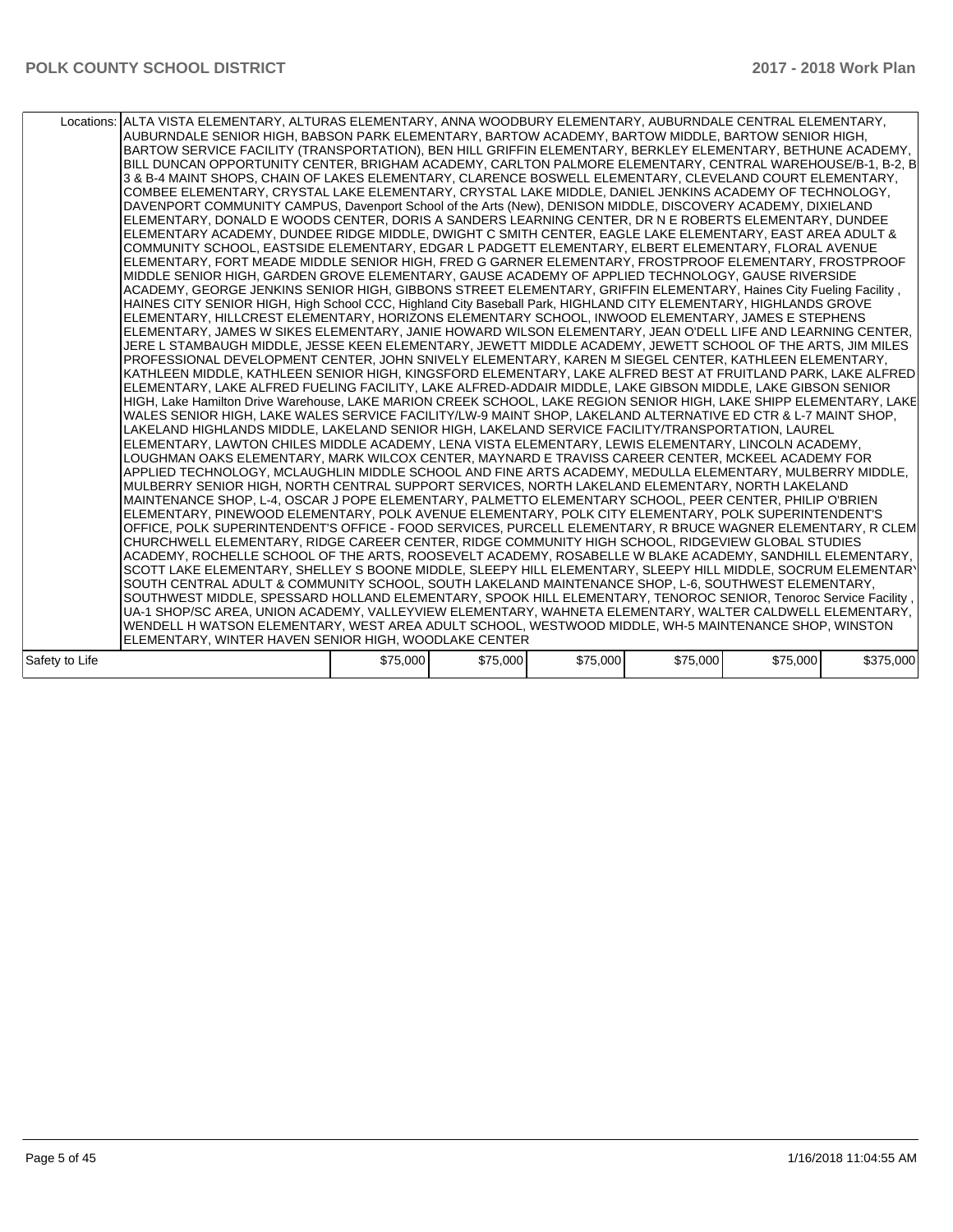|                | Locations: ALTA VISTA ELEMENTARY, ALTURAS ELEMENTARY, ANNA WOODBURY ELEMENTARY, AUBURNDALE CENTRAL ELEMENTARY,<br>AUBURNDALE SENIOR HIGH, BABSON PARK ELEMENTARY, BARTOW ACADEMY, BARTOW MIDDLE, BARTOW SENIOR HIGH,<br>BARTOW SERVICE FACILITY (TRANSPORTATION), BEN HILL GRIFFIN ELEMENTARY, BERKLEY ELEMENTARY, BETHUNE ACADEMY,<br>BILL DUNCAN OPPORTUNITY CENTER, BRIGHAM ACADEMY, CARLTON PALMORE ELEMENTARY, CENTRAL WAREHOUSE/B-1, B-2, B<br>3 & B-4 MAINT SHOPS, CHAIN OF LAKES ELEMENTARY, CLARENCE BOSWELL ELEMENTARY, CLEVELAND COURT ELEMENTARY,<br>COMBEE ELEMENTARY, CRYSTAL LAKE ELEMENTARY, CRYSTAL LAKE MIDDLE, DANIEL JENKINS ACADEMY OF TECHNOLOGY,<br>DAVENPORT COMMUNITY CAMPUS, Davenport School of the Arts (New), DENISON MIDDLE, DISCOVERY ACADEMY, DIXIELAND<br>ELEMENTARY, DONALD E WOODS CENTER, DORIS A SANDERS LEARNING CENTER, DR N E ROBERTS ELEMENTARY, DUNDEE<br>ELEMENTARY ACADEMY, DUNDEE RIDGE MIDDLE, DWIGHT C SMITH CENTER, EAGLE LAKE ELEMENTARY, EAST AREA ADULT &<br>COMMUNITY SCHOOL, EASTSIDE ELEMENTARY, EDGAR L PADGETT ELEMENTARY, ELBERT ELEMENTARY, FLORAL AVENUE<br>ELEMENTARY, FORT MEADE MIDDLE SENIOR HIGH, FRED G GARNER ELEMENTARY, FROSTPROOF ELEMENTARY, FROSTPROOF<br>MIDDLE SENIOR HIGH, GARDEN GROVE ELEMENTARY, GAUSE ACADEMY OF APPLIED TECHNOLOGY, GAUSE RIVERSIDE<br>ACADEMY, GEORGE JENKINS SENIOR HIGH, GIBBONS STREET ELEMENTARY, GRIFFIN ELEMENTARY, Haines City Fueling Facility,<br>HAINES CITY SENIOR HIGH, High School CCC, Highland City Baseball Park, HIGHLAND CITY ELEMENTARY, HIGHLANDS GROVE<br>ELEMENTARY, HILLCREST ELEMENTARY, HORIZONS ELEMENTARY SCHOOL, INWOOD ELEMENTARY, JAMES E STEPHENS<br>ELEMENTARY, JAMES W SIKES ELEMENTARY, JANIE HOWARD WILSON ELEMENTARY, JEAN O'DELL LIFE AND LEARNING CENTER,<br>JERE L STAMBAUGH MIDDLE, JESSE KEEN ELEMENTARY, JEWETT MIDDLE ACADEMY, JEWETT SCHOOL OF THE ARTS, JIM MILES<br>PROFESSIONAL DEVELOPMENT CENTER, JOHN SNIVELY ELEMENTARY, KAREN M SIEGEL CENTER, KATHLEEN ELEMENTARY,<br>KATHLEEN MIDDLE, KATHLEEN SENIOR HIGH, KINGSFORD ELEMENTARY, LAKE ALFRED BEST AT FRUITLAND PARK, LAKE ALFRED<br>ELEMENTARY, LAKE ALFRED FUELING FACILITY, LAKE ALFRED-ADDAIR MIDDLE, LAKE GIBSON MIDDLE, LAKE GIBSON SENIOR<br>HIGH, Lake Hamilton Drive Warehouse, LAKE MARION CREEK SCHOOL, LAKE REGION SENIOR HIGH, LAKE SHIPP ELEMENTARY, LAKE<br>WALES SENIOR HIGH, LAKE WALES SERVICE FACILITY/LW-9 MAINT SHOP, LAKELAND ALTERNATIVE ED CTR & L-7 MAINT SHOP,<br>LAKELAND HIGHLANDS MIDDLE, LAKELAND SENIOR HIGH, LAKELAND SERVICE FACILITY/TRANSPORTATION, LAUREL<br>ELEMENTARY, LAWTON CHILES MIDDLE ACADEMY, LENA VISTA ELEMENTARY, LEWIS ELEMENTARY, LINCOLN ACADEMY,<br>LOUGHMAN OAKS ELEMENTARY, MARK WILCOX CENTER, MAYNARD E TRAVISS CAREER CENTER, MCKEEL ACADEMY FOR<br>APPLIED TECHNOLOGY, MCLAUGHLIN MIDDLE SCHOOL AND FINE ARTS ACADEMY, MEDULLA ELEMENTARY, MULBERRY MIDDLE,<br>MULBERRY SENIOR HIGH, NORTH CENTRAL SUPPORT SERVICES, NORTH LAKELAND ELEMENTARY, NORTH LAKELAND<br>MAINTENANCE SHOP, L-4, OSCAR J POPE ELEMENTARY, PALMETTO ELEMENTARY SCHOOL, PEER CENTER, PHILIP O'BRIEN<br>ELEMENTARY, PINEWOOD ELEMENTARY, POLK AVENUE ELEMENTARY, POLK CITY ELEMENTARY, POLK SUPERINTENDENT'S<br>OFFICE, POLK SUPERINTENDENT'S OFFICE - FOOD SERVICES, PURCELL ELEMENTARY, R BRUCE WAGNER ELEMENTARY, R CLEM<br>CHURCHWELL ELEMENTARY, RIDGE CAREER CENTER, RIDGE COMMUNITY HIGH SCHOOL, RIDGEVIEW GLOBAL STUDIES<br>ACADEMY, ROCHELLE SCHOOL OF THE ARTS, ROOSEVELT ACADEMY, ROSABELLE W BLAKE ACADEMY, SANDHILL ELEMENTARY,<br>SCOTT LAKE ELEMENTARY, SHELLEY S BOONE MIDDLE, SLEEPY HILL ELEMENTARY, SLEEPY HILL MIDDLE, SOCRUM ELEMENTARY<br>SOUTH CENTRAL ADULT & COMMUNITY SCHOOL, SOUTH LAKELAND MAINTENANCE SHOP, L-6, SOUTHWEST ELEMENTARY,<br>SOUTHWEST MIDDLE, SPESSARD HOLLAND ELEMENTARY, SPOOK HILL ELEMENTARY, TENOROC SENIOR, Tenoroc Service Facility,<br>UA-1 SHOP/SC AREA, UNION ACADEMY, VALLEYVIEW ELEMENTARY, WAHNETA ELEMENTARY, WALTER CALDWELL ELEMENTARY,<br>WENDELL H WATSON ELEMENTARY, WEST AREA ADULT SCHOOL, WESTWOOD MIDDLE, WH-5 MAINTENANCE SHOP, WINSTON<br>ELEMENTARY, WINTER HAVEN SENIOR HIGH, WOODLAKE CENTER |          |          |          |          |          |           |
|----------------|----------------------------------------------------------------------------------------------------------------------------------------------------------------------------------------------------------------------------------------------------------------------------------------------------------------------------------------------------------------------------------------------------------------------------------------------------------------------------------------------------------------------------------------------------------------------------------------------------------------------------------------------------------------------------------------------------------------------------------------------------------------------------------------------------------------------------------------------------------------------------------------------------------------------------------------------------------------------------------------------------------------------------------------------------------------------------------------------------------------------------------------------------------------------------------------------------------------------------------------------------------------------------------------------------------------------------------------------------------------------------------------------------------------------------------------------------------------------------------------------------------------------------------------------------------------------------------------------------------------------------------------------------------------------------------------------------------------------------------------------------------------------------------------------------------------------------------------------------------------------------------------------------------------------------------------------------------------------------------------------------------------------------------------------------------------------------------------------------------------------------------------------------------------------------------------------------------------------------------------------------------------------------------------------------------------------------------------------------------------------------------------------------------------------------------------------------------------------------------------------------------------------------------------------------------------------------------------------------------------------------------------------------------------------------------------------------------------------------------------------------------------------------------------------------------------------------------------------------------------------------------------------------------------------------------------------------------------------------------------------------------------------------------------------------------------------------------------------------------------------------------------------------------------------------------------------------------------------------------------------------------------------------------------------------------------------------------------------------------------------------------------------------------------------------------------------------------------------------------------------------------------------------------------------------------------------------------------------------------------------------------------------------------------------------------------------------------------------------------------------------------------------------------------------------------------------------------------------------------------------------------------------------------------------------------------------------------------------------------------------------------------------------------------------------------------------------------------------------------------------------------------------------------------------------------------------------------|----------|----------|----------|----------|----------|-----------|
| Safety to Life |                                                                                                                                                                                                                                                                                                                                                                                                                                                                                                                                                                                                                                                                                                                                                                                                                                                                                                                                                                                                                                                                                                                                                                                                                                                                                                                                                                                                                                                                                                                                                                                                                                                                                                                                                                                                                                                                                                                                                                                                                                                                                                                                                                                                                                                                                                                                                                                                                                                                                                                                                                                                                                                                                                                                                                                                                                                                                                                                                                                                                                                                                                                                                                                                                                                                                                                                                                                                                                                                                                                                                                                                                                                                                                                                                                                                                                                                                                                                                                                                                                                                                                                                                                                                          | \$75,000 | \$75,000 | \$75,000 | \$75,000 | \$75,000 | \$375,000 |
|                |                                                                                                                                                                                                                                                                                                                                                                                                                                                                                                                                                                                                                                                                                                                                                                                                                                                                                                                                                                                                                                                                                                                                                                                                                                                                                                                                                                                                                                                                                                                                                                                                                                                                                                                                                                                                                                                                                                                                                                                                                                                                                                                                                                                                                                                                                                                                                                                                                                                                                                                                                                                                                                                                                                                                                                                                                                                                                                                                                                                                                                                                                                                                                                                                                                                                                                                                                                                                                                                                                                                                                                                                                                                                                                                                                                                                                                                                                                                                                                                                                                                                                                                                                                                                          |          |          |          |          |          |           |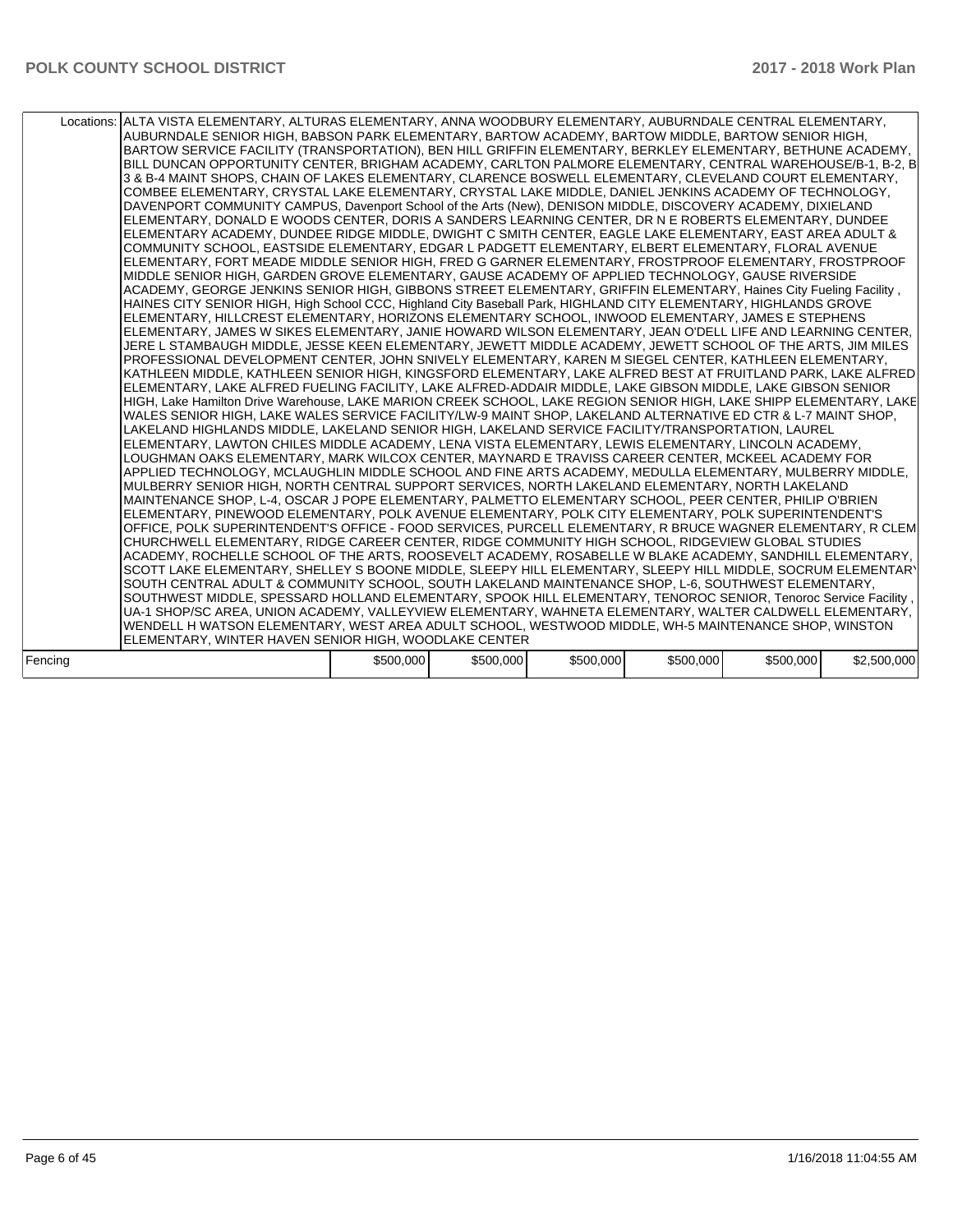|         | Locations: ALTA VISTA ELEMENTARY, ALTURAS ELEMENTARY, ANNA WOODBURY ELEMENTARY, AUBURNDALE CENTRAL ELEMENTARY,<br>AUBURNDALE SENIOR HIGH, BABSON PARK ELEMENTARY, BARTOW ACADEMY, BARTOW MIDDLE, BARTOW SENIOR HIGH,<br>BARTOW SERVICE FACILITY (TRANSPORTATION), BEN HILL GRIFFIN ELEMENTARY, BERKLEY ELEMENTARY, BETHUNE ACADEMY,<br>BILL DUNCAN OPPORTUNITY CENTER, BRIGHAM ACADEMY, CARLTON PALMORE ELEMENTARY, CENTRAL WAREHOUSE/B-1, B-2, B<br>3 & B-4 MAINT SHOPS, CHAIN OF LAKES ELEMENTARY, CLARENCE BOSWELL ELEMENTARY, CLEVELAND COURT ELEMENTARY,<br>COMBEE ELEMENTARY, CRYSTAL LAKE ELEMENTARY, CRYSTAL LAKE MIDDLE, DANIEL JENKINS ACADEMY OF TECHNOLOGY,<br>DAVENPORT COMMUNITY CAMPUS, Davenport School of the Arts (New), DENISON MIDDLE, DISCOVERY ACADEMY, DIXIELAND<br>ELEMENTARY, DONALD E WOODS CENTER, DORIS A SANDERS LEARNING CENTER, DR N E ROBERTS ELEMENTARY, DUNDEE<br>ELEMENTARY ACADEMY, DUNDEE RIDGE MIDDLE, DWIGHT C SMITH CENTER, EAGLE LAKE ELEMENTARY, EAST AREA ADULT &<br>COMMUNITY SCHOOL, EASTSIDE ELEMENTARY, EDGAR L PADGETT ELEMENTARY, ELBERT ELEMENTARY, FLORAL AVENUE<br>ELEMENTARY, FORT MEADE MIDDLE SENIOR HIGH, FRED G GARNER ELEMENTARY, FROSTPROOF ELEMENTARY, FROSTPROOF<br>MIDDLE SENIOR HIGH, GARDEN GROVE ELEMENTARY, GAUSE ACADEMY OF APPLIED TECHNOLOGY, GAUSE RIVERSIDE<br>ACADEMY, GEORGE JENKINS SENIOR HIGH, GIBBONS STREET ELEMENTARY, GRIFFIN ELEMENTARY, Haines City Fueling Facility,<br>HAINES CITY SENIOR HIGH, High School CCC, Highland City Baseball Park, HIGHLAND CITY ELEMENTARY, HIGHLANDS GROVE<br>ELEMENTARY, HILLCREST ELEMENTARY, HORIZONS ELEMENTARY SCHOOL, INWOOD ELEMENTARY, JAMES E STEPHENS<br>ELEMENTARY, JAMES W SIKES ELEMENTARY, JANIE HOWARD WILSON ELEMENTARY, JEAN O'DELL LIFE AND LEARNING CENTER,<br>JERE L STAMBAUGH MIDDLE, JESSE KEEN ELEMENTARY, JEWETT MIDDLE ACADEMY, JEWETT SCHOOL OF THE ARTS, JIM MILES<br>PROFESSIONAL DEVELOPMENT CENTER, JOHN SNIVELY ELEMENTARY, KAREN M SIEGEL CENTER, KATHLEEN ELEMENTARY,<br>KATHLEEN MIDDLE, KATHLEEN SENIOR HIGH, KINGSFORD ELEMENTARY, LAKE ALFRED BEST AT FRUITLAND PARK, LAKE ALFRED<br>ELEMENTARY, LAKE ALFRED FUELING FACILITY, LAKE ALFRED-ADDAIR MIDDLE, LAKE GIBSON MIDDLE, LAKE GIBSON SENIOR<br>HIGH, Lake Hamilton Drive Warehouse, LAKE MARION CREEK SCHOOL, LAKE REGION SENIOR HIGH, LAKE SHIPP ELEMENTARY, LAKE<br>WALES SENIOR HIGH, LAKE WALES SERVICE FACILITY/LW-9 MAINT SHOP, LAKELAND ALTERNATIVE ED CTR & L-7 MAINT SHOP,<br>LAKELAND HIGHLANDS MIDDLE, LAKELAND SENIOR HIGH, LAKELAND SERVICE FACILITY/TRANSPORTATION, LAUREL<br>ELEMENTARY, LAWTON CHILES MIDDLE ACADEMY, LENA VISTA ELEMENTARY, LEWIS ELEMENTARY, LINCOLN ACADEMY,<br>LOUGHMAN OAKS ELEMENTARY, MARK WILCOX CENTER, MAYNARD E TRAVISS CAREER CENTER, MCKEEL ACADEMY FOR<br>APPLIED TECHNOLOGY, MCLAUGHLIN MIDDLE SCHOOL AND FINE ARTS ACADEMY, MEDULLA ELEMENTARY, MULBERRY MIDDLE,<br>MULBERRY SENIOR HIGH, NORTH CENTRAL SUPPORT SERVICES, NORTH LAKELAND ELEMENTARY, NORTH LAKELAND<br>MAINTENANCE SHOP, L-4, OSCAR J POPE ELEMENTARY, PALMETTO ELEMENTARY SCHOOL, PEER CENTER, PHILIP O'BRIEN<br>ELEMENTARY, PINEWOOD ELEMENTARY, POLK AVENUE ELEMENTARY, POLK CITY ELEMENTARY, POLK SUPERINTENDENT'S<br>OFFICE, POLK SUPERINTENDENT'S OFFICE - FOOD SERVICES, PURCELL ELEMENTARY, R BRUCE WAGNER ELEMENTARY, R CLEM<br>CHURCHWELL ELEMENTARY, RIDGE CAREER CENTER, RIDGE COMMUNITY HIGH SCHOOL, RIDGEVIEW GLOBAL STUDIES<br>ACADEMY, ROCHELLE SCHOOL OF THE ARTS, ROOSEVELT ACADEMY, ROSABELLE W BLAKE ACADEMY, SANDHILL ELEMENTARY,<br>SCOTT LAKE ELEMENTARY, SHELLEY S BOONE MIDDLE, SLEEPY HILL ELEMENTARY, SLEEPY HILL MIDDLE, SOCRUM ELEMENTARY<br>SOUTH CENTRAL ADULT & COMMUNITY SCHOOL, SOUTH LAKELAND MAINTENANCE SHOP, L-6, SOUTHWEST ELEMENTARY,<br>SOUTHWEST MIDDLE, SPESSARD HOLLAND ELEMENTARY, SPOOK HILL ELEMENTARY, TENOROC SENIOR, Tenoroc Service Facility,<br>UA-1 SHOP/SC AREA, UNION ACADEMY, VALLEYVIEW ELEMENTARY, WAHNETA ELEMENTARY, WALTER CALDWELL ELEMENTARY,<br>WENDELL H WATSON ELEMENTARY, WEST AREA ADULT SCHOOL, WESTWOOD MIDDLE, WH-5 MAINTENANCE SHOP, WINSTON<br>ELEMENTARY, WINTER HAVEN SENIOR HIGH, WOODLAKE CENTER |           |           |           |           |           |             |
|---------|----------------------------------------------------------------------------------------------------------------------------------------------------------------------------------------------------------------------------------------------------------------------------------------------------------------------------------------------------------------------------------------------------------------------------------------------------------------------------------------------------------------------------------------------------------------------------------------------------------------------------------------------------------------------------------------------------------------------------------------------------------------------------------------------------------------------------------------------------------------------------------------------------------------------------------------------------------------------------------------------------------------------------------------------------------------------------------------------------------------------------------------------------------------------------------------------------------------------------------------------------------------------------------------------------------------------------------------------------------------------------------------------------------------------------------------------------------------------------------------------------------------------------------------------------------------------------------------------------------------------------------------------------------------------------------------------------------------------------------------------------------------------------------------------------------------------------------------------------------------------------------------------------------------------------------------------------------------------------------------------------------------------------------------------------------------------------------------------------------------------------------------------------------------------------------------------------------------------------------------------------------------------------------------------------------------------------------------------------------------------------------------------------------------------------------------------------------------------------------------------------------------------------------------------------------------------------------------------------------------------------------------------------------------------------------------------------------------------------------------------------------------------------------------------------------------------------------------------------------------------------------------------------------------------------------------------------------------------------------------------------------------------------------------------------------------------------------------------------------------------------------------------------------------------------------------------------------------------------------------------------------------------------------------------------------------------------------------------------------------------------------------------------------------------------------------------------------------------------------------------------------------------------------------------------------------------------------------------------------------------------------------------------------------------------------------------------------------------------------------------------------------------------------------------------------------------------------------------------------------------------------------------------------------------------------------------------------------------------------------------------------------------------------------------------------------------------------------------------------------------------------------------------------------------------------------------------------|-----------|-----------|-----------|-----------|-----------|-------------|
|         |                                                                                                                                                                                                                                                                                                                                                                                                                                                                                                                                                                                                                                                                                                                                                                                                                                                                                                                                                                                                                                                                                                                                                                                                                                                                                                                                                                                                                                                                                                                                                                                                                                                                                                                                                                                                                                                                                                                                                                                                                                                                                                                                                                                                                                                                                                                                                                                                                                                                                                                                                                                                                                                                                                                                                                                                                                                                                                                                                                                                                                                                                                                                                                                                                                                                                                                                                                                                                                                                                                                                                                                                                                                                                                                                                                                                                                                                                                                                                                                                                                                                                                                                                                                                          |           |           |           |           |           |             |
| Fencing |                                                                                                                                                                                                                                                                                                                                                                                                                                                                                                                                                                                                                                                                                                                                                                                                                                                                                                                                                                                                                                                                                                                                                                                                                                                                                                                                                                                                                                                                                                                                                                                                                                                                                                                                                                                                                                                                                                                                                                                                                                                                                                                                                                                                                                                                                                                                                                                                                                                                                                                                                                                                                                                                                                                                                                                                                                                                                                                                                                                                                                                                                                                                                                                                                                                                                                                                                                                                                                                                                                                                                                                                                                                                                                                                                                                                                                                                                                                                                                                                                                                                                                                                                                                                          | \$500,000 | \$500,000 | \$500,000 | \$500,000 | \$500,000 | \$2,500,000 |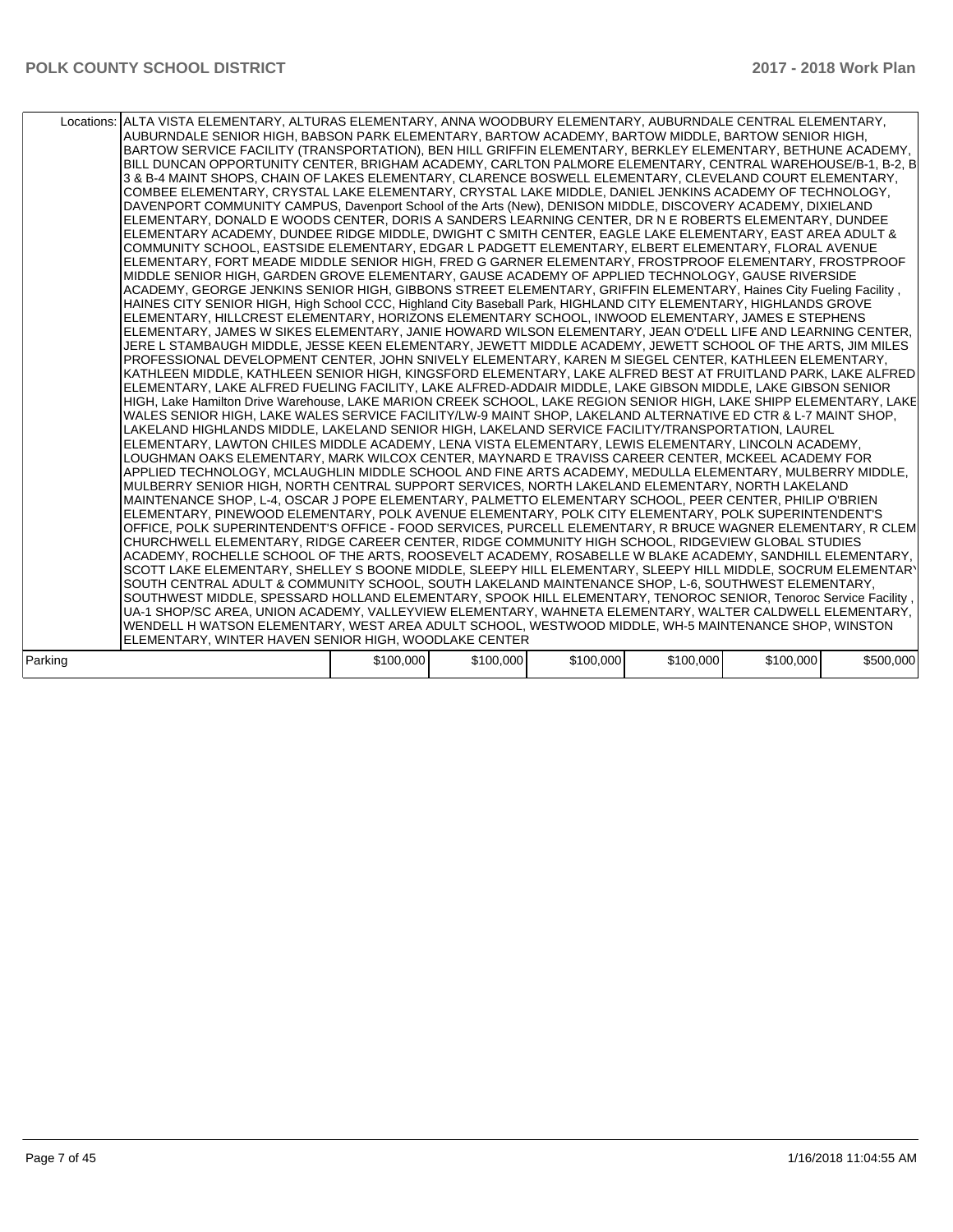|         | Locations: ALTA VISTA ELEMENTARY, ALTURAS ELEMENTARY, ANNA WOODBURY ELEMENTARY, AUBURNDALE CENTRAL ELEMENTARY,<br>AUBURNDALE SENIOR HIGH, BABSON PARK ELEMENTARY, BARTOW ACADEMY, BARTOW MIDDLE, BARTOW SENIOR HIGH,<br>BARTOW SERVICE FACILITY (TRANSPORTATION), BEN HILL GRIFFIN ELEMENTARY, BERKLEY ELEMENTARY, BETHUNE ACADEMY,<br>BILL DUNCAN OPPORTUNITY CENTER, BRIGHAM ACADEMY, CARLTON PALMORE ELEMENTARY, CENTRAL WAREHOUSE/B-1, B-2, B<br>3 & B-4 MAINT SHOPS. CHAIN OF LAKES ELEMENTARY. CLARENCE BOSWELL ELEMENTARY. CLEVELAND COURT ELEMENTARY.<br>COMBEE ELEMENTARY. CRYSTAL LAKE ELEMENTARY. CRYSTAL LAKE MIDDLE. DANIEL JENKINS ACADEMY OF TECHNOLOGY.<br>DAVENPORT COMMUNITY CAMPUS, Davenport School of the Arts (New), DENISON MIDDLE, DISCOVERY ACADEMY, DIXIELAND<br>ELEMENTARY, DONALD E WOODS CENTER, DORIS A SANDERS LEARNING CENTER, DR N E ROBERTS ELEMENTARY, DUNDEE<br>ELEMENTARY ACADEMY, DUNDEE RIDGE MIDDLE, DWIGHT C SMITH CENTER, EAGLE LAKE ELEMENTARY, EAST AREA ADULT &<br>COMMUNITY SCHOOL, EASTSIDE ELEMENTARY, EDGAR L PADGETT ELEMENTARY, ELBERT ELEMENTARY, FLORAL AVENUE<br>ELEMENTARY, FORT MEADE MIDDLE SENIOR HIGH, FRED G GARNER ELEMENTARY, FROSTPROOF ELEMENTARY, FROSTPROOF<br>MIDDLE SENIOR HIGH, GARDEN GROVE ELEMENTARY, GAUSE ACADEMY OF APPLIED TECHNOLOGY, GAUSE RIVERSIDE<br>ACADEMY, GEORGE JENKINS SENIOR HIGH, GIBBONS STREET ELEMENTARY, GRIFFIN ELEMENTARY, Haines City Fueling Facility,<br>HAINES CITY SENIOR HIGH, High School CCC, Highland City Baseball Park, HIGHLAND CITY ELEMENTARY, HIGHLANDS GROVE<br>ELEMENTARY, HILLCREST ELEMENTARY, HORIZONS ELEMENTARY SCHOOL, INWOOD ELEMENTARY, JAMES E STEPHENS<br>ELEMENTARY, JAMES W SIKES ELEMENTARY, JANIE HOWARD WILSON ELEMENTARY, JEAN O'DELL LIFE AND LEARNING CENTER,<br>JERE L STAMBAUGH MIDDLE, JESSE KEEN ELEMENTARY, JEWETT MIDDLE ACADEMY, JEWETT SCHOOL OF THE ARTS, JIM MILES<br>PROFESSIONAL DEVELOPMENT CENTER, JOHN SNIVELY ELEMENTARY, KAREN M SIEGEL CENTER, KATHLEEN ELEMENTARY,<br>KATHLEEN MIDDLE, KATHLEEN SENIOR HIGH, KINGSFORD ELEMENTARY, LAKE ALFRED BEST AT FRUITLAND PARK, LAKE ALFRED<br>ELEMENTARY, LAKE ALFRED FUELING FACILITY, LAKE ALFRED-ADDAIR MIDDLE, LAKE GIBSON MIDDLE, LAKE GIBSON SENIOR<br>HIGH, Lake Hamilton Drive Warehouse, LAKE MARION CREEK SCHOOL, LAKE REGION SENIOR HIGH, LAKE SHIPP ELEMENTARY, LAKE<br>WALES SENIOR HIGH, LAKE WALES SERVICE FACILITY/LW-9 MAINT SHOP, LAKELAND ALTERNATIVE ED CTR & L-7 MAINT SHOP,<br>LAKELAND HIGHLANDS MIDDLE, LAKELAND SENIOR HIGH, LAKELAND SERVICE FACILITY/TRANSPORTATION, LAUREL<br>ELEMENTARY, LAWTON CHILES MIDDLE ACADEMY, LENA VISTA ELEMENTARY, LEWIS ELEMENTARY, LINCOLN ACADEMY,<br>LOUGHMAN OAKS ELEMENTARY, MARK WILCOX CENTER, MAYNARD E TRAVISS CAREER CENTER, MCKEEL ACADEMY FOR<br>APPLIED TECHNOLOGY, MCLAUGHLIN MIDDLE SCHOOL AND FINE ARTS ACADEMY, MEDULLA ELEMENTARY, MULBERRY MIDDLE,<br>MULBERRY SENIOR HIGH, NORTH CENTRAL SUPPORT SERVICES, NORTH LAKELAND ELEMENTARY, NORTH LAKELAND<br>IMAINTENANCE SHOP. L-4. OSCAR J POPE ELEMENTARY. PALMETTO ELEMENTARY SCHOOL. PEER CENTER. PHILIP O'BRIEN<br>ELEMENTARY, PINEWOOD ELEMENTARY, POLK AVENUE ELEMENTARY, POLK CITY ELEMENTARY, POLK SUPERINTENDENT'S<br>OFFICE, POLK SUPERINTENDENT'S OFFICE - FOOD SERVICES, PURCELL ELEMENTARY, R BRUCE WAGNER ELEMENTARY, R CLEM<br>CHURCHWELL ELEMENTARY, RIDGE CAREER CENTER, RIDGE COMMUNITY HIGH SCHOOL, RIDGEVIEW GLOBAL STUDIES<br>ACADEMY, ROCHELLE SCHOOL OF THE ARTS, ROOSEVELT ACADEMY, ROSABELLE W BLAKE ACADEMY, SANDHILL ELEMENTARY,<br>SCOTT LAKE ELEMENTARY, SHELLEY S BOONE MIDDLE, SLEEPY HILL ELEMENTARY, SLEEPY HILL MIDDLE, SOCRUM ELEMENTARY<br>SOUTH CENTRAL ADULT & COMMUNITY SCHOOL, SOUTH LAKELAND MAINTENANCE SHOP, L-6, SOUTHWEST ELEMENTARY,<br>SOUTHWEST MIDDLE, SPESSARD HOLLAND ELEMENTARY, SPOOK HILL ELEMENTARY, TENOROC SENIOR, Tenoroc Service Facility,<br>UA-1 SHOP/SC AREA, UNION ACADEMY, VALLEYVIEW ELEMENTARY, WAHNETA ELEMENTARY, WALTER CALDWELL ELEMENTARY,<br>WENDELL H WATSON ELEMENTARY, WEST AREA ADULT SCHOOL, WESTWOOD MIDDLE, WH-5 MAINTENANCE SHOP, WINSTON |           |           |           |           |           |           |
|---------|--------------------------------------------------------------------------------------------------------------------------------------------------------------------------------------------------------------------------------------------------------------------------------------------------------------------------------------------------------------------------------------------------------------------------------------------------------------------------------------------------------------------------------------------------------------------------------------------------------------------------------------------------------------------------------------------------------------------------------------------------------------------------------------------------------------------------------------------------------------------------------------------------------------------------------------------------------------------------------------------------------------------------------------------------------------------------------------------------------------------------------------------------------------------------------------------------------------------------------------------------------------------------------------------------------------------------------------------------------------------------------------------------------------------------------------------------------------------------------------------------------------------------------------------------------------------------------------------------------------------------------------------------------------------------------------------------------------------------------------------------------------------------------------------------------------------------------------------------------------------------------------------------------------------------------------------------------------------------------------------------------------------------------------------------------------------------------------------------------------------------------------------------------------------------------------------------------------------------------------------------------------------------------------------------------------------------------------------------------------------------------------------------------------------------------------------------------------------------------------------------------------------------------------------------------------------------------------------------------------------------------------------------------------------------------------------------------------------------------------------------------------------------------------------------------------------------------------------------------------------------------------------------------------------------------------------------------------------------------------------------------------------------------------------------------------------------------------------------------------------------------------------------------------------------------------------------------------------------------------------------------------------------------------------------------------------------------------------------------------------------------------------------------------------------------------------------------------------------------------------------------------------------------------------------------------------------------------------------------------------------------------------------------------------------------------------------------------------------------------------------------------------------------------------------------------------------------------------------------------------------------------------------------------------------------------------------------------------------------------------------------------------------------------------------------------------------------------------------------------------------------------------------|-----------|-----------|-----------|-----------|-----------|-----------|
|         | ELEMENTARY, WINTER HAVEN SENIOR HIGH, WOODLAKE CENTER                                                                                                                                                                                                                                                                                                                                                                                                                                                                                                                                                                                                                                                                                                                                                                                                                                                                                                                                                                                                                                                                                                                                                                                                                                                                                                                                                                                                                                                                                                                                                                                                                                                                                                                                                                                                                                                                                                                                                                                                                                                                                                                                                                                                                                                                                                                                                                                                                                                                                                                                                                                                                                                                                                                                                                                                                                                                                                                                                                                                                                                                                                                                                                                                                                                                                                                                                                                                                                                                                                                                                                                                                                                                                                                                                                                                                                                                                                                                                                                                                                                                                            |           |           |           |           |           |           |
| Parking |                                                                                                                                                                                                                                                                                                                                                                                                                                                                                                                                                                                                                                                                                                                                                                                                                                                                                                                                                                                                                                                                                                                                                                                                                                                                                                                                                                                                                                                                                                                                                                                                                                                                                                                                                                                                                                                                                                                                                                                                                                                                                                                                                                                                                                                                                                                                                                                                                                                                                                                                                                                                                                                                                                                                                                                                                                                                                                                                                                                                                                                                                                                                                                                                                                                                                                                                                                                                                                                                                                                                                                                                                                                                                                                                                                                                                                                                                                                                                                                                                                                                                                                                                  | \$100,000 | \$100,000 | \$100,000 | \$100,000 | \$100,000 | \$500,000 |
|         |                                                                                                                                                                                                                                                                                                                                                                                                                                                                                                                                                                                                                                                                                                                                                                                                                                                                                                                                                                                                                                                                                                                                                                                                                                                                                                                                                                                                                                                                                                                                                                                                                                                                                                                                                                                                                                                                                                                                                                                                                                                                                                                                                                                                                                                                                                                                                                                                                                                                                                                                                                                                                                                                                                                                                                                                                                                                                                                                                                                                                                                                                                                                                                                                                                                                                                                                                                                                                                                                                                                                                                                                                                                                                                                                                                                                                                                                                                                                                                                                                                                                                                                                                  |           |           |           |           |           |           |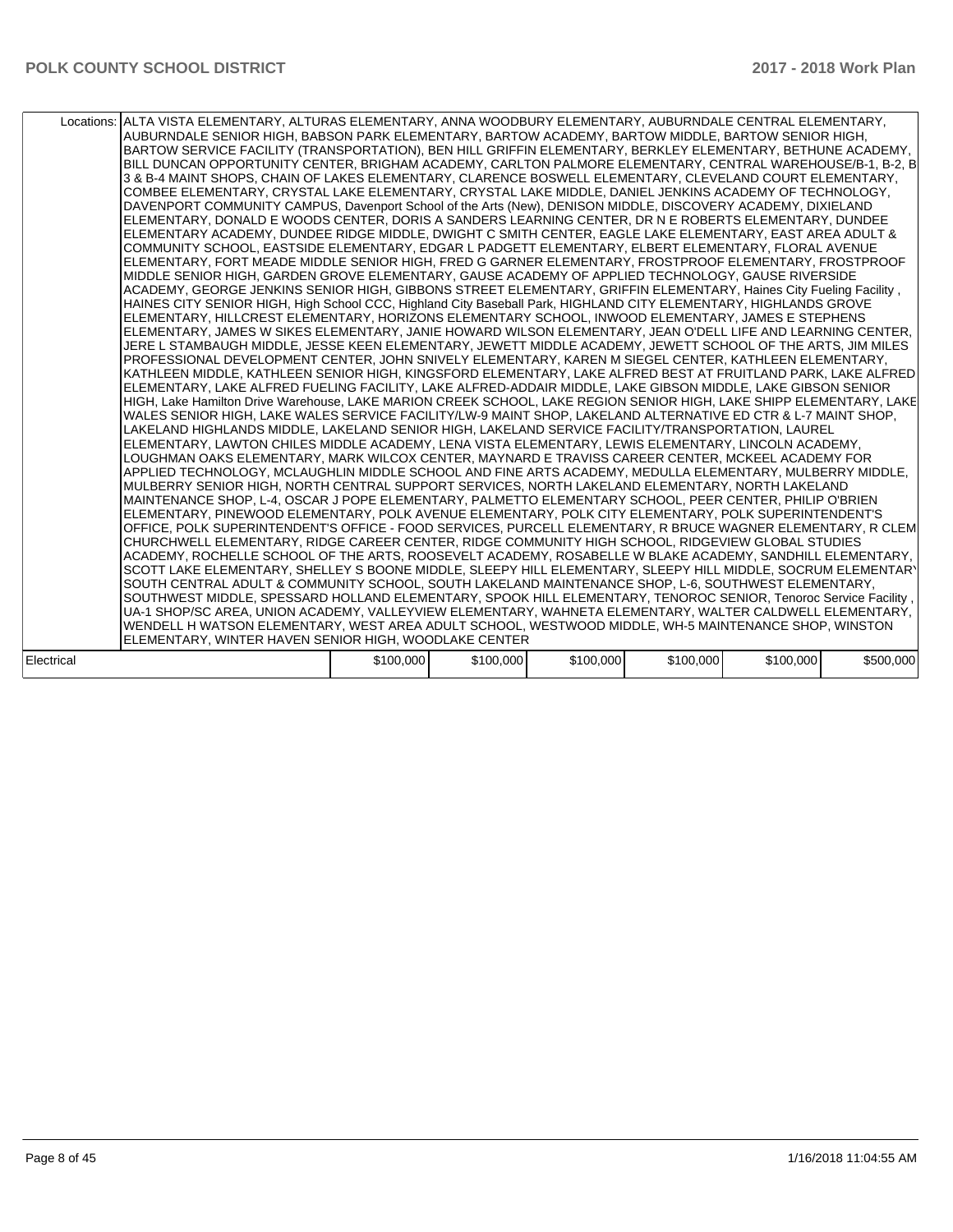|            | Locations: ALTA VISTA ELEMENTARY, ALTURAS ELEMENTARY, ANNA WOODBURY ELEMENTARY, AUBURNDALE CENTRAL ELEMENTARY,<br>AUBURNDALE SENIOR HIGH, BABSON PARK ELEMENTARY, BARTOW ACADEMY, BARTOW MIDDLE, BARTOW SENIOR HIGH,<br>BARTOW SERVICE FACILITY (TRANSPORTATION), BEN HILL GRIFFIN ELEMENTARY, BERKLEY ELEMENTARY, BETHUNE ACADEMY,<br>BILL DUNCAN OPPORTUNITY CENTER, BRIGHAM ACADEMY, CARLTON PALMORE ELEMENTARY, CENTRAL WAREHOUSE/B-1, B-2, B<br>3 & B-4 MAINT SHOPS, CHAIN OF LAKES ELEMENTARY, CLARENCE BOSWELL ELEMENTARY, CLEVELAND COURT ELEMENTARY,<br>COMBEE ELEMENTARY, CRYSTAL LAKE ELEMENTARY, CRYSTAL LAKE MIDDLE, DANIEL JENKINS ACADEMY OF TECHNOLOGY,<br>DAVENPORT COMMUNITY CAMPUS, Davenport School of the Arts (New), DENISON MIDDLE, DISCOVERY ACADEMY, DIXIELAND<br>ELEMENTARY, DONALD E WOODS CENTER, DORIS A SANDERS LEARNING CENTER, DR N E ROBERTS ELEMENTARY, DUNDEE<br>ELEMENTARY ACADEMY, DUNDEE RIDGE MIDDLE, DWIGHT C SMITH CENTER, EAGLE LAKE ELEMENTARY, EAST AREA ADULT &<br>COMMUNITY SCHOOL, EASTSIDE ELEMENTARY, EDGAR L PADGETT ELEMENTARY, ELBERT ELEMENTARY, FLORAL AVENUE<br>ELEMENTARY, FORT MEADE MIDDLE SENIOR HIGH, FRED G GARNER ELEMENTARY, FROSTPROOF ELEMENTARY, FROSTPROOF<br>MIDDLE SENIOR HIGH, GARDEN GROVE ELEMENTARY, GAUSE ACADEMY OF APPLIED TECHNOLOGY, GAUSE RIVERSIDE<br>ACADEMY, GEORGE JENKINS SENIOR HIGH, GIBBONS STREET ELEMENTARY, GRIFFIN ELEMENTARY, Haines City Fueling Facility,<br>HAINES CITY SENIOR HIGH, High School CCC, Highland City Baseball Park, HIGHLAND CITY ELEMENTARY, HIGHLANDS GROVE<br>ELEMENTARY, HILLCREST ELEMENTARY, HORIZONS ELEMENTARY SCHOOL, INWOOD ELEMENTARY, JAMES E STEPHENS<br>ELEMENTARY, JAMES W SIKES ELEMENTARY, JANIE HOWARD WILSON ELEMENTARY, JEAN O'DELL LIFE AND LEARNING CENTER,<br>JERE L STAMBAUGH MIDDLE, JESSE KEEN ELEMENTARY, JEWETT MIDDLE ACADEMY, JEWETT SCHOOL OF THE ARTS, JIM MILES<br>PROFESSIONAL DEVELOPMENT CENTER, JOHN SNIVELY ELEMENTARY, KAREN M SIEGEL CENTER, KATHLEEN ELEMENTARY,<br>KATHLEEN MIDDLE, KATHLEEN SENIOR HIGH, KINGSFORD ELEMENTARY, LAKE ALFRED BEST AT FRUITLAND PARK, LAKE ALFRED<br>ELEMENTARY. LAKE ALFRED FUELING FACILITY. LAKE ALFRED-ADDAIR MIDDLE. LAKE GIBSON MIDDLE. LAKE GIBSON SENIOR<br>HIGH. Lake Hamilton Drive Warehouse. LAKE MARION CREEK SCHOOL. LAKE REGION SENIOR HIGH. LAKE SHIPP ELEMENTARY. LAKE<br>WALES SENIOR HIGH. LAKE WALES SERVICE FACILITY/LW-9 MAINT SHOP. LAKELAND ALTERNATIVE ED CTR & L-7 MAINT SHOP.<br>LAKELAND HIGHLANDS MIDDLE. LAKELAND SENIOR HIGH. LAKELAND SERVICE FACILITY/TRANSPORTATION. LAUREL<br>ELEMENTARY, LAWTON CHILES MIDDLE ACADEMY, LENA VISTA ELEMENTARY, LEWIS ELEMENTARY, LINCOLN ACADEMY,<br>LOUGHMAN OAKS ELEMENTARY, MARK WILCOX CENTER, MAYNARD E TRAVISS CAREER CENTER, MCKEEL ACADEMY FOR<br>APPLIED TECHNOLOGY, MCLAUGHLIN MIDDLE SCHOOL AND FINE ARTS ACADEMY, MEDULLA ELEMENTARY, MULBERRY MIDDLE,<br>MULBERRY SENIOR HIGH, NORTH CENTRAL SUPPORT SERVICES, NORTH LAKELAND ELEMENTARY, NORTH LAKELAND<br>MAINTENANCE SHOP, L-4, OSCAR J POPE ELEMENTARY, PALMETTO ELEMENTARY SCHOOL, PEER CENTER, PHILIP O'BRIEN<br>ELEMENTARY, PINEWOOD ELEMENTARY, POLK AVENUE ELEMENTARY, POLK CITY ELEMENTARY, POLK SUPERINTENDENT'S<br>OFFICE, POLK SUPERINTENDENT'S OFFICE - FOOD SERVICES, PURCELL ELEMENTARY, R BRUCE WAGNER ELEMENTARY, R CLEM<br>CHURCHWELL ELEMENTARY, RIDGE CAREER CENTER, RIDGE COMMUNITY HIGH SCHOOL, RIDGEVIEW GLOBAL STUDIES<br>ACADEMY, ROCHELLE SCHOOL OF THE ARTS, ROOSEVELT ACADEMY, ROSABELLE W BLAKE ACADEMY, SANDHILL ELEMENTARY,<br>SCOTT LAKE ELEMENTARY, SHELLEY S BOONE MIDDLE, SLEEPY HILL ELEMENTARY, SLEEPY HILL MIDDLE, SOCRUM ELEMENTARY<br>SOUTH CENTRAL ADULT & COMMUNITY SCHOOL, SOUTH LAKELAND MAINTENANCE SHOP, L-6, SOUTHWEST ELEMENTARY,<br>SOUTHWEST MIDDLE, SPESSARD HOLLAND ELEMENTARY, SPOOK HILL ELEMENTARY, TENOROC SENIOR, Tenoroc Service Facility,<br>UA-1 SHOP/SC AREA, UNION ACADEMY, VALLEYVIEW ELEMENTARY, WAHNETA ELEMENTARY, WALTER CALDWELL ELEMENTARY,<br>WENDELL H WATSON ELEMENTARY, WEST AREA ADULT SCHOOL, WESTWOOD MIDDLE, WH-5 MAINTENANCE SHOP, WINSTON<br>ELEMENTARY, WINTER HAVEN SENIOR HIGH, WOODLAKE CENTER |           |           |           |           |           |           |
|------------|----------------------------------------------------------------------------------------------------------------------------------------------------------------------------------------------------------------------------------------------------------------------------------------------------------------------------------------------------------------------------------------------------------------------------------------------------------------------------------------------------------------------------------------------------------------------------------------------------------------------------------------------------------------------------------------------------------------------------------------------------------------------------------------------------------------------------------------------------------------------------------------------------------------------------------------------------------------------------------------------------------------------------------------------------------------------------------------------------------------------------------------------------------------------------------------------------------------------------------------------------------------------------------------------------------------------------------------------------------------------------------------------------------------------------------------------------------------------------------------------------------------------------------------------------------------------------------------------------------------------------------------------------------------------------------------------------------------------------------------------------------------------------------------------------------------------------------------------------------------------------------------------------------------------------------------------------------------------------------------------------------------------------------------------------------------------------------------------------------------------------------------------------------------------------------------------------------------------------------------------------------------------------------------------------------------------------------------------------------------------------------------------------------------------------------------------------------------------------------------------------------------------------------------------------------------------------------------------------------------------------------------------------------------------------------------------------------------------------------------------------------------------------------------------------------------------------------------------------------------------------------------------------------------------------------------------------------------------------------------------------------------------------------------------------------------------------------------------------------------------------------------------------------------------------------------------------------------------------------------------------------------------------------------------------------------------------------------------------------------------------------------------------------------------------------------------------------------------------------------------------------------------------------------------------------------------------------------------------------------------------------------------------------------------------------------------------------------------------------------------------------------------------------------------------------------------------------------------------------------------------------------------------------------------------------------------------------------------------------------------------------------------------------------------------------------------------------------------------------------------------------------------------------------------------------------------------------|-----------|-----------|-----------|-----------|-----------|-----------|
|            |                                                                                                                                                                                                                                                                                                                                                                                                                                                                                                                                                                                                                                                                                                                                                                                                                                                                                                                                                                                                                                                                                                                                                                                                                                                                                                                                                                                                                                                                                                                                                                                                                                                                                                                                                                                                                                                                                                                                                                                                                                                                                                                                                                                                                                                                                                                                                                                                                                                                                                                                                                                                                                                                                                                                                                                                                                                                                                                                                                                                                                                                                                                                                                                                                                                                                                                                                                                                                                                                                                                                                                                                                                                                                                                                                                                                                                                                                                                                                                                                                                                                                                                                                                                                          |           |           |           |           |           |           |
| Electrical |                                                                                                                                                                                                                                                                                                                                                                                                                                                                                                                                                                                                                                                                                                                                                                                                                                                                                                                                                                                                                                                                                                                                                                                                                                                                                                                                                                                                                                                                                                                                                                                                                                                                                                                                                                                                                                                                                                                                                                                                                                                                                                                                                                                                                                                                                                                                                                                                                                                                                                                                                                                                                                                                                                                                                                                                                                                                                                                                                                                                                                                                                                                                                                                                                                                                                                                                                                                                                                                                                                                                                                                                                                                                                                                                                                                                                                                                                                                                                                                                                                                                                                                                                                                                          | \$100,000 | \$100,000 | \$100,000 | \$100,000 | \$100,000 | \$500,000 |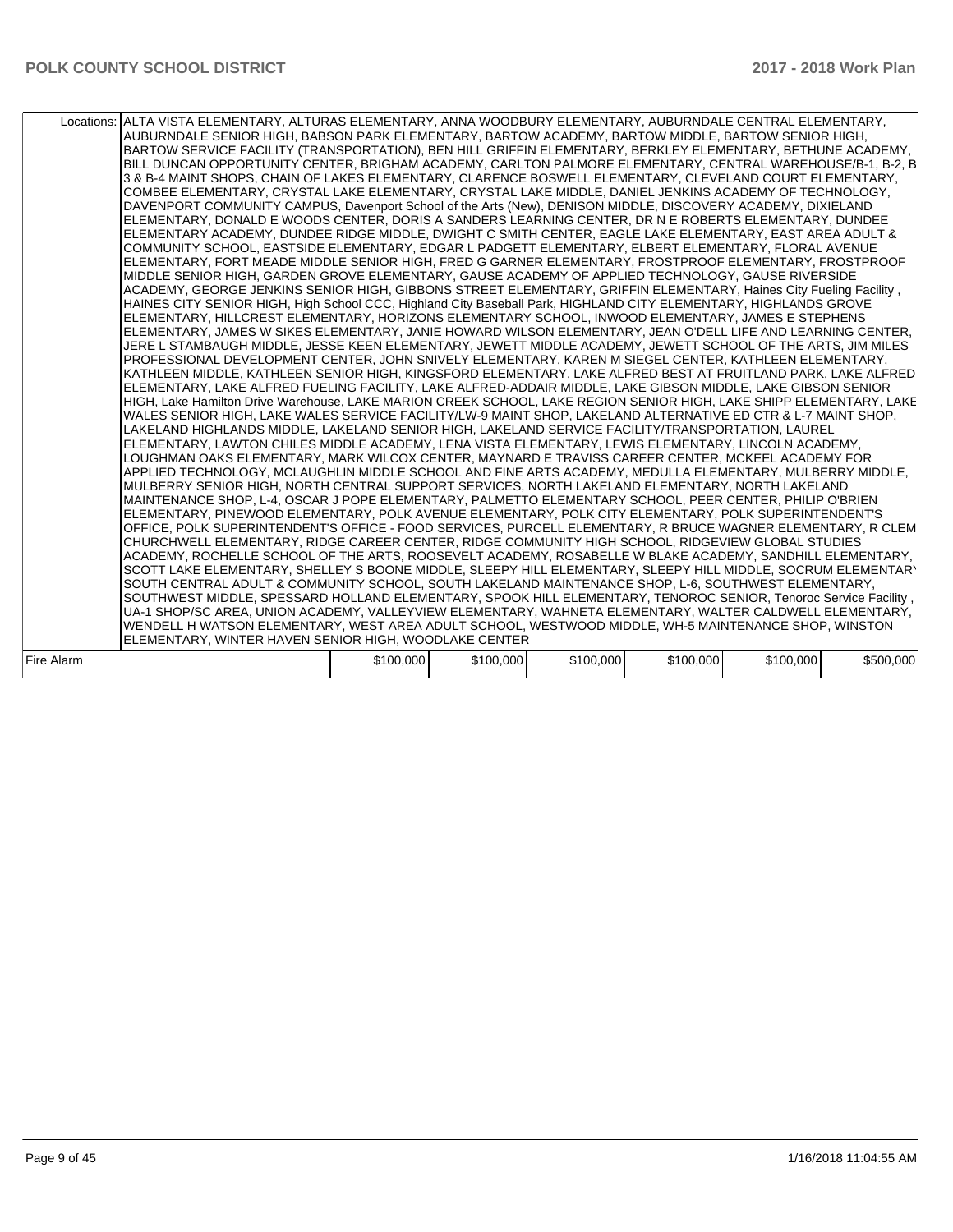|            | Locations: ALTA VISTA ELEMENTARY, ALTURAS ELEMENTARY, ANNA WOODBURY ELEMENTARY, AUBURNDALE CENTRAL ELEMENTARY,<br>AUBURNDALE SENIOR HIGH, BABSON PARK ELEMENTARY, BARTOW ACADEMY, BARTOW MIDDLE, BARTOW SENIOR HIGH,<br>BARTOW SERVICE FACILITY (TRANSPORTATION), BEN HILL GRIFFIN ELEMENTARY, BERKLEY ELEMENTARY, BETHUNE ACADEMY,<br>BILL DUNCAN OPPORTUNITY CENTER, BRIGHAM ACADEMY, CARLTON PALMORE ELEMENTARY, CENTRAL WAREHOUSE/B-1, B-2, B<br>3 & B-4 MAINT SHOPS, CHAIN OF LAKES ELEMENTARY, CLARENCE BOSWELL ELEMENTARY, CLEVELAND COURT ELEMENTARY,<br>COMBEE ELEMENTARY, CRYSTAL LAKE ELEMENTARY, CRYSTAL LAKE MIDDLE, DANIEL JENKINS ACADEMY OF TECHNOLOGY,<br>DAVENPORT COMMUNITY CAMPUS, Davenport School of the Arts (New), DENISON MIDDLE, DISCOVERY ACADEMY, DIXIELAND<br>ELEMENTARY, DONALD E WOODS CENTER, DORIS A SANDERS LEARNING CENTER, DR N E ROBERTS ELEMENTARY, DUNDEE<br>ELEMENTARY ACADEMY, DUNDEE RIDGE MIDDLE, DWIGHT C SMITH CENTER, EAGLE LAKE ELEMENTARY, EAST AREA ADULT &<br>COMMUNITY SCHOOL, EASTSIDE ELEMENTARY, EDGAR L PADGETT ELEMENTARY, ELBERT ELEMENTARY, FLORAL AVENUE<br>ELEMENTARY, FORT MEADE MIDDLE SENIOR HIGH, FRED G GARNER ELEMENTARY, FROSTPROOF ELEMENTARY, FROSTPROOF<br>MIDDLE SENIOR HIGH, GARDEN GROVE ELEMENTARY, GAUSE ACADEMY OF APPLIED TECHNOLOGY, GAUSE RIVERSIDE<br>ACADEMY, GEORGE JENKINS SENIOR HIGH, GIBBONS STREET ELEMENTARY, GRIFFIN ELEMENTARY, Haines City Fueling Facility,<br>HAINES CITY SENIOR HIGH, High School CCC, Highland City Baseball Park, HIGHLAND CITY ELEMENTARY, HIGHLANDS GROVE<br>ELEMENTARY, HILLCREST ELEMENTARY, HORIZONS ELEMENTARY SCHOOL, INWOOD ELEMENTARY, JAMES E STEPHENS<br>ELEMENTARY, JAMES W SIKES ELEMENTARY, JANIE HOWARD WILSON ELEMENTARY, JEAN O'DELL LIFE AND LEARNING CENTER,<br>JERE L STAMBAUGH MIDDLE, JESSE KEEN ELEMENTARY, JEWETT MIDDLE ACADEMY, JEWETT SCHOOL OF THE ARTS, JIM MILES<br>PROFESSIONAL DEVELOPMENT CENTER, JOHN SNIVELY ELEMENTARY, KAREN M SIEGEL CENTER, KATHLEEN ELEMENTARY,<br>KATHLEEN MIDDLE, KATHLEEN SENIOR HIGH, KINGSFORD ELEMENTARY, LAKE ALFRED BEST AT FRUITLAND PARK, LAKE ALFRED<br>ELEMENTARY, LAKE ALFRED FUELING FACILITY, LAKE ALFRED-ADDAIR MIDDLE, LAKE GIBSON MIDDLE, LAKE GIBSON SENIOR<br>HIGH, Lake Hamilton Drive Warehouse, LAKE MARION CREEK SCHOOL, LAKE REGION SENIOR HIGH, LAKE SHIPP ELEMENTARY, LAKE<br>WALES SENIOR HIGH, LAKE WALES SERVICE FACILITY/LW-9 MAINT SHOP, LAKELAND ALTERNATIVE ED CTR & L-7 MAINT SHOP,<br>LAKELAND HIGHLANDS MIDDLE, LAKELAND SENIOR HIGH, LAKELAND SERVICE FACILITY/TRANSPORTATION, LAUREL<br>ELEMENTARY, LAWTON CHILES MIDDLE ACADEMY, LENA VISTA ELEMENTARY, LEWIS ELEMENTARY, LINCOLN ACADEMY,<br>LOUGHMAN OAKS ELEMENTARY, MARK WILCOX CENTER, MAYNARD E TRAVISS CAREER CENTER, MCKEEL ACADEMY FOR<br>APPLIED TECHNOLOGY, MCLAUGHLIN MIDDLE SCHOOL AND FINE ARTS ACADEMY, MEDULLA ELEMENTARY, MULBERRY MIDDLE,<br>MULBERRY SENIOR HIGH, NORTH CENTRAL SUPPORT SERVICES, NORTH LAKELAND ELEMENTARY, NORTH LAKELAND<br>MAINTENANCE SHOP, L-4, OSCAR J POPE ELEMENTARY, PALMETTO ELEMENTARY SCHOOL, PEER CENTER, PHILIP O'BRIEN<br>ELEMENTARY, PINEWOOD ELEMENTARY, POLK AVENUE ELEMENTARY, POLK CITY ELEMENTARY, POLK SUPERINTENDENT'S<br>OFFICE, POLK SUPERINTENDENT'S OFFICE - FOOD SERVICES, PURCELL ELEMENTARY, R BRUCE WAGNER ELEMENTARY, R CLEM<br>CHURCHWELL ELEMENTARY, RIDGE CAREER CENTER, RIDGE COMMUNITY HIGH SCHOOL, RIDGEVIEW GLOBAL STUDIES<br>ACADEMY, ROCHELLE SCHOOL OF THE ARTS, ROOSEVELT ACADEMY, ROSABELLE W BLAKE ACADEMY, SANDHILL ELEMENTARY,<br>SCOTT LAKE ELEMENTARY, SHELLEY S BOONE MIDDLE, SLEEPY HILL ELEMENTARY, SLEEPY HILL MIDDLE, SOCRUM ELEMENTARY<br>SOUTH CENTRAL ADULT & COMMUNITY SCHOOL, SOUTH LAKELAND MAINTENANCE SHOP, L-6, SOUTHWEST ELEMENTARY,<br>SOUTHWEST MIDDLE, SPESSARD HOLLAND ELEMENTARY, SPOOK HILL ELEMENTARY, TENOROC SENIOR, Tenoroc Service Facility,<br>UA-1 SHOP/SC AREA, UNION ACADEMY, VALLEYVIEW ELEMENTARY, WAHNETA ELEMENTARY, WALTER CALDWELL ELEMENTARY,<br>WENDELL H WATSON ELEMENTARY, WEST AREA ADULT SCHOOL, WESTWOOD MIDDLE, WH-5 MAINTENANCE SHOP, WINSTON<br>ELEMENTARY, WINTER HAVEN SENIOR HIGH, WOODLAKE CENTER |           |           |           |           |           |           |
|------------|----------------------------------------------------------------------------------------------------------------------------------------------------------------------------------------------------------------------------------------------------------------------------------------------------------------------------------------------------------------------------------------------------------------------------------------------------------------------------------------------------------------------------------------------------------------------------------------------------------------------------------------------------------------------------------------------------------------------------------------------------------------------------------------------------------------------------------------------------------------------------------------------------------------------------------------------------------------------------------------------------------------------------------------------------------------------------------------------------------------------------------------------------------------------------------------------------------------------------------------------------------------------------------------------------------------------------------------------------------------------------------------------------------------------------------------------------------------------------------------------------------------------------------------------------------------------------------------------------------------------------------------------------------------------------------------------------------------------------------------------------------------------------------------------------------------------------------------------------------------------------------------------------------------------------------------------------------------------------------------------------------------------------------------------------------------------------------------------------------------------------------------------------------------------------------------------------------------------------------------------------------------------------------------------------------------------------------------------------------------------------------------------------------------------------------------------------------------------------------------------------------------------------------------------------------------------------------------------------------------------------------------------------------------------------------------------------------------------------------------------------------------------------------------------------------------------------------------------------------------------------------------------------------------------------------------------------------------------------------------------------------------------------------------------------------------------------------------------------------------------------------------------------------------------------------------------------------------------------------------------------------------------------------------------------------------------------------------------------------------------------------------------------------------------------------------------------------------------------------------------------------------------------------------------------------------------------------------------------------------------------------------------------------------------------------------------------------------------------------------------------------------------------------------------------------------------------------------------------------------------------------------------------------------------------------------------------------------------------------------------------------------------------------------------------------------------------------------------------------------------------------------------------------------------------------------------------------|-----------|-----------|-----------|-----------|-----------|-----------|
|            |                                                                                                                                                                                                                                                                                                                                                                                                                                                                                                                                                                                                                                                                                                                                                                                                                                                                                                                                                                                                                                                                                                                                                                                                                                                                                                                                                                                                                                                                                                                                                                                                                                                                                                                                                                                                                                                                                                                                                                                                                                                                                                                                                                                                                                                                                                                                                                                                                                                                                                                                                                                                                                                                                                                                                                                                                                                                                                                                                                                                                                                                                                                                                                                                                                                                                                                                                                                                                                                                                                                                                                                                                                                                                                                                                                                                                                                                                                                                                                                                                                                                                                                                                                                                          |           |           |           |           |           |           |
| Fire Alarm |                                                                                                                                                                                                                                                                                                                                                                                                                                                                                                                                                                                                                                                                                                                                                                                                                                                                                                                                                                                                                                                                                                                                                                                                                                                                                                                                                                                                                                                                                                                                                                                                                                                                                                                                                                                                                                                                                                                                                                                                                                                                                                                                                                                                                                                                                                                                                                                                                                                                                                                                                                                                                                                                                                                                                                                                                                                                                                                                                                                                                                                                                                                                                                                                                                                                                                                                                                                                                                                                                                                                                                                                                                                                                                                                                                                                                                                                                                                                                                                                                                                                                                                                                                                                          | \$100,000 | \$100,000 | \$100,000 | \$100,000 | \$100,000 | \$500,000 |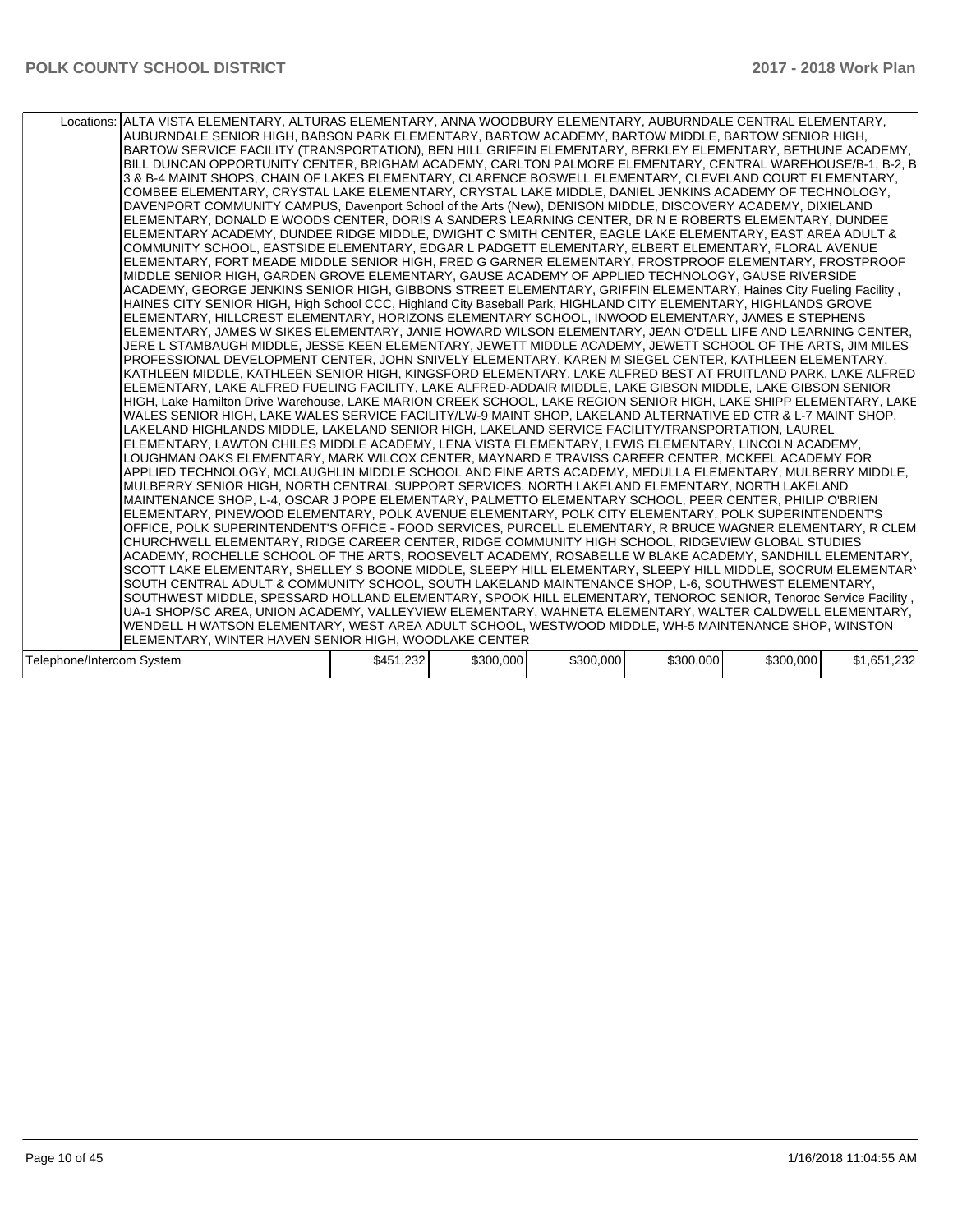|                           | Locations: ALTA VISTA ELEMENTARY, ALTURAS ELEMENTARY, ANNA WOODBURY ELEMENTARY, AUBURNDALE CENTRAL ELEMENTARY,<br>AUBURNDALE SENIOR HIGH, BABSON PARK ELEMENTARY, BARTOW ACADEMY, BARTOW MIDDLE, BARTOW SENIOR HIGH,<br>BARTOW SERVICE FACILITY (TRANSPORTATION), BEN HILL GRIFFIN ELEMENTARY, BERKLEY ELEMENTARY, BETHUNE ACADEMY,<br>BILL DUNCAN OPPORTUNITY CENTER, BRIGHAM ACADEMY, CARLTON PALMORE ELEMENTARY, CENTRAL WAREHOUSE/B-1, B-2, B<br>3 & B-4 MAINT SHOPS, CHAIN OF LAKES ELEMENTARY, CLARENCE BOSWELL ELEMENTARY, CLEVELAND COURT ELEMENTARY,<br>COMBEE ELEMENTARY. CRYSTAL LAKE ELEMENTARY. CRYSTAL LAKE MIDDLE. DANIEL JENKINS ACADEMY OF TECHNOLOGY.<br>DAVENPORT COMMUNITY CAMPUS, Davenport School of the Arts (New), DENISON MIDDLE, DISCOVERY ACADEMY, DIXIELAND<br>ELEMENTARY, DONALD E WOODS CENTER, DORIS A SANDERS LEARNING CENTER, DR N E ROBERTS ELEMENTARY, DUNDEE<br>ELEMENTARY ACADEMY, DUNDEE RIDGE MIDDLE, DWIGHT C SMITH CENTER, EAGLE LAKE ELEMENTARY, EAST AREA ADULT &<br>COMMUNITY SCHOOL, EASTSIDE ELEMENTARY, EDGAR L PADGETT ELEMENTARY, ELBERT ELEMENTARY, FLORAL AVENUE<br>ELEMENTARY, FORT MEADE MIDDLE SENIOR HIGH, FRED G GARNER ELEMENTARY, FROSTPROOF ELEMENTARY, FROSTPROOF<br>MIDDLE SENIOR HIGH, GARDEN GROVE ELEMENTARY, GAUSE ACADEMY OF APPLIED TECHNOLOGY, GAUSE RIVERSIDE<br>ACADEMY, GEORGE JENKINS SENIOR HIGH, GIBBONS STREET ELEMENTARY, GRIFFIN ELEMENTARY, Haines City Fueling Facility,<br>HAINES CITY SENIOR HIGH, High School CCC, Highland City Baseball Park, HIGHLAND CITY ELEMENTARY, HIGHLANDS GROVE<br>ELEMENTARY, HILLCREST ELEMENTARY, HORIZONS ELEMENTARY SCHOOL, INWOOD ELEMENTARY, JAMES E STEPHENS<br>ELEMENTARY, JAMES W SIKES ELEMENTARY, JANIE HOWARD WILSON ELEMENTARY, JEAN O'DELL LIFE AND LEARNING CENTER,<br>JERE L STAMBAUGH MIDDLE, JESSE KEEN ELEMENTARY, JEWETT MIDDLE ACADEMY, JEWETT SCHOOL OF THE ARTS, JIM MILES<br>PROFESSIONAL DEVELOPMENT CENTER, JOHN SNIVELY ELEMENTARY, KAREN M SIEGEL CENTER, KATHLEEN ELEMENTARY,<br>KATHLEEN MIDDLE, KATHLEEN SENIOR HIGH, KINGSFORD ELEMENTARY, LAKE ALFRED BEST AT FRUITLAND PARK, LAKE ALFRED<br>ELEMENTARY, LAKE ALFRED FUELING FACILITY, LAKE ALFRED-ADDAIR MIDDLE, LAKE GIBSON MIDDLE, LAKE GIBSON SENIOR<br>HIGH, Lake Hamilton Drive Warehouse, LAKE MARION CREEK SCHOOL, LAKE REGION SENIOR HIGH, LAKE SHIPP ELEMENTARY, LAKE<br>WALES SENIOR HIGH, LAKE WALES SERVICE FACILITY/LW-9 MAINT SHOP, LAKELAND ALTERNATIVE ED CTR & L-7 MAINT SHOP,<br>LAKELAND HIGHLANDS MIDDLE, LAKELAND SENIOR HIGH, LAKELAND SERVICE FACILITY/TRANSPORTATION, LAUREL<br>ELEMENTARY, LAWTON CHILES MIDDLE ACADEMY, LENA VISTA ELEMENTARY, LEWIS ELEMENTARY, LINCOLN ACADEMY,<br>LOUGHMAN OAKS ELEMENTARY. MARK WILCOX CENTER. MAYNARD E TRAVISS CAREER CENTER. MCKEEL ACADEMY FOR<br>APPLIED TECHNOLOGY. MCLAUGHLIN MIDDLE SCHOOL AND FINE ARTS ACADEMY. MEDULLA ELEMENTARY. MULBERRY MIDDLE.<br>MULBERRY SENIOR HIGH, NORTH CENTRAL SUPPORT SERVICES, NORTH LAKELAND ELEMENTARY, NORTH LAKELAND<br>MAINTENANCE SHOP, L-4, OSCAR J POPE ELEMENTARY, PALMETTO ELEMENTARY SCHOOL, PEER CENTER, PHILIP O'BRIEN<br>ELEMENTARY, PINEWOOD ELEMENTARY, POLK AVENUE ELEMENTARY, POLK CITY ELEMENTARY, POLK SUPERINTENDENT'S<br>OFFICE, POLK SUPERINTENDENT'S OFFICE - FOOD SERVICES, PURCELL ELEMENTARY, R BRUCE WAGNER ELEMENTARY, R CLEM<br>CHURCHWELL ELEMENTARY, RIDGE CAREER CENTER, RIDGE COMMUNITY HIGH SCHOOL, RIDGEVIEW GLOBAL STUDIES<br>ACADEMY, ROCHELLE SCHOOL OF THE ARTS, ROOSEVELT ACADEMY, ROSABELLE W BLAKE ACADEMY, SANDHILL ELEMENTARY,<br>SCOTT LAKE ELEMENTARY, SHELLEY S BOONE MIDDLE, SLEEPY HILL ELEMENTARY, SLEEPY HILL MIDDLE, SOCRUM ELEMENTARY<br>SOUTH CENTRAL ADULT & COMMUNITY SCHOOL, SOUTH LAKELAND MAINTENANCE SHOP, L-6, SOUTHWEST ELEMENTARY,<br>SOUTHWEST MIDDLE, SPESSARD HOLLAND ELEMENTARY, SPOOK HILL ELEMENTARY, TENOROC SENIOR, Tenoroc Service Facility,<br>UA-1 SHOP/SC AREA, UNION ACADEMY, VALLEYVIEW ELEMENTARY, WAHNETA ELEMENTARY, WALTER CALDWELL ELEMENTARY, |           |           |           |          |           |             |
|---------------------------|-----------------------------------------------------------------------------------------------------------------------------------------------------------------------------------------------------------------------------------------------------------------------------------------------------------------------------------------------------------------------------------------------------------------------------------------------------------------------------------------------------------------------------------------------------------------------------------------------------------------------------------------------------------------------------------------------------------------------------------------------------------------------------------------------------------------------------------------------------------------------------------------------------------------------------------------------------------------------------------------------------------------------------------------------------------------------------------------------------------------------------------------------------------------------------------------------------------------------------------------------------------------------------------------------------------------------------------------------------------------------------------------------------------------------------------------------------------------------------------------------------------------------------------------------------------------------------------------------------------------------------------------------------------------------------------------------------------------------------------------------------------------------------------------------------------------------------------------------------------------------------------------------------------------------------------------------------------------------------------------------------------------------------------------------------------------------------------------------------------------------------------------------------------------------------------------------------------------------------------------------------------------------------------------------------------------------------------------------------------------------------------------------------------------------------------------------------------------------------------------------------------------------------------------------------------------------------------------------------------------------------------------------------------------------------------------------------------------------------------------------------------------------------------------------------------------------------------------------------------------------------------------------------------------------------------------------------------------------------------------------------------------------------------------------------------------------------------------------------------------------------------------------------------------------------------------------------------------------------------------------------------------------------------------------------------------------------------------------------------------------------------------------------------------------------------------------------------------------------------------------------------------------------------------------------------------------------------------------------------------------------------------------------------------------------------------------------------------------------------------------------------------------------------------------------------------------------------------------------------------------------------------------------------------------------------------------------------------------------------------------------------------------------------------|-----------|-----------|-----------|----------|-----------|-------------|
|                           |                                                                                                                                                                                                                                                                                                                                                                                                                                                                                                                                                                                                                                                                                                                                                                                                                                                                                                                                                                                                                                                                                                                                                                                                                                                                                                                                                                                                                                                                                                                                                                                                                                                                                                                                                                                                                                                                                                                                                                                                                                                                                                                                                                                                                                                                                                                                                                                                                                                                                                                                                                                                                                                                                                                                                                                                                                                                                                                                                                                                                                                                                                                                                                                                                                                                                                                                                                                                                                                                                                                                                                                                                                                                                                                                                                                                                                                                                                                                                                                                                                         |           |           |           |          |           |             |
|                           |                                                                                                                                                                                                                                                                                                                                                                                                                                                                                                                                                                                                                                                                                                                                                                                                                                                                                                                                                                                                                                                                                                                                                                                                                                                                                                                                                                                                                                                                                                                                                                                                                                                                                                                                                                                                                                                                                                                                                                                                                                                                                                                                                                                                                                                                                                                                                                                                                                                                                                                                                                                                                                                                                                                                                                                                                                                                                                                                                                                                                                                                                                                                                                                                                                                                                                                                                                                                                                                                                                                                                                                                                                                                                                                                                                                                                                                                                                                                                                                                                                         |           |           |           |          |           |             |
|                           |                                                                                                                                                                                                                                                                                                                                                                                                                                                                                                                                                                                                                                                                                                                                                                                                                                                                                                                                                                                                                                                                                                                                                                                                                                                                                                                                                                                                                                                                                                                                                                                                                                                                                                                                                                                                                                                                                                                                                                                                                                                                                                                                                                                                                                                                                                                                                                                                                                                                                                                                                                                                                                                                                                                                                                                                                                                                                                                                                                                                                                                                                                                                                                                                                                                                                                                                                                                                                                                                                                                                                                                                                                                                                                                                                                                                                                                                                                                                                                                                                                         |           |           |           |          |           |             |
|                           |                                                                                                                                                                                                                                                                                                                                                                                                                                                                                                                                                                                                                                                                                                                                                                                                                                                                                                                                                                                                                                                                                                                                                                                                                                                                                                                                                                                                                                                                                                                                                                                                                                                                                                                                                                                                                                                                                                                                                                                                                                                                                                                                                                                                                                                                                                                                                                                                                                                                                                                                                                                                                                                                                                                                                                                                                                                                                                                                                                                                                                                                                                                                                                                                                                                                                                                                                                                                                                                                                                                                                                                                                                                                                                                                                                                                                                                                                                                                                                                                                                         |           |           |           |          |           |             |
|                           | WENDELL H WATSON ELEMENTARY, WEST AREA ADULT SCHOOL, WESTWOOD MIDDLE, WH-5 MAINTENANCE SHOP, WINSTON                                                                                                                                                                                                                                                                                                                                                                                                                                                                                                                                                                                                                                                                                                                                                                                                                                                                                                                                                                                                                                                                                                                                                                                                                                                                                                                                                                                                                                                                                                                                                                                                                                                                                                                                                                                                                                                                                                                                                                                                                                                                                                                                                                                                                                                                                                                                                                                                                                                                                                                                                                                                                                                                                                                                                                                                                                                                                                                                                                                                                                                                                                                                                                                                                                                                                                                                                                                                                                                                                                                                                                                                                                                                                                                                                                                                                                                                                                                                    |           |           |           |          |           |             |
|                           |                                                                                                                                                                                                                                                                                                                                                                                                                                                                                                                                                                                                                                                                                                                                                                                                                                                                                                                                                                                                                                                                                                                                                                                                                                                                                                                                                                                                                                                                                                                                                                                                                                                                                                                                                                                                                                                                                                                                                                                                                                                                                                                                                                                                                                                                                                                                                                                                                                                                                                                                                                                                                                                                                                                                                                                                                                                                                                                                                                                                                                                                                                                                                                                                                                                                                                                                                                                                                                                                                                                                                                                                                                                                                                                                                                                                                                                                                                                                                                                                                                         |           |           |           |          |           |             |
|                           | ELEMENTARY, WINTER HAVEN SENIOR HIGH, WOODLAKE CENTER                                                                                                                                                                                                                                                                                                                                                                                                                                                                                                                                                                                                                                                                                                                                                                                                                                                                                                                                                                                                                                                                                                                                                                                                                                                                                                                                                                                                                                                                                                                                                                                                                                                                                                                                                                                                                                                                                                                                                                                                                                                                                                                                                                                                                                                                                                                                                                                                                                                                                                                                                                                                                                                                                                                                                                                                                                                                                                                                                                                                                                                                                                                                                                                                                                                                                                                                                                                                                                                                                                                                                                                                                                                                                                                                                                                                                                                                                                                                                                                   |           |           |           |          |           |             |
| Telenhone/Intercom System |                                                                                                                                                                                                                                                                                                                                                                                                                                                                                                                                                                                                                                                                                                                                                                                                                                                                                                                                                                                                                                                                                                                                                                                                                                                                                                                                                                                                                                                                                                                                                                                                                                                                                                                                                                                                                                                                                                                                                                                                                                                                                                                                                                                                                                                                                                                                                                                                                                                                                                                                                                                                                                                                                                                                                                                                                                                                                                                                                                                                                                                                                                                                                                                                                                                                                                                                                                                                                                                                                                                                                                                                                                                                                                                                                                                                                                                                                                                                                                                                                                         | \$451 232 | \$300,000 | \$300,000 | 5300,000 | \$300,000 | \$1,651,232 |

| Telephone/Intercom System | 1.232<br>\$45′ | \$300,000 | \$300,000 | \$300,000 | \$300,000 | າາາ<br>465<br>ں<br>8.LJL |
|---------------------------|----------------|-----------|-----------|-----------|-----------|--------------------------|
|---------------------------|----------------|-----------|-----------|-----------|-----------|--------------------------|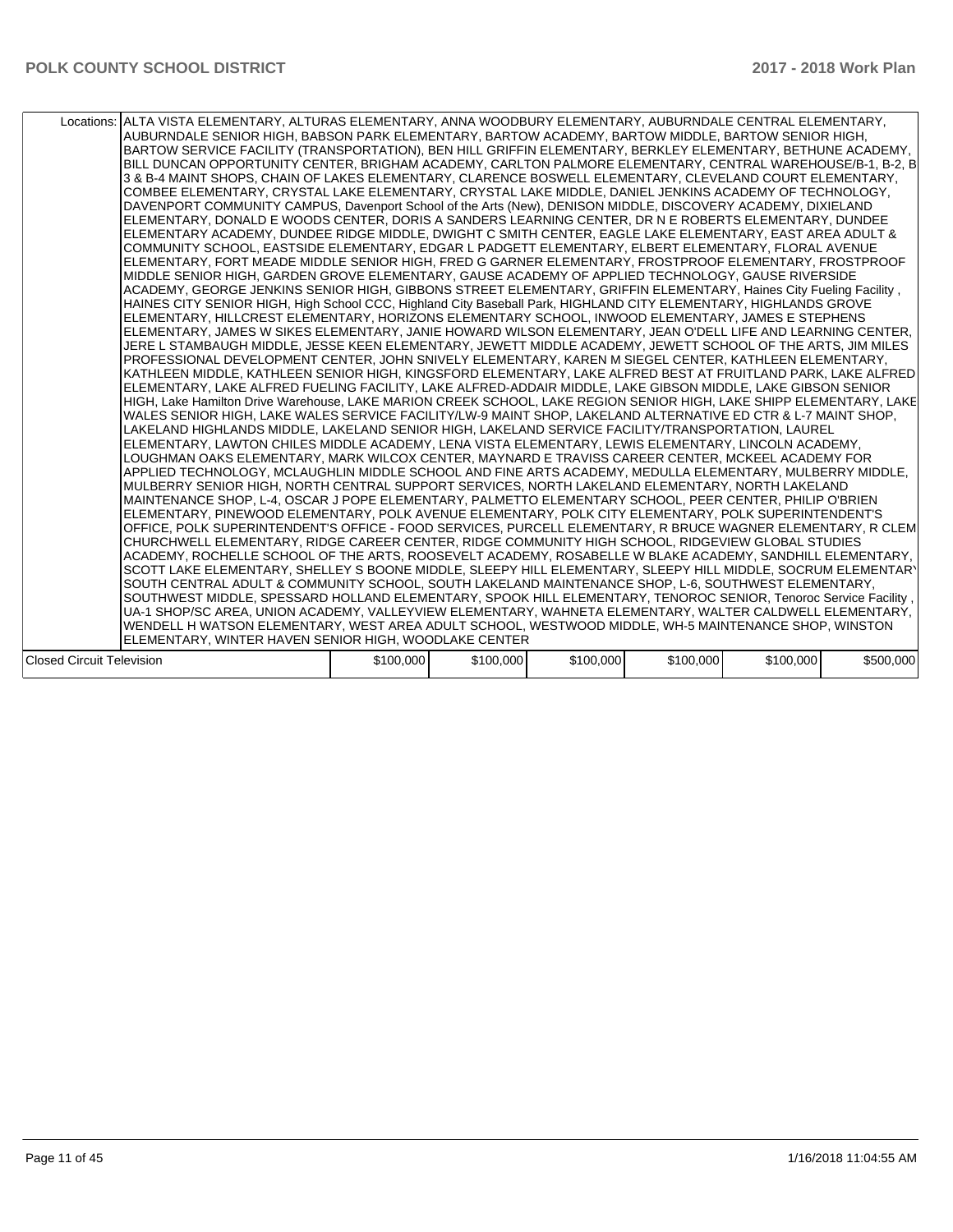|                           | Locations: ALTA VISTA ELEMENTARY, ALTURAS ELEMENTARY, ANNA WOODBURY ELEMENTARY, AUBURNDALE CENTRAL ELEMENTARY,<br>AUBURNDALE SENIOR HIGH, BABSON PARK ELEMENTARY, BARTOW ACADEMY, BARTOW MIDDLE, BARTOW SENIOR HIGH,<br>BARTOW SERVICE FACILITY (TRANSPORTATION), BEN HILL GRIFFIN ELEMENTARY, BERKLEY ELEMENTARY, BETHUNE ACADEMY,<br>BILL DUNCAN OPPORTUNITY CENTER, BRIGHAM ACADEMY, CARLTON PALMORE ELEMENTARY, CENTRAL WAREHOUSE/B-1, B-2, B<br>3 & B-4 MAINT SHOPS, CHAIN OF LAKES ELEMENTARY, CLARENCE BOSWELL ELEMENTARY, CLEVELAND COURT ELEMENTARY,<br>COMBEE ELEMENTARY. CRYSTAL LAKE ELEMENTARY. CRYSTAL LAKE MIDDLE. DANIEL JENKINS ACADEMY OF TECHNOLOGY.<br>DAVENPORT COMMUNITY CAMPUS, Davenport School of the Arts (New), DENISON MIDDLE, DISCOVERY ACADEMY, DIXIELAND<br>ELEMENTARY, DONALD E WOODS CENTER, DORIS A SANDERS LEARNING CENTER, DR N E ROBERTS ELEMENTARY, DUNDEE<br>ELEMENTARY ACADEMY, DUNDEE RIDGE MIDDLE, DWIGHT C SMITH CENTER, EAGLE LAKE ELEMENTARY, EAST AREA ADULT &<br>COMMUNITY SCHOOL, EASTSIDE ELEMENTARY, EDGAR L PADGETT ELEMENTARY, ELBERT ELEMENTARY, FLORAL AVENUE<br>ELEMENTARY, FORT MEADE MIDDLE SENIOR HIGH, FRED G GARNER ELEMENTARY, FROSTPROOF ELEMENTARY, FROSTPROOF<br>MIDDLE SENIOR HIGH, GARDEN GROVE ELEMENTARY, GAUSE ACADEMY OF APPLIED TECHNOLOGY, GAUSE RIVERSIDE<br>ACADEMY, GEORGE JENKINS SENIOR HIGH, GIBBONS STREET ELEMENTARY, GRIFFIN ELEMENTARY, Haines City Fueling Facility,<br>HAINES CITY SENIOR HIGH, High School CCC, Highland City Baseball Park, HIGHLAND CITY ELEMENTARY, HIGHLANDS GROVE<br>ELEMENTARY, HILLCREST ELEMENTARY, HORIZONS ELEMENTARY SCHOOL, INWOOD ELEMENTARY, JAMES E STEPHENS<br>ELEMENTARY, JAMES W SIKES ELEMENTARY, JANIE HOWARD WILSON ELEMENTARY, JEAN O'DELL LIFE AND LEARNING CENTER,<br>JERE L STAMBAUGH MIDDLE, JESSE KEEN ELEMENTARY, JEWETT MIDDLE ACADEMY, JEWETT SCHOOL OF THE ARTS, JIM MILES<br>PROFESSIONAL DEVELOPMENT CENTER, JOHN SNIVELY ELEMENTARY, KAREN M SIEGEL CENTER, KATHLEEN ELEMENTARY,<br>KATHLEEN MIDDLE, KATHLEEN SENIOR HIGH, KINGSFORD ELEMENTARY, LAKE ALFRED BEST AT FRUITLAND PARK, LAKE ALFRED<br>ELEMENTARY. LAKE ALFRED FUELING FACILITY. LAKE ALFRED-ADDAIR MIDDLE. LAKE GIBSON MIDDLE. LAKE GIBSON SENIOR<br>HIGH, Lake Hamilton Drive Warehouse, LAKE MARION CREEK SCHOOL, LAKE REGION SENIOR HIGH, LAKE SHIPP ELEMENTARY, LAKE<br>WALES SENIOR HIGH. LAKE WALES SERVICE FACILITY/LW-9 MAINT SHOP. LAKELAND ALTERNATIVE ED CTR & L-7 MAINT SHOP.<br>LAKELAND HIGHLANDS MIDDLE. LAKELAND SENIOR HIGH. LAKELAND SERVICE FACILITY/TRANSPORTATION. LAUREL<br>ELEMENTARY, LAWTON CHILES MIDDLE ACADEMY, LENA VISTA ELEMENTARY, LEWIS ELEMENTARY, LINCOLN ACADEMY,<br>LOUGHMAN OAKS ELEMENTARY, MARK WILCOX CENTER, MAYNARD E TRAVISS CAREER CENTER, MCKEEL ACADEMY FOR<br>APPLIED TECHNOLOGY, MCLAUGHLIN MIDDLE SCHOOL AND FINE ARTS ACADEMY, MEDULLA ELEMENTARY, MULBERRY MIDDLE,<br>MULBERRY SENIOR HIGH, NORTH CENTRAL SUPPORT SERVICES, NORTH LAKELAND ELEMENTARY, NORTH LAKELAND<br>MAINTENANCE SHOP, L-4, OSCAR J POPE ELEMENTARY, PALMETTO ELEMENTARY SCHOOL, PEER CENTER, PHILIP O'BRIEN<br>ELEMENTARY, PINEWOOD ELEMENTARY, POLK AVENUE ELEMENTARY, POLK CITY ELEMENTARY, POLK SUPERINTENDENT'S<br>OFFICE, POLK SUPERINTENDENT'S OFFICE - FOOD SERVICES, PURCELL ELEMENTARY, R BRUCE WAGNER ELEMENTARY, R CLEM<br>CHURCHWELL ELEMENTARY, RIDGE CAREER CENTER, RIDGE COMMUNITY HIGH SCHOOL, RIDGEVIEW GLOBAL STUDIES<br>ACADEMY, ROCHELLE SCHOOL OF THE ARTS, ROOSEVELT ACADEMY, ROSABELLE W BLAKE ACADEMY, SANDHILL ELEMENTARY,<br>SCOTT LAKE ELEMENTARY, SHELLEY S BOONE MIDDLE, SLEEPY HILL ELEMENTARY, SLEEPY HILL MIDDLE, SOCRUM ELEMENTARY<br>SOUTH CENTRAL ADULT & COMMUNITY SCHOOL, SOUTH LAKELAND MAINTENANCE SHOP, L-6, SOUTHWEST ELEMENTARY, |           |           |           |           |           |           |
|---------------------------|----------------------------------------------------------------------------------------------------------------------------------------------------------------------------------------------------------------------------------------------------------------------------------------------------------------------------------------------------------------------------------------------------------------------------------------------------------------------------------------------------------------------------------------------------------------------------------------------------------------------------------------------------------------------------------------------------------------------------------------------------------------------------------------------------------------------------------------------------------------------------------------------------------------------------------------------------------------------------------------------------------------------------------------------------------------------------------------------------------------------------------------------------------------------------------------------------------------------------------------------------------------------------------------------------------------------------------------------------------------------------------------------------------------------------------------------------------------------------------------------------------------------------------------------------------------------------------------------------------------------------------------------------------------------------------------------------------------------------------------------------------------------------------------------------------------------------------------------------------------------------------------------------------------------------------------------------------------------------------------------------------------------------------------------------------------------------------------------------------------------------------------------------------------------------------------------------------------------------------------------------------------------------------------------------------------------------------------------------------------------------------------------------------------------------------------------------------------------------------------------------------------------------------------------------------------------------------------------------------------------------------------------------------------------------------------------------------------------------------------------------------------------------------------------------------------------------------------------------------------------------------------------------------------------------------------------------------------------------------------------------------------------------------------------------------------------------------------------------------------------------------------------------------------------------------------------------------------------------------------------------------------------------------------------------------------------------------------------------------------------------------------------------------------------------------------------------------------------------------------------------------------------------------------------------------------------------------------------------------------------------------------------------------------------------------------------------------------------------------------------------------------------------------------------------------|-----------|-----------|-----------|-----------|-----------|-----------|
|                           |                                                                                                                                                                                                                                                                                                                                                                                                                                                                                                                                                                                                                                                                                                                                                                                                                                                                                                                                                                                                                                                                                                                                                                                                                                                                                                                                                                                                                                                                                                                                                                                                                                                                                                                                                                                                                                                                                                                                                                                                                                                                                                                                                                                                                                                                                                                                                                                                                                                                                                                                                                                                                                                                                                                                                                                                                                                                                                                                                                                                                                                                                                                                                                                                                                                                                                                                                                                                                                                                                                                                                                                                                                                                                                                                                                                                          |           |           |           |           |           |           |
|                           |                                                                                                                                                                                                                                                                                                                                                                                                                                                                                                                                                                                                                                                                                                                                                                                                                                                                                                                                                                                                                                                                                                                                                                                                                                                                                                                                                                                                                                                                                                                                                                                                                                                                                                                                                                                                                                                                                                                                                                                                                                                                                                                                                                                                                                                                                                                                                                                                                                                                                                                                                                                                                                                                                                                                                                                                                                                                                                                                                                                                                                                                                                                                                                                                                                                                                                                                                                                                                                                                                                                                                                                                                                                                                                                                                                                                          |           |           |           |           |           |           |
|                           | SOUTHWEST MIDDLE, SPESSARD HOLLAND ELEMENTARY, SPOOK HILL ELEMENTARY, TENOROC SENIOR, Tenoroc Service Facility,                                                                                                                                                                                                                                                                                                                                                                                                                                                                                                                                                                                                                                                                                                                                                                                                                                                                                                                                                                                                                                                                                                                                                                                                                                                                                                                                                                                                                                                                                                                                                                                                                                                                                                                                                                                                                                                                                                                                                                                                                                                                                                                                                                                                                                                                                                                                                                                                                                                                                                                                                                                                                                                                                                                                                                                                                                                                                                                                                                                                                                                                                                                                                                                                                                                                                                                                                                                                                                                                                                                                                                                                                                                                                          |           |           |           |           |           |           |
|                           | UA-1 SHOP/SC AREA, UNION ACADEMY, VALLEYVIEW ELEMENTARY, WAHNETA ELEMENTARY, WALTER CALDWELL ELEMENTARY,                                                                                                                                                                                                                                                                                                                                                                                                                                                                                                                                                                                                                                                                                                                                                                                                                                                                                                                                                                                                                                                                                                                                                                                                                                                                                                                                                                                                                                                                                                                                                                                                                                                                                                                                                                                                                                                                                                                                                                                                                                                                                                                                                                                                                                                                                                                                                                                                                                                                                                                                                                                                                                                                                                                                                                                                                                                                                                                                                                                                                                                                                                                                                                                                                                                                                                                                                                                                                                                                                                                                                                                                                                                                                                 |           |           |           |           |           |           |
|                           | WENDELL H WATSON ELEMENTARY, WEST AREA ADULT SCHOOL, WESTWOOD MIDDLE, WH-5 MAINTENANCE SHOP, WINSTON<br>ELEMENTARY, WINTER HAVEN SENIOR HIGH, WOODLAKE CENTER                                                                                                                                                                                                                                                                                                                                                                                                                                                                                                                                                                                                                                                                                                                                                                                                                                                                                                                                                                                                                                                                                                                                                                                                                                                                                                                                                                                                                                                                                                                                                                                                                                                                                                                                                                                                                                                                                                                                                                                                                                                                                                                                                                                                                                                                                                                                                                                                                                                                                                                                                                                                                                                                                                                                                                                                                                                                                                                                                                                                                                                                                                                                                                                                                                                                                                                                                                                                                                                                                                                                                                                                                                            |           |           |           |           |           |           |
| Closed Circuit Television |                                                                                                                                                                                                                                                                                                                                                                                                                                                                                                                                                                                                                                                                                                                                                                                                                                                                                                                                                                                                                                                                                                                                                                                                                                                                                                                                                                                                                                                                                                                                                                                                                                                                                                                                                                                                                                                                                                                                                                                                                                                                                                                                                                                                                                                                                                                                                                                                                                                                                                                                                                                                                                                                                                                                                                                                                                                                                                                                                                                                                                                                                                                                                                                                                                                                                                                                                                                                                                                                                                                                                                                                                                                                                                                                                                                                          | \$100,000 | \$100,000 | \$100,000 | \$100,000 | \$100.000 | \$500,000 |

| <sup>1</sup> Closed<br>Circuit<br>Television | \$100.000 | \$100.000 | \$100,000 | \$100,000 | \$100,000 | \$500,000 |
|----------------------------------------------|-----------|-----------|-----------|-----------|-----------|-----------|
|----------------------------------------------|-----------|-----------|-----------|-----------|-----------|-----------|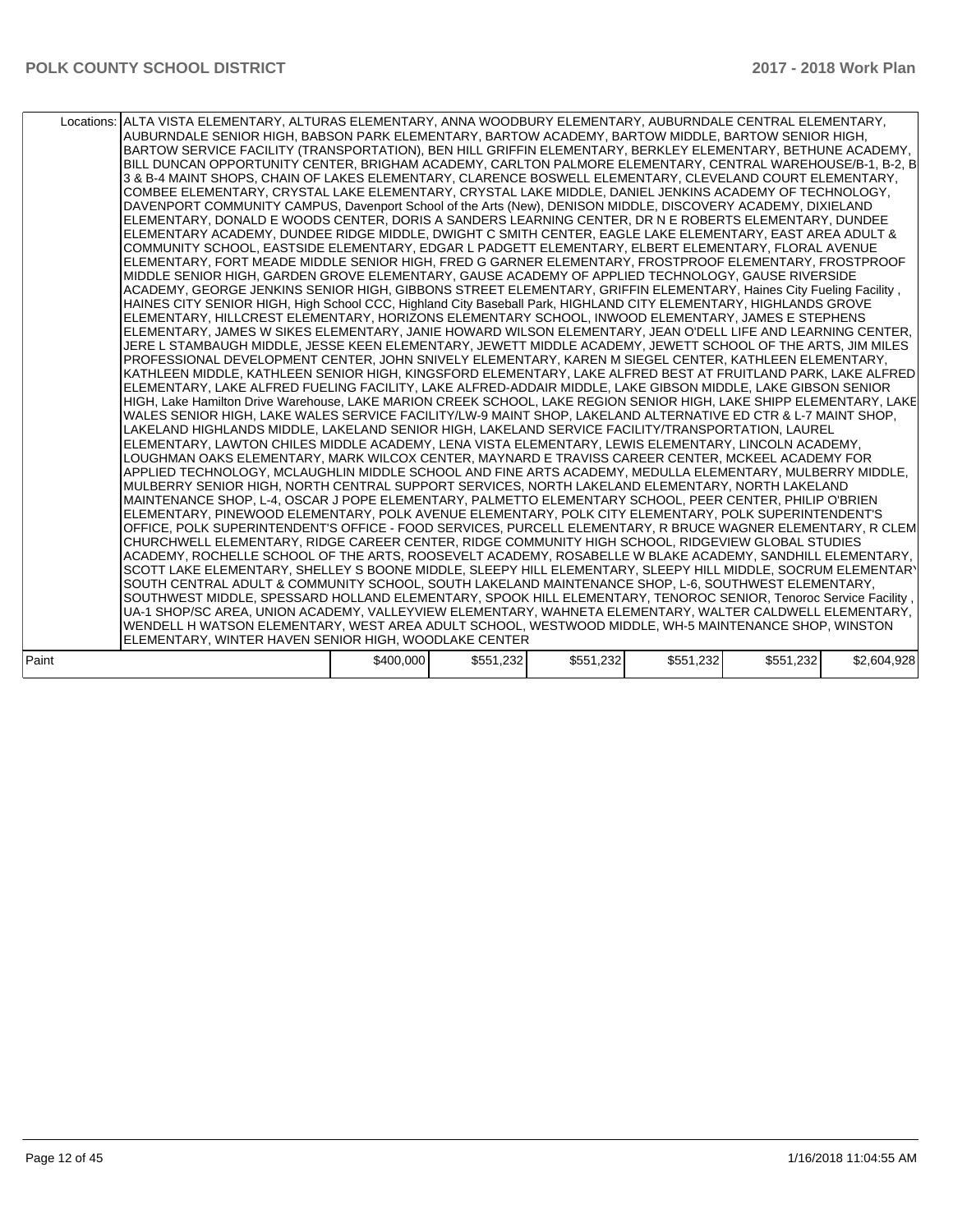|       | Locations: ALTA VISTA ELEMENTARY, ALTURAS ELEMENTARY, ANNA WOODBURY ELEMENTARY, AUBURNDALE CENTRAL ELEMENTARY,<br>AUBURNDALE SENIOR HIGH, BABSON PARK ELEMENTARY, BARTOW ACADEMY, BARTOW MIDDLE, BARTOW SENIOR HIGH,<br>BARTOW SERVICE FACILITY (TRANSPORTATION), BEN HILL GRIFFIN ELEMENTARY, BERKLEY ELEMENTARY, BETHUNE ACADEMY,<br>BILL DUNCAN OPPORTUNITY CENTER, BRIGHAM ACADEMY, CARLTON PALMORE ELEMENTARY, CENTRAL WAREHOUSE/B-1, B-2, B<br>3 & B-4 MAINT SHOPS, CHAIN OF LAKES ELEMENTARY, CLARENCE BOSWELL ELEMENTARY, CLEVELAND COURT ELEMENTARY,<br>COMBEE ELEMENTARY, CRYSTAL LAKE ELEMENTARY, CRYSTAL LAKE MIDDLE, DANIEL JENKINS ACADEMY OF TECHNOLOGY,<br>DAVENPORT COMMUNITY CAMPUS, Davenport School of the Arts (New), DENISON MIDDLE, DISCOVERY ACADEMY, DIXIELAND<br>ELEMENTARY, DONALD E WOODS CENTER, DORIS A SANDERS LEARNING CENTER, DR N E ROBERTS ELEMENTARY, DUNDEE<br>ELEMENTARY ACADEMY, DUNDEE RIDGE MIDDLE, DWIGHT C SMITH CENTER, EAGLE LAKE ELEMENTARY, EAST AREA ADULT &<br>COMMUNITY SCHOOL, EASTSIDE ELEMENTARY, EDGAR L PADGETT ELEMENTARY, ELBERT ELEMENTARY, FLORAL AVENUE<br>ELEMENTARY, FORT MEADE MIDDLE SENIOR HIGH, FRED G GARNER ELEMENTARY, FROSTPROOF ELEMENTARY, FROSTPROOF<br>MIDDLE SENIOR HIGH, GARDEN GROVE ELEMENTARY, GAUSE ACADEMY OF APPLIED TECHNOLOGY, GAUSE RIVERSIDE<br>ACADEMY, GEORGE JENKINS SENIOR HIGH, GIBBONS STREET ELEMENTARY, GRIFFIN ELEMENTARY, Haines City Fueling Facility,<br>HAINES CITY SENIOR HIGH, High School CCC, Highland City Baseball Park, HIGHLAND CITY ELEMENTARY, HIGHLANDS GROVE<br>ELEMENTARY, HILLCREST ELEMENTARY, HORIZONS ELEMENTARY SCHOOL, INWOOD ELEMENTARY, JAMES E STEPHENS<br>ELEMENTARY, JAMES W SIKES ELEMENTARY, JANIE HOWARD WILSON ELEMENTARY, JEAN O'DELL LIFE AND LEARNING CENTER,<br>JERE L STAMBAUGH MIDDLE, JESSE KEEN ELEMENTARY, JEWETT MIDDLE ACADEMY, JEWETT SCHOOL OF THE ARTS, JIM MILES<br>PROFESSIONAL DEVELOPMENT CENTER, JOHN SNIVELY ELEMENTARY, KAREN M SIEGEL CENTER, KATHLEEN ELEMENTARY,<br>KATHLEEN MIDDLE, KATHLEEN SENIOR HIGH, KINGSFORD ELEMENTARY, LAKE ALFRED BEST AT FRUITLAND PARK, LAKE ALFRED<br>ELEMENTARY, LAKE ALFRED FUELING FACILITY, LAKE ALFRED-ADDAIR MIDDLE, LAKE GIBSON MIDDLE, LAKE GIBSON SENIOR<br>HIGH, Lake Hamilton Drive Warehouse, LAKE MARION CREEK SCHOOL, LAKE REGION SENIOR HIGH, LAKE SHIPP ELEMENTARY, LAKE<br>WALES SENIOR HIGH, LAKE WALES SERVICE FACILITY/LW-9 MAINT SHOP, LAKELAND ALTERNATIVE ED CTR & L-7 MAINT SHOP,<br>LAKELAND HIGHLANDS MIDDLE, LAKELAND SENIOR HIGH, LAKELAND SERVICE FACILITY/TRANSPORTATION, LAUREL<br>ELEMENTARY, LAWTON CHILES MIDDLE ACADEMY, LENA VISTA ELEMENTARY, LEWIS ELEMENTARY, LINCOLN ACADEMY,<br>LOUGHMAN OAKS ELEMENTARY, MARK WILCOX CENTER, MAYNARD E TRAVISS CAREER CENTER, MCKEEL ACADEMY FOR<br>APPLIED TECHNOLOGY, MCLAUGHLIN MIDDLE SCHOOL AND FINE ARTS ACADEMY, MEDULLA ELEMENTARY, MULBERRY MIDDLE,<br>MULBERRY SENIOR HIGH, NORTH CENTRAL SUPPORT SERVICES, NORTH LAKELAND ELEMENTARY, NORTH LAKELAND<br>MAINTENANCE SHOP, L-4, OSCAR J POPE ELEMENTARY, PALMETTO ELEMENTARY SCHOOL, PEER CENTER, PHILIP O'BRIEN<br>ELEMENTARY, PINEWOOD ELEMENTARY, POLK AVENUE ELEMENTARY, POLK CITY ELEMENTARY, POLK SUPERINTENDENT'S<br>OFFICE, POLK SUPERINTENDENT'S OFFICE - FOOD SERVICES, PURCELL ELEMENTARY, R BRUCE WAGNER ELEMENTARY, R CLEM<br>CHURCHWELL ELEMENTARY, RIDGE CAREER CENTER, RIDGE COMMUNITY HIGH SCHOOL, RIDGEVIEW GLOBAL STUDIES<br>ACADEMY, ROCHELLE SCHOOL OF THE ARTS, ROOSEVELT ACADEMY, ROSABELLE W BLAKE ACADEMY, SANDHILL ELEMENTARY,<br>SCOTT LAKE ELEMENTARY, SHELLEY S BOONE MIDDLE, SLEEPY HILL ELEMENTARY, SLEEPY HILL MIDDLE, SOCRUM ELEMENTARY<br>SOUTH CENTRAL ADULT & COMMUNITY SCHOOL, SOUTH LAKELAND MAINTENANCE SHOP, L-6, SOUTHWEST ELEMENTARY,<br>SOUTHWEST MIDDLE, SPESSARD HOLLAND ELEMENTARY, SPOOK HILL ELEMENTARY, TENOROC SENIOR, Tenoroc Service Facility,<br>UA-1 SHOP/SC AREA, UNION ACADEMY, VALLEYVIEW ELEMENTARY, WAHNETA ELEMENTARY, WALTER CALDWELL ELEMENTARY,<br>WENDELL H WATSON ELEMENTARY, WEST AREA ADULT SCHOOL, WESTWOOD MIDDLE, WH-5 MAINTENANCE SHOP, WINSTON |           |           |           |           |           |             |
|-------|-------------------------------------------------------------------------------------------------------------------------------------------------------------------------------------------------------------------------------------------------------------------------------------------------------------------------------------------------------------------------------------------------------------------------------------------------------------------------------------------------------------------------------------------------------------------------------------------------------------------------------------------------------------------------------------------------------------------------------------------------------------------------------------------------------------------------------------------------------------------------------------------------------------------------------------------------------------------------------------------------------------------------------------------------------------------------------------------------------------------------------------------------------------------------------------------------------------------------------------------------------------------------------------------------------------------------------------------------------------------------------------------------------------------------------------------------------------------------------------------------------------------------------------------------------------------------------------------------------------------------------------------------------------------------------------------------------------------------------------------------------------------------------------------------------------------------------------------------------------------------------------------------------------------------------------------------------------------------------------------------------------------------------------------------------------------------------------------------------------------------------------------------------------------------------------------------------------------------------------------------------------------------------------------------------------------------------------------------------------------------------------------------------------------------------------------------------------------------------------------------------------------------------------------------------------------------------------------------------------------------------------------------------------------------------------------------------------------------------------------------------------------------------------------------------------------------------------------------------------------------------------------------------------------------------------------------------------------------------------------------------------------------------------------------------------------------------------------------------------------------------------------------------------------------------------------------------------------------------------------------------------------------------------------------------------------------------------------------------------------------------------------------------------------------------------------------------------------------------------------------------------------------------------------------------------------------------------------------------------------------------------------------------------------------------------------------------------------------------------------------------------------------------------------------------------------------------------------------------------------------------------------------------------------------------------------------------------------------------------------------------------------------------------------------------------------------------------------------------------------------------------------------|-----------|-----------|-----------|-----------|-----------|-------------|
|       | ELEMENTARY, WINTER HAVEN SENIOR HIGH, WOODLAKE CENTER                                                                                                                                                                                                                                                                                                                                                                                                                                                                                                                                                                                                                                                                                                                                                                                                                                                                                                                                                                                                                                                                                                                                                                                                                                                                                                                                                                                                                                                                                                                                                                                                                                                                                                                                                                                                                                                                                                                                                                                                                                                                                                                                                                                                                                                                                                                                                                                                                                                                                                                                                                                                                                                                                                                                                                                                                                                                                                                                                                                                                                                                                                                                                                                                                                                                                                                                                                                                                                                                                                                                                                                                                                                                                                                                                                                                                                                                                                                                                                                                                                                                                           |           |           |           |           |           |             |
|       |                                                                                                                                                                                                                                                                                                                                                                                                                                                                                                                                                                                                                                                                                                                                                                                                                                                                                                                                                                                                                                                                                                                                                                                                                                                                                                                                                                                                                                                                                                                                                                                                                                                                                                                                                                                                                                                                                                                                                                                                                                                                                                                                                                                                                                                                                                                                                                                                                                                                                                                                                                                                                                                                                                                                                                                                                                                                                                                                                                                                                                                                                                                                                                                                                                                                                                                                                                                                                                                                                                                                                                                                                                                                                                                                                                                                                                                                                                                                                                                                                                                                                                                                                 |           |           |           |           |           |             |
| Paint |                                                                                                                                                                                                                                                                                                                                                                                                                                                                                                                                                                                                                                                                                                                                                                                                                                                                                                                                                                                                                                                                                                                                                                                                                                                                                                                                                                                                                                                                                                                                                                                                                                                                                                                                                                                                                                                                                                                                                                                                                                                                                                                                                                                                                                                                                                                                                                                                                                                                                                                                                                                                                                                                                                                                                                                                                                                                                                                                                                                                                                                                                                                                                                                                                                                                                                                                                                                                                                                                                                                                                                                                                                                                                                                                                                                                                                                                                                                                                                                                                                                                                                                                                 | \$400,000 | \$551,232 | \$551,232 | \$551.232 | \$551.232 | \$2,604.928 |

|  | Paint | \$400,000 | \$551,232 | \$551,232 | \$551,232 | \$551,232 | \$2,604.<br>Q28<br>1.JZ0' |
|--|-------|-----------|-----------|-----------|-----------|-----------|---------------------------|
|--|-------|-----------|-----------|-----------|-----------|-----------|---------------------------|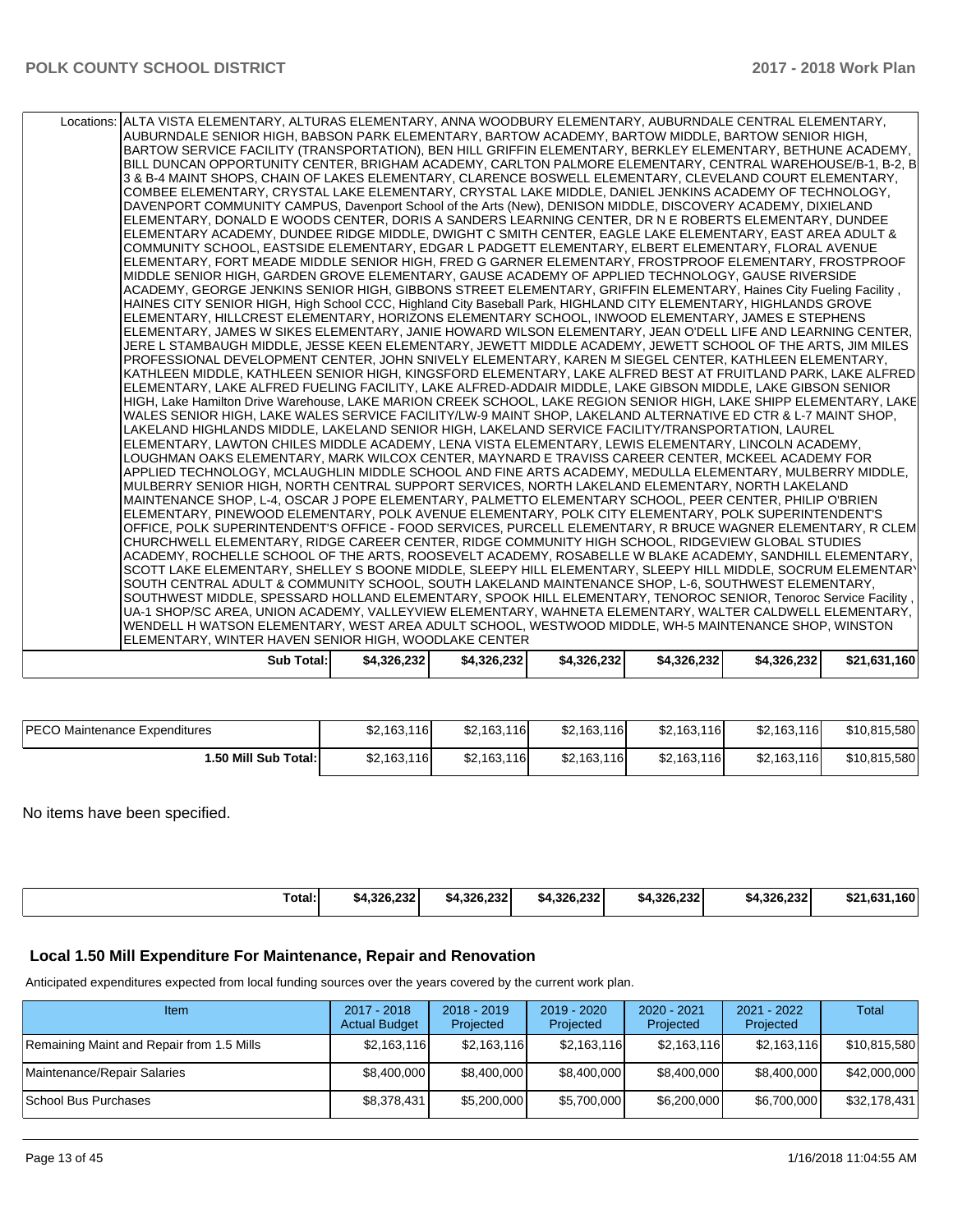| Locations: ALTA VISTA ELEMENTARY, ALTURAS ELEMENTARY, ANNA WOODBURY ELEMENTARY, AUBURNDALE CENTRAL ELEMENTARY,<br>AUBURNDALE SENIOR HIGH, BABSON PARK ELEMENTARY, BARTOW ACADEMY, BARTOW MIDDLE, BARTOW SENIOR HIGH,<br>BARTOW SERVICE FACILITY (TRANSPORTATION), BEN HILL GRIFFIN ELEMENTARY, BERKLEY ELEMENTARY, BETHUNE ACADEMY, |             |             |             |             |             |              |
|-------------------------------------------------------------------------------------------------------------------------------------------------------------------------------------------------------------------------------------------------------------------------------------------------------------------------------------|-------------|-------------|-------------|-------------|-------------|--------------|
| BILL DUNCAN OPPORTUNITY CENTER, BRIGHAM ACADEMY, CARLTON PALMORE ELEMENTARY, CENTRAL WAREHOUSE/B-1, B-2, B                                                                                                                                                                                                                          |             |             |             |             |             |              |
| 3 & B-4 MAINT SHOPS, CHAIN OF LAKES ELEMENTARY, CLARENCE BOSWELL ELEMENTARY, CLEVELAND COURT ELEMENTARY,                                                                                                                                                                                                                            |             |             |             |             |             |              |
| COMBEE ELEMENTARY, CRYSTAL LAKE ELEMENTARY, CRYSTAL LAKE MIDDLE, DANIEL JENKINS ACADEMY OF TECHNOLOGY,                                                                                                                                                                                                                              |             |             |             |             |             |              |
| DAVENPORT COMMUNITY CAMPUS, Davenport School of the Arts (New), DENISON MIDDLE, DISCOVERY ACADEMY, DIXIELAND                                                                                                                                                                                                                        |             |             |             |             |             |              |
| ELEMENTARY, DONALD E WOODS CENTER, DORIS A SANDERS LEARNING CENTER, DR N E ROBERTS ELEMENTARY, DUNDEE                                                                                                                                                                                                                               |             |             |             |             |             |              |
| ELEMENTARY ACADEMY, DUNDEE RIDGE MIDDLE, DWIGHT C SMITH CENTER, EAGLE LAKE ELEMENTARY, EAST AREA ADULT &                                                                                                                                                                                                                            |             |             |             |             |             |              |
| COMMUNITY SCHOOL, EASTSIDE ELEMENTARY, EDGAR L PADGETT ELEMENTARY, ELBERT ELEMENTARY, FLORAL AVENUE                                                                                                                                                                                                                                 |             |             |             |             |             |              |
| ELEMENTARY, FORT MEADE MIDDLE SENIOR HIGH, FRED G GARNER ELEMENTARY, FROSTPROOF ELEMENTARY, FROSTPROOF                                                                                                                                                                                                                              |             |             |             |             |             |              |
| MIDDLE SENIOR HIGH, GARDEN GROVE ELEMENTARY, GAUSE ACADEMY OF APPLIED TECHNOLOGY, GAUSE RIVERSIDE                                                                                                                                                                                                                                   |             |             |             |             |             |              |
| ACADEMY, GEORGE JENKINS SENIOR HIGH, GIBBONS STREET ELEMENTARY, GRIFFIN ELEMENTARY, Haines City Fueling Facility,                                                                                                                                                                                                                   |             |             |             |             |             |              |
| HAINES CITY SENIOR HIGH, High School CCC, Highland City Baseball Park, HIGHLAND CITY ELEMENTARY, HIGHLANDS GROVE                                                                                                                                                                                                                    |             |             |             |             |             |              |
| ELEMENTARY, HILLCREST ELEMENTARY, HORIZONS ELEMENTARY SCHOOL, INWOOD ELEMENTARY, JAMES E STEPHENS                                                                                                                                                                                                                                   |             |             |             |             |             |              |
| ELEMENTARY, JAMES W SIKES ELEMENTARY, JANIE HOWARD WILSON ELEMENTARY, JEAN O'DELL LIFE AND LEARNING CENTER,                                                                                                                                                                                                                         |             |             |             |             |             |              |
| JERE L STAMBAUGH MIDDLE, JESSE KEEN ELEMENTARY, JEWETT MIDDLE ACADEMY, JEWETT SCHOOL OF THE ARTS, JIM MILES                                                                                                                                                                                                                         |             |             |             |             |             |              |
| PROFESSIONAL DEVELOPMENT CENTER, JOHN SNIVELY ELEMENTARY, KAREN M SIEGEL CENTER, KATHLEEN ELEMENTARY,                                                                                                                                                                                                                               |             |             |             |             |             |              |
| KATHLEEN MIDDLE, KATHLEEN SENIOR HIGH, KINGSFORD ELEMENTARY, LAKE ALFRED BEST AT FRUITLAND PARK, LAKE ALFRED                                                                                                                                                                                                                        |             |             |             |             |             |              |
| ELEMENTARY, LAKE ALFRED FUELING FACILITY, LAKE ALFRED-ADDAIR MIDDLE, LAKE GIBSON MIDDLE, LAKE GIBSON SENIOR                                                                                                                                                                                                                         |             |             |             |             |             |              |
| HIGH, Lake Hamilton Drive Warehouse, LAKE MARION CREEK SCHOOL, LAKE REGION SENIOR HIGH, LAKE SHIPP ELEMENTARY, LAKE                                                                                                                                                                                                                 |             |             |             |             |             |              |
| WALES SENIOR HIGH. LAKE WALES SERVICE FACILITY/LW-9 MAINT SHOP. LAKELAND ALTERNATIVE ED CTR & L-7 MAINT SHOP.                                                                                                                                                                                                                       |             |             |             |             |             |              |
| LAKELAND HIGHLANDS MIDDLE, LAKELAND SENIOR HIGH, LAKELAND SERVICE FACILITY/TRANSPORTATION, LAUREL                                                                                                                                                                                                                                   |             |             |             |             |             |              |
| ELEMENTARY, LAWTON CHILES MIDDLE ACADEMY, LENA VISTA ELEMENTARY, LEWIS ELEMENTARY, LINCOLN ACADEMY,                                                                                                                                                                                                                                 |             |             |             |             |             |              |
| LOUGHMAN OAKS ELEMENTARY, MARK WILCOX CENTER, MAYNARD E TRAVISS CAREER CENTER, MCKEEL ACADEMY FOR                                                                                                                                                                                                                                   |             |             |             |             |             |              |
| APPLIED TECHNOLOGY, MCLAUGHLIN MIDDLE SCHOOL AND FINE ARTS ACADEMY, MEDULLA ELEMENTARY, MULBERRY MIDDLE,                                                                                                                                                                                                                            |             |             |             |             |             |              |
| MULBERRY SENIOR HIGH, NORTH CENTRAL SUPPORT SERVICES, NORTH LAKELAND ELEMENTARY, NORTH LAKELAND<br>MAINTENANCE SHOP, L-4, OSCAR J POPE ELEMENTARY, PALMETTO ELEMENTARY SCHOOL, PEER CENTER, PHILIP O'BRIEN                                                                                                                          |             |             |             |             |             |              |
| ELEMENTARY, PINEWOOD ELEMENTARY, POLK AVENUE ELEMENTARY, POLK CITY ELEMENTARY, POLK SUPERINTENDENT'S                                                                                                                                                                                                                                |             |             |             |             |             |              |
| OFFICE, POLK SUPERINTENDENT'S OFFICE - FOOD SERVICES, PURCELL ELEMENTARY, R BRUCE WAGNER ELEMENTARY, R CLEM                                                                                                                                                                                                                         |             |             |             |             |             |              |
| CHURCHWELL ELEMENTARY, RIDGE CAREER CENTER, RIDGE COMMUNITY HIGH SCHOOL, RIDGEVIEW GLOBAL STUDIES                                                                                                                                                                                                                                   |             |             |             |             |             |              |
| ACADEMY, ROCHELLE SCHOOL OF THE ARTS, ROOSEVELT ACADEMY, ROSABELLE W BLAKE ACADEMY, SANDHILL ELEMENTARY,                                                                                                                                                                                                                            |             |             |             |             |             |              |
| SCOTT LAKE ELEMENTARY, SHELLEY S BOONE MIDDLE, SLEEPY HILL ELEMENTARY, SLEEPY HILL MIDDLE, SOCRUM ELEMENTARY                                                                                                                                                                                                                        |             |             |             |             |             |              |
| SOUTH CENTRAL ADULT & COMMUNITY SCHOOL, SOUTH LAKELAND MAINTENANCE SHOP, L-6, SOUTHWEST ELEMENTARY,                                                                                                                                                                                                                                 |             |             |             |             |             |              |
| SOUTHWEST MIDDLE, SPESSARD HOLLAND ELEMENTARY, SPOOK HILL ELEMENTARY, TENOROC SENIOR, Tenoroc Service Facility,                                                                                                                                                                                                                     |             |             |             |             |             |              |
| UA-1 SHOP/SC AREA, UNION ACADEMY, VALLEYVIEW ELEMENTARY, WAHNETA ELEMENTARY, WALTER CALDWELL ELEMENTARY,                                                                                                                                                                                                                            |             |             |             |             |             |              |
| WENDELL H WATSON ELEMENTARY, WEST AREA ADULT SCHOOL, WESTWOOD MIDDLE, WH-5 MAINTENANCE SHOP, WINSTON                                                                                                                                                                                                                                |             |             |             |             |             |              |
| ELEMENTARY, WINTER HAVEN SENIOR HIGH, WOODLAKE CENTER                                                                                                                                                                                                                                                                               |             |             |             |             |             |              |
| <b>Sub Total:</b>                                                                                                                                                                                                                                                                                                                   | \$4,326,232 | \$4.326.232 | \$4,326,232 | \$4,326,232 | \$4,326,232 | \$21.631.160 |

| <b>PECO Maintenance Expenditures</b> | \$2,163,116 | \$2,163,116 | \$2,163,116 | \$2,163,116 | \$2,163,116 | \$10,815,580 |
|--------------------------------------|-------------|-------------|-------------|-------------|-------------|--------------|
| 1.50 Mill Sub Total:                 | \$2,163,116 | \$2,163,116 | \$2,163,116 | \$2,163,116 | \$2,163,116 | \$10,815,580 |

No items have been specified.

| \$4.326.232<br>\$4.326.232<br>4.326.232<br>.м. | Total:<br>0.222<br>\$4.326.232<br>noc ono<br>\$4.326.232 | .0001<br>160<br>\$21 |
|------------------------------------------------|----------------------------------------------------------|----------------------|
|------------------------------------------------|----------------------------------------------------------|----------------------|

## **Local 1.50 Mill Expenditure For Maintenance, Repair and Renovation**

Anticipated expenditures expected from local funding sources over the years covered by the current work plan.

| Item                                      | 2017 - 2018<br><b>Actual Budget</b> | $2018 - 2019$<br>Projected | 2019 - 2020<br>Projected | $2020 - 2021$<br>Projected | $2021 - 2022$<br>Projected | Total        |
|-------------------------------------------|-------------------------------------|----------------------------|--------------------------|----------------------------|----------------------------|--------------|
| Remaining Maint and Repair from 1.5 Mills | \$2,163,116                         | \$2,163,116                | \$2,163,116              | \$2,163,116                | \$2,163,116                | \$10,815,580 |
| Maintenance/Repair Salaries               | \$8,400,000                         | \$8,400,000                | \$8,400,000              | \$8,400,000                | \$8,400,000                | \$42,000,000 |
| School Bus Purchases                      | \$8,378,431                         | \$5,200,000                | \$5,700,000              | \$6,200,000                | \$6,700,000                | \$32,178,431 |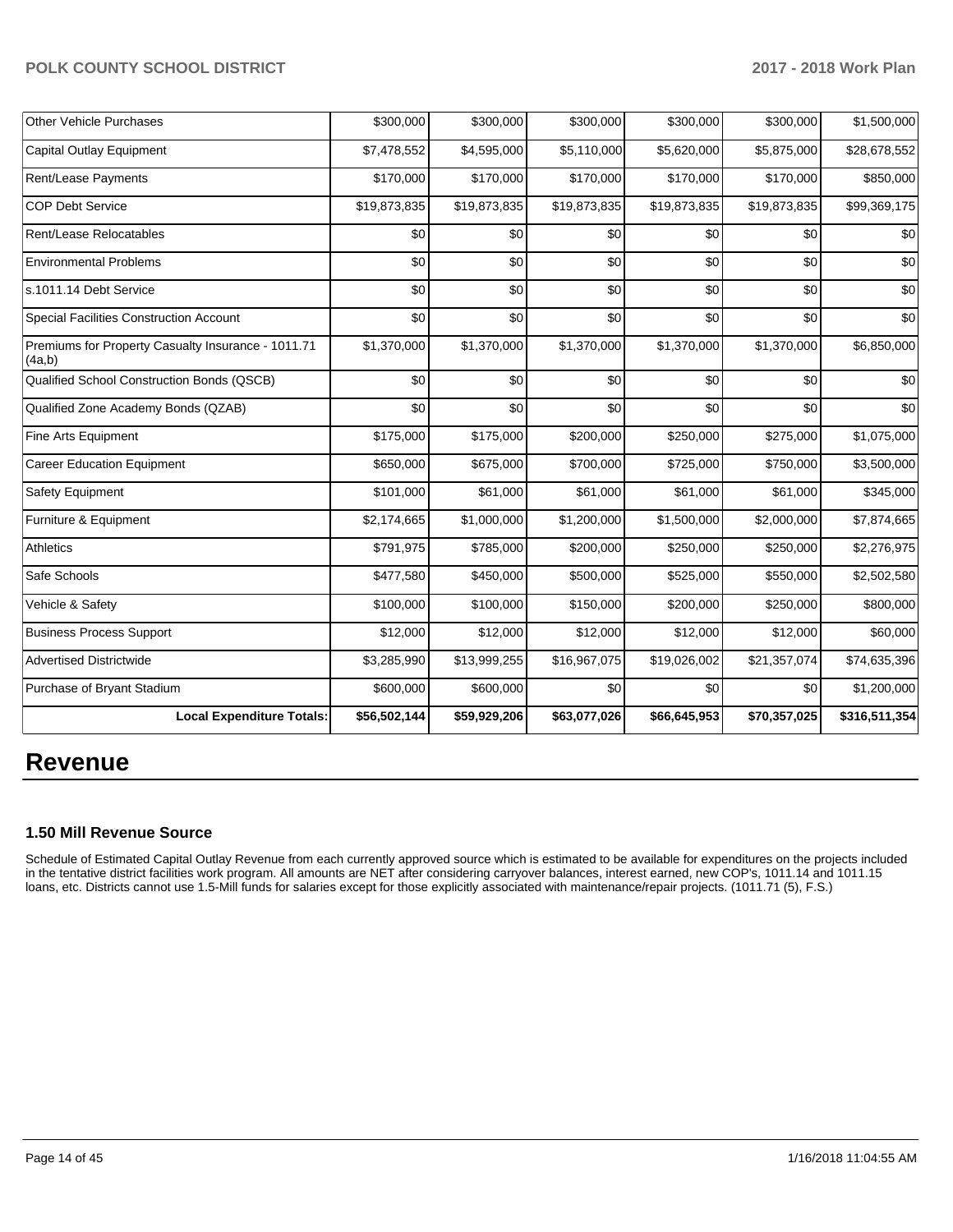| <b>Other Vehicle Purchases</b>                               | \$300,000    | \$300,000    | \$300,000    | \$300,000    | \$300,000    | \$1,500,000   |
|--------------------------------------------------------------|--------------|--------------|--------------|--------------|--------------|---------------|
| <b>Capital Outlay Equipment</b>                              | \$7,478,552  | \$4,595,000  | \$5,110,000  | \$5,620,000  | \$5,875,000  | \$28,678,552  |
| Rent/Lease Payments                                          | \$170,000    | \$170,000    | \$170,000    | \$170,000    | \$170,000    | \$850,000     |
| <b>COP Debt Service</b>                                      | \$19,873,835 | \$19,873,835 | \$19,873,835 | \$19,873,835 | \$19,873,835 | \$99,369,175  |
| Rent/Lease Relocatables                                      | \$0          | \$0          | \$0          | \$0          | \$0          | \$0           |
| <b>Environmental Problems</b>                                | \$0          | \$0          | \$0          | \$0          | \$0          | \$0           |
| s.1011.14 Debt Service                                       | \$0          | \$0          | \$0          | \$0          | \$0          | \$0           |
| <b>Special Facilities Construction Account</b>               | \$0          | \$0          | \$0          | \$0          | \$0          | \$0           |
| Premiums for Property Casualty Insurance - 1011.71<br>(4a,b) | \$1,370,000  | \$1,370,000  | \$1,370,000  | \$1,370,000  | \$1,370,000  | \$6,850,000   |
| Qualified School Construction Bonds (QSCB)                   | \$0          | \$0          | \$0          | \$0          | \$0          | \$0           |
| Qualified Zone Academy Bonds (QZAB)                          | \$0          | \$0          | \$0          | \$0          | \$0          | \$0           |
| Fine Arts Equipment                                          | \$175,000    | \$175,000    | \$200,000    | \$250,000    | \$275,000    | \$1,075,000   |
| <b>Career Education Equipment</b>                            | \$650,000    | \$675,000    | \$700,000    | \$725,000    | \$750,000    | \$3,500,000   |
| Safety Equipment                                             | \$101,000    | \$61,000     | \$61,000     | \$61,000     | \$61,000     | \$345,000     |
| Furniture & Equipment                                        | \$2,174,665  | \$1,000,000  | \$1,200,000  | \$1,500,000  | \$2,000,000  | \$7,874,665   |
| <b>Athletics</b>                                             | \$791,975    | \$785,000    | \$200,000    | \$250,000    | \$250,000    | \$2,276,975   |
| Safe Schools                                                 | \$477,580    | \$450,000    | \$500,000    | \$525,000    | \$550,000    | \$2,502,580   |
| Vehicle & Safety                                             | \$100,000    | \$100,000    | \$150,000    | \$200,000    | \$250,000    | \$800,000     |
| <b>Business Process Support</b>                              | \$12,000     | \$12,000     | \$12,000     | \$12,000     | \$12,000     | \$60,000      |
| <b>Advertised Districtwide</b>                               | \$3,285,990  | \$13,999,255 | \$16,967,075 | \$19,026,002 | \$21,357,074 | \$74,635,396  |
| Purchase of Bryant Stadium                                   | \$600,000    | \$600,000    | \$0          | \$0          | \$0          | \$1,200,000   |
| <b>Local Expenditure Totals:</b>                             | \$56,502,144 | \$59,929,206 | \$63,077,026 | \$66,645,953 | \$70,357,025 | \$316,511,354 |

# **Revenue**

## **1.50 Mill Revenue Source**

Schedule of Estimated Capital Outlay Revenue from each currently approved source which is estimated to be available for expenditures on the projects included in the tentative district facilities work program. All amounts are NET after considering carryover balances, interest earned, new COP's, 1011.14 and 1011.15 loans, etc. Districts cannot use 1.5-Mill funds for salaries except for those explicitly associated with maintenance/repair projects. (1011.71 (5), F.S.)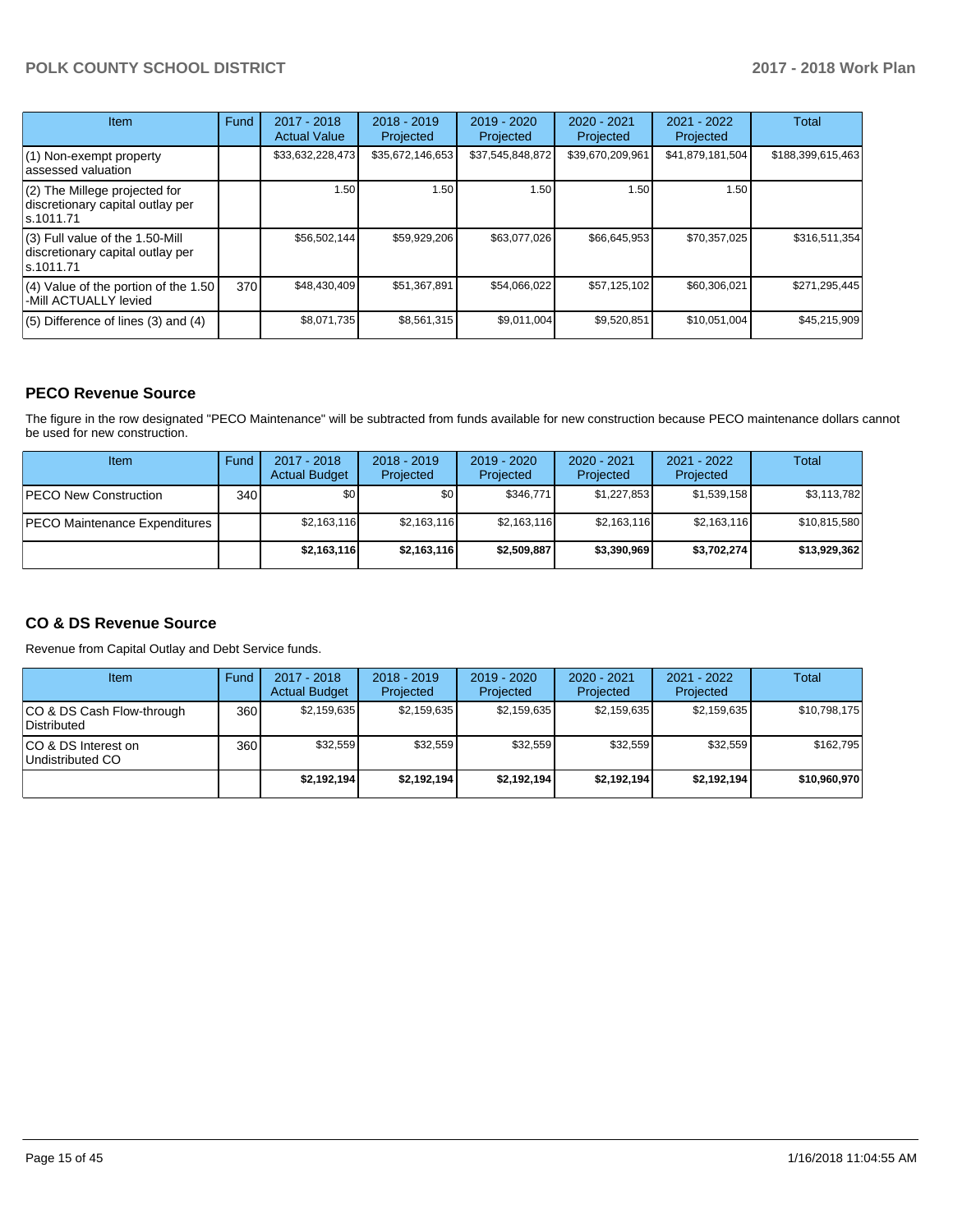| <b>Item</b>                                                                         | Fund | $2017 - 2018$<br><b>Actual Value</b> | $2018 - 2019$<br>Projected | $2019 - 2020$<br>Projected | $2020 - 2021$<br>Projected | $2021 - 2022$<br>Projected | <b>Total</b>      |
|-------------------------------------------------------------------------------------|------|--------------------------------------|----------------------------|----------------------------|----------------------------|----------------------------|-------------------|
| (1) Non-exempt property<br>lassessed valuation                                      |      | \$33,632,228,473                     | \$35,672,146,653           | \$37,545,848,872           | \$39,670,209,961           | \$41,879,181,504           | \$188,399,615,463 |
| (2) The Millege projected for<br>discretionary capital outlay per<br>ls.1011.71     |      | 1.50                                 | 1.50                       | 1.50                       | 1.50                       | 1.50                       |                   |
| $(3)$ Full value of the 1.50-Mill<br>discretionary capital outlay per<br>ls.1011.71 |      | \$56,502,144                         | \$59,929,206               | \$63.077.026               | \$66,645,953               | \$70,357,025               | \$316,511,354     |
| (4) Value of the portion of the 1.50<br>-Mill ACTUALLY levied                       | 370  | \$48,430,409                         | \$51,367,891               | \$54,066,022               | \$57,125,102               | \$60,306,021               | \$271,295,445     |
| $(5)$ Difference of lines $(3)$ and $(4)$                                           |      | \$8,071,735                          | \$8,561,315                | \$9,011,004                | \$9,520,851                | \$10,051,004               | \$45,215,909      |

#### **PECO Revenue Source**

The figure in the row designated "PECO Maintenance" will be subtracted from funds available for new construction because PECO maintenance dollars cannot be used for new construction.

| <b>Item</b>                          | Fund         | $2017 - 2018$<br><b>Actual Budget</b> | $2018 - 2019$<br>Projected | 2019 - 2020<br>Projected | $2020 - 2021$<br>Projected | 2021 - 2022<br>Projected | Total        |
|--------------------------------------|--------------|---------------------------------------|----------------------------|--------------------------|----------------------------|--------------------------|--------------|
| <b>IPECO New Construction</b>        | 340 <b>I</b> | \$0                                   | \$0 <sub>1</sub>           | \$346,771                | \$1,227,853                | \$1,539,158              | \$3,113,782  |
| <b>PECO Maintenance Expenditures</b> |              | \$2,163,116                           | \$2,163,116                | \$2,163,116              | \$2,163,116                | \$2,163,116              | \$10,815,580 |
|                                      |              | \$2,163,116                           | \$2,163,116                | \$2,509,887              | \$3,390,969                | \$3,702,274              | \$13,929,362 |

## **CO & DS Revenue Source**

Revenue from Capital Outlay and Debt Service funds.

| <b>Item</b>                               | Fund | $2017 - 2018$<br><b>Actual Budget</b> | $2018 - 2019$<br>Projected | $2019 - 2020$<br>Projected | $2020 - 2021$<br>Projected | $2021 - 2022$<br>Projected | Total        |
|-------------------------------------------|------|---------------------------------------|----------------------------|----------------------------|----------------------------|----------------------------|--------------|
| ICO & DS Cash Flow-through<br>Distributed | 360  | \$2,159,635                           | \$2,159,635                | \$2.159.635                | \$2,159,635                | \$2,159,635                | \$10,798,175 |
| ICO & DS Interest on<br>Undistributed CO  | 360  | \$32.559                              | \$32,559                   | \$32.559                   | \$32.559                   | \$32.559                   | \$162.795    |
|                                           |      | \$2.192.194                           | \$2,192,194                | \$2.192.194                | \$2.192.194                | \$2,192,194                | \$10,960,970 |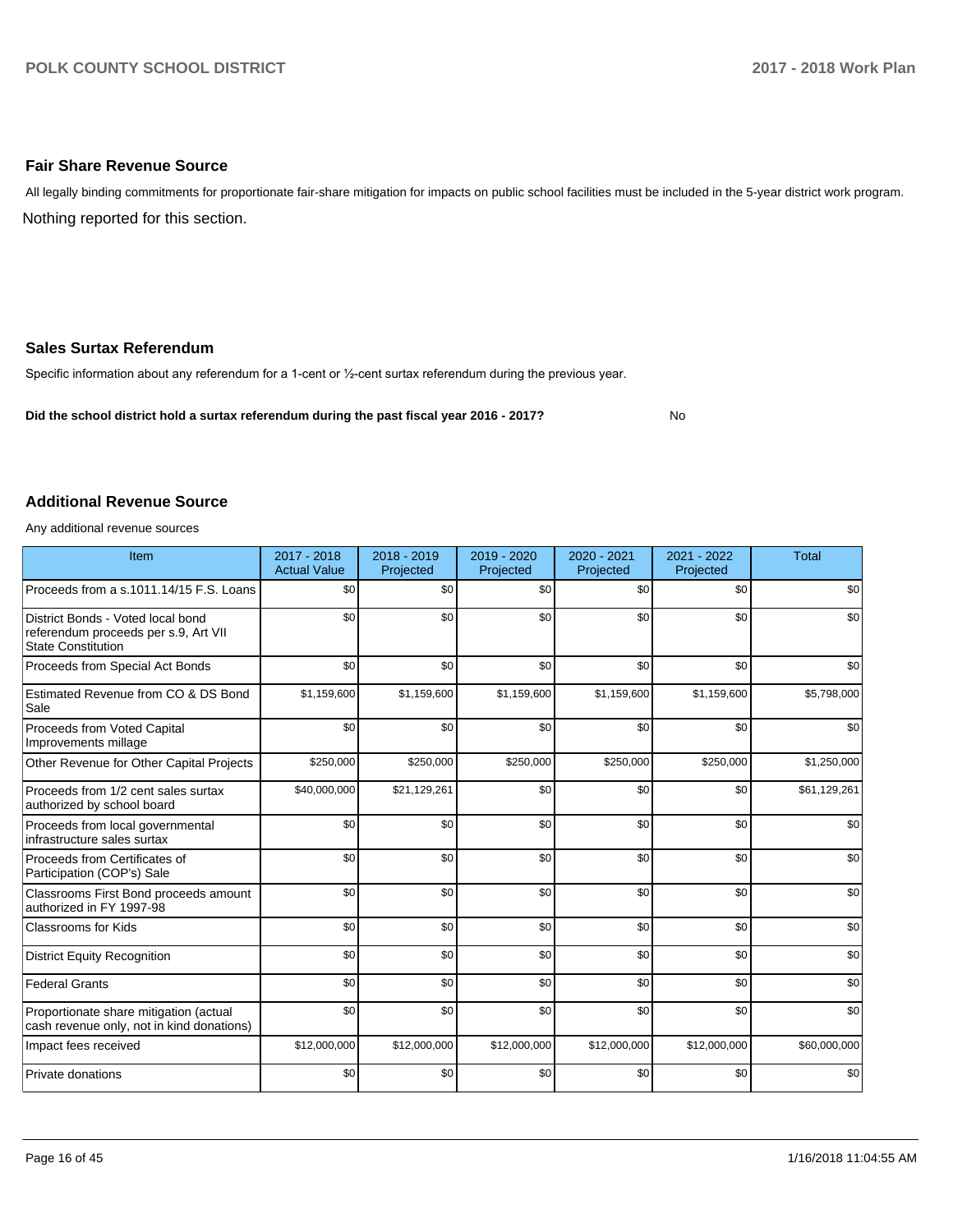#### **Fair Share Revenue Source**

Nothing reported for this section. All legally binding commitments for proportionate fair-share mitigation for impacts on public school facilities must be included in the 5-year district work program.

#### **Sales Surtax Referendum**

Specific information about any referendum for a 1-cent or 1/2-cent surtax referendum during the previous year.

**Did the school district hold a surtax referendum during the past fiscal year 2016 - 2017?**

No

#### **Additional Revenue Source**

Any additional revenue sources

| Item                                                                                                   | 2017 - 2018<br><b>Actual Value</b> | 2018 - 2019<br>Projected | 2019 - 2020<br>Projected | 2020 - 2021<br>Projected | 2021 - 2022<br>Projected | <b>Total</b> |
|--------------------------------------------------------------------------------------------------------|------------------------------------|--------------------------|--------------------------|--------------------------|--------------------------|--------------|
| Proceeds from a s.1011.14/15 F.S. Loans                                                                | \$0                                | \$0                      | \$0                      | \$0                      | \$0                      | \$0          |
| District Bonds - Voted local bond<br>referendum proceeds per s.9, Art VII<br><b>State Constitution</b> | \$0                                | \$0                      | \$0                      | \$0                      | \$0                      | \$0          |
| Proceeds from Special Act Bonds                                                                        | \$0                                | \$0                      | \$0                      | \$0                      | \$0                      | \$0          |
| Estimated Revenue from CO & DS Bond<br>Sale                                                            | \$1,159,600                        | \$1,159,600              | \$1,159,600              | \$1,159,600              | \$1,159,600              | \$5,798,000  |
| Proceeds from Voted Capital<br>Improvements millage                                                    | \$0                                | \$0                      | \$0                      | \$0                      | \$0                      | \$0          |
| Other Revenue for Other Capital Projects                                                               | \$250,000                          | \$250,000                | \$250,000                | \$250,000                | \$250,000                | \$1,250,000  |
| Proceeds from 1/2 cent sales surtax<br>authorized by school board                                      | \$40,000,000                       | \$21,129,261             | \$0                      | \$0                      | \$0                      | \$61,129,261 |
| Proceeds from local governmental<br>infrastructure sales surtax                                        | \$0                                | \$0                      | \$0                      | \$0                      | \$0                      | \$0          |
| Proceeds from Certificates of<br>Participation (COP's) Sale                                            | \$0                                | \$0                      | \$0                      | \$0                      | \$0                      | \$0          |
| Classrooms First Bond proceeds amount<br>authorized in FY 1997-98                                      | \$0                                | \$0                      | \$0                      | \$0                      | \$0                      | \$0          |
| Classrooms for Kids                                                                                    | \$0                                | \$0                      | \$0                      | \$0                      | \$0                      | \$0          |
| <b>District Equity Recognition</b>                                                                     | \$0                                | \$0                      | \$0                      | \$0                      | \$0                      | \$0          |
| <b>Federal Grants</b>                                                                                  | \$0                                | \$0                      | \$0                      | \$0                      | \$0                      | \$0          |
| Proportionate share mitigation (actual<br>cash revenue only, not in kind donations)                    | \$0                                | \$0                      | \$0                      | \$0                      | \$0                      | \$0          |
| Impact fees received                                                                                   | \$12,000,000                       | \$12,000,000             | \$12,000,000             | \$12,000,000             | \$12,000,000             | \$60,000,000 |
| Private donations                                                                                      | \$0                                | \$0                      | \$0                      | \$0                      | \$0                      | \$0          |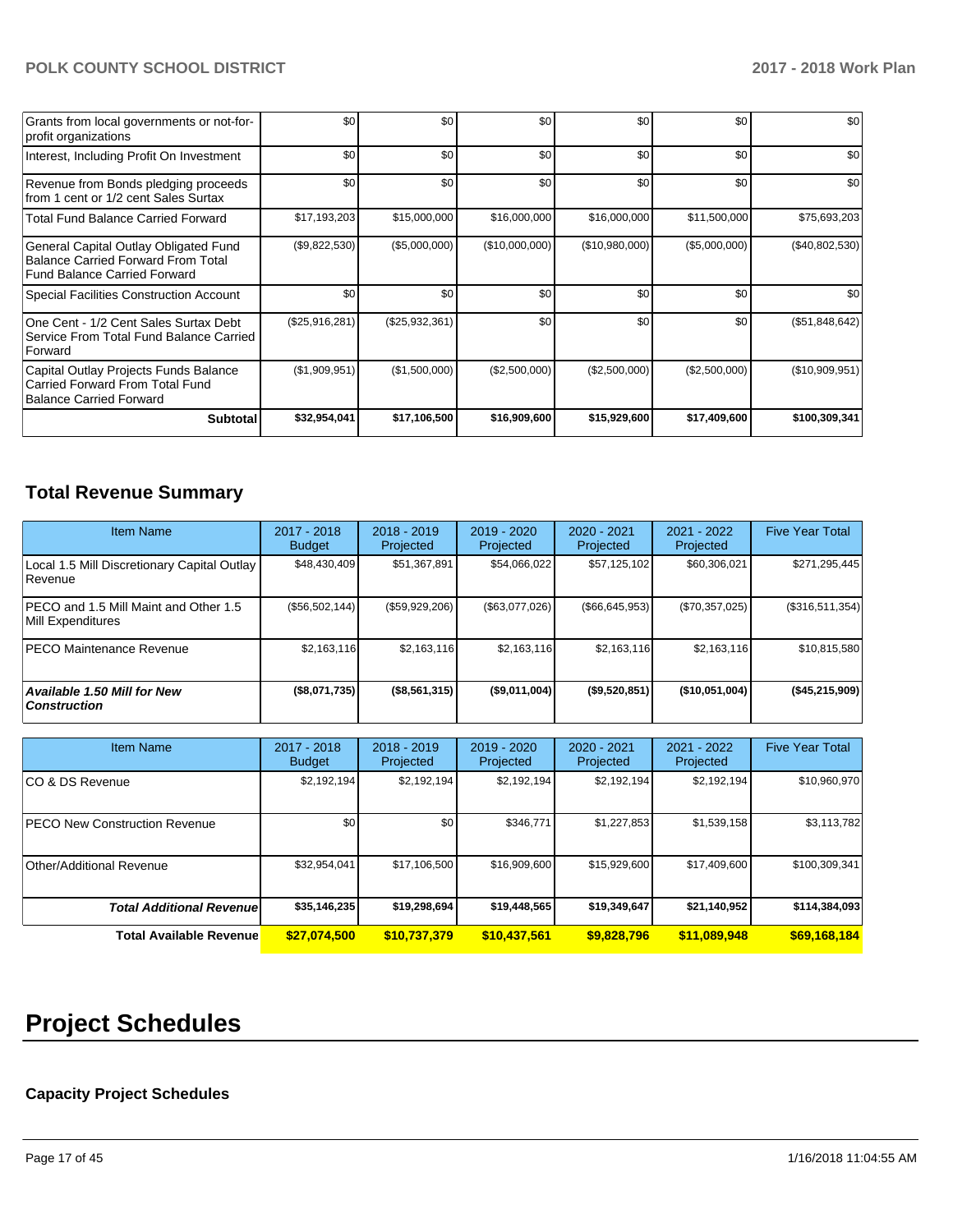| Grants from local governments or not-for-<br>profit organizations                                                         | \$0            | \$0            | \$0            | \$0            | \$0           | \$0            |
|---------------------------------------------------------------------------------------------------------------------------|----------------|----------------|----------------|----------------|---------------|----------------|
| Interest, Including Profit On Investment                                                                                  | \$0            | \$0            | \$0            | \$0            | \$0           | \$0            |
| Revenue from Bonds pledging proceeds<br>from 1 cent or 1/2 cent Sales Surtax                                              | \$0            | \$0            | \$0            | \$0            | \$0           | \$0            |
| <b>Total Fund Balance Carried Forward</b>                                                                                 | \$17,193,203   | \$15,000,000   | \$16,000,000   | \$16,000,000   | \$11,500,000  | \$75,693,203   |
| General Capital Outlay Obligated Fund<br><b>Balance Carried Forward From Total</b><br><b>Fund Balance Carried Forward</b> | (\$9,822,530)  | (\$5,000,000)  | (\$10,000,000) | (\$10,980,000) | (\$5,000,000) | (\$40,802,530) |
| <b>Special Facilities Construction Account</b>                                                                            | \$0            | \$0            | \$0            | \$0            | \$0           | \$0            |
| One Cent - 1/2 Cent Sales Surtax Debt<br>Service From Total Fund Balance Carried<br>Forward                               | (\$25,916,281) | (\$25,932,361) | \$0            | \$0            | \$0           | (\$51,848,642) |
| Capital Outlay Projects Funds Balance<br>Carried Forward From Total Fund<br><b>Balance Carried Forward</b>                | (\$1,909,951)  | (\$1,500,000)  | (\$2,500,000)  | (\$2,500,000)  | (\$2,500,000) | (\$10,909,951) |
| <b>Subtotal</b>                                                                                                           | \$32,954,041   | \$17,106,500   | \$16,909,600   | \$15,929,600   | \$17,409,600  | \$100,309,341  |

# **Total Revenue Summary**

| <b>Item Name</b>                                            | $2017 - 2018$<br><b>Budget</b> | $2018 - 2019$<br>Projected | 2019 - 2020<br>Projected | $2020 - 2021$<br>Projected | 2021 - 2022<br>Projected | <b>Five Year Total</b> |
|-------------------------------------------------------------|--------------------------------|----------------------------|--------------------------|----------------------------|--------------------------|------------------------|
| Local 1.5 Mill Discretionary Capital Outlay<br>l Revenue    | \$48,430,409                   | \$51,367,891               | \$54,066,022             | \$57,125,102               | \$60,306,021             | \$271,295,445          |
| IPECO and 1.5 Mill Maint and Other 1.5<br>Mill Expenditures | (S56, 502, 144)                | (\$59,929,206)             | (\$63,077,026)           | $($ \$66,645,953)          | (\$70,357,025)           | (\$316,511,354)        |
| IPECO Maintenance Revenue                                   | \$2,163,116                    | \$2,163,116                | \$2,163,116              | \$2,163,116                | \$2,163,116              | \$10,815,580           |
| <b>Available 1.50 Mill for New</b><br><b>Construction</b>   | (\$8,071,735)                  | (\$8,561,315)              | (\$9,011,004)            | (\$9,520,851)              | (\$10,051,004)           | (\$45,215,909)         |

| <b>Item Name</b>                     | 2017 - 2018<br><b>Budget</b> | $2018 - 2019$<br>Projected | 2019 - 2020<br>Projected | $2020 - 2021$<br>Projected | $2021 - 2022$<br>Projected | <b>Five Year Total</b> |
|--------------------------------------|------------------------------|----------------------------|--------------------------|----------------------------|----------------------------|------------------------|
| ICO & DS Revenue                     | \$2,192,194                  | \$2,192,194                | \$2,192,194              | \$2,192,194                | \$2,192,194                | \$10,960,970           |
| <b>PECO New Construction Revenue</b> | \$0                          | \$0                        | \$346.771                | \$1,227,853                | \$1,539,158                | \$3,113,782            |
| Other/Additional Revenue             | \$32,954,041                 | \$17,106,500               | \$16,909,600             | \$15,929,600               | \$17,409,600               | \$100,309,341          |
| <b>Total Additional Revenuel</b>     | \$35,146,235                 | \$19,298,694               | \$19,448,565             | \$19,349,647               | \$21,140,952               | \$114,384,093          |
| <b>Total Available Revenue</b>       | \$27,074,500                 | \$10,737,379               | \$10,437,561             | \$9,828,796                | \$11,089,948               | \$69,168,184           |

# **Project Schedules**

# **Capacity Project Schedules**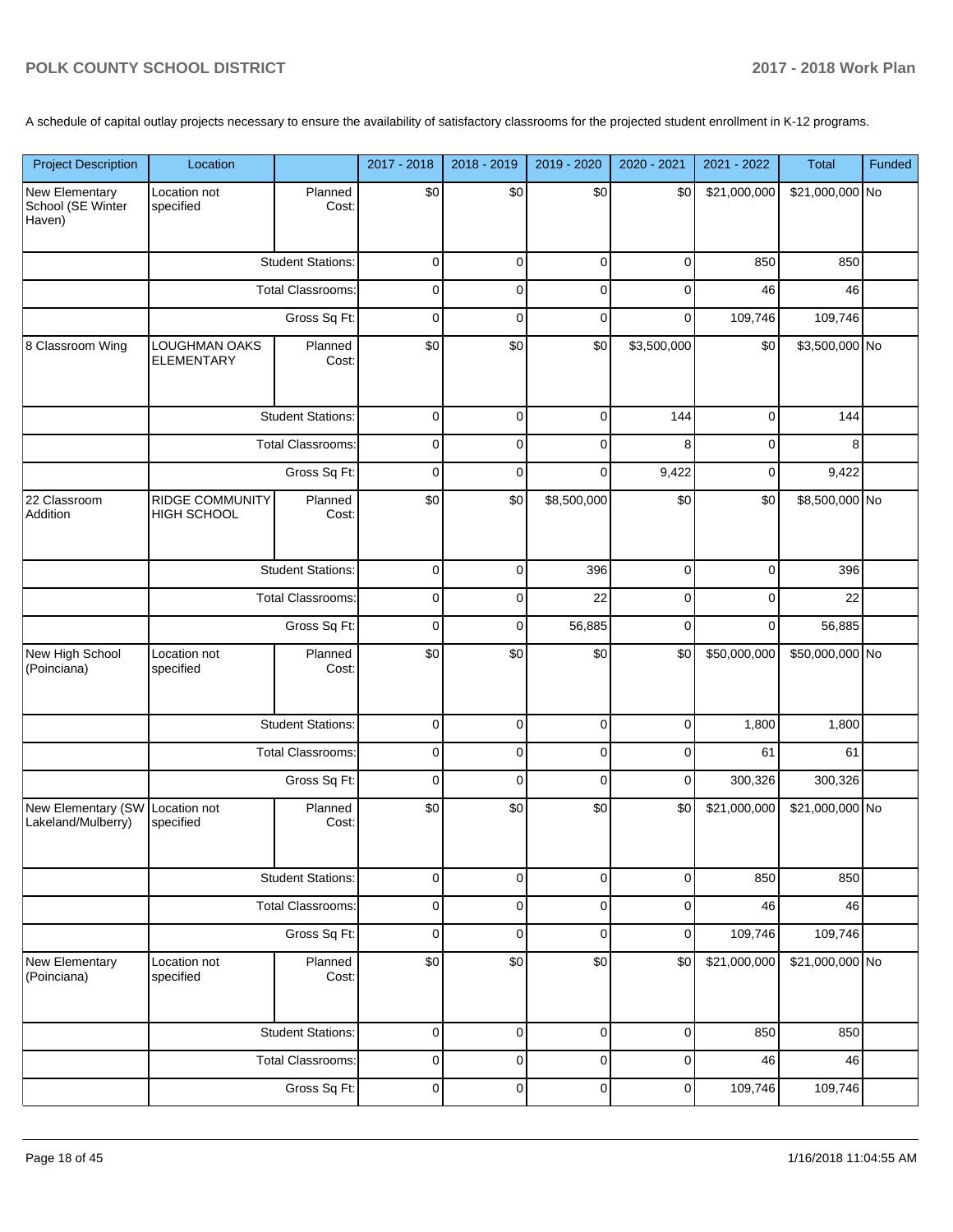A schedule of capital outlay projects necessary to ensure the availability of satisfactory classrooms for the projected student enrollment in K-12 programs.

| <b>Project Description</b>                    | Location                                     |                          | 2017 - 2018 | 2018 - 2019 | 2019 - 2020 | 2020 - 2021 | 2021 - 2022  | Total           | Funded |
|-----------------------------------------------|----------------------------------------------|--------------------------|-------------|-------------|-------------|-------------|--------------|-----------------|--------|
| New Elementary<br>School (SE Winter<br>Haven) | Location not<br>specified                    | Planned<br>Cost:         | \$0         | \$0         | \$0         | \$0         | \$21,000,000 | \$21,000,000 No |        |
|                                               |                                              | <b>Student Stations:</b> | 0           | 0           | $\mathbf 0$ | 0           | 850          | 850             |        |
|                                               |                                              | <b>Total Classrooms:</b> | 0           | 0           | 0           | 0           | 46           | 46              |        |
|                                               |                                              | Gross Sq Ft:             | 0           | $\mathbf 0$ | $\mathbf 0$ | 0           | 109,746      | 109,746         |        |
| 8 Classroom Wing                              | <b>LOUGHMAN OAKS</b><br><b>ELEMENTARY</b>    | Planned<br>Cost:         | \$0         | \$0         | \$0         | \$3,500,000 | \$0          | \$3,500,000 No  |        |
|                                               |                                              | <b>Student Stations:</b> | $\mathbf 0$ | $\mathbf 0$ | $\mathbf 0$ | 144         | 0            | 144             |        |
|                                               |                                              | <b>Total Classrooms:</b> | 0           | $\mathbf 0$ | $\mathbf 0$ | 8           | 0            | 8               |        |
|                                               |                                              | Gross Sq Ft:             | $\mathbf 0$ | $\mathbf 0$ | $\mathbf 0$ | 9,422       | 0            | 9,422           |        |
| 22 Classroom<br>Addition                      | <b>RIDGE COMMUNITY</b><br><b>HIGH SCHOOL</b> | Planned<br>Cost:         | \$0         | \$0         | \$8,500,000 | \$0         | \$0          | \$8,500,000 No  |        |
|                                               |                                              | <b>Student Stations:</b> | 0           | $\mathbf 0$ | 396         | $\mathbf 0$ | 0            | 396             |        |
|                                               |                                              | <b>Total Classrooms:</b> | 0           | 0           | 22          | 0           | 0            | 22              |        |
|                                               |                                              | Gross Sq Ft:             | 0           | $\mathbf 0$ | 56,885      | 0           | 0            | 56,885          |        |
| New High School<br>(Poinciana)                | Location not<br>specified                    | Planned<br>Cost:         | \$0         | \$0         | \$0         | \$0         | \$50,000,000 | \$50,000,000 No |        |
|                                               |                                              | <b>Student Stations:</b> | $\pmb{0}$   | $\mathbf 0$ | $\mathbf 0$ | $\mathbf 0$ | 1,800        | 1,800           |        |
|                                               |                                              | <b>Total Classrooms:</b> | 0           | $\mathbf 0$ | $\mathbf 0$ | 0           | 61           | 61              |        |
|                                               |                                              | Gross Sq Ft:             | $\mathbf 0$ | $\mathbf 0$ | $\mathbf 0$ | 0           | 300,326      | 300,326         |        |
| New Elementary (SW<br>Lakeland/Mulberry)      | Location not<br>specified                    | Planned<br>Cost:         | \$0         | \$0         | \$0         | \$0         | \$21,000,000 | \$21,000,000 No |        |
|                                               |                                              | <b>Student Stations:</b> | 0           | 0           | 0           | 0           | 850          | 850             |        |
|                                               |                                              | <b>Total Classrooms:</b> | 0           | 0           | 0           | 0           | 46           | 46              |        |
|                                               |                                              | Gross Sq Ft:             | 0           | $\mathbf 0$ | $\mathbf 0$ | $\mathbf 0$ | 109,746      | 109,746         |        |
| New Elementary<br>(Poinciana)                 | Location not<br>specified                    | Planned<br>Cost:         | \$0         | \$0         | \$0         | \$0         | \$21,000,000 | \$21,000,000 No |        |
|                                               |                                              | <b>Student Stations:</b> | $\pmb{0}$   | $\mathbf 0$ | $\pmb{0}$   | 0           | 850          | 850             |        |
|                                               |                                              | <b>Total Classrooms:</b> | 0           | 0           | 0           | 0           | 46           | 46              |        |
|                                               |                                              | Gross Sq Ft:             | $\mathbf 0$ | $\mathbf 0$ | $\mathbf 0$ | $\pmb{0}$   | 109,746      | 109,746         |        |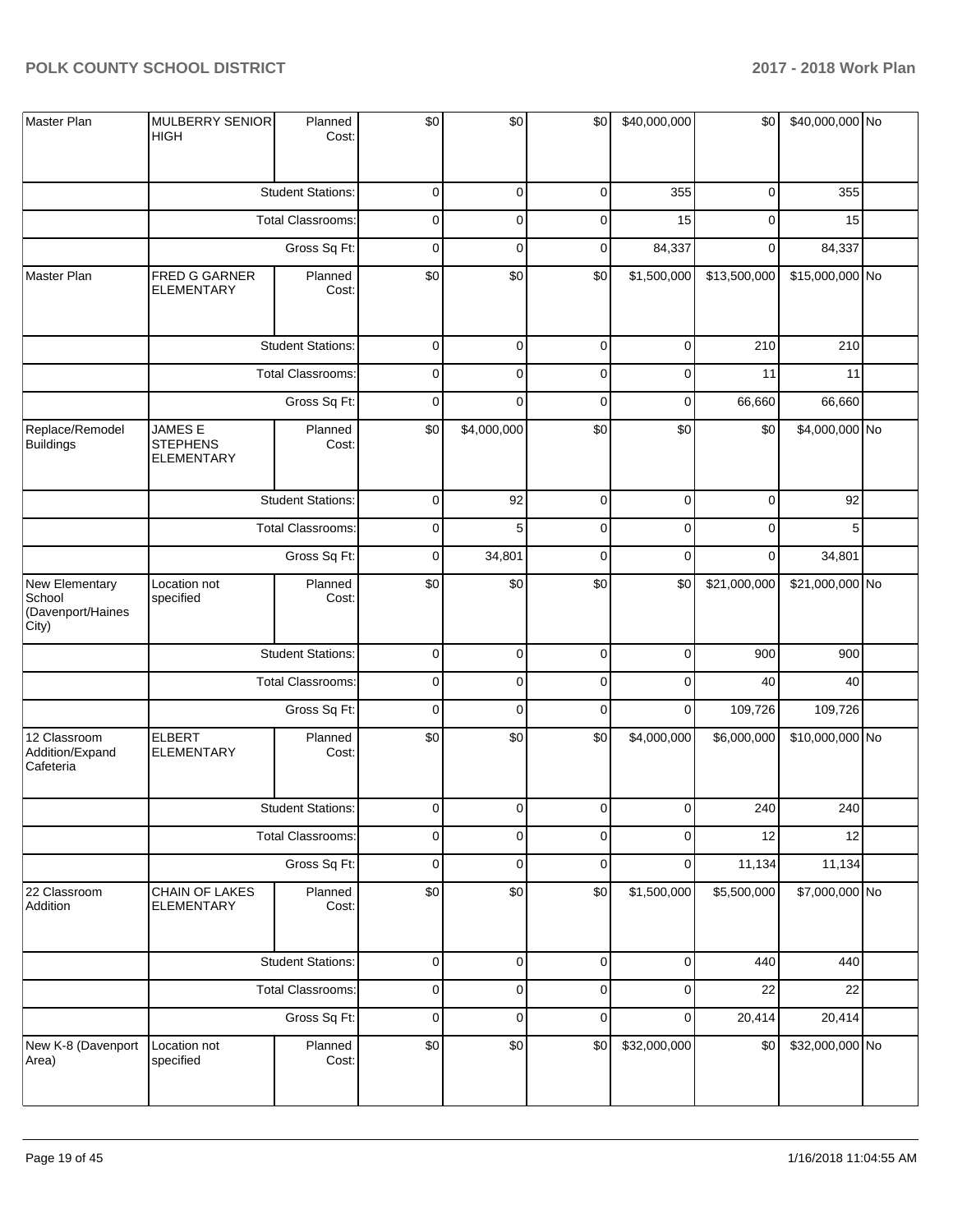| Master Plan                                            | MULBERRY SENIOR<br><b>HIGH</b>                         | Planned<br>Cost:         | \$0         | \$0         | \$0       | \$40,000,000 | \$0          | \$40,000,000 No |  |
|--------------------------------------------------------|--------------------------------------------------------|--------------------------|-------------|-------------|-----------|--------------|--------------|-----------------|--|
|                                                        |                                                        | <b>Student Stations:</b> | 0           | 0           | 0         | 355          | 0            | 355             |  |
|                                                        |                                                        | <b>Total Classrooms:</b> | $\mathbf 0$ | 0           | 0         | 15           | 0            | 15              |  |
|                                                        |                                                        | Gross Sq Ft:             | 0           | 0           | 0         | 84,337       | 0            | 84,337          |  |
| Master Plan                                            | FRED G GARNER<br><b>ELEMENTARY</b>                     | Planned<br>Cost:         | \$0         | \$0         | \$0       | \$1,500,000  | \$13,500,000 | \$15,000,000 No |  |
|                                                        |                                                        | <b>Student Stations:</b> | $\mathbf 0$ | $\mathbf 0$ | $\pmb{0}$ | $\mathbf 0$  | 210          | 210             |  |
|                                                        |                                                        | <b>Total Classrooms:</b> | $\pmb{0}$   | 0           | 0         | $\mathbf 0$  | 11           | 11              |  |
|                                                        |                                                        | Gross Sq Ft:             | $\mathbf 0$ | 0           | $\pmb{0}$ | $\mathbf 0$  | 66,660       | 66,660          |  |
| Replace/Remodel<br><b>Buildings</b>                    | <b>JAMES E</b><br><b>STEPHENS</b><br><b>ELEMENTARY</b> | Planned<br>Cost:         | \$0         | \$4,000,000 | \$0       | \$0          | \$0          | \$4,000,000 No  |  |
|                                                        |                                                        | <b>Student Stations:</b> | 0           | 92          | 0         | $\mathbf 0$  | 0            | 92              |  |
|                                                        |                                                        | <b>Total Classrooms:</b> | 0           | 5           | 0         | $\mathbf 0$  | $\mathbf 0$  | 5               |  |
|                                                        |                                                        | Gross Sq Ft:             | 0           | 34,801      | 0         | $\mathbf 0$  | $\mathbf 0$  | 34,801          |  |
| New Elementary<br>School<br>(Davenport/Haines<br>City) | Location not<br>specified                              | Planned<br>Cost:         | \$0         | \$0         | \$0       | \$0          | \$21,000,000 | \$21,000,000 No |  |
|                                                        |                                                        | <b>Student Stations:</b> | $\mathbf 0$ | $\mathbf 0$ | $\pmb{0}$ | $\pmb{0}$    | 900          | 900             |  |
|                                                        |                                                        | <b>Total Classrooms:</b> | $\mathbf 0$ | 0           | 0         | $\mathbf 0$  | 40           | 40              |  |
|                                                        |                                                        | Gross Sq Ft:             | $\mathbf 0$ | 0           | 0         | 0            | 109,726      | 109,726         |  |
| 12 Classroom<br>Addition/Expand<br>Cafeteria           | <b>ELBERT</b><br><b>ELEMENTARY</b>                     | Planned<br>Cost:         | \$0         | \$0         | \$0       | \$4,000,000  | \$6,000,000  | \$10,000,000 No |  |
|                                                        |                                                        | <b>Student Stations:</b> | $\Omega$    | $\Omega$    | $\Omega$  | $\Omega$     | 240          | 240             |  |
|                                                        |                                                        | <b>Total Classrooms:</b> | $\mathbf 0$ | 0           | 0         | 0            | 12           | 12              |  |
|                                                        |                                                        | Gross Sq Ft:             | $\mathbf 0$ | 0           | 0         | 0            | 11,134       | 11,134          |  |
| 22 Classroom<br>Addition                               | CHAIN OF LAKES<br><b>ELEMENTARY</b>                    | Planned<br>Cost:         | \$0         | \$0         | \$0       | \$1,500,000  | \$5,500,000  | \$7,000,000 No  |  |
|                                                        |                                                        | <b>Student Stations:</b> | $\mathbf 0$ | 0           | $\pmb{0}$ | 0            | 440          | 440             |  |
|                                                        |                                                        | <b>Total Classrooms:</b> | $\pmb{0}$   | 0           | $\pmb{0}$ | 0            | 22           | 22              |  |
|                                                        |                                                        | Gross Sq Ft:             | $\mathbf 0$ | $\mathbf 0$ | $\pmb{0}$ | $\pmb{0}$    | 20,414       | 20,414          |  |
| New K-8 (Davenport<br>Area)                            | Location not<br>specified                              | Planned<br>Cost:         | \$0         | \$0         | \$0       | \$32,000,000 | \$0          | \$32,000,000 No |  |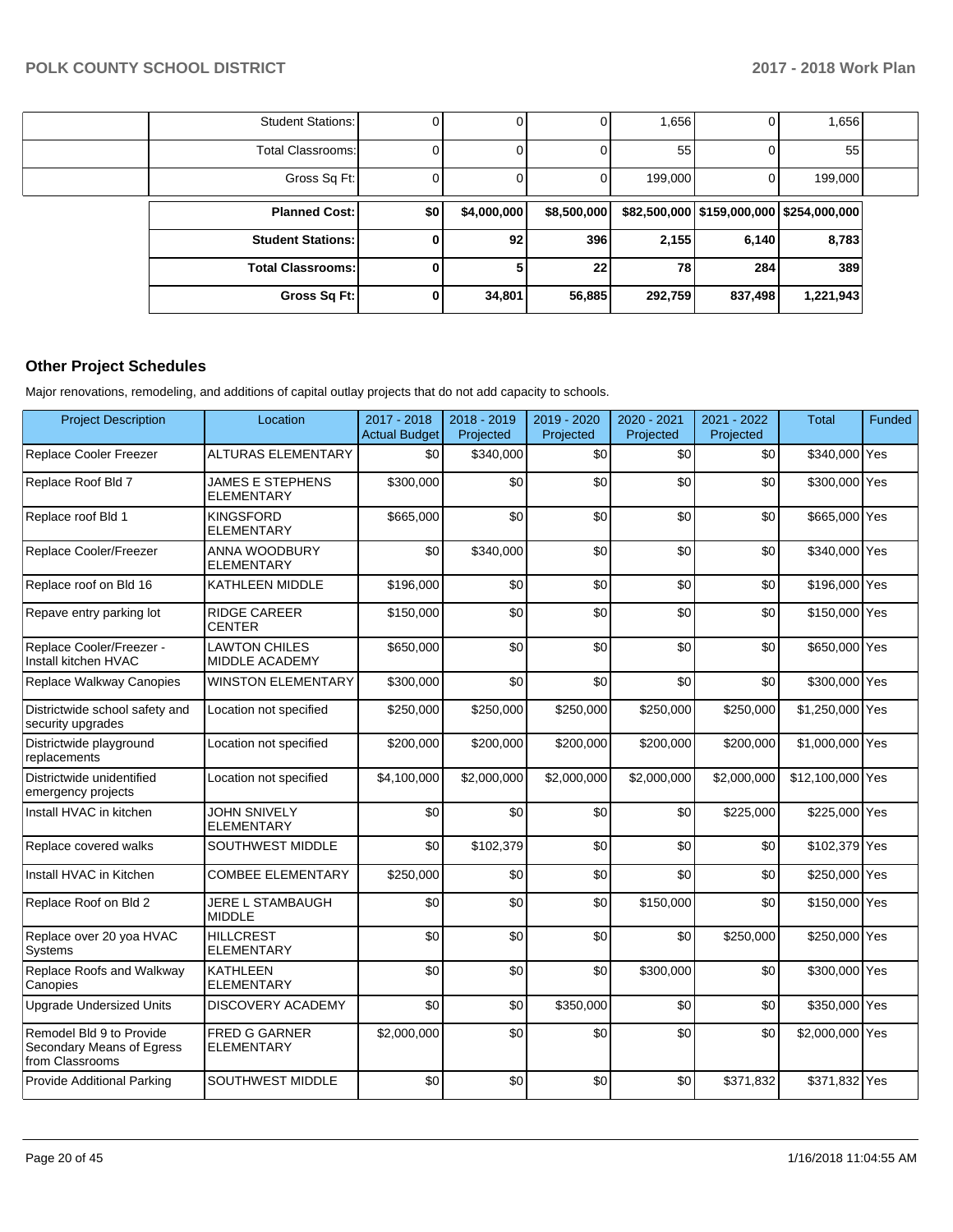| 1,656     |                                             | 1,656   |             |             | 0   | <b>Student Stations:</b> |  |
|-----------|---------------------------------------------|---------|-------------|-------------|-----|--------------------------|--|
| 55        |                                             | 55      |             |             | 0   | <b>Total Classrooms:</b> |  |
| 199,000   |                                             | 199,000 |             |             | 0   | Gross Sq Ft:             |  |
|           | $$82,500,000$ $$159,000,000$ $$254,000,000$ |         | \$8,500,000 | \$4,000,000 | \$0 | <b>Planned Cost:</b>     |  |
| 8,783     | 6,140                                       | 2,155   | 396         | 92          | 0   | <b>Student Stations:</b> |  |
| 389       | 284                                         | 78      | 22          |             | 0   | <b>Total Classrooms:</b> |  |
| 1,221,943 | 837,498                                     | 292,759 | 56,885      | 34,801      | 0   | Gross Sq Ft:             |  |

# **Other Project Schedules**

Major renovations, remodeling, and additions of capital outlay projects that do not add capacity to schools.

| <b>Project Description</b>                                               | Location                                      | 2017 - 2018<br><b>Actual Budget</b> | 2018 - 2019<br>Projected | 2019 - 2020<br>Projected | 2020 - 2021<br>Projected | 2021 - 2022<br>Projected | <b>Total</b>     | Funded |
|--------------------------------------------------------------------------|-----------------------------------------------|-------------------------------------|--------------------------|--------------------------|--------------------------|--------------------------|------------------|--------|
| Replace Cooler Freezer                                                   | <b>ALTURAS ELEMENTARY</b>                     | \$0                                 | \$340,000                | \$0                      | \$0                      | \$0                      | \$340,000 Yes    |        |
| Replace Roof Bld 7                                                       | <b>JAMES E STEPHENS</b><br>ELEMENTARY         | \$300,000                           | \$0                      | \$0                      | \$0                      | \$0                      | \$300,000 Yes    |        |
| Replace roof Bld 1                                                       | <b>KINGSFORD</b><br><b>ELEMENTARY</b>         | \$665,000                           | \$0                      | \$0                      | \$0                      | \$0                      | \$665,000 Yes    |        |
| Replace Cooler/Freezer                                                   | <b>ANNA WOODBURY</b><br><b>ELEMENTARY</b>     | \$0                                 | \$340,000                | \$0                      | \$0                      | \$0                      | \$340,000 Yes    |        |
| Replace roof on Bld 16                                                   | KATHLEEN MIDDLE                               | \$196,000                           | \$0                      | \$0                      | \$0                      | \$0                      | \$196,000 Yes    |        |
| Repave entry parking lot                                                 | <b>RIDGE CAREER</b><br><b>CENTER</b>          | \$150,000                           | \$0                      | \$0                      | \$0                      | \$0                      | \$150,000 Yes    |        |
| Replace Cooler/Freezer -<br>Install kitchen HVAC                         | <b>LAWTON CHILES</b><br><b>MIDDLE ACADEMY</b> | \$650,000                           | \$0                      | \$0                      | \$0                      | \$0                      | \$650,000 Yes    |        |
| Replace Walkway Canopies                                                 | <b>WINSTON ELEMENTARY</b>                     | \$300.000                           | \$0                      | \$0                      | \$0                      | \$0                      | \$300,000 Yes    |        |
| Districtwide school safety and<br>security upgrades                      | Location not specified                        | \$250,000                           | \$250,000                | \$250,000                | \$250,000                | \$250,000                | \$1,250,000 Yes  |        |
| Districtwide playground<br>replacements                                  | Location not specified                        | \$200,000                           | \$200,000                | \$200,000                | \$200,000                | \$200,000                | \$1,000,000 Yes  |        |
| Districtwide unidentified<br>emergency projects                          | Location not specified                        | \$4,100,000                         | \$2,000,000              | \$2,000,000              | \$2,000,000              | \$2,000,000              | \$12,100,000 Yes |        |
| Install HVAC in kitchen                                                  | <b>JOHN SNIVELY</b><br><b>ELEMENTARY</b>      | \$0                                 | \$0                      | \$0                      | \$0                      | \$225,000                | \$225,000 Yes    |        |
| Replace covered walks                                                    | SOUTHWEST MIDDLE                              | \$0                                 | \$102,379                | \$0                      | \$0                      | \$0                      | \$102,379 Yes    |        |
| Install HVAC in Kitchen                                                  | <b>COMBEE ELEMENTARY</b>                      | \$250,000                           | \$0                      | \$0                      | \$0                      | \$0                      | \$250,000 Yes    |        |
| Replace Roof on Bld 2                                                    | <b>JERE L STAMBAUGH</b><br><b>MIDDLE</b>      | \$0                                 | \$0                      | \$0                      | \$150,000                | \$0                      | \$150,000 Yes    |        |
| Replace over 20 yoa HVAC<br>Systems                                      | <b>HILLCREST</b><br><b>ELEMENTARY</b>         | \$0                                 | \$0                      | \$0                      | \$0                      | \$250,000                | \$250,000 Yes    |        |
| Replace Roofs and Walkway<br>Canopies                                    | <b>KATHLEEN</b><br><b>ELEMENTARY</b>          | \$0                                 | \$0                      | \$0                      | \$300,000                | \$0                      | \$300,000 Yes    |        |
| <b>Upgrade Undersized Units</b>                                          | <b>DISCOVERY ACADEMY</b>                      | \$0                                 | \$0                      | \$350,000                | \$0                      | \$0                      | \$350,000 Yes    |        |
| Remodel Bld 9 to Provide<br>Secondary Means of Egress<br>from Classrooms | <b>FRED G GARNER</b><br><b>ELEMENTARY</b>     | \$2,000,000                         | \$0                      | \$0                      | \$0                      | \$0                      | \$2,000,000 Yes  |        |
| Provide Additional Parking                                               | SOUTHWEST MIDDLE                              | \$0                                 | \$0                      | \$0                      | \$0                      | \$371,832                | \$371,832 Yes    |        |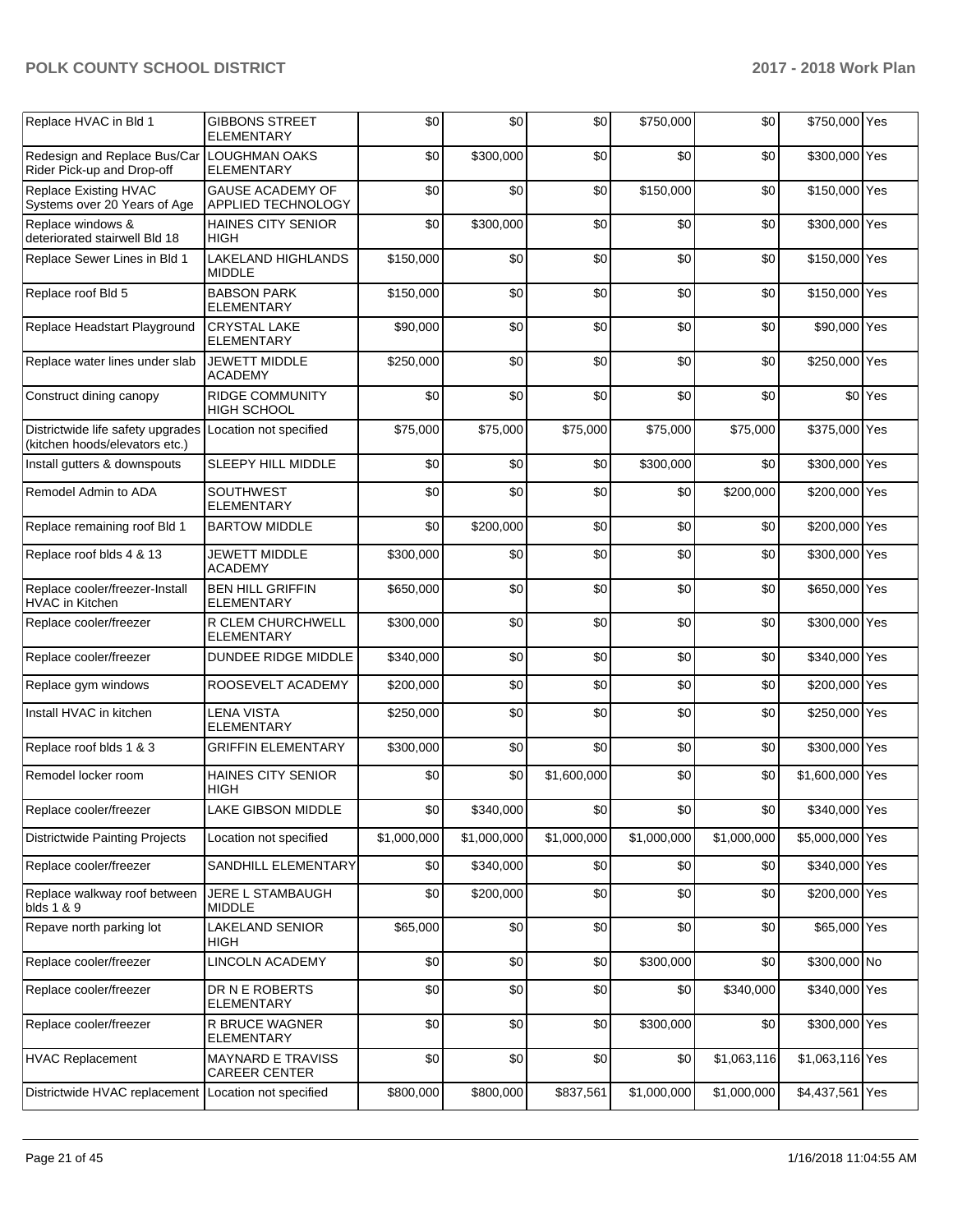| Replace HVAC in Bld 1                                                    | <b>GIBBONS STREET</b><br><b>ELEMENTARY</b>           | \$0         | \$0         | \$0         | \$750,000   | \$0         | \$750,000 Yes   |                    |
|--------------------------------------------------------------------------|------------------------------------------------------|-------------|-------------|-------------|-------------|-------------|-----------------|--------------------|
| Redesign and Replace Bus/Car LOUGHMAN OAKS<br>Rider Pick-up and Drop-off | <b>ELEMENTARY</b>                                    | \$0         | \$300,000   | \$0         | \$0         | \$0         | \$300,000 Yes   |                    |
| Replace Existing HVAC<br>Systems over 20 Years of Age                    | <b>GAUSE ACADEMY OF</b><br><b>APPLIED TECHNOLOGY</b> | \$0         | \$0         | \$0         | \$150,000   | \$0         | \$150,000 Yes   |                    |
| Replace windows &<br>deteriorated stairwell Bld 18                       | <b>HAINES CITY SENIOR</b><br><b>HIGH</b>             | \$0         | \$300,000   | \$0         | \$0         | \$0         | \$300,000 Yes   |                    |
| Replace Sewer Lines in Bld 1                                             | <b>LAKELAND HIGHLANDS</b><br><b>MIDDLE</b>           | \$150,000   | \$0         | \$0         | \$0         | \$0         | \$150,000 Yes   |                    |
| Replace roof Bld 5                                                       | <b>BABSON PARK</b><br><b>ELEMENTARY</b>              | \$150,000   | \$0         | \$0         | \$0         | \$0         | \$150,000 Yes   |                    |
| Replace Headstart Playground                                             | <b>CRYSTAL LAKE</b><br><b>ELEMENTARY</b>             | \$90,000    | \$0         | \$0         | \$0         | \$0         | \$90,000 Yes    |                    |
| Replace water lines under slab                                           | <b>JEWETT MIDDLE</b><br><b>ACADEMY</b>               | \$250,000   | \$0         | \$0         | \$0         | \$0         | \$250,000 Yes   |                    |
| Construct dining canopy                                                  | RIDGE COMMUNITY<br><b>HIGH SCHOOL</b>                | \$0         | \$0         | \$0         | \$0         | \$0         |                 | \$0 <sup>Yes</sup> |
| Districtwide life safety upgrades<br>(kitchen hoods/elevators etc.)      | Location not specified                               | \$75,000    | \$75,000    | \$75,000    | \$75,000    | \$75,000    | \$375,000 Yes   |                    |
| Install gutters & downspouts                                             | SLEEPY HILL MIDDLE                                   | \$0         | \$0         | \$0         | \$300,000   | \$0         | \$300,000 Yes   |                    |
| Remodel Admin to ADA                                                     | <b>SOUTHWEST</b><br><b>ELEMENTARY</b>                | \$0         | \$0         | \$0         | \$0         | \$200,000   | \$200,000 Yes   |                    |
| Replace remaining roof Bld 1                                             | <b>BARTOW MIDDLE</b>                                 | \$0         | \$200,000   | \$0         | \$0         | \$0         | \$200,000 Yes   |                    |
| Replace roof blds 4 & 13                                                 | <b>JEWETT MIDDLE</b><br><b>ACADEMY</b>               | \$300,000   | \$0         | \$0         | \$0         | \$0         | \$300,000 Yes   |                    |
| Replace cooler/freezer-Install<br><b>HVAC</b> in Kitchen                 | <b>BEN HILL GRIFFIN</b><br><b>ELEMENTARY</b>         | \$650,000   | \$0         | \$0         | \$0         | \$0         | \$650,000 Yes   |                    |
| Replace cooler/freezer                                                   | R CLEM CHURCHWELL<br><b>ELEMENTARY</b>               | \$300,000   | \$0         | \$0         | \$0         | \$0         | \$300,000 Yes   |                    |
| Replace cooler/freezer                                                   | DUNDEE RIDGE MIDDLE                                  | \$340,000   | \$0         | \$0         | \$0         | \$0         | \$340,000 Yes   |                    |
| Replace gym windows                                                      | ROOSEVELT ACADEMY                                    | \$200,000   | \$0         | \$0         | \$0         | \$0         | \$200,000 Yes   |                    |
| Install HVAC in kitchen                                                  | <b>LENA VISTA</b><br><b>ELEMENTARY</b>               | \$250,000   | \$0         | \$0         | \$0         | \$0         | \$250,000 Yes   |                    |
| Replace roof blds 1 & 3                                                  | <b>GRIFFIN ELEMENTARY</b>                            | \$300,000   | \$0         | \$0         | \$0         | \$0         | \$300,000 Yes   |                    |
| Remodel locker room                                                      | <b>HAINES CITY SENIOR</b><br><b>HIGH</b>             | \$0         | \$0         | \$1,600,000 | \$0         | \$0         | \$1,600,000 Yes |                    |
| Replace cooler/freezer                                                   | LAKE GIBSON MIDDLE                                   | \$0         | \$340,000   | \$0         | \$0         | \$0         | \$340,000 Yes   |                    |
| <b>Districtwide Painting Projects</b>                                    | Location not specified                               | \$1,000,000 | \$1,000,000 | \$1,000,000 | \$1,000,000 | \$1,000,000 | \$5,000,000 Yes |                    |
| Replace cooler/freezer                                                   | SANDHILL ELEMENTARY                                  | \$0         | \$340,000   | \$0         | \$0         | \$0         | \$340,000 Yes   |                    |
| Replace walkway roof between<br>blds 1 & 9                               | JERE L STAMBAUGH<br><b>MIDDLE</b>                    | \$0         | \$200,000   | \$0         | \$0         | \$0         | \$200,000 Yes   |                    |
| Repave north parking lot                                                 | <b>LAKELAND SENIOR</b><br><b>HIGH</b>                | \$65,000    | \$0         | \$0         | \$0         | \$0         | \$65,000 Yes    |                    |
| Replace cooler/freezer                                                   | LINCOLN ACADEMY                                      | \$0         | \$0         | \$0         | \$300,000   | \$0         | \$300,000 No    |                    |
| Replace cooler/freezer                                                   | DR N E ROBERTS<br>ELEMENTARY                         | \$0         | \$0         | \$0         | \$0         | \$340,000   | \$340,000 Yes   |                    |
| Replace cooler/freezer                                                   | R BRUCE WAGNER<br><b>ELEMENTARY</b>                  | \$0         | \$0         | \$0         | \$300,000   | \$0         | \$300,000 Yes   |                    |
| <b>HVAC Replacement</b>                                                  | <b>MAYNARD E TRAVISS</b><br>CAREER CENTER            | \$0         | \$0         | \$0         | \$0         | \$1,063,116 | \$1,063,116 Yes |                    |
| Districtwide HVAC replacement                                            | Location not specified                               | \$800,000   | \$800,000   | \$837,561   | \$1,000,000 | \$1,000,000 | \$4,437,561 Yes |                    |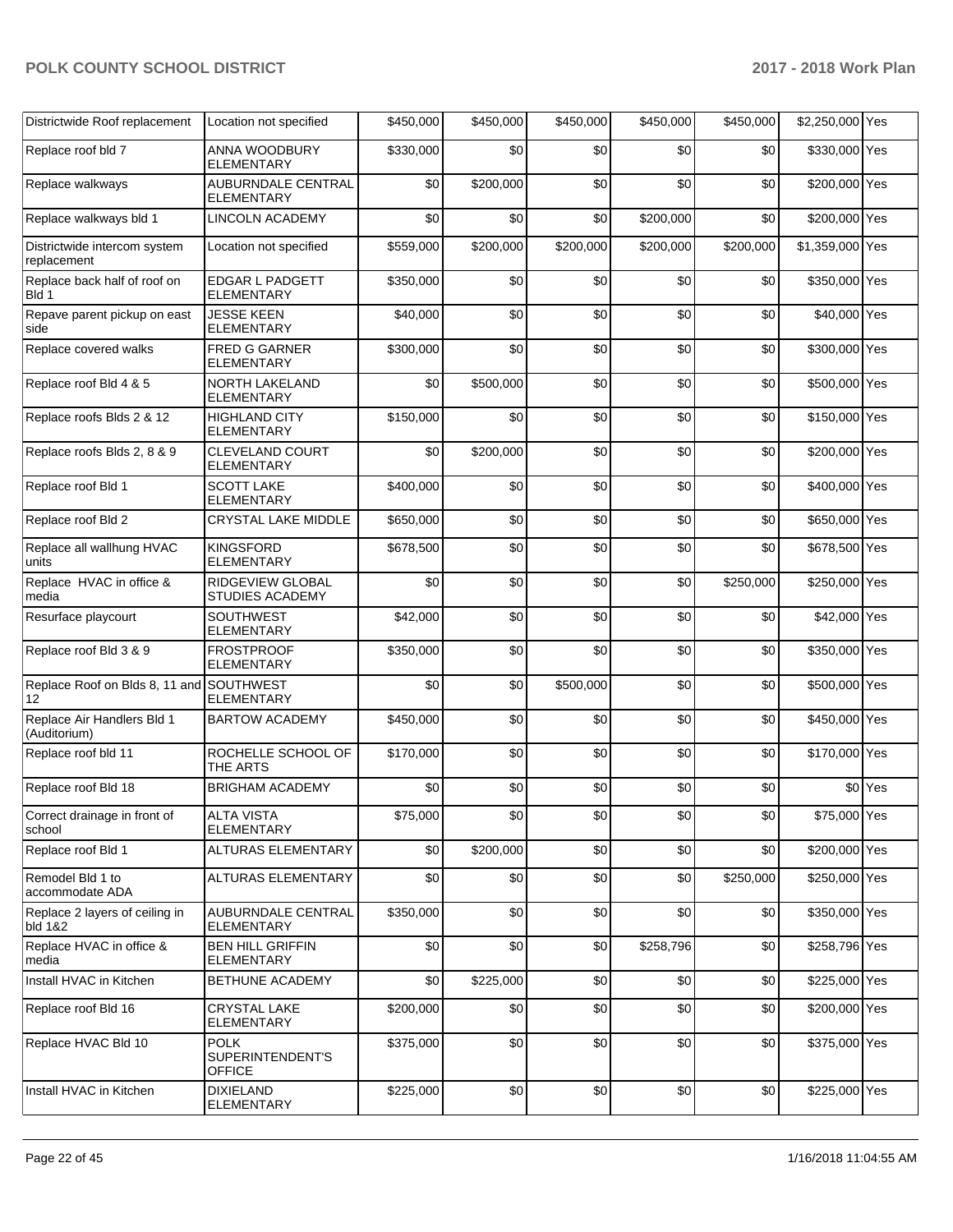| Districtwide Roof replacement                  | Location not specified                           | \$450,000 | \$450,000 | \$450,000 | \$450,000 | \$450,000 | \$2,250,000 Yes |                    |
|------------------------------------------------|--------------------------------------------------|-----------|-----------|-----------|-----------|-----------|-----------------|--------------------|
| Replace roof bld 7                             | ANNA WOODBURY<br><b>ELEMENTARY</b>               | \$330,000 | \$0       | \$0       | \$0       | \$0       | \$330,000 Yes   |                    |
| Replace walkways                               | AUBURNDALE CENTRAL<br>ELEMENTARY                 | \$0       | \$200,000 | \$0       | \$0       | \$0       | \$200,000 Yes   |                    |
| Replace walkways bld 1                         | <b>LINCOLN ACADEMY</b>                           | \$0       | \$0       | \$0       | \$200,000 | \$0       | \$200,000 Yes   |                    |
| Districtwide intercom system<br>replacement    | Location not specified                           | \$559,000 | \$200,000 | \$200,000 | \$200,000 | \$200,000 | \$1,359,000 Yes |                    |
| Replace back half of roof on<br>Bld 1          | <b>EDGAR L PADGETT</b><br>ELEMENTARY             | \$350,000 | \$0       | \$0       | \$0       | \$0       | \$350,000 Yes   |                    |
| Repave parent pickup on east<br>side           | <b>JESSE KEEN</b><br><b>ELEMENTARY</b>           | \$40,000  | \$0       | \$0       | \$0       | \$0       | \$40,000 Yes    |                    |
| Replace covered walks                          | <b>FRED G GARNER</b><br>ELEMENTARY               | \$300,000 | \$0       | \$0       | \$0       | \$0       | \$300,000 Yes   |                    |
| Replace roof Bld 4 & 5                         | <b>NORTH LAKELAND</b><br>ELEMENTARY              | \$0       | \$500,000 | \$0       | \$0       | \$0       | \$500,000 Yes   |                    |
| Replace roofs Blds 2 & 12                      | <b>HIGHLAND CITY</b><br><b>ELEMENTARY</b>        | \$150,000 | \$0       | \$0       | \$0       | \$0       | \$150,000 Yes   |                    |
| Replace roofs Blds 2, 8 & 9                    | CLEVELAND COURT<br><b>ELEMENTARY</b>             | \$0       | \$200,000 | \$0       | \$0       | \$0       | \$200,000 Yes   |                    |
| Replace roof Bld 1                             | <b>SCOTT LAKE</b><br>ELEMENTARY                  | \$400,000 | \$0       | \$0       | \$0       | \$0       | \$400,000 Yes   |                    |
| Replace roof Bld 2                             | <b>CRYSTAL LAKE MIDDLE</b>                       | \$650,000 | \$0       | \$0       | \$0       | \$0       | \$650,000 Yes   |                    |
| Replace all wallhung HVAC<br>units             | <b>KINGSFORD</b><br><b>ELEMENTARY</b>            | \$678,500 | \$0       | \$0       | \$0       | \$0       | \$678,500 Yes   |                    |
| Replace HVAC in office &<br>media              | RIDGEVIEW GLOBAL<br><b>STUDIES ACADEMY</b>       | \$0       | \$0       | \$0       | \$0       | \$250,000 | \$250,000 Yes   |                    |
| Resurface playcourt                            | SOUTHWEST<br>ELEMENTARY                          | \$42,000  | \$0       | \$0       | \$0       | \$0       | \$42,000 Yes    |                    |
| Replace roof Bld 3 & 9                         | <b>FROSTPROOF</b><br>ELEMENTARY                  | \$350,000 | \$0       | \$0       | \$0       | \$0       | \$350,000 Yes   |                    |
| Replace Roof on Blds 8, 11 and SOUTHWEST<br>12 | <b>ELEMENTARY</b>                                | \$0       | \$0       | \$500,000 | \$0       | \$0       | \$500,000 Yes   |                    |
| Replace Air Handlers Bld 1<br>(Auditorium)     | <b>BARTOW ACADEMY</b>                            | \$450,000 | \$0       | \$0       | \$0       | \$0       | \$450,000 Yes   |                    |
| Replace roof bld 11                            | ROCHELLE SCHOOL OF<br>THE ARTS                   | \$170,000 | \$0       | \$0       | \$0       | \$0       | \$170,000 Yes   |                    |
| Replace roof Bld 18                            | <b>BRIGHAM ACADEMY</b>                           | \$0       | \$0       | \$0       | \$0       | \$0       |                 | \$0 <sup>Yes</sup> |
| Correct drainage in front of<br>school         | <b>ALTA VISTA</b><br><b>ELEMENTARY</b>           | \$75,000  | \$0       | \$0       | \$0       | \$0       | \$75,000 Yes    |                    |
| Replace roof Bld 1                             | <b>ALTURAS ELEMENTARY</b>                        | \$0       | \$200,000 | \$0       | \$0       | \$0       | \$200,000 Yes   |                    |
| Remodel Bld 1 to<br>accommodate ADA            | ALTURAS ELEMENTARY                               | \$0       | \$0       | \$0       | \$0       | \$250,000 | \$250,000 Yes   |                    |
| Replace 2 layers of ceiling in<br>bld 1&2      | AUBURNDALE CENTRAL<br><b>ELEMENTARY</b>          | \$350,000 | \$0       | \$0       | \$0       | \$0       | \$350,000 Yes   |                    |
| Replace HVAC in office &<br>media              | <b>BEN HILL GRIFFIN</b><br>ELEMENTARY            | \$0       | \$0       | \$0       | \$258,796 | \$0       | \$258,796 Yes   |                    |
| Install HVAC in Kitchen                        | BETHUNE ACADEMY                                  | \$0       | \$225,000 | \$0       | \$0       | \$0       | \$225,000 Yes   |                    |
| Replace roof Bld 16                            | CRYSTAL LAKE<br>ELEMENTARY                       | \$200,000 | \$0       | \$0       | \$0       | \$0       | \$200,000 Yes   |                    |
| Replace HVAC Bld 10                            | <b>POLK</b><br>SUPERINTENDENT'S<br><b>OFFICE</b> | \$375,000 | \$0       | \$0       | \$0       | \$0       | \$375,000 Yes   |                    |
| Install HVAC in Kitchen                        | <b>DIXIELAND</b><br>ELEMENTARY                   | \$225,000 | \$0       | \$0       | \$0       | \$0       | \$225,000 Yes   |                    |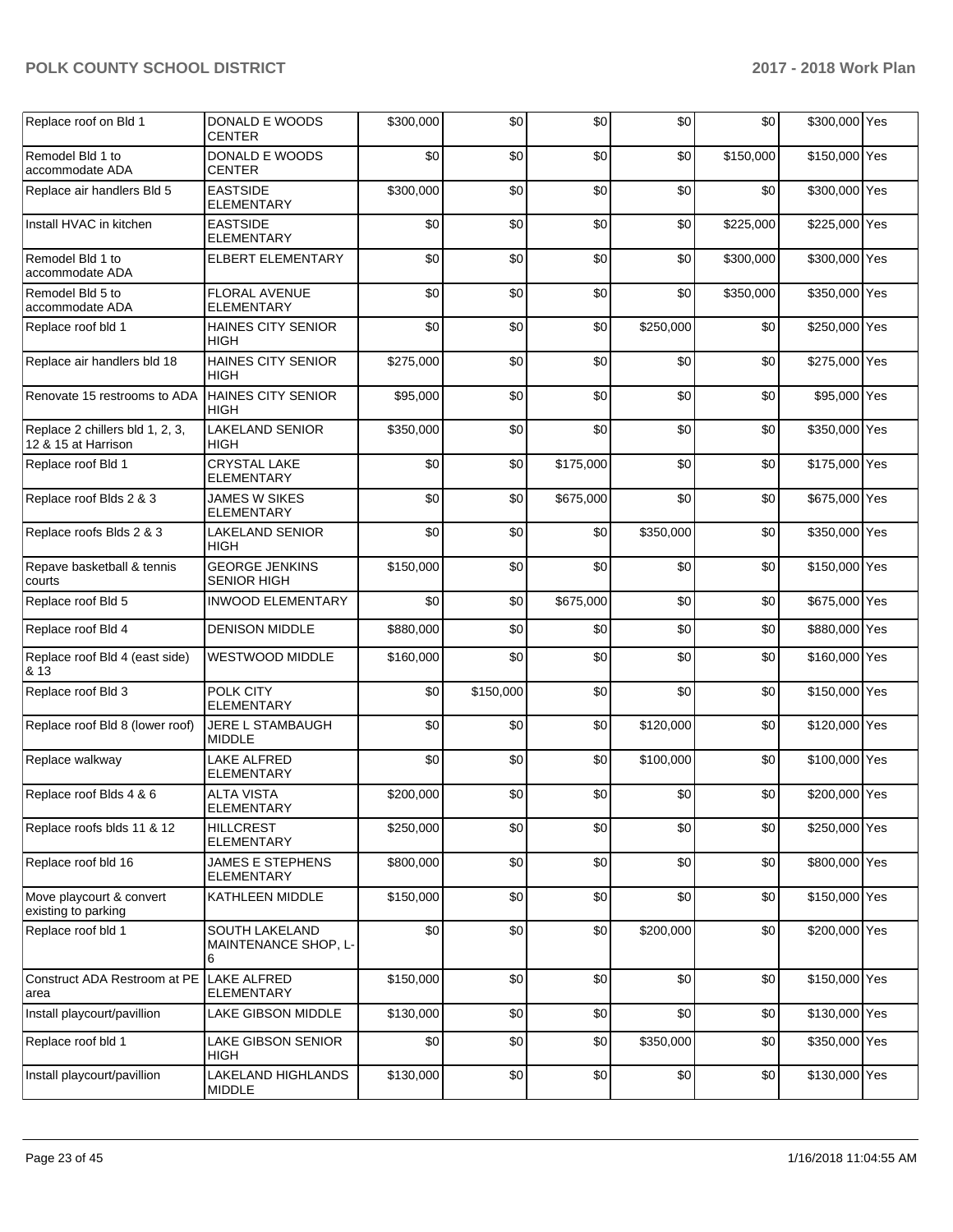| Replace roof on Bld 1                                  | DONALD E WOODS<br>CENTER                    | \$300,000 | \$0       | \$0       | \$0       | \$0       | \$300,000 Yes |  |
|--------------------------------------------------------|---------------------------------------------|-----------|-----------|-----------|-----------|-----------|---------------|--|
| Remodel Bld 1 to<br>accommodate ADA                    | DONALD E WOODS<br><b>CENTER</b>             | \$0       | \$0       | \$0       | \$0       | \$150,000 | \$150,000 Yes |  |
| Replace air handlers Bld 5                             | <b>EASTSIDE</b><br>ELEMENTARY               | \$300,000 | \$0       | \$0       | \$0       | \$0       | \$300,000 Yes |  |
| Install HVAC in kitchen                                | <b>EASTSIDE</b><br><b>ELEMENTARY</b>        | \$0       | \$0       | \$0       | \$0       | \$225,000 | \$225,000 Yes |  |
| Remodel Bld 1 to<br>accommodate ADA                    | ELBERT ELEMENTARY                           | \$0       | \$0       | \$0       | \$0       | \$300,000 | \$300,000 Yes |  |
| Remodel Bld 5 to<br>accommodate ADA                    | FLORAL AVENUE<br><b>ELEMENTARY</b>          | \$0       | \$0       | \$0       | \$0       | \$350,000 | \$350,000 Yes |  |
| Replace roof bld 1                                     | HAINES CITY SENIOR<br>HIGH                  | \$0       | \$0       | \$0       | \$250,000 | \$0       | \$250,000 Yes |  |
| Replace air handlers bld 18                            | <b>HAINES CITY SENIOR</b><br><b>HIGH</b>    | \$275,000 | \$0       | \$0       | \$0       | \$0       | \$275,000 Yes |  |
| Renovate 15 restrooms to ADA                           | HAINES CITY SENIOR<br>HIGH                  | \$95,000  | \$0       | \$0       | \$0       | \$0       | \$95,000 Yes  |  |
| Replace 2 chillers bld 1, 2, 3,<br>12 & 15 at Harrison | LAKELAND SENIOR<br>HIGH                     | \$350,000 | \$0       | \$0       | \$0       | \$0       | \$350,000 Yes |  |
| Replace roof Bld 1                                     | <b>CRYSTAL LAKE</b><br><b>ELEMENTARY</b>    | \$0       | \$0       | \$175,000 | \$0       | \$0       | \$175,000 Yes |  |
| Replace roof Blds 2 & 3                                | JAMES W SIKES<br>ELEMENTARY                 | \$0       | \$0       | \$675,000 | \$0       | \$0       | \$675,000 Yes |  |
| Replace roofs Blds 2 & 3                               | <b>LAKELAND SENIOR</b><br>HIGH              | \$0       | \$0       | \$0       | \$350,000 | \$0       | \$350,000 Yes |  |
| Repave basketball & tennis<br>courts                   | <b>GEORGE JENKINS</b><br><b>SENIOR HIGH</b> | \$150,000 | \$0       | \$0       | \$0       | \$0       | \$150,000 Yes |  |
| Replace roof Bld 5                                     | <b>INWOOD ELEMENTARY</b>                    | \$0       | \$0       | \$675,000 | \$0       | \$0       | \$675,000 Yes |  |
| Replace roof Bld 4                                     | <b>DENISON MIDDLE</b>                       | \$880,000 | \$0       | \$0       | \$0       | \$0       | \$880,000 Yes |  |
| Replace roof Bld 4 (east side)<br>& 13                 | <b>WESTWOOD MIDDLE</b>                      | \$160,000 | \$0       | \$0       | \$0       | \$0       | \$160,000 Yes |  |
| Replace roof Bld 3                                     | POLK CITY<br><b>ELEMENTARY</b>              | \$0       | \$150,000 | \$0       | \$0       | \$0       | \$150,000 Yes |  |
| Replace roof Bld 8 (lower roof)                        | JERE L STAMBAUGH<br><b>MIDDLE</b>           | \$0       | \$0       | \$0       | \$120,000 | \$0       | \$120,000 Yes |  |
| Replace walkway                                        | <b>LAKE ALFRED</b><br>ELEMENTARY            | \$0       | \$0       | \$0       | \$100,000 | \$0       | \$100,000 Yes |  |
| Replace roof Blds 4 & 6                                | <b>ALTA VISTA</b><br><b>ELEMENTARY</b>      | \$200,000 | \$0       | \$0       | \$0       | \$0       | \$200,000 Yes |  |
| Replace roofs blds 11 & 12                             | HILLCREST<br>ELEMENTARY                     | \$250,000 | \$0       | \$0       | \$0       | \$0       | \$250,000 Yes |  |
| Replace roof bld 16                                    | JAMES E STEPHENS<br>ELEMENTARY              | \$800,000 | \$0       | \$0       | \$0       | \$0       | \$800,000 Yes |  |
| Move playcourt & convert<br>existing to parking        | KATHLEEN MIDDLE                             | \$150,000 | \$0       | \$0       | \$0       | \$0       | \$150,000 Yes |  |
| Replace roof bld 1                                     | SOUTH LAKELAND<br>MAINTENANCE SHOP, L-<br>6 | \$0       | \$0       | \$0       | \$200,000 | \$0       | \$200,000 Yes |  |
| Construct ADA Restroom at PE<br>area                   | <b>LAKE ALFRED</b><br>ELEMENTARY            | \$150,000 | \$0       | \$0       | \$0       | \$0       | \$150,000 Yes |  |
| Install playcourt/pavillion                            | LAKE GIBSON MIDDLE                          | \$130,000 | \$0       | \$0       | \$0       | \$0       | \$130,000 Yes |  |
| Replace roof bld 1                                     | LAKE GIBSON SENIOR<br>HIGH                  | \$0       | \$0       | \$0       | \$350,000 | \$0       | \$350,000 Yes |  |
| Install playcourt/pavillion                            | LAKELAND HIGHLANDS<br><b>MIDDLE</b>         | \$130,000 | \$0       | \$0       | \$0       | \$0       | \$130,000 Yes |  |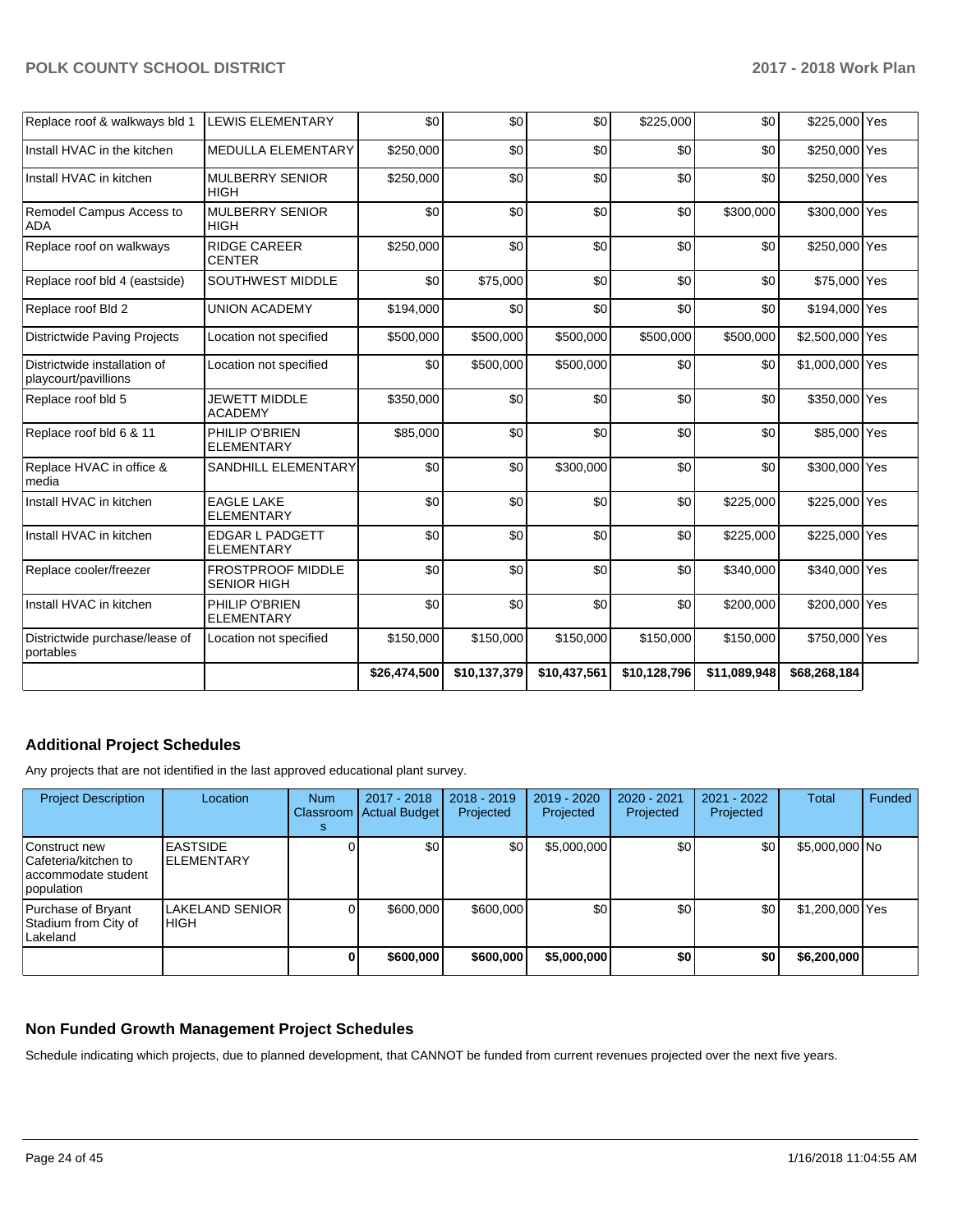| Replace roof & walkways bld 1                        | LEWIS ELEMENTARY                               | \$0          | \$0          | \$0          | \$225,000    | \$0          | \$225,000 Yes   |  |
|------------------------------------------------------|------------------------------------------------|--------------|--------------|--------------|--------------|--------------|-----------------|--|
| Install HVAC in the kitchen                          | MEDULLA ELEMENTARY                             | \$250,000    | \$0          | \$0          | \$0          | \$0          | \$250,000 Yes   |  |
| Install HVAC in kitchen                              | <b>MULBERRY SENIOR</b><br><b>HIGH</b>          | \$250,000    | \$0          | \$0          | \$0          | \$0          | \$250,000 Yes   |  |
| Remodel Campus Access to<br><b>ADA</b>               | <b>MULBERRY SENIOR</b><br><b>HIGH</b>          | \$0          | \$0          | \$0          | \$0          | \$300,000    | \$300,000 Yes   |  |
| Replace roof on walkways                             | <b>RIDGE CAREER</b><br><b>CENTER</b>           | \$250,000    | \$0          | \$0          | \$0          | \$0          | \$250,000 Yes   |  |
| Replace roof bld 4 (eastside)                        | SOUTHWEST MIDDLE                               | \$0          | \$75,000     | \$0          | \$0          | \$0          | \$75,000 Yes    |  |
| Replace roof Bld 2                                   | <b>UNION ACADEMY</b>                           | \$194,000    | \$0          | \$0          | \$0          | \$0          | \$194,000 Yes   |  |
| <b>Districtwide Paving Projects</b>                  | Location not specified                         | \$500,000    | \$500,000    | \$500,000    | \$500,000    | \$500,000    | \$2,500,000 Yes |  |
| Districtwide installation of<br>playcourt/pavillions | Location not specified                         | \$0          | \$500,000    | \$500,000    | \$0          | \$0          | \$1,000,000 Yes |  |
| Replace roof bld 5                                   | <b>JEWETT MIDDLE</b><br><b>ACADEMY</b>         | \$350,000    | \$0          | \$0          | \$0          | \$0          | \$350,000 Yes   |  |
| Replace roof bld 6 & 11                              | PHILIP O'BRIEN<br><b>ELEMENTARY</b>            | \$85,000     | \$0          | \$0          | \$0          | \$0          | \$85,000 Yes    |  |
| Replace HVAC in office &<br>media                    | SANDHILL ELEMENTARY                            | \$0          | \$0          | \$300,000    | \$0          | \$0          | \$300,000 Yes   |  |
| Install HVAC in kitchen                              | <b>EAGLE LAKE</b><br><b>ELEMENTARY</b>         | \$0          | \$0          | \$0          | \$0          | \$225,000    | \$225,000 Yes   |  |
| Install HVAC in kitchen                              | <b>EDGAR L PADGETT</b><br><b>ELEMENTARY</b>    | \$0          | \$0          | \$0          | \$0          | \$225,000    | \$225,000 Yes   |  |
| Replace cooler/freezer                               | <b>FROSTPROOF MIDDLE</b><br><b>SENIOR HIGH</b> | \$0          | \$0          | \$0          | \$0          | \$340,000    | \$340,000 Yes   |  |
| Install HVAC in kitchen                              | PHILIP O'BRIEN<br><b>ELEMENTARY</b>            | \$0          | \$0          | \$0          | \$0          | \$200,000    | \$200,000 Yes   |  |
| Districtwide purchase/lease of<br>portables          | Location not specified                         | \$150,000    | \$150,000    | \$150,000    | \$150,000    | \$150,000    | \$750,000 Yes   |  |
|                                                      |                                                | \$26,474,500 | \$10,137,379 | \$10,437,561 | \$10,128,796 | \$11,089,948 | \$68,268,184    |  |

## **Additional Project Schedules**

Any projects that are not identified in the last approved educational plant survey.

| <b>Project Description</b>                                                   | Location                             | <b>Num</b><br>s | 2017 - 2018<br>Classroom Actual Budget | $2018 - 2019$<br>Projected | $2019 - 2020$<br>Projected | 2020 - 2021<br>Projected | $2021 - 2022$<br>Projected | Total           | Funded |
|------------------------------------------------------------------------------|--------------------------------------|-----------------|----------------------------------------|----------------------------|----------------------------|--------------------------|----------------------------|-----------------|--------|
| Construct new<br>lCafeteria/kitchen to<br>laccommodate student<br>population | <b>EASTSIDE</b><br><b>ELEMENTARY</b> |                 | \$0                                    | \$0                        | \$5,000,000                | \$0                      | \$0                        | \$5,000,000 No  |        |
| Purchase of Bryant<br>Stadium from City of<br>Lakeland                       | LAKELAND SENIOR<br>IHIGH             |                 | \$600,000                              | \$600,000                  | \$0                        | \$0                      | \$0                        | \$1,200,000 Yes |        |
|                                                                              |                                      |                 | \$600,000                              | \$600,000                  | \$5,000,000                | \$0                      | \$0                        | \$6,200,000     |        |

## **Non Funded Growth Management Project Schedules**

Schedule indicating which projects, due to planned development, that CANNOT be funded from current revenues projected over the next five years.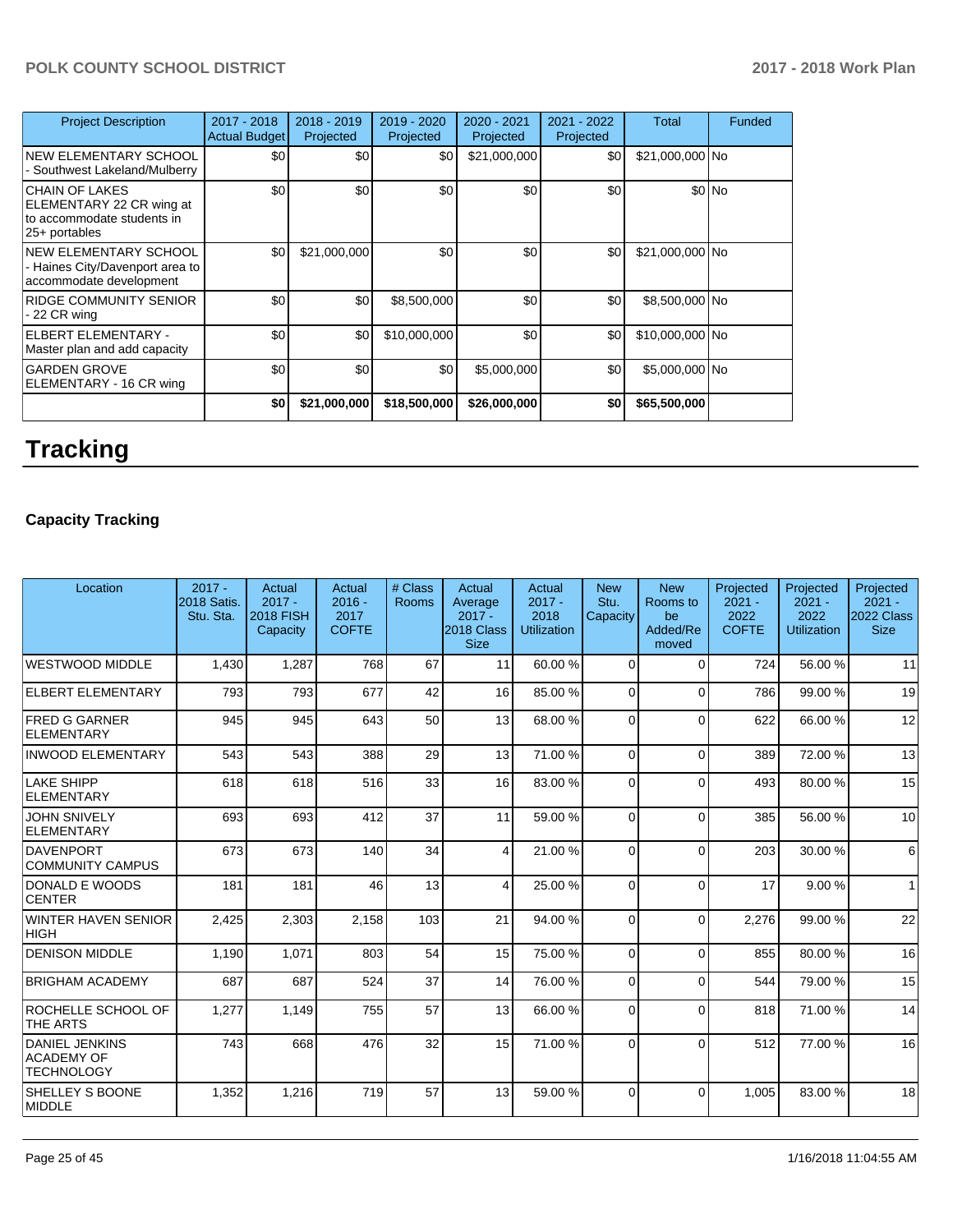| <b>Project Description</b>                                                                         | 2017 - 2018<br><b>Actual Budget</b> | 2018 - 2019<br>Projected | 2019 - 2020<br>Projected | 2020 - 2021<br>Projected | 2021 - 2022<br>Projected | Total           | Funded |
|----------------------------------------------------------------------------------------------------|-------------------------------------|--------------------------|--------------------------|--------------------------|--------------------------|-----------------|--------|
| <b>NEW ELEMENTARY SCHOOL</b><br>- Southwest Lakeland/Mulberry                                      | \$0 <sub>1</sub>                    | \$0                      | \$0                      | \$21,000,000             | \$0                      | \$21,000,000 No |        |
| <b>CHAIN OF LAKES</b><br>ELEMENTARY 22 CR wing at<br>to accommodate students in<br>$25+$ portables | \$0                                 | \$0                      | \$0                      | \$0                      | \$0                      |                 | \$0 No |
| <b>NEW ELEMENTARY SCHOOL</b><br>- Haines City/Davenport area to<br>accommodate development         | \$0                                 | \$21,000,000             | \$0                      | \$0                      | \$0                      | \$21,000,000 No |        |
| RIDGE COMMUNITY SENIOR<br>- 22 CR wing                                                             | \$0                                 | \$0                      | \$8,500,000              | \$0                      | \$0                      | \$8,500,000 No  |        |
| <b>ELBERT ELEMENTARY -</b><br>Master plan and add capacity                                         | \$0                                 | \$0                      | \$10,000,000             | \$0                      | \$0                      | \$10,000,000 No |        |
| <b>GARDEN GROVE</b><br>ELEMENTARY - 16 CR wing                                                     | \$0                                 | \$0                      | \$0                      | \$5,000,000              | \$0 <sub>1</sub>         | \$5,000,000 No  |        |
|                                                                                                    | \$0                                 | \$21,000,000             | \$18,500,000             | \$26,000,000             | \$0                      | \$65,500,000    |        |

# **Tracking**

# **Capacity Tracking**

| Location                                                        | $2017 -$<br>2018 Satis.<br>Stu. Sta. | Actual<br>$2017 -$<br><b>2018 FISH</b><br>Capacity | Actual<br>$2016 -$<br>2017<br><b>COFTE</b> | # Class<br>Rooms | Actual<br>Average<br>$2017 -$<br>2018 Class<br><b>Size</b> | Actual<br>$2017 -$<br>2018<br><b>Utilization</b> | <b>New</b><br>Stu.<br>Capacity | <b>New</b><br>Rooms to<br>be<br>Added/Re<br>moved | Projected<br>$2021 -$<br>2022<br><b>COFTE</b> | Projected<br>$2021 -$<br>2022<br><b>Utilization</b> | Projected<br>$2021 -$<br>2022 Class  <br><b>Size</b> |
|-----------------------------------------------------------------|--------------------------------------|----------------------------------------------------|--------------------------------------------|------------------|------------------------------------------------------------|--------------------------------------------------|--------------------------------|---------------------------------------------------|-----------------------------------------------|-----------------------------------------------------|------------------------------------------------------|
| <b>WESTWOOD MIDDLE</b>                                          | 1,430                                | 1,287                                              | 768                                        | 67               | 11                                                         | 60.00%                                           | $\Omega$                       | $\Omega$                                          | 724                                           | 56.00 %                                             | 11                                                   |
| <b>ELBERT ELEMENTARY</b>                                        | 793                                  | 793                                                | 677                                        | 42               | 16 <sup>1</sup>                                            | 85.00 %                                          | $\Omega$                       | $\Omega$                                          | 786                                           | 99.00 %                                             | 19                                                   |
| <b>FRED G GARNER</b><br>ELEMENTARY                              | 945                                  | 945                                                | 643                                        | 50               | 13                                                         | 68.00 %                                          | $\Omega$                       | $\Omega$                                          | 622                                           | 66.00 %                                             | 12                                                   |
| <b>INWOOD ELEMENTARY</b>                                        | 543                                  | 543                                                | 388                                        | 29               | 13 <sup>1</sup>                                            | 71.00 %                                          | $\Omega$                       | $\Omega$                                          | 389                                           | 72.00 %                                             | 13                                                   |
| LAKE SHIPP<br>ELEMENTARY                                        | 618                                  | 618                                                | 516                                        | 33               | 16                                                         | 83.00 %                                          | 0                              | $\Omega$                                          | 493                                           | 80.00%                                              | 15                                                   |
| <b>JOHN SNIVELY</b><br>ELEMENTARY                               | 693                                  | 693                                                | 412                                        | 37               | 11                                                         | 59.00 %                                          | $\Omega$                       | $\Omega$                                          | 385                                           | 56.00 %                                             | 10 <sup>1</sup>                                      |
| DAVENPORT<br><b>COMMUNITY CAMPUS</b>                            | 673                                  | 673                                                | 140                                        | 34               | 4                                                          | 21.00%                                           | $\Omega$                       | $\Omega$                                          | 203                                           | 30.00 %                                             | $6 \overline{6}$                                     |
| DONALD E WOODS<br><b>CENTER</b>                                 | 181                                  | 181                                                | 46                                         | 13               | 4                                                          | 25.00 %                                          | $\Omega$                       | $\Omega$                                          | 17                                            | 9.00%                                               | 1                                                    |
| WINTER HAVEN SENIOR<br><b>HIGH</b>                              | 2,425                                | 2,303                                              | 2,158                                      | 103              | 21                                                         | 94.00%                                           | $\Omega$                       | $\Omega$                                          | 2,276                                         | 99.00 %                                             | 22                                                   |
| <b>DENISON MIDDLE</b>                                           | 1.190                                | 1.071                                              | 803                                        | 54               | 15 <sup>1</sup>                                            | 75.00 %                                          | $\Omega$                       | $\Omega$                                          | 855                                           | 80.00%                                              | 16                                                   |
| <b>BRIGHAM ACADEMY</b>                                          | 687                                  | 687                                                | 524                                        | 37               | 14                                                         | 76.00 %                                          | $\Omega$                       | $\Omega$                                          | 544                                           | 79.00 %                                             | 15                                                   |
| ROCHELLE SCHOOL OF<br><b>THE ARTS</b>                           | 1,277                                | 1,149                                              | 755                                        | 57               | 13                                                         | 66.00 %                                          | $\Omega$                       | $\Omega$                                          | 818                                           | 71.00 %                                             | 14                                                   |
| <b>DANIEL JENKINS</b><br><b>ACADEMY OF</b><br><b>TECHNOLOGY</b> | 743                                  | 668                                                | 476                                        | 32               | 15                                                         | 71.00 %                                          | $\Omega$                       | $\Omega$                                          | 512                                           | 77.00 %                                             | 16                                                   |
| <b>SHELLEY S BOONE</b><br>MIDDLE                                | 1,352                                | 1,216                                              | 719                                        | 57               | 13 <sup>1</sup>                                            | 59.00 %                                          | $\Omega$                       | $\Omega$                                          | 1.005                                         | 83.00 %                                             | 18                                                   |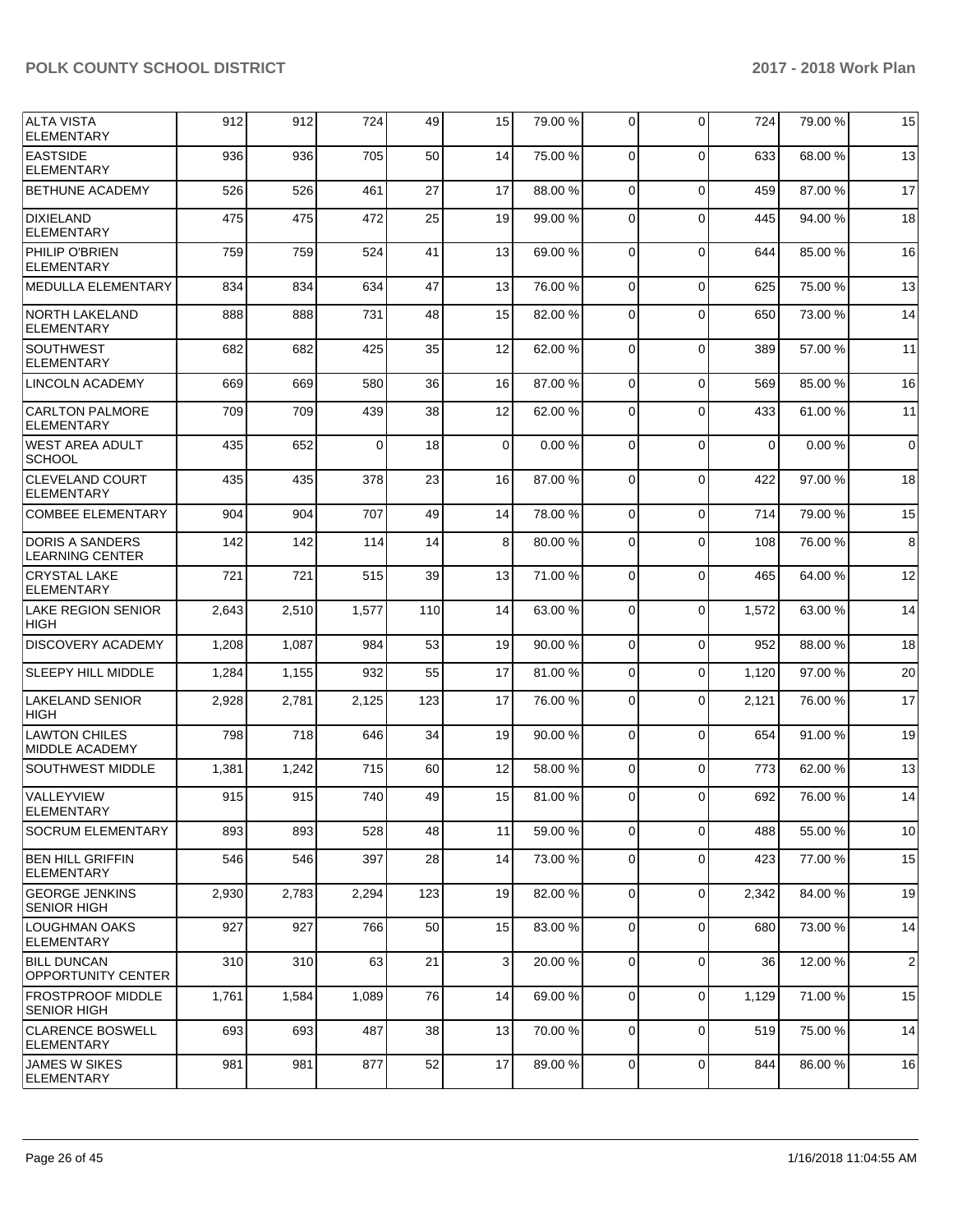| <b>ALTA VISTA</b><br>ELEMENTARY                  | 912   | 912   | 724      | 49  | 15 | 79.00 % | $\Omega$    | $\Omega$    | 724   | 79.00 % | 15             |
|--------------------------------------------------|-------|-------|----------|-----|----|---------|-------------|-------------|-------|---------|----------------|
| <b>EASTSIDE</b><br><b>ELEMENTARY</b>             | 936   | 936   | 705      | 50  | 14 | 75.00 % | $\mathbf 0$ | $\Omega$    | 633   | 68.00 % | 13             |
| <b>BETHUNE ACADEMY</b>                           | 526   | 526   | 461      | 27  | 17 | 88.00 % | $\Omega$    | $\Omega$    | 459   | 87.00 % | 17             |
| <b>DIXIELAND</b><br><b>ELEMENTARY</b>            | 475   | 475   | 472      | 25  | 19 | 99.00 % | $\Omega$    | $\Omega$    | 445   | 94.00%  | 18             |
| PHILIP O'BRIEN<br><b>ELEMENTARY</b>              | 759   | 759   | 524      | 41  | 13 | 69.00%  | $\Omega$    | $\mathbf 0$ | 644   | 85.00 % | 16             |
| <b>IMEDULLA ELEMENTARY</b>                       | 834   | 834   | 634      | 47  | 13 | 76.00 % | $\mathbf 0$ | $\Omega$    | 625   | 75.00 % | 13             |
| NORTH LAKELAND<br><b>ELEMENTARY</b>              | 888   | 888   | 731      | 48  | 15 | 82.00 % | $\mathbf 0$ | $\Omega$    | 650   | 73.00 % | 14             |
| <b>SOUTHWEST</b><br><b>ELEMENTARY</b>            | 682   | 682   | 425      | 35  | 12 | 62.00 % | $\Omega$    | $\Omega$    | 389   | 57.00 % | 11             |
| <b>LINCOLN ACADEMY</b>                           | 669   | 669   | 580      | 36  | 16 | 87.00 % | $\Omega$    | $\Omega$    | 569   | 85.00 % | 16             |
| <b>CARLTON PALMORE</b><br><b>ELEMENTARY</b>      | 709   | 709   | 439      | 38  | 12 | 62.00 % | $\Omega$    | $\Omega$    | 433   | 61.00 % | 11             |
| WEST AREA ADULT<br><b>SCHOOL</b>                 | 435   | 652   | $\Omega$ | 18  | 0  | 0.00%   | $\mathbf 0$ | $\Omega$    | 0     | 0.00%   | $\mathbf 0$    |
| <b>CLEVELAND COURT</b><br><b>ELEMENTARY</b>      | 435   | 435   | 378      | 23  | 16 | 87.00 % | $\Omega$    | $\Omega$    | 422   | 97.00 % | 18             |
| <b>COMBEE ELEMENTARY</b>                         | 904   | 904   | 707      | 49  | 14 | 78.00 % | $\Omega$    | $\Omega$    | 714   | 79.00%  | 15             |
| <b>DORIS A SANDERS</b><br><b>LEARNING CENTER</b> | 142   | 142   | 114      | 14  | 8  | 80.00 % | $\Omega$    | $\Omega$    | 108   | 76.00 % | 8              |
| <b>CRYSTAL LAKE</b><br><b>ELEMENTARY</b>         | 721   | 721   | 515      | 39  | 13 | 71.00 % | $\mathbf 0$ | $\Omega$    | 465   | 64.00 % | 12             |
| <b>LAKE REGION SENIOR</b><br><b>HIGH</b>         | 2,643 | 2,510 | 1,577    | 110 | 14 | 63.00 % | $\Omega$    | $\Omega$    | 1,572 | 63.00 % | 14             |
| <b>DISCOVERY ACADEMY</b>                         | 1,208 | 1,087 | 984      | 53  | 19 | 90.00 % | $\Omega$    | $\Omega$    | 952   | 88.00 % | 18             |
| <b>SLEEPY HILL MIDDLE</b>                        | 1,284 | 1,155 | 932      | 55  | 17 | 81.00%  | $\Omega$    | $\Omega$    | 1,120 | 97.00 % | 20             |
| <b>LAKELAND SENIOR</b><br><b>HIGH</b>            | 2,928 | 2,781 | 2,125    | 123 | 17 | 76.00 % | $\Omega$    | $\Omega$    | 2,121 | 76.00 % | 17             |
| LAWTON CHILES<br><b>MIDDLE ACADEMY</b>           | 798   | 718   | 646      | 34  | 19 | 90.00 % | $\mathbf 0$ | $\Omega$    | 654   | 91.00 % | 19             |
| <b>SOUTHWEST MIDDLE</b>                          | 1,381 | 1,242 | 715      | 60  | 12 | 58.00 % | $\Omega$    | $\Omega$    | 773   | 62.00 % | 13             |
| VALLEYVIEW<br><b>ELEMENTARY</b>                  | 915   | 915   | 740      | 49  | 15 | 81.00%  | 0           | $\Omega$    | 692   | 76.00 % | 14             |
| <b>SOCRUM ELEMENTARY</b>                         | 893   | 893   | 528      | 48  | 11 | 59.00 % | $\mathbf 0$ | $\mathbf 0$ | 488   | 55.00 % | 10             |
| <b>BEN HILL GRIFFIN</b><br> ELEMENTARY           | 546   | 546   | 397      | 28  | 14 | 73.00 % | $\mathbf 0$ | $\mathbf 0$ | 423   | 77.00 % | 15             |
| <b>GEORGE JENKINS</b><br><b>SENIOR HIGH</b>      | 2,930 | 2,783 | 2,294    | 123 | 19 | 82.00 % | 0           | $\mathbf 0$ | 2,342 | 84.00 % | 19             |
| LOUGHMAN OAKS<br><b>ELEMENTARY</b>               | 927   | 927   | 766      | 50  | 15 | 83.00 % | 0           | $\mathbf 0$ | 680   | 73.00 % | 14             |
| <b>BILL DUNCAN</b><br>OPPORTUNITY CENTER         | 310   | 310   | 63       | 21  | 3  | 20.00 % | $\Omega$    | $\mathbf 0$ | 36    | 12.00 % | $\overline{c}$ |
| <b>FROSTPROOF MIDDLE</b><br><b>SENIOR HIGH</b>   | 1,761 | 1,584 | 1,089    | 76  | 14 | 69.00 % | $\mathbf 0$ | $\mathbf 0$ | 1,129 | 71.00 % | 15             |
| <b>CLARENCE BOSWELL</b><br><b>ELEMENTARY</b>     | 693   | 693   | 487      | 38  | 13 | 70.00 % | 0           | $\mathbf 0$ | 519   | 75.00 % | 14             |
| <b>JAMES W SIKES</b><br>ELEMENTARY               | 981   | 981   | 877      | 52  | 17 | 89.00%  | 0           | 0           | 844   | 86.00%  | 16             |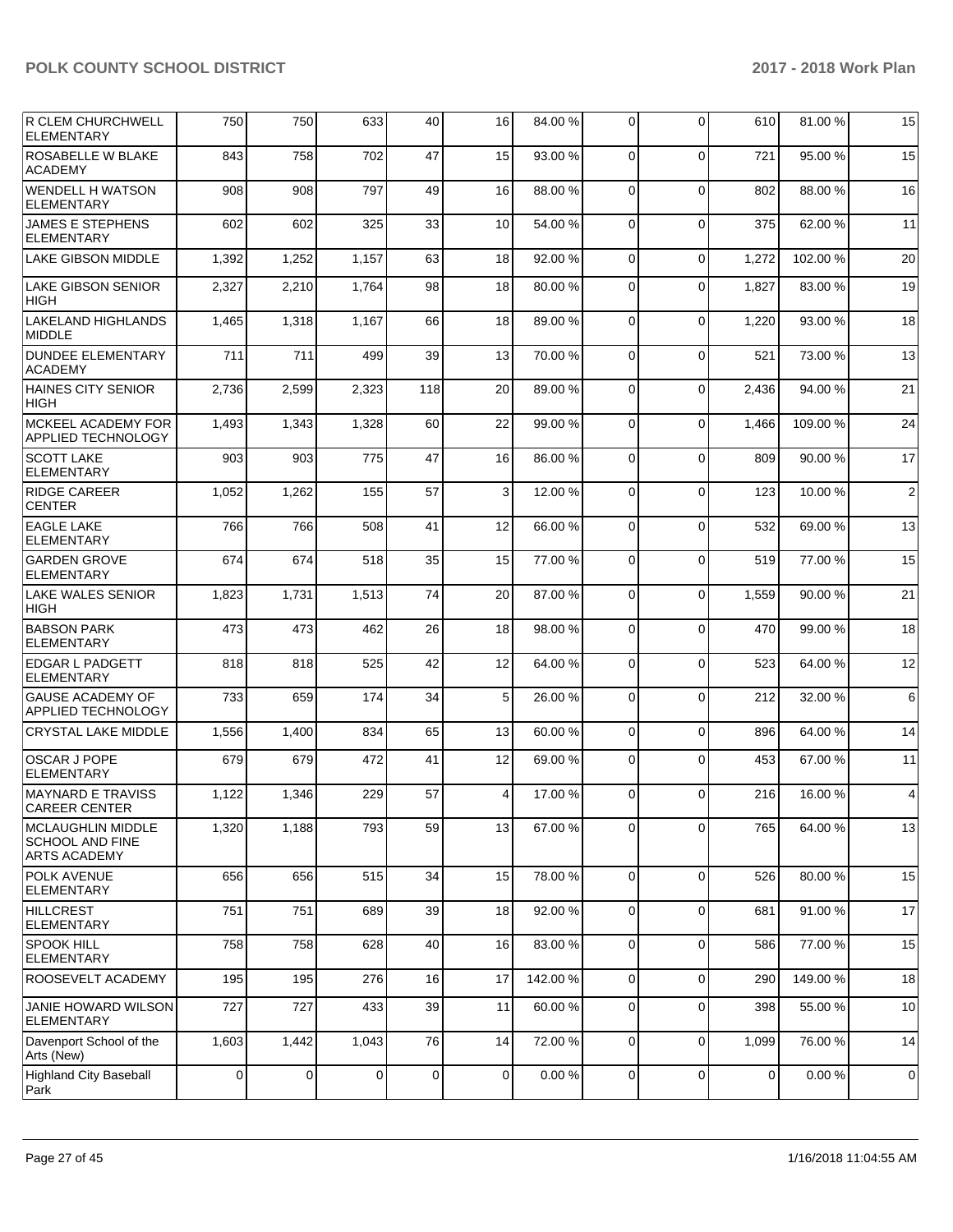| R CLEM CHURCHWELL<br><b>ELEMENTARY</b>                             | 750   | 750   | 633   | 40  | 16 | 84.00 % | $\Omega$    | $\Omega$    | 610   | 81.00 % | 15             |
|--------------------------------------------------------------------|-------|-------|-------|-----|----|---------|-------------|-------------|-------|---------|----------------|
| <b>ROSABELLE W BLAKE</b><br><b>ACADEMY</b>                         | 843   | 758   | 702   | 47  | 15 | 93.00 % | $\mathbf 0$ | $\Omega$    | 721   | 95.00 % | 15             |
| <b>WENDELL H WATSON</b><br><b>ELEMENTARY</b>                       | 908   | 908   | 797   | 49  | 16 | 88.00 % | $\Omega$    | $\Omega$    | 802   | 88.00 % | 16             |
| <b>JAMES E STEPHENS</b><br><b>ELEMENTARY</b>                       | 602   | 602   | 325   | 33  | 10 | 54.00 % | $\Omega$    | $\mathbf 0$ | 375   | 62.00%  | 11             |
| <b>LAKE GIBSON MIDDLE</b>                                          | 1,392 | 1,252 | 1,157 | 63  | 18 | 92.00 % | $\mathbf 0$ | $\mathbf 0$ | 1,272 | 102.00% | 20             |
| LAKE GIBSON SENIOR<br>HIGH                                         | 2,327 | 2,210 | 1,764 | 98  | 18 | 80.00 % | 0           | $\Omega$    | 1,827 | 83.00 % | 19             |
| <b>LAKELAND HIGHLANDS</b><br><b>MIDDLE</b>                         | 1,465 | 1,318 | 1,167 | 66  | 18 | 89.00 % | 0           | $\mathbf 0$ | 1,220 | 93.00 % | 18             |
| <b>DUNDEE ELEMENTARY</b><br><b>ACADEMY</b>                         | 711   | 711   | 499   | 39  | 13 | 70.00 % | $\Omega$    | $\mathbf 0$ | 521   | 73.00 % | 13             |
| HAINES CITY SENIOR<br><b>HIGH</b>                                  | 2,736 | 2,599 | 2,323 | 118 | 20 | 89.00 % | $\mathbf 0$ | $\mathbf 0$ | 2,436 | 94.00 % | 21             |
| MCKEEL ACADEMY FOR<br>APPLIED TECHNOLOGY                           | 1,493 | 1,343 | 1,328 | 60  | 22 | 99.00 % | 0           | $\Omega$    | 1,466 | 109.00% | 24             |
| <b>SCOTT LAKE</b><br>ELEMENTARY                                    | 903   | 903   | 775   | 47  | 16 | 86.00%  | $\Omega$    | $\mathbf 0$ | 809   | 90.00 % | 17             |
| RIDGE CAREER<br><b>CENTER</b>                                      | 1,052 | 1,262 | 155   | 57  | 3  | 12.00 % | $\mathbf 0$ | $\Omega$    | 123   | 10.00 % | $\overline{2}$ |
| <b>EAGLE LAKE</b><br><b>ELEMENTARY</b>                             | 766   | 766   | 508   | 41  | 12 | 66.00 % | 0           | $\Omega$    | 532   | 69.00 % | 13             |
| <b>GARDEN GROVE</b><br><b>ELEMENTARY</b>                           | 674   | 674   | 518   | 35  | 15 | 77.00 % | $\Omega$    | $\mathbf 0$ | 519   | 77.00 % | 15             |
| <b>LAKE WALES SENIOR</b><br><b>HIGH</b>                            | 1,823 | 1,731 | 1,513 | 74  | 20 | 87.00 % | $\mathbf 0$ | $\mathbf 0$ | 1,559 | 90.00 % | 21             |
| <b>BABSON PARK</b><br><b>ELEMENTARY</b>                            | 473   | 473   | 462   | 26  | 18 | 98.00 % | $\Omega$    | $\Omega$    | 470   | 99.00 % | 18             |
| <b>EDGAR L PADGETT</b><br>ELEMENTARY                               | 818   | 818   | 525   | 42  | 12 | 64.00 % | $\Omega$    | $\mathbf 0$ | 523   | 64.00 % | 12             |
| <b>GAUSE ACADEMY OF</b><br><b>APPLIED TECHNOLOGY</b>               | 733   | 659   | 174   | 34  | 5  | 26.00 % | $\mathbf 0$ | $\Omega$    | 212   | 32.00 % | 6              |
| <b>CRYSTAL LAKE MIDDLE</b>                                         | 1,556 | 1,400 | 834   | 65  | 13 | 60.00%  | $\mathbf 0$ | $\Omega$    | 896   | 64.00 % | 14             |
| <b>OSCAR J POPE</b><br><b>ELEMENTARY</b>                           | 679   | 679   | 472   | 41  | 12 | 69.00 % | 0           | $\mathbf 0$ | 453   | 67.00 % | 11             |
| MAYNARD E TRAVISS<br>CAREER CENTER                                 | 1,122 | 1,346 | 229   | 57  | 4  | 17.00 % | $\Omega$    | $\Omega$    | 216   | 16.00 % | 4              |
| MCLAUGHLIN MIDDLE<br><b>SCHOOL AND FINE</b><br><b>ARTS ACADEMY</b> | 1,320 | 1,188 | 793   | 59  | 13 | 67.00 % | 0           | $\mathbf 0$ | 765   | 64.00 % | 13             |
| <b>POLK AVENUE</b><br><b>ELEMENTARY</b>                            | 656   | 656   | 515   | 34  | 15 | 78.00 % | $\mathbf 0$ | $\mathbf 0$ | 526   | 80.00 % | 15             |
| HILLCREST<br><b>ELEMENTARY</b>                                     | 751   | 751   | 689   | 39  | 18 | 92.00 % | $\mathbf 0$ | $\mathbf 0$ | 681   | 91.00%  | 17             |
| <b>SPOOK HILL</b><br><b>ELEMENTARY</b>                             | 758   | 758   | 628   | 40  | 16 | 83.00 % | 0           | $\mathbf 0$ | 586   | 77.00 % | 15             |
| ROOSEVELT ACADEMY                                                  | 195   | 195   | 276   | 16  | 17 | 142.00% | $\mathbf 0$ | $\mathbf 0$ | 290   | 149.00% | 18             |
| JANIE HOWARD WILSON<br>ELEMENTARY                                  | 727   | 727   | 433   | 39  | 11 | 60.00 % | $\mathbf 0$ | $\mathbf 0$ | 398   | 55.00 % | 10             |
| Davenport School of the<br>Arts (New)                              | 1,603 | 1,442 | 1,043 | 76  | 14 | 72.00 % | $\mathbf 0$ | $\mathbf 0$ | 1,099 | 76.00 % | 14             |
| Highland City Baseball<br> Park                                    | 0     | 0     | 0     | 0   | 0  | 0.00 %  | 0           | $\mathbf 0$ | 0     | 0.00%   | 0              |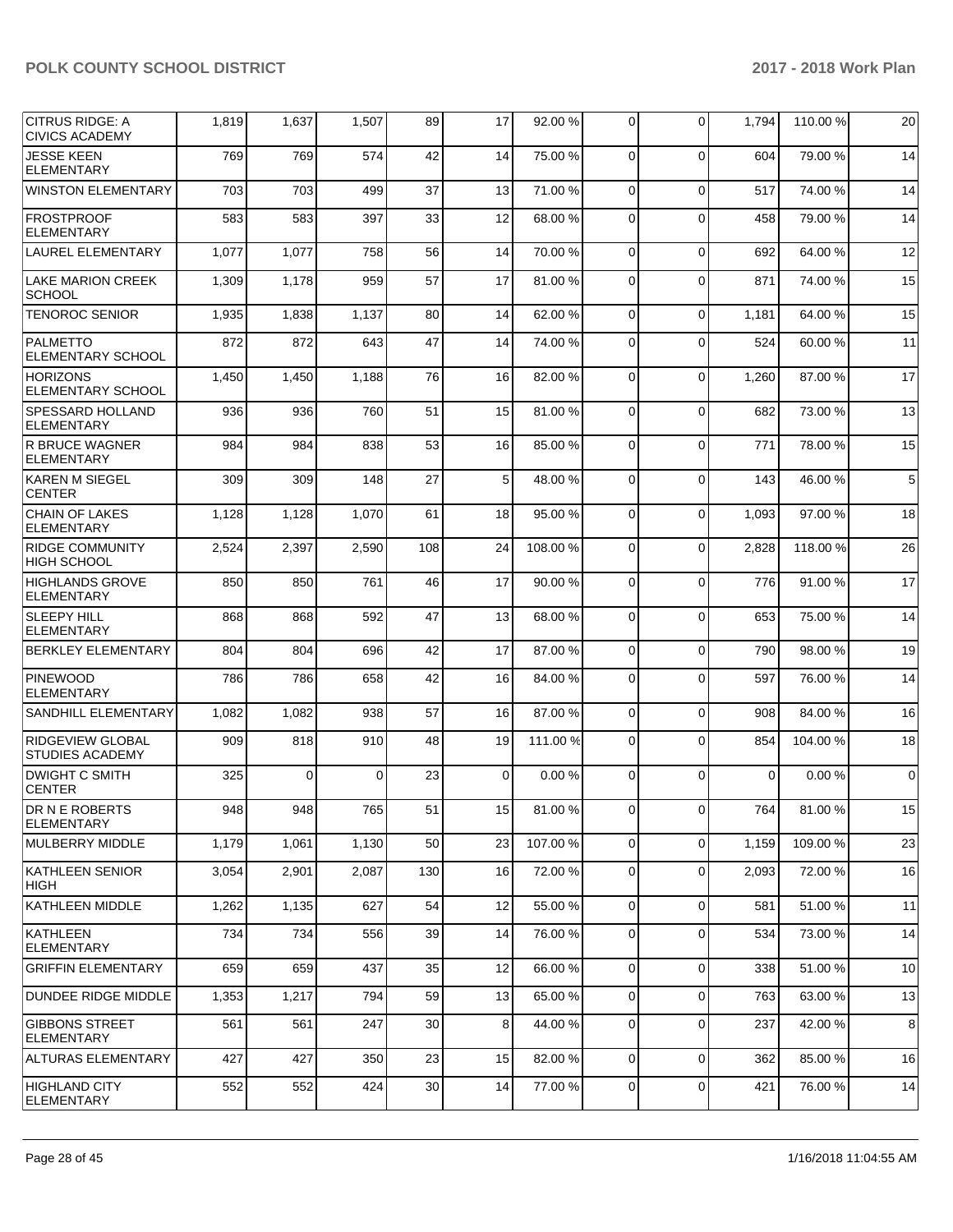| <b>CITRUS RIDGE: A</b><br><b>CIVICS ACADEMY</b>   | 1,819 | 1,637    | 1,507 | 89  | 17          | 92.00 %  | 0              | $\Omega$    | 1,794    | 110.00%  | 20          |
|---------------------------------------------------|-------|----------|-------|-----|-------------|----------|----------------|-------------|----------|----------|-------------|
| <b>JESSE KEEN</b><br><b>ELEMENTARY</b>            | 769   | 769      | 574   | 42  | 14          | 75.00 %  | 0              | $\Omega$    | 604      | 79.00 %  | 14          |
| <b>WINSTON ELEMENTARY</b>                         | 703   | 703      | 499   | 37  | 13          | 71.00 %  | 0              | $\Omega$    | 517      | 74.00 %  | 14          |
| <b>FROSTPROOF</b><br><b>ELEMENTARY</b>            | 583   | 583      | 397   | 33  | 12          | 68.00 %  | 0              | $\mathbf 0$ | 458      | 79.00 %  | 14          |
| <b>LAUREL ELEMENTARY</b>                          | 1,077 | 1,077    | 758   | 56  | 14          | 70.00%   | 0              | $\Omega$    | 692      | 64.00%   | 12          |
| <b>LAKE MARION CREEK</b><br><b>SCHOOL</b>         | 1,309 | 1,178    | 959   | 57  | 17          | 81.00%   | 0              | $\Omega$    | 871      | 74.00 %  | 15          |
| <b>TENOROC SENIOR</b>                             | 1,935 | 1,838    | 1,137 | 80  | 14          | 62.00%   | $\mathbf 0$    | $\mathbf 0$ | 1,181    | 64.00%   | 15          |
| <b>PALMETTO</b><br><b>ELEMENTARY SCHOOL</b>       | 872   | 872      | 643   | 47  | 14          | 74.00 %  | 0              | $\Omega$    | 524      | 60.00 %  | 11          |
| <b>HORIZONS</b><br>ELEMENTARY SCHOOL              | 1,450 | 1,450    | 1,188 | 76  | 16          | 82.00 %  | 0              | $\Omega$    | 1,260    | 87.00 %  | 17          |
| SPESSARD HOLLAND<br><b>ELEMENTARY</b>             | 936   | 936      | 760   | 51  | 15          | 81.00%   | 0              | $\Omega$    | 682      | 73.00 %  | 13          |
| <b>R BRUCE WAGNER</b><br><b>ELEMENTARY</b>        | 984   | 984      | 838   | 53  | 16          | 85.00 %  | 0              | $\Omega$    | 771      | 78.00 %  | 15          |
| KAREN M SIEGEL<br><b>CENTER</b>                   | 309   | 309      | 148   | 27  | 5           | 48.00 %  | 0              | $\mathbf 0$ | 143      | 46.00%   | $\,$ 5 $\,$ |
| <b>CHAIN OF LAKES</b><br><b>ELEMENTARY</b>        | 1,128 | 1,128    | 1,070 | 61  | 18          | 95.00 %  | 0              | $\Omega$    | 1,093    | 97.00 %  | 18          |
| <b>RIDGE COMMUNITY</b><br><b>HIGH SCHOOL</b>      | 2,524 | 2,397    | 2,590 | 108 | 24          | 108.00%  | $\mathbf 0$    | $\Omega$    | 2,828    | 118.00 % | 26          |
| <b>HIGHLANDS GROVE</b><br><b>ELEMENTARY</b>       | 850   | 850      | 761   | 46  | 17          | 90.00 %  | 0              | $\mathbf 0$ | 776      | 91.00 %  | 17          |
| <b>SLEEPY HILL</b><br><b>ELEMENTARY</b>           | 868   | 868      | 592   | 47  | 13          | 68.00 %  | 0              | $\Omega$    | 653      | 75.00 %  | 14          |
| <b>BERKLEY ELEMENTARY</b>                         | 804   | 804      | 696   | 42  | 17          | 87.00 %  | $\mathbf 0$    | $\mathbf 0$ | 790      | 98.00 %  | 19          |
| <b>PINEWOOD</b><br><b>ELEMENTARY</b>              | 786   | 786      | 658   | 42  | 16          | 84.00 %  | $\mathbf 0$    | $\Omega$    | 597      | 76.00 %  | 14          |
| SANDHILL ELEMENTARY                               | 1,082 | 1,082    | 938   | 57  | 16          | 87.00 %  | $\mathbf 0$    | $\mathbf 0$ | 908      | 84.00 %  | 16          |
| <b>RIDGEVIEW GLOBAL</b><br><b>STUDIES ACADEMY</b> | 909   | 818      | 910   | 48  | 19          | 111.00 % | 0              | $\Omega$    | 854      | 104.00%  | 18          |
| <b>DWIGHT C SMITH</b><br><b>CENTER</b>            | 325   | $\Omega$ | 0     | 23  | $\mathbf 0$ | 0.00%    | 0              | $\Omega$    | $\Omega$ | 0.00%    | $\mathbf 0$ |
| DR N E ROBERTS<br><b>ELEMENTARY</b>               | 948   | 948      | 765   | 51  | 15          | 81.00%   | $\overline{0}$ | $\circ$     | 764      | 81.00%   | 15          |
| MULBERRY MIDDLE                                   | 1,179 | 1,061    | 1,130 | 50  | 23          | 107.00%  | 0              | $\mathbf 0$ | 1,159    | 109.00%  | 23          |
| KATHLEEN SENIOR<br><b>HIGH</b>                    | 3,054 | 2,901    | 2,087 | 130 | 16          | 72.00 %  | 0              | $\mathbf 0$ | 2,093    | 72.00 %  | 16          |
| <b>KATHLEEN MIDDLE</b>                            | 1,262 | 1,135    | 627   | 54  | 12          | 55.00 %  | 0              | $\Omega$    | 581      | 51.00 %  | 11          |
| KATHLEEN<br><b>ELEMENTARY</b>                     | 734   | 734      | 556   | 39  | 14          | 76.00 %  | 0              | $\Omega$    | 534      | 73.00 %  | 14          |
| <b>GRIFFIN ELEMENTARY</b>                         | 659   | 659      | 437   | 35  | 12          | 66.00 %  | $\mathbf 0$    | $\mathbf 0$ | 338      | 51.00 %  | 10          |
| DUNDEE RIDGE MIDDLE                               | 1,353 | 1,217    | 794   | 59  | 13          | 65.00 %  | 0              | $\mathbf 0$ | 763      | 63.00 %  | 13          |
| <b>GIBBONS STREET</b><br><b>ELEMENTARY</b>        | 561   | 561      | 247   | 30  | 8           | 44.00 %  | 0              | $\mathbf 0$ | 237      | 42.00 %  | 8           |
| ALTURAS ELEMENTARY                                | 427   | 427      | 350   | 23  | 15          | 82.00 %  | 0              | $\mathbf 0$ | 362      | 85.00 %  | 16          |
| <b>HIGHLAND CITY</b><br><b>ELEMENTARY</b>         | 552   | 552      | 424   | 30  | 14          | 77.00 %  | 0              | $\mathbf 0$ | 421      | 76.00 %  | 14          |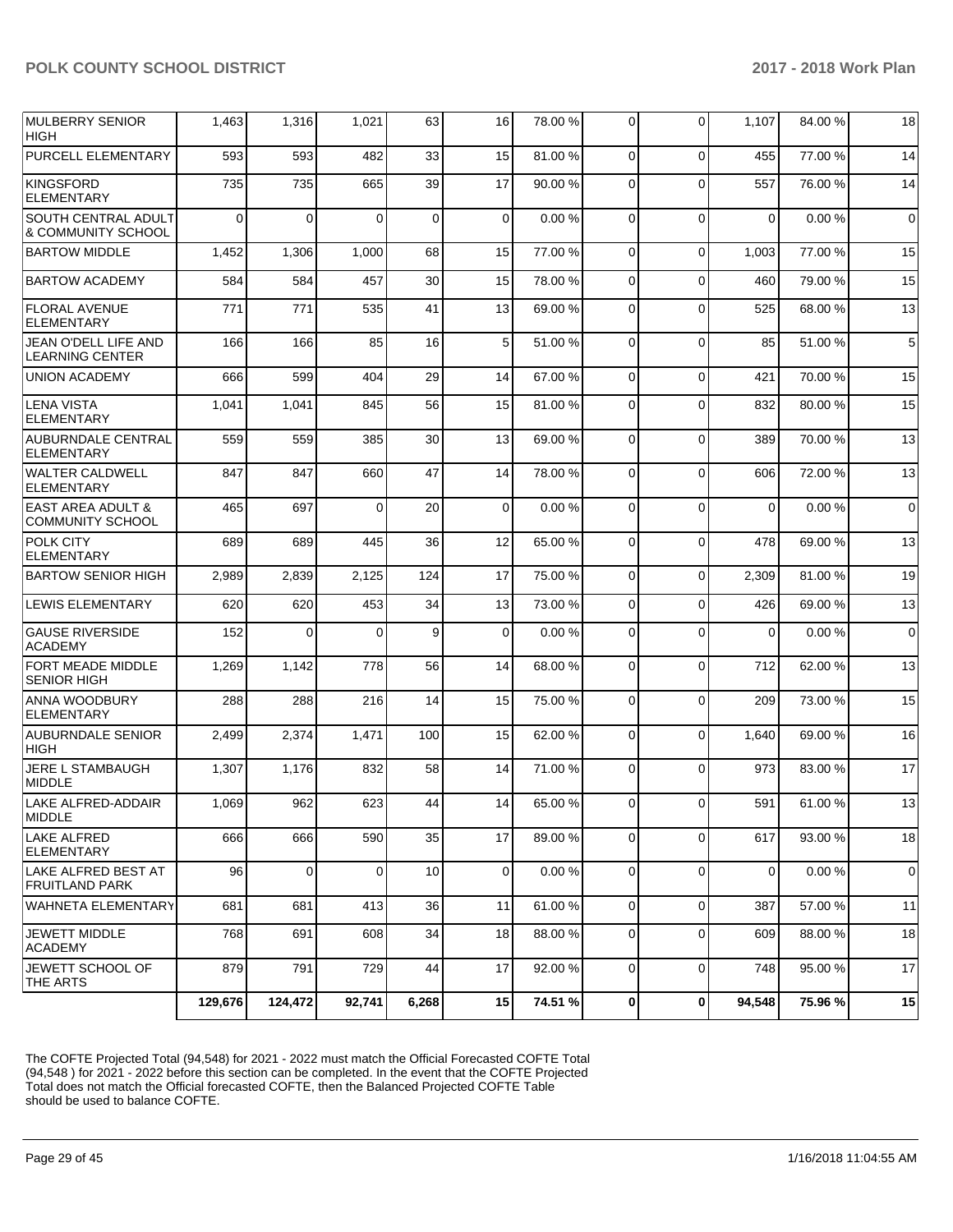| <b>MULBERRY SENIOR</b><br><b>HIGH</b>                   | 1,463    | 1,316    | 1,021    | 63          | 16          | 78.00 % | 0              | 0           | 1,107       | 84.00 % | 18          |
|---------------------------------------------------------|----------|----------|----------|-------------|-------------|---------|----------------|-------------|-------------|---------|-------------|
| PURCELL ELEMENTARY                                      | 593      | 593      | 482      | 33          | 15          | 81.00 % | $\Omega$       | $\Omega$    | 455         | 77.00 % | 14          |
| <b>KINGSFORD</b><br><b>ELEMENTARY</b>                   | 735      | 735      | 665      | 39          | 17          | 90.00 % | $\Omega$       | $\Omega$    | 557         | 76.00 % | 14          |
| SOUTH CENTRAL ADULT<br>& COMMUNITY SCHOOL               | $\Omega$ | 0        | $\Omega$ | $\mathbf 0$ | $\mathbf 0$ | 0.00%   | 0              | $\Omega$    | $\mathbf 0$ | 0.00%   | 0           |
| <b>BARTOW MIDDLE</b>                                    | 1,452    | 1,306    | 1,000    | 68          | 15          | 77.00 % | 0              | $\mathbf 0$ | 1,003       | 77.00 % | 15          |
| <b>BARTOW ACADEMY</b>                                   | 584      | 584      | 457      | 30          | 15          | 78.00 % | 0              | $\mathbf 0$ | 460         | 79.00 % | 15          |
| <b>FLORAL AVENUE</b><br>ELEMENTARY                      | 771      | 771      | 535      | 41          | 13          | 69.00 % | 0              | $\Omega$    | 525         | 68.00 % | 13          |
| JEAN O'DELL LIFE AND<br><b>LEARNING CENTER</b>          | 166      | 166      | 85       | 16          | 5           | 51.00 % | $\mathbf 0$    | $\Omega$    | 85          | 51.00 % | 5           |
| <b>UNION ACADEMY</b>                                    | 666      | 599      | 404      | 29          | 14          | 67.00 % | $\mathbf 0$    | $\Omega$    | 421         | 70.00 % | 15          |
| <b>LENA VISTA</b><br><b>ELEMENTARY</b>                  | 1,041    | 1,041    | 845      | 56          | 15          | 81.00%  | 0              | $\Omega$    | 832         | 80.00 % | 15          |
| <b>AUBURNDALE CENTRAL</b><br>ELEMENTARY                 | 559      | 559      | 385      | 30          | 13          | 69.00 % | 0              | $\Omega$    | 389         | 70.00 % | 13          |
| <b>WALTER CALDWELL</b><br><b>ELEMENTARY</b>             | 847      | 847      | 660      | 47          | 14          | 78.00 % | $\mathbf 0$    | $\Omega$    | 606         | 72.00 % | 13          |
| <b>EAST AREA ADULT &amp;</b><br><b>COMMUNITY SCHOOL</b> | 465      | 697      | 0        | 20          | $\mathbf 0$ | 0.00%   | 0              | $\Omega$    | $\mathbf 0$ | 0.00%   | $\mathbf 0$ |
| POLK CITY<br><b>ELEMENTARY</b>                          | 689      | 689      | 445      | 36          | 12          | 65.00 % | $\mathbf 0$    | $\Omega$    | 478         | 69.00 % | 13          |
| <b>BARTOW SENIOR HIGH</b>                               | 2,989    | 2,839    | 2,125    | 124         | 17          | 75.00 % | $\mathbf 0$    | $\Omega$    | 2,309       | 81.00 % | 19          |
| LEWIS ELEMENTARY                                        | 620      | 620      | 453      | 34          | 13          | 73.00 % | $\mathbf 0$    | $\Omega$    | 426         | 69.00 % | 13          |
| <b>GAUSE RIVERSIDE</b><br><b>ACADEMY</b>                | 152      | $\Omega$ | $\Omega$ | 9           | $\mathbf 0$ | 0.00%   | $\mathbf 0$    | $\Omega$    | $\Omega$    | 0.00%   | $\mathbf 0$ |
| <b>FORT MEADE MIDDLE</b><br><b>SENIOR HIGH</b>          | 1,269    | 1,142    | 778      | 56          | 14          | 68.00%  | 0              | $\Omega$    | 712         | 62.00 % | 13          |
| <b>ANNA WOODBURY</b><br><b>ELEMENTARY</b>               | 288      | 288      | 216      | 14          | 15          | 75.00 % | $\mathbf 0$    | $\Omega$    | 209         | 73.00 % | 15          |
| <b>AUBURNDALE SENIOR</b><br><b>HIGH</b>                 | 2,499    | 2,374    | 1,471    | 100         | 15          | 62.00 % | $\mathbf 0$    | $\Omega$    | 1,640       | 69.00 % | 16          |
| <b>JERE L STAMBAUGH</b><br><b>MIDDLE</b>                | 1,307    | 1,176    | 832      | 58          | 14          | 71.00 % | 0              | $\Omega$    | 973         | 83.00 % | 17          |
| LAKE ALFRED-ADDAIR<br><b>MIDDLE</b>                     | 1,069    | 962      | 623      | 44          | 14          | 65.00 % | $\mathbf 0$    | $\mathbf 0$ | 591         | 61.00 % | 13          |
| <b>LAKE ALFRED</b><br><b>ELEMENTARY</b>                 | 666      | 666      | 590      | 35          | 17          | 89.00 % | $\mathbf 0$    | $\Omega$    | 617         | 93.00 % | 18          |
| ILAKE ALFRED BEST AT<br><b>FRUITLAND PARK</b>           | 96       | 0        | 0        | 10          | 0           | 0.00%   | 0              | $\mathbf 0$ | 0           | 0.00%   | 0           |
| <b>WAHNETA ELEMENTARY</b>                               | 681      | 681      | 413      | 36          | 11          | 61.00%  | $\overline{0}$ | $\mathbf 0$ | 387         | 57.00 % | 11          |
| <b>JEWETT MIDDLE</b><br><b>ACADEMY</b>                  | 768      | 691      | 608      | 34          | 18          | 88.00 % | 0              | $\mathbf 0$ | 609         | 88.00 % | 18          |
| JEWETT SCHOOL OF<br>THE ARTS                            | 879      | 791      | 729      | 44          | 17          | 92.00 % | $\mathbf 0$    | $\Omega$    | 748         | 95.00 % | 17          |
|                                                         | 129,676  | 124.472  | 92.741   | 6,268       | 15          | 74.51 % | 0              | 0           | 94,548      | 75.96 % | 15          |

The COFTE Projected Total (94,548) for 2021 - 2022 must match the Official Forecasted COFTE Total (94,548 ) for 2021 - 2022 before this section can be completed. In the event that the COFTE Projected Total does not match the Official forecasted COFTE, then the Balanced Projected COFTE Table should be used to balance COFTE.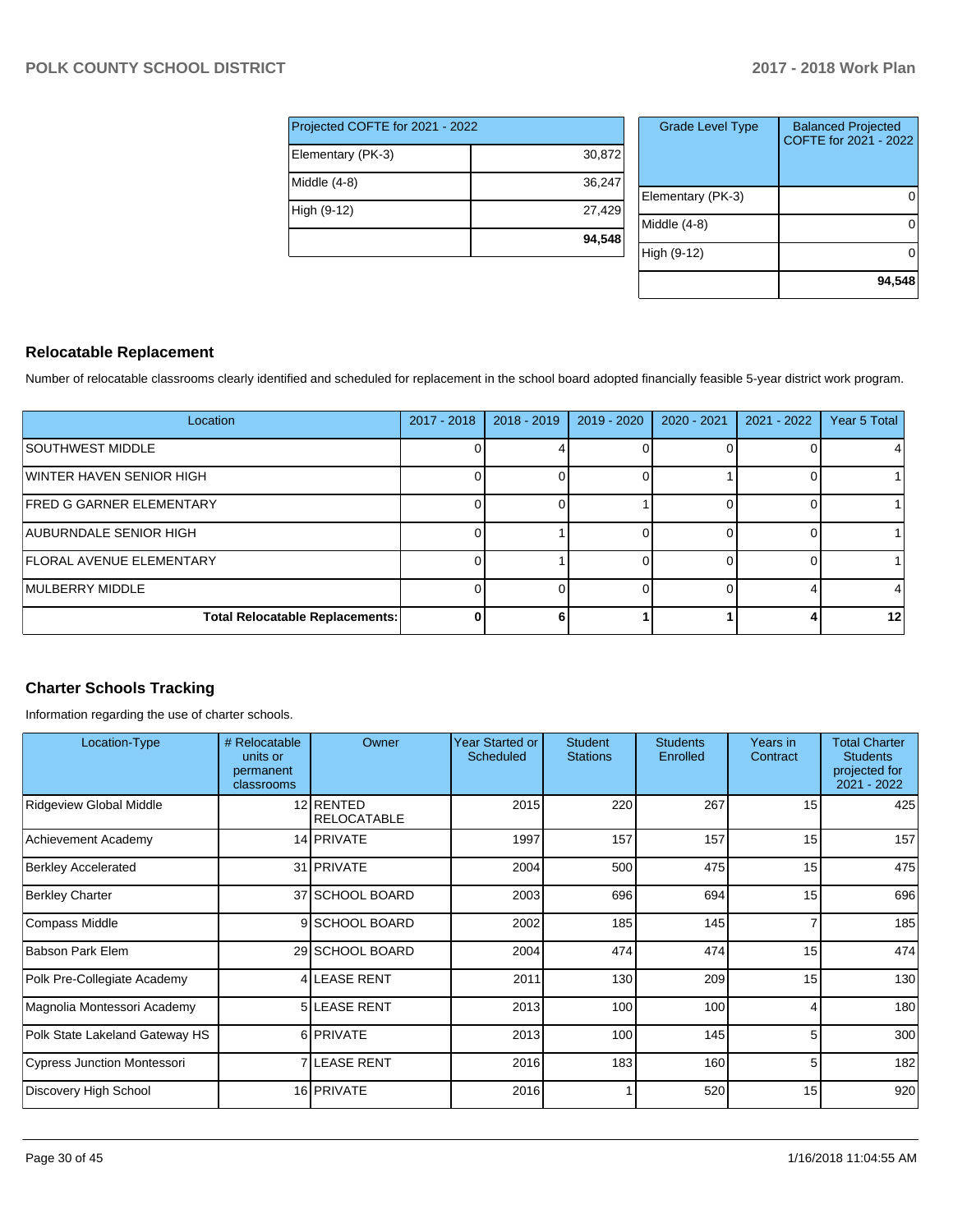| Projected COFTE for 2021 - 2022 |        |
|---------------------------------|--------|
| Elementary (PK-3)               | 30,872 |
| Middle $(4-8)$                  | 36,247 |
| High (9-12)                     | 27,429 |
|                                 | 94,548 |

| <b>Grade Level Type</b> | <b>Balanced Projected</b><br>COFTE for 2021 - 2022 |
|-------------------------|----------------------------------------------------|
| Elementary (PK-3)       |                                                    |
| Middle $(4-8)$          |                                                    |
| High (9-12)             |                                                    |
|                         | 94,548                                             |

#### **Relocatable Replacement**

Number of relocatable classrooms clearly identified and scheduled for replacement in the school board adopted financially feasible 5-year district work program.

| Location                               | $2017 - 2018$ | $2018 - 2019$ | 2019 - 2020 | 2020 - 2021 | $2021 - 2022$ | Year 5 Total    |
|----------------------------------------|---------------|---------------|-------------|-------------|---------------|-----------------|
| <b>ISOUTHWEST MIDDLE</b>               |               |               |             |             |               |                 |
| WINTER HAVEN SENIOR HIGH               |               |               |             |             |               |                 |
| <b>FRED G GARNER ELEMENTARY</b>        |               |               |             |             |               |                 |
| <b>AUBURNDALE SENIOR HIGH</b>          |               |               |             |             |               |                 |
| <b>FLORAL AVENUE ELEMENTARY</b>        |               |               |             |             |               |                 |
| <b>IMULBERRY MIDDLE</b>                |               |               |             |             |               |                 |
| <b>Total Relocatable Replacements:</b> |               |               |             |             |               | 12 <sub>l</sub> |

# **Charter Schools Tracking**

Information regarding the use of charter schools.

| Location-Type                      | # Relocatable<br>units or<br>permanent<br>classrooms | Owner                           | <b>Year Started or</b><br>Scheduled | <b>Student</b><br><b>Stations</b> | <b>Students</b><br>Enrolled | Years in<br>Contract | <b>Total Charter</b><br><b>Students</b><br>projected for<br>2021 - 2022 |
|------------------------------------|------------------------------------------------------|---------------------------------|-------------------------------------|-----------------------------------|-----------------------------|----------------------|-------------------------------------------------------------------------|
| Ridgeview Global Middle            |                                                      | 12 RENTED<br><b>RELOCATABLE</b> | 2015                                | 220                               | 267                         | 15                   | 425                                                                     |
| Achievement Academy                |                                                      | 14 PRIVATE                      | 1997                                | 157                               | 157                         | 15                   | 157                                                                     |
| <b>Berkley Accelerated</b>         |                                                      | 31 PRIVATE                      | 2004                                | 500                               | 475                         | 15                   | 475                                                                     |
| <b>Berkley Charter</b>             |                                                      | 37 SCHOOL BOARD                 | 2003                                | 696                               | 694                         | 15                   | 696                                                                     |
| <b>Compass Middle</b>              |                                                      | 9 SCHOOL BOARD                  | 2002                                | 185                               | 145                         |                      | 185                                                                     |
| <b>Babson Park Elem</b>            |                                                      | 29 SCHOOL BOARD                 | 2004                                | 474                               | 474                         | 15                   | 474                                                                     |
| Polk Pre-Collegiate Academy        |                                                      | <b>4 LEASE RENT</b>             | 2011                                | 130                               | 209                         | 15                   | 130                                                                     |
| Magnolia Montessori Academy        |                                                      | <b>5 ILEASE RENT</b>            | 2013                                | 100                               | 100                         | 4                    | 180                                                                     |
| Polk State Lakeland Gateway HS     |                                                      | 6 PRIVATE                       | 2013                                | 100                               | 145                         | 5                    | 300                                                                     |
| <b>Cypress Junction Montessori</b> |                                                      | 7 LEASE RENT                    | 2016                                | 183                               | 160                         | 5                    | 182                                                                     |
| Discovery High School              |                                                      | 16 PRIVATE                      | 2016                                |                                   | 520                         | 15                   | 920                                                                     |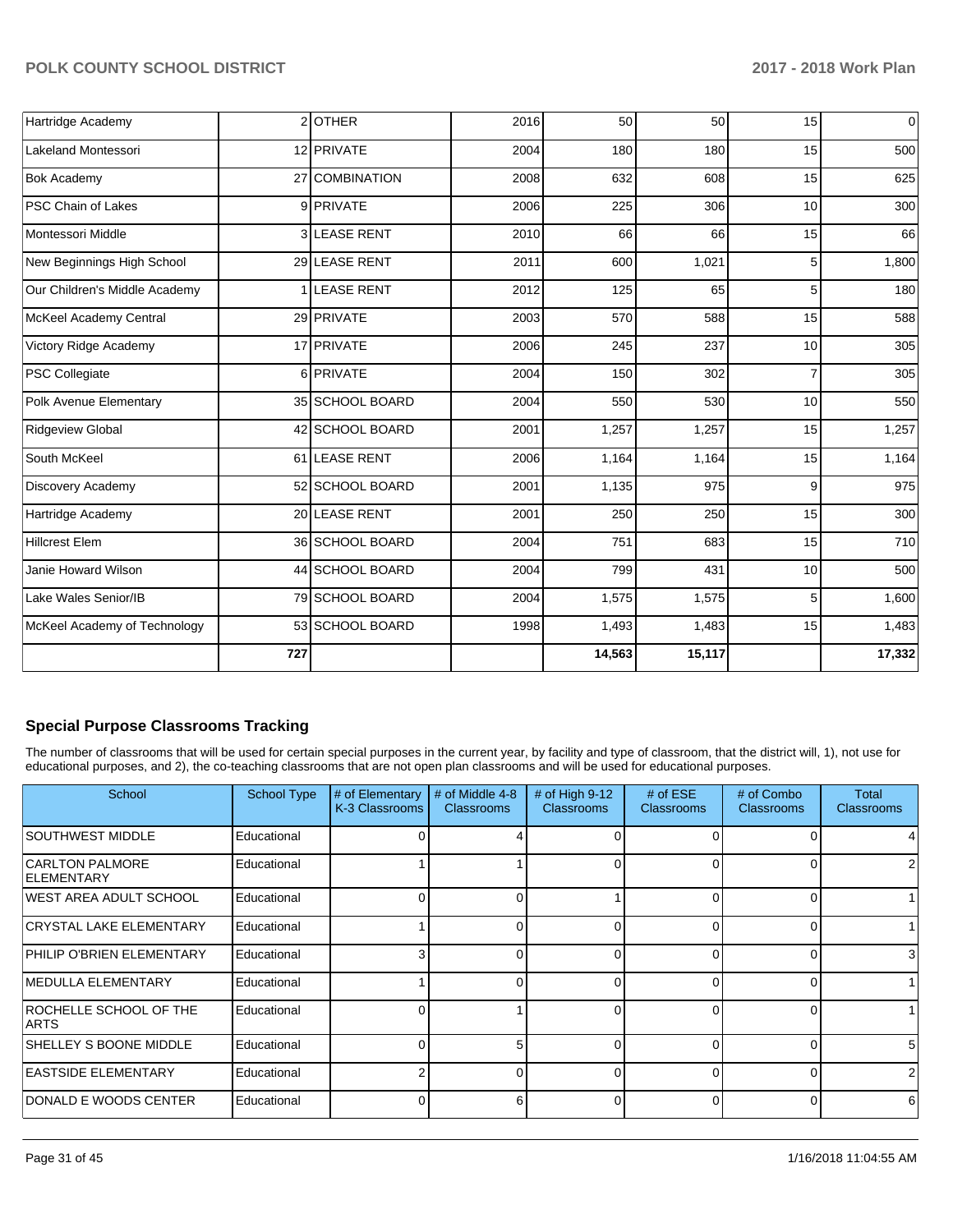| Hartridge Academy             |                | 2OTHER            | 2016 | 50     | 50     | 15 | $\pmb{0}$ |
|-------------------------------|----------------|-------------------|------|--------|--------|----|-----------|
| <b>Lakeland Montessori</b>    |                | 12 PRIVATE        | 2004 | 180    | 180    | 15 | 500       |
| <b>Bok Academy</b>            |                | 27 COMBINATION    | 2008 | 632    | 608    | 15 | 625       |
| PSC Chain of Lakes            |                | 9 PRIVATE         | 2006 | 225    | 306    | 10 | 300       |
| Montessori Middle             | 3I             | <b>LEASE RENT</b> | 2010 | 66     | 66     | 15 | 66        |
| New Beginnings High School    |                | 29 LEASE RENT     | 2011 | 600    | 1,021  | 5  | 1,800     |
| Our Children's Middle Academy | 1 <sup>1</sup> | <b>LEASE RENT</b> | 2012 | 125    | 65     | 5  | 180       |
| McKeel Academy Central        |                | 29 PRIVATE        | 2003 | 570    | 588    | 15 | 588       |
| Victory Ridge Academy         |                | 17 PRIVATE        | 2006 | 245    | 237    | 10 | 305       |
| <b>PSC Collegiate</b>         |                | 6 PRIVATE         | 2004 | 150    | 302    | 7  | 305       |
| Polk Avenue Elementary        |                | 35 SCHOOL BOARD   | 2004 | 550    | 530    | 10 | 550       |
| <b>Ridgeview Global</b>       |                | 42 SCHOOL BOARD   | 2001 | 1,257  | 1,257  | 15 | 1,257     |
| South McKeel                  |                | 61 LEASE RENT     | 2006 | 1,164  | 1,164  | 15 | 1,164     |
| Discovery Academy             |                | 52 SCHOOL BOARD   | 2001 | 1,135  | 975    | 9  | 975       |
| Hartridge Academy             |                | 20 LEASE RENT     | 2001 | 250    | 250    | 15 | 300       |
| <b>Hillcrest Elem</b>         |                | 36 SCHOOL BOARD   | 2004 | 751    | 683    | 15 | 710       |
| Janie Howard Wilson           |                | 44 SCHOOL BOARD   | 2004 | 799    | 431    | 10 | 500       |
| Lake Wales Senior/IB          |                | 79 SCHOOL BOARD   | 2004 | 1,575  | 1,575  | 5  | 1,600     |
| McKeel Academy of Technology  |                | 53 SCHOOL BOARD   | 1998 | 1,493  | 1,483  | 15 | 1,483     |
|                               | 727            |                   |      | 14,563 | 15,117 |    | 17,332    |

#### **Special Purpose Classrooms Tracking**

The number of classrooms that will be used for certain special purposes in the current year, by facility and type of classroom, that the district will, 1), not use for educational purposes, and 2), the co-teaching classrooms that are not open plan classrooms and will be used for educational purposes.

| School                                      | School Type | # of Elementary<br>K-3 Classrooms | # of Middle 4-8<br><b>Classrooms</b> | # of High $9-12$<br><b>Classrooms</b> | # of $ESE$<br><b>Classrooms</b> | # of Combo<br><b>Classrooms</b> | Total<br><b>Classrooms</b> |
|---------------------------------------------|-------------|-----------------------------------|--------------------------------------|---------------------------------------|---------------------------------|---------------------------------|----------------------------|
| <b>SOUTHWEST MIDDLE</b>                     | Educational |                                   |                                      |                                       |                                 |                                 |                            |
| <b>CARLTON PALMORE</b><br><b>ELEMENTARY</b> | Educational |                                   |                                      |                                       |                                 | 0                               |                            |
| IWEST AREA ADULT SCHOOL                     | Educational |                                   |                                      |                                       |                                 | 0                               |                            |
| <b>CRYSTAL LAKE ELEMENTARY</b>              | Educational |                                   |                                      | 0                                     |                                 | 0                               |                            |
| PHILIP O'BRIEN ELEMENTARY                   | Educational |                                   |                                      | 0                                     |                                 | 0                               | 3                          |
| <b>IMEDULLA ELEMENTARY</b>                  | Educational |                                   |                                      | $\Omega$                              | $\Omega$                        | 0                               |                            |
| ROCHELLE SCHOOL OF THE<br><b>ARTS</b>       | Educational |                                   |                                      | 0                                     | ∩                               | 0                               |                            |
| SHELLEY S BOONE MIDDLE                      | Educational |                                   |                                      | $\Omega$                              |                                 | 0                               | 5                          |
| <b>EASTSIDE ELEMENTARY</b>                  | Educational |                                   |                                      | $\Omega$                              | ∩                               | 0                               | 2                          |
| <b>DONALD E WOODS CENTER</b>                | Educational | <sup>n</sup>                      | 6                                    | $\Omega$                              | $\Omega$                        | $\Omega$                        | 6                          |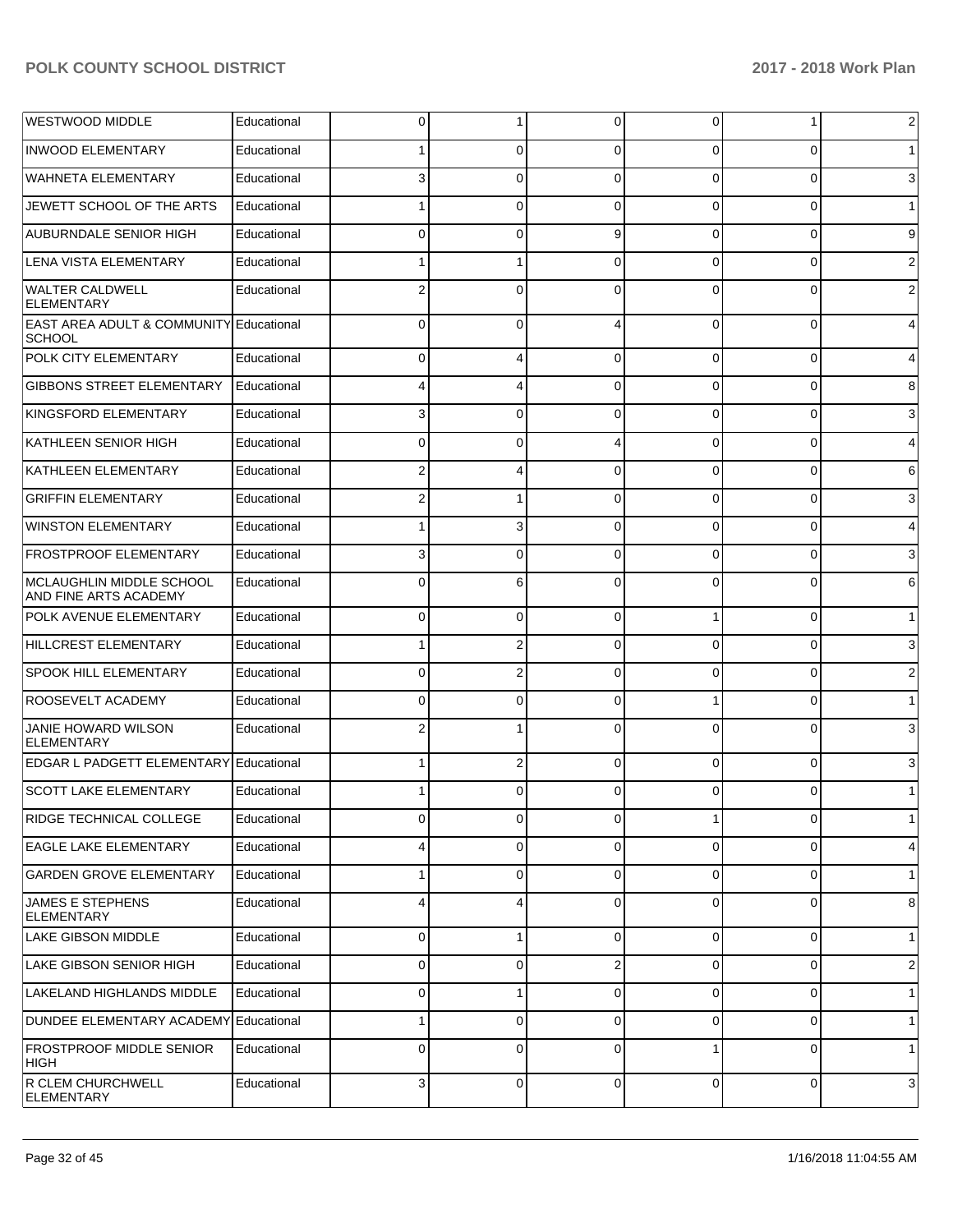| <b>WESTWOOD MIDDLE</b>                                              | Educational | 0              | 1              | 0              | 0           | 1              | $\overline{c}$ |
|---------------------------------------------------------------------|-------------|----------------|----------------|----------------|-------------|----------------|----------------|
| <b>INWOOD ELEMENTARY</b>                                            | Educational |                | 0              | $\Omega$       | 0           | 0              | 1 <sup>1</sup> |
| <b>WAHNETA ELEMENTARY</b>                                           | Educational | 3              | 0              | $\Omega$       | $\Omega$    | 0              | $\mathbf{3}$   |
| JEWETT SCHOOL OF THE ARTS                                           | Educational |                | 0              | $\Omega$       | $\Omega$    | 0              | 1              |
| AUBURNDALE SENIOR HIGH                                              | Educational | 0              | 0              | 9              | $\Omega$    | 0              | 9              |
| LENA VISTA ELEMENTARY                                               | Educational |                |                | $\Omega$       | $\Omega$    | 0              | $\overline{c}$ |
| <b>WALTER CALDWELL</b><br>ELEMENTARY                                | Educational | 2              | 0              | $\Omega$       | 0           | 0              | $\sqrt{2}$     |
| <b>EAST AREA ADULT &amp; COMMUNITY Educational</b><br><b>SCHOOL</b> |             | 0              | $\Omega$       | Δ              | $\Omega$    | $\overline{0}$ | $\overline{4}$ |
| <b>POLK CITY ELEMENTARY</b>                                         | Educational | 0              | 4              | $\Omega$       | 0           | 0              | $\overline{4}$ |
| <b>GIBBONS STREET ELEMENTARY</b>                                    | Educational |                | 4              | $\Omega$       | 0           | 0              | 8              |
| KINGSFORD ELEMENTARY                                                | Educational | 3              | 0              | $\Omega$       | 0           | 0              | $\mathbf{3}$   |
| KATHLEEN SENIOR HIGH                                                | Educational | 0              | 0              |                | 0           | 0              | $\overline{4}$ |
| KATHLEEN ELEMENTARY                                                 | Educational | 2              | 4              | $\Omega$       | 0           | 0              | $6 \mid$       |
| <b>GRIFFIN ELEMENTARY</b>                                           | Educational |                |                | $\Omega$       | 0           | 0              | $\mathbf{3}$   |
| <b>WINSTON ELEMENTARY</b>                                           | Educational |                | 3              | $\Omega$       | 0           | 0              | $\overline{4}$ |
| <b>FROSTPROOF ELEMENTARY</b>                                        | Educational | 3              | 0              | $\Omega$       | 0           | 0              | $\mathbf{3}$   |
| MCLAUGHLIN MIDDLE SCHOOL<br>AND FINE ARTS ACADEMY                   | Educational | 0              | 6              | $\Omega$       | 0           | 0              | $6 \mid$       |
| POLK AVENUE ELEMENTARY                                              | Educational | 0              | 0              | $\Omega$       |             | 0              | 1 <sup>1</sup> |
| HILLCREST ELEMENTARY                                                | Educational |                | 2              | $\Omega$       | $\Omega$    | 0              | $\mathbf{3}$   |
| <b>SPOOK HILL ELEMENTARY</b>                                        | Educational | 0              | 2              | $\Omega$       | $\Omega$    | 0              | $\overline{c}$ |
| <b>ROOSEVELT ACADEMY</b>                                            | Educational | 0              | 0              | $\Omega$       |             | 0              | 1              |
| JANIE HOWARD WILSON<br><b>ELEMENTARY</b>                            | Educational | 2              |                | $\Omega$       | 0           | 0              | $\mathbf{3}$   |
| <b>EDGAR L PADGETT ELEMENTARY</b>                                   | Educational |                | 2              | $\Omega$       | $\Omega$    | $\overline{0}$ | $\mathbf{3}$   |
| <b>SCOTT LAKE ELEMENTARY</b>                                        | Educational |                | 0              | $\Omega$       | 0           | $\overline{0}$ | 1              |
| <b>RIDGE TECHNICAL COLLEGE</b>                                      | Educational | $\overline{0}$ | $\overline{0}$ | $\overline{0}$ | 1           | $\overline{0}$ | $\mathbf{1}$   |
| <b>EAGLE LAKE ELEMENTARY</b>                                        | Educational | 4              | 0              | $\Omega$       | $\Omega$    | $\overline{0}$ | $\overline{4}$ |
| <b>GARDEN GROVE ELEMENTARY</b>                                      | Educational | 1              | 0              | $\mathbf 0$    | $\Omega$    | $\overline{0}$ | 1              |
| <b>JAMES E STEPHENS</b><br><b>ELEMENTARY</b>                        | Educational | 4              | 4              | $\Omega$       | $\Omega$    | $\overline{0}$ | 8              |
| <b>LAKE GIBSON MIDDLE</b>                                           | Educational | 0              | 1              | 0              | 0           | $\overline{0}$ | $\mathbf{1}$   |
| LAKE GIBSON SENIOR HIGH                                             | Educational | 0              | 0              | $\overline{2}$ | 0           | 0              | $\overline{2}$ |
| LAKELAND HIGHLANDS MIDDLE                                           | Educational | 0              |                | $\Omega$       | 0           | 0              | $\mathbf{1}$   |
| DUNDEE ELEMENTARY ACADEMY                                           | Educational |                | 0              | $\Omega$       | 0           | 0              | $\mathbf{1}$   |
| <b>FROSTPROOF MIDDLE SENIOR</b><br>HIGH                             | Educational | 0              | 0              | $\Omega$       |             | 0              | $\mathbf{1}$   |
| R CLEM CHURCHWELL<br>ELEMENTARY                                     | Educational | 3              | 0              | $\mathbf 0$    | $\mathbf 0$ | $\overline{0}$ | $\mathbf{3}$   |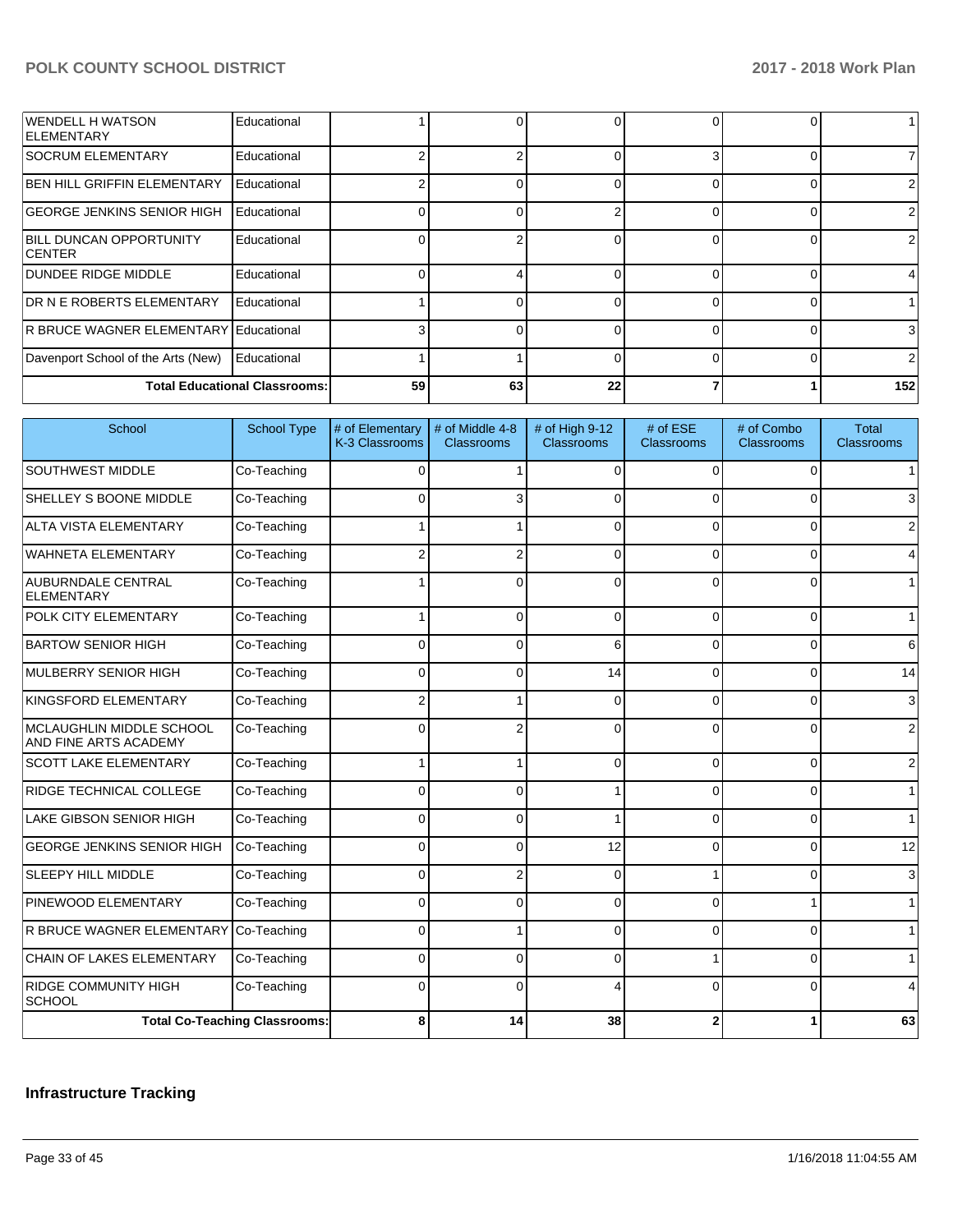| <b>WENDELL H WATSON</b><br><b>IELEMENTARY</b>    | Educational                          |    |    |    | 0 |                |
|--------------------------------------------------|--------------------------------------|----|----|----|---|----------------|
| <b>SOCRUM ELEMENTARY</b>                         | Educational                          |    |    |    | 0 |                |
| <b>BEN HILL GRIFFIN ELEMENTARY</b>               | Educational                          |    |    |    | 0 | $\overline{2}$ |
| <b>GEORGE JENKINS SENIOR HIGH</b>                | Educational                          |    |    |    | 0 | $\overline{2}$ |
| <b>BILL DUNCAN OPPORTUNITY</b><br><b>ICENTER</b> | Educational                          |    | ⌒  |    | 0 | $\overline{2}$ |
| IDUNDEE RIDGE MIDDLE                             | Educational                          |    |    |    | 0 | 4              |
| <b>IDR N E ROBERTS ELEMENTARY</b>                | Educational                          |    |    |    | 0 |                |
| <b>R BRUCE WAGNER ELEMENTARY Educational</b>     |                                      |    |    |    | 0 | 3              |
| Davenport School of the Arts (New)               | Educational                          |    |    |    | 0 | $\overline{2}$ |
|                                                  | <b>Total Educational Classrooms:</b> | 59 | 63 | 22 |   | 152            |

| School                                                   | <b>School Type</b>                   | # of Elementary<br>K-3 Classrooms | # of Middle 4-8<br>Classrooms | # of High 9-12<br><b>Classrooms</b> | # of ESE<br>Classrooms | # of Combo<br>Classrooms | <b>Total</b><br><b>Classrooms</b> |
|----------------------------------------------------------|--------------------------------------|-----------------------------------|-------------------------------|-------------------------------------|------------------------|--------------------------|-----------------------------------|
| <b>SOUTHWEST MIDDLE</b>                                  | Co-Teaching                          | $\Omega$                          |                               | $\Omega$                            | $\Omega$               | $\Omega$                 | $\mathbf{1}$                      |
| <b>SHELLEY S BOONE MIDDLE</b>                            | Co-Teaching                          | $\Omega$                          |                               | 0                                   |                        | $\Omega$                 | 3                                 |
| <b>ALTA VISTA ELEMENTARY</b>                             | Co-Teaching                          |                                   |                               | 0                                   |                        | $\Omega$                 | $\overline{2}$                    |
| WAHNETA ELEMENTARY                                       | Co-Teaching                          | $\overline{2}$                    | $\overline{2}$                | $\Omega$                            | $\Omega$               | $\mathbf{0}$             | 4                                 |
| <b>AUBURNDALE CENTRAL</b><br>ELEMENTARY                  | Co-Teaching                          |                                   | $\Omega$                      | $\Omega$                            | O                      | $\Omega$                 | $\mathbf{1}$                      |
| <b>POLK CITY ELEMENTARY</b>                              | Co-Teaching                          |                                   | 0                             | $\Omega$                            | $\Omega$               | $\Omega$                 | $\mathbf 1$                       |
| <b>BARTOW SENIOR HIGH</b>                                | Co-Teaching                          | $\Omega$                          | $\Omega$                      | 6                                   | $\Omega$               | 0                        | 6                                 |
| MULBERRY SENIOR HIGH                                     | Co-Teaching                          | $\Omega$                          | $\Omega$                      | 14                                  | $\Omega$               | $\Omega$                 | 14                                |
| KINGSFORD ELEMENTARY                                     | Co-Teaching                          | $\overline{2}$                    |                               | $\Omega$                            | 0                      | $\Omega$                 | 3                                 |
| MCLAUGHLIN MIDDLE SCHOOL<br><b>AND FINE ARTS ACADEMY</b> | Co-Teaching                          | $\Omega$                          | $\overline{2}$                | $\Omega$                            | $\Omega$               | $\Omega$                 | $\overline{2}$                    |
| <b>SCOTT LAKE ELEMENTARY</b>                             | Co-Teaching                          | 1                                 |                               | $\Omega$                            | $\Omega$               | $\Omega$                 | $\overline{2}$                    |
| <b>RIDGE TECHNICAL COLLEGE</b>                           | Co-Teaching                          | $\Omega$                          | ∩                             |                                     |                        | $\Omega$                 | $\mathbf{1}$                      |
| <b>LAKE GIBSON SENIOR HIGH</b>                           | Co-Teaching                          | $\Omega$                          | $\Omega$                      |                                     | $\Omega$               | $\Omega$                 | $\overline{1}$                    |
| <b>GEORGE JENKINS SENIOR HIGH</b>                        | Co-Teaching                          | $\Omega$                          | 0                             | 12                                  | $\Omega$               | $\Omega$                 | 12                                |
| <b>SLEEPY HILL MIDDLE</b>                                | Co-Teaching                          | 0                                 | 2                             | 0                                   |                        | 0                        | 3                                 |
| <b>PINEWOOD ELEMENTARY</b>                               | Co-Teaching                          | $\Omega$                          | 0                             | $\Omega$                            | 0                      | 1                        | $\mathbf{1}$                      |
| R BRUCE WAGNER ELEMENTARY                                | Co-Teaching                          | $\Omega$                          |                               | $\Omega$                            | $\Omega$               | $\Omega$                 | $\mathbf{1}$                      |
| <b>CHAIN OF LAKES ELEMENTARY</b>                         | Co-Teaching                          | $\Omega$                          | $\Omega$                      | $\Omega$                            |                        | $\Omega$                 | $\mathbf{1}$                      |
| <b>RIDGE COMMUNITY HIGH</b><br> SCHOOL                   | Co-Teaching                          | $\Omega$                          | 0                             |                                     |                        | $\Omega$                 | 4                                 |
|                                                          | <b>Total Co-Teaching Classrooms:</b> | 8                                 | 14                            | 38                                  | 2                      |                          | 63                                |

# **Infrastructure Tracking**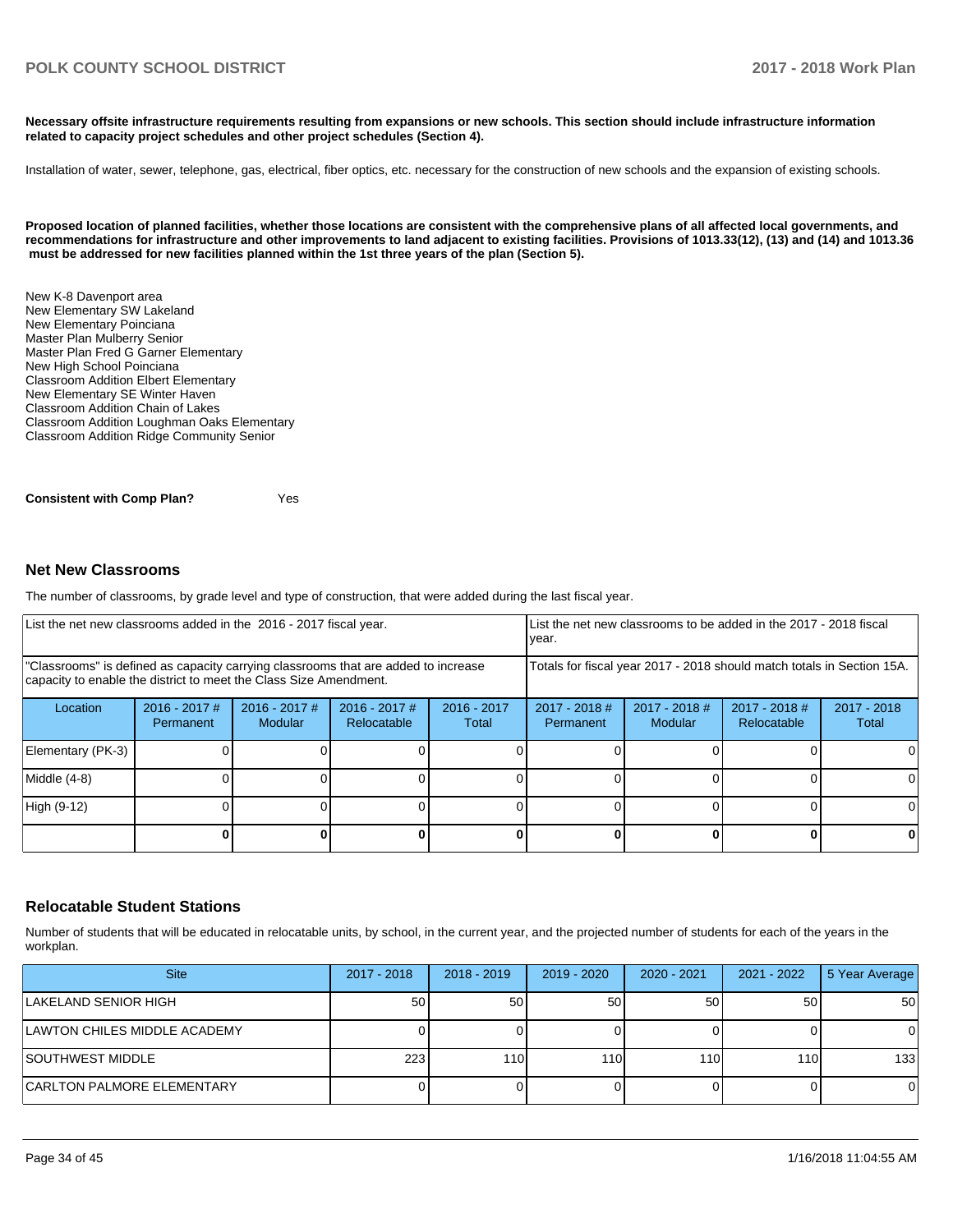**Necessary offsite infrastructure requirements resulting from expansions or new schools. This section should include infrastructure information related to capacity project schedules and other project schedules (Section 4).** 

Installation of water, sewer, telephone, gas, electrical, fiber optics, etc. necessary for the construction of new schools and the expansion of existing schools.

**Proposed location of planned facilities, whether those locations are consistent with the comprehensive plans of all affected local governments, and recommendations for infrastructure and other improvements to land adjacent to existing facilities. Provisions of 1013.33(12), (13) and (14) and 1013.36 must be addressed for new facilities planned within the 1st three years of the plan (Section 5).** 

New K-8 Davenport area New Elementary SW Lakeland New Elementary Poinciana Master Plan Mulberry Senior Master Plan Fred G Garner Elementary New High School Poinciana Classroom Addition Elbert Elementary New Elementary SE Winter Haven Classroom Addition Chain of Lakes Classroom Addition Loughman Oaks Elementary Classroom Addition Ridge Community Senior

**Consistent with Comp Plan?** Yes

#### **Net New Classrooms**

The number of classrooms, by grade level and type of construction, that were added during the last fiscal year.

|                                                                                                                                                         | List the net new classrooms added in the 2016 - 2017 fiscal year. |                                   |                                                                        |                        |                              | List the net new classrooms to be added in the 2017 - 2018 fiscal<br>year. |                                |                        |
|---------------------------------------------------------------------------------------------------------------------------------------------------------|-------------------------------------------------------------------|-----------------------------------|------------------------------------------------------------------------|------------------------|------------------------------|----------------------------------------------------------------------------|--------------------------------|------------------------|
| "Classrooms" is defined as capacity carrying classrooms that are added to increase<br>capacity to enable the district to meet the Class Size Amendment. |                                                                   |                                   | Totals for fiscal year 2017 - 2018 should match totals in Section 15A. |                        |                              |                                                                            |                                |                        |
| Location                                                                                                                                                | $2016 - 2017$ #<br>Permanent                                      | $2016 - 2017$ #<br><b>Modular</b> | $2016 - 2017$ #<br>Relocatable                                         | $2016 - 2017$<br>Total | $2017 - 2018$ #<br>Permanent | $2017 - 2018$ #<br>Modular                                                 | $2017 - 2018$ #<br>Relocatable | $2017 - 2018$<br>Total |
| Elementary (PK-3)                                                                                                                                       |                                                                   |                                   |                                                                        |                        |                              |                                                                            |                                |                        |
| Middle (4-8)                                                                                                                                            |                                                                   |                                   |                                                                        |                        |                              |                                                                            |                                | $\Omega$               |
| High (9-12)                                                                                                                                             |                                                                   |                                   |                                                                        |                        |                              |                                                                            |                                | $\Omega$               |
|                                                                                                                                                         |                                                                   |                                   |                                                                        |                        |                              |                                                                            |                                | $\mathbf 0$            |

#### **Relocatable Student Stations**

Number of students that will be educated in relocatable units, by school, in the current year, and the projected number of students for each of the years in the workplan.

| <b>Site</b>                       | 2017 - 2018 | $2018 - 2019$ | $2019 - 2020$ | $2020 - 2021$ | 2021 - 2022 | 5 Year Average |
|-----------------------------------|-------------|---------------|---------------|---------------|-------------|----------------|
| LAKELAND SENIOR HIGH              | 50          | 50            | 50            | 50            | 50          | 50             |
| LAWTON CHILES MIDDLE ACADEMY      |             |               |               |               |             | 0              |
| ISOUTHWEST MIDDLE                 | 223         | 110 I         | 110           | 110           | 110I        | 133            |
| <b>CARLTON PALMORE ELEMENTARY</b> |             |               |               |               |             | 0              |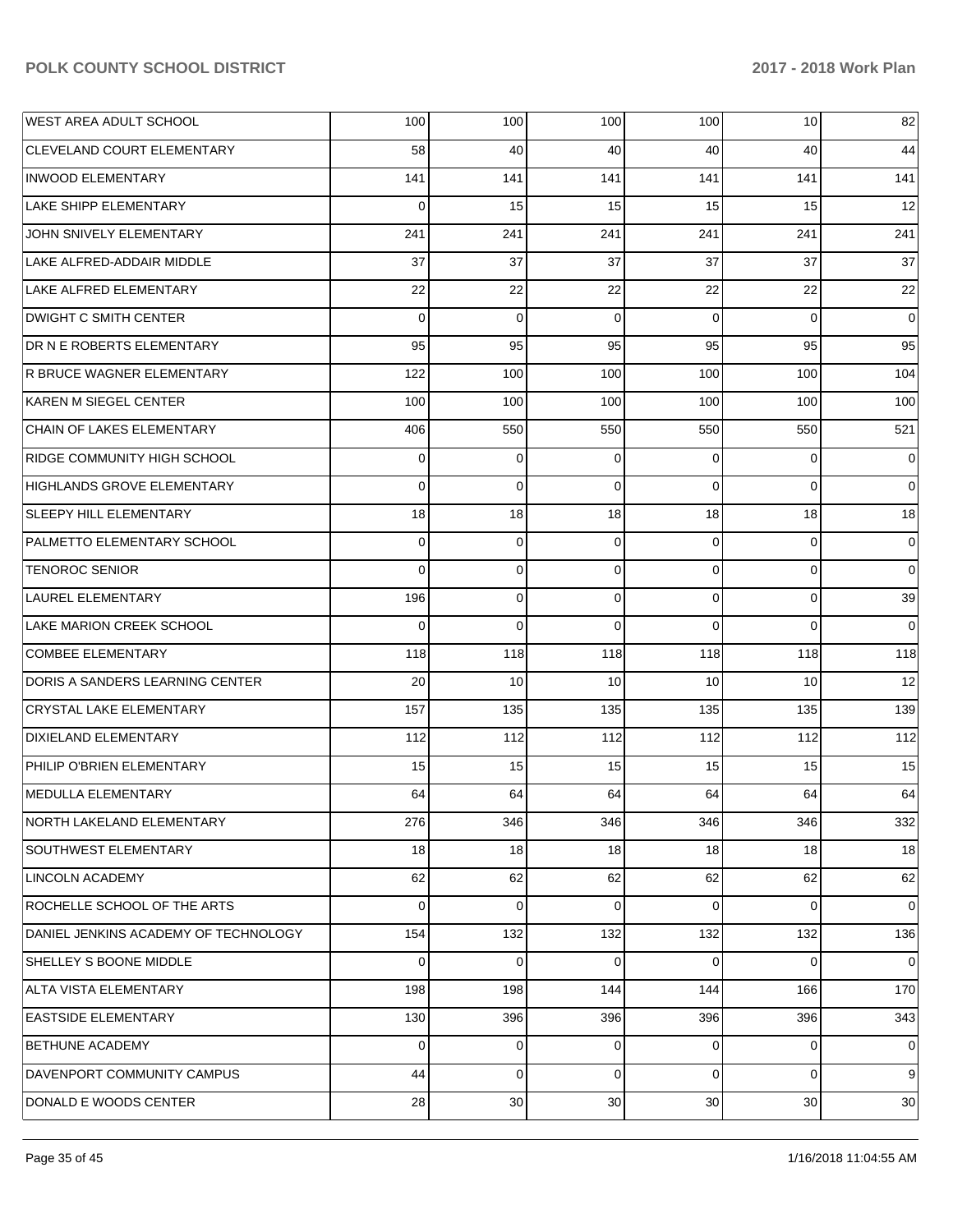| <b>WEST AREA ADULT SCHOOL</b>        | 100      | 100         | 100      | 100             | 10       | 82             |
|--------------------------------------|----------|-------------|----------|-----------------|----------|----------------|
| <b>CLEVELAND COURT ELEMENTARY</b>    | 58       | 40          | 40       | 40              | 40       | 44             |
| <b>INWOOD ELEMENTARY</b>             | 141      | 141         | 141      | 141             | 141      | 141            |
| <b>LAKE SHIPP ELEMENTARY</b>         | $\Omega$ | 15          | 15       | 15              | 15       | 12             |
| JOHN SNIVELY ELEMENTARY              | 241      | 241         | 241      | 241             | 241      | 241            |
| LAKE ALFRED-ADDAIR MIDDLE            | 37       | 37          | 37       | 37              | 37       | 37             |
| LAKE ALFRED ELEMENTARY               | 22       | 22          | 22       | 22              | 22       | 22             |
| <b>DWIGHT C SMITH CENTER</b>         | $\Omega$ | 0           | $\Omega$ | $\Omega$        | $\Omega$ | $\mathbf 0$    |
| DR N E ROBERTS ELEMENTARY            | 95       | 95          | 95       | 95              | 95       | 95             |
| R BRUCE WAGNER ELEMENTARY            | 122      | 100         | 100      | 100             | 100      | 104            |
| KAREN M SIEGEL CENTER                | 100      | 100         | 100      | 100             | 100      | 100            |
| <b>CHAIN OF LAKES ELEMENTARY</b>     | 406      | 550         | 550      | 550             | 550      | 521            |
| <b>RIDGE COMMUNITY HIGH SCHOOL</b>   | $\Omega$ | 0           | $\Omega$ | $\Omega$        | $\Omega$ | $\mathbf 0$    |
| <b>HIGHLANDS GROVE ELEMENTARY</b>    | $\Omega$ | $\mathbf 0$ | $\Omega$ | $\Omega$        | $\Omega$ | $\Omega$       |
| SLEEPY HILL ELEMENTARY               | 18       | 18          | 18       | 18              | 18       | 18             |
| PALMETTO ELEMENTARY SCHOOL           | $\Omega$ | 0           | $\Omega$ | $\Omega$        | $\Omega$ | $\mathbf 0$    |
| <b>TENOROC SENIOR</b>                | $\Omega$ | 0           | $\Omega$ | $\Omega$        | $\Omega$ | $\Omega$       |
| LAUREL ELEMENTARY                    | 196      | $\mathbf 0$ | $\Omega$ | $\Omega$        | $\Omega$ | 39             |
| LAKE MARION CREEK SCHOOL             | $\Omega$ | $\Omega$    | $\Omega$ | $\Omega$        | $\Omega$ | $\Omega$       |
| <b>COMBEE ELEMENTARY</b>             | 118      | 118         | 118      | 118             | 118      | 118            |
| DORIS A SANDERS LEARNING CENTER      | 20       | 10          | 10       | 10              | 10       | 12             |
| <b>CRYSTAL LAKE ELEMENTARY</b>       | 157      | 135         | 135      | 135             | 135      | 139            |
| <b>DIXIELAND ELEMENTARY</b>          | 112      | 112         | 112      | 112             | 112      | 112            |
| PHILIP O'BRIEN ELEMENTARY            | 15       | 15          | 15       | 15 <sup>1</sup> | 15       | 15             |
| MEDULLA ELEMENTARY                   | 64       | 64          | 64       | 64              | 64       | 64             |
| NORTH LAKELAND ELEMENTARY            | 276      | 346         | 346      | 346             | 346      | 332            |
| <b>SOUTHWEST ELEMENTARY</b>          | 18       | 18          | 18       | 18              | 18       | 18             |
| LINCOLN ACADEMY                      | 62       | 62          | 62       | 62              | 62       | 62             |
| ROCHELLE SCHOOL OF THE ARTS          | $\Omega$ | 0           | $\Omega$ | $\Omega$        | $\Omega$ | $\overline{0}$ |
| DANIEL JENKINS ACADEMY OF TECHNOLOGY | 154      | 132         | 132      | 132             | 132      | 136            |
| <b>SHELLEY S BOONE MIDDLE</b>        | $\Omega$ | $\mathbf 0$ | $\Omega$ | $\Omega$        | $\Omega$ | $\Omega$       |
| ALTA VISTA ELEMENTARY                | 198      | 198         | 144      | 144             | 166      | 170            |
| <b>EASTSIDE ELEMENTARY</b>           | 130      | 396         | 396      | 396             | 396      | 343            |
| <b>BETHUNE ACADEMY</b>               | $\Omega$ | 0           | 0        | $\overline{0}$  | 0        | $\overline{0}$ |
| DAVENPORT COMMUNITY CAMPUS           | 44       | $\mathbf 0$ | $\Omega$ | $\Omega$        | $\Omega$ | 9              |
| DONALD E WOODS CENTER                | 28       | 30          | 30       | 30 <sub>1</sub> | 30       | 30             |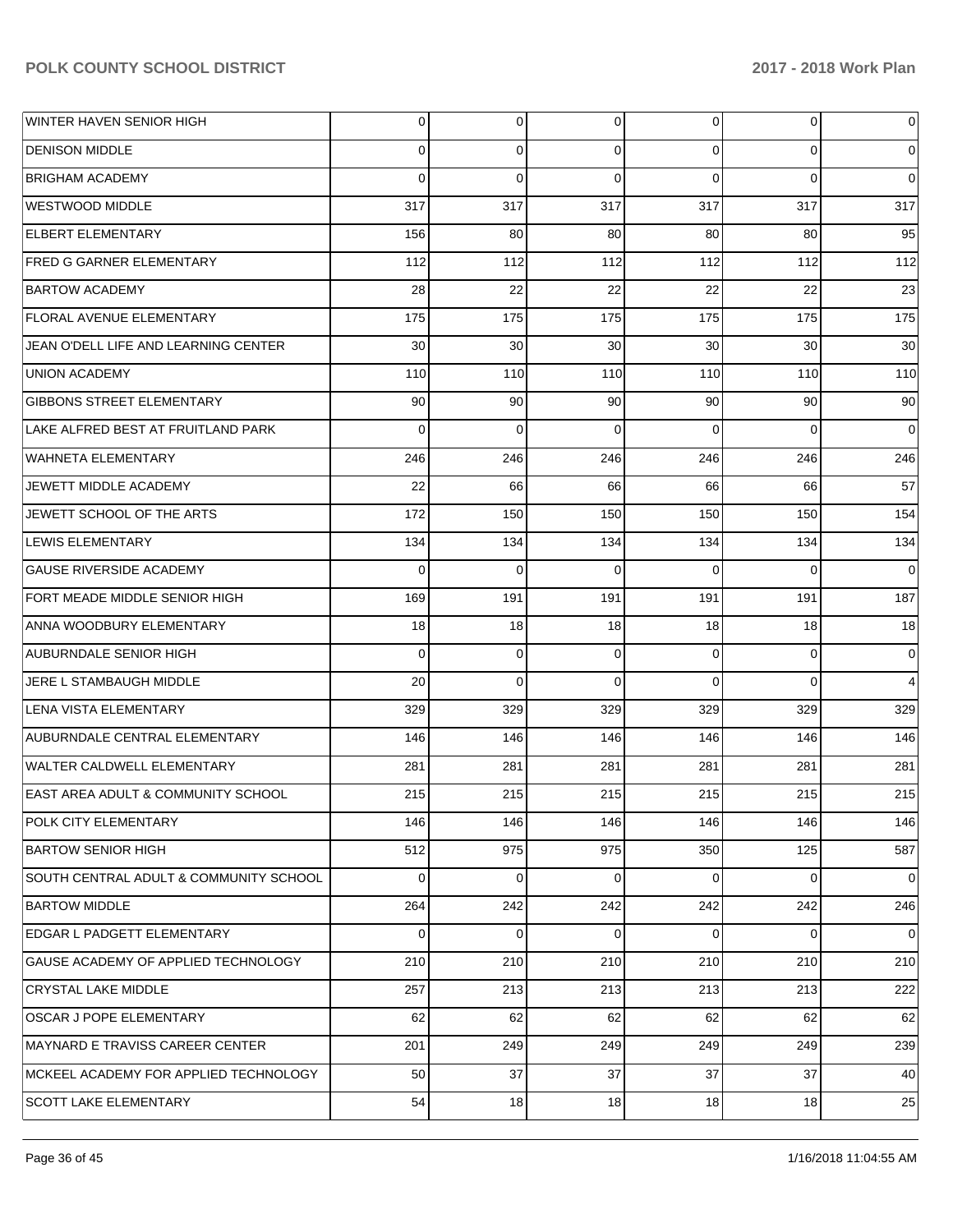| WINTER HAVEN SENIOR HIGH               | 0           | $\overline{0}$ | 0           | 0           | $\overline{0}$ | $\overline{0}$ |
|----------------------------------------|-------------|----------------|-------------|-------------|----------------|----------------|
| <b>DENISON MIDDLE</b>                  | $\Omega$    | $\mathbf 0$    | $\Omega$    | $\Omega$    | $\overline{0}$ | $\overline{0}$ |
| IBRIGHAM ACADEMY                       | $\Omega$    | $\Omega$       | $\Omega$    | $\Omega$    | $\Omega$       | $\overline{0}$ |
| WESTWOOD MIDDLE                        | 317         | 317            | 317         | 317         | 317            | 317            |
| <b>ELBERT ELEMENTARY</b>               | 156         | 80             | 80          | 80          | 80             | 95             |
| IFRED G GARNER ELEMENTARY              | 112         | 112            | 112         | 112         | 112            | 112            |
| <b>BARTOW ACADEMY</b>                  | 28          | 22             | 22          | 22          | 22             | 23             |
| FLORAL AVENUE ELEMENTARY               | 175         | 175            | 175         | 175         | 175            | 175            |
| JEAN O'DELL LIFE AND LEARNING CENTER   | 30          | 30             | 30          | 30          | 30             | 30             |
| <b>UNION ACADEMY</b>                   | 110         | 110            | 110         | 110         | 110            | 110            |
| <b>GIBBONS STREET ELEMENTARY</b>       | 90          | 90             | 90          | 90          | 90             | 90             |
| LAKE ALFRED BEST AT FRUITLAND PARK     | $\Omega$    | $\mathbf 0$    | $\Omega$    | $\Omega$    | $\Omega$       | $\overline{0}$ |
| WAHNETA ELEMENTARY                     | 246         | 246            | 246         | 246         | 246            | 246            |
| JEWETT MIDDLE ACADEMY                  | 22          | 66             | 66          | 66          | 66             | 57             |
| JEWETT SCHOOL OF THE ARTS              | 172         | 150            | 150         | 150         | 150            | 154            |
| LEWIS ELEMENTARY                       | 134         | 134            | 134         | 134         | 134            | 134            |
| <b>GAUSE RIVERSIDE ACADEMY</b>         | $\Omega$    | $\Omega$       | $\Omega$    | $\Omega$    | $\Omega$       | $\Omega$       |
| FORT MEADE MIDDLE SENIOR HIGH          | 169         | 191            | 191         | 191         | 191            | 187            |
| ANNA WOODBURY ELEMENTARY               | 18          | 18             | 18          | 18          | 18             | 18             |
| AUBURNDALE SENIOR HIGH                 | $\Omega$    | $\mathbf 0$    | $\mathbf 0$ | $\Omega$    | $\overline{0}$ | $\overline{0}$ |
| JERE L STAMBAUGH MIDDLE                | 20          | $\Omega$       | $\Omega$    | $\Omega$    | $\Omega$       | $\overline{4}$ |
| lLENA VISTA ELEMENTARY                 | 329         | 329            | 329         | 329         | 329            | 329            |
| AUBURNDALE CENTRAL ELEMENTARY          | 146         | 146            | 146         | 146         | 146            | 146            |
| WALTER CALDWELL ELEMENTARY             | 281         | 281            | 281         | 281         | 281            | 281            |
| EAST AREA ADULT & COMMUNITY SCHOOL     | 215         | 215            | 215         | 215         | 215            | 215            |
| POLK CITY ELEMENTARY                   | 146         | 146            | 146         | 146         | 146            | 146            |
| BARTOW SENIOR HIGH                     | 512         | 975            | 975         | 350         | 125            | 587            |
| SOUTH CENTRAL ADULT & COMMUNITY SCHOOL | $\mathbf 0$ | $\overline{0}$ | $\Omega$    | $\mathbf 0$ | $\overline{0}$ | $\overline{0}$ |
| <b>BARTOW MIDDLE</b>                   | 264         | 242            | 242         | 242         | 242            | 246            |
| EDGAR L PADGETT ELEMENTARY             | $\Omega$    | $\mathbf 0$    | $\Omega$    | $\mathbf 0$ | $\mathbf{0}$   | $\overline{0}$ |
| GAUSE ACADEMY OF APPLIED TECHNOLOGY    | 210         | 210            | 210         | 210         | 210            | 210            |
| <b>CRYSTAL LAKE MIDDLE</b>             | 257         | 213            | 213         | 213         | 213            | 222            |
| <b>OSCAR J POPE ELEMENTARY</b>         | 62          | 62             | 62          | 62          | 62             | 62             |
| MAYNARD E TRAVISS CAREER CENTER        | 201         | 249            | 249         | 249         | 249            | 239            |
| MCKEEL ACADEMY FOR APPLIED TECHNOLOGY  | 50          | 37             | 37          | 37          | 37             | 40             |
| <b>SCOTT LAKE ELEMENTARY</b>           | 54          | 18             | 18          | 18          | 18             | 25             |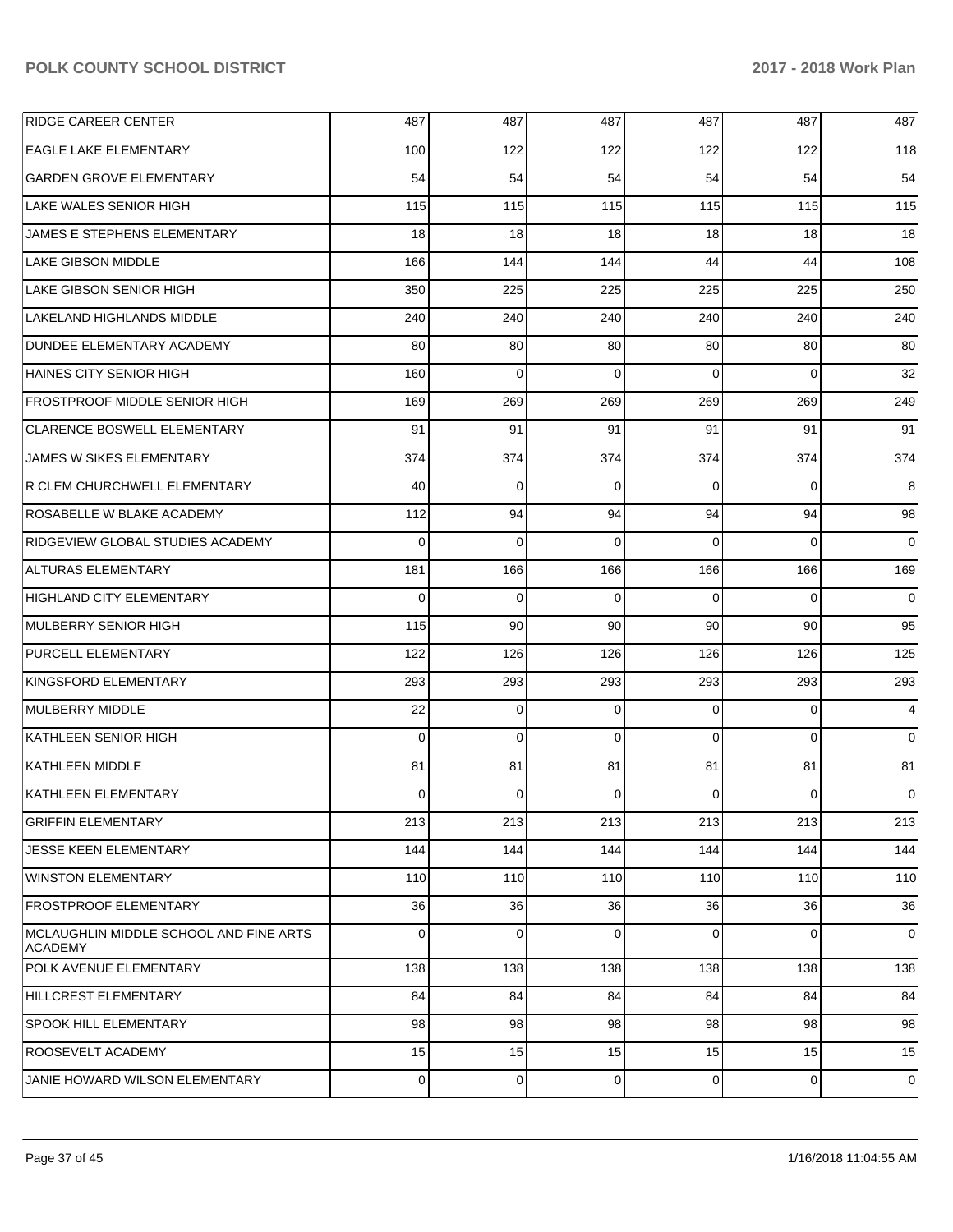| <b>RIDGE CAREER CENTER</b>                               | 487      | 487 | 487      | 487      | 487            | 487            |
|----------------------------------------------------------|----------|-----|----------|----------|----------------|----------------|
| <b>EAGLE LAKE ELEMENTARY</b>                             | 100      | 122 | 122      | 122      | 122            | 118            |
| <b>GARDEN GROVE ELEMENTARY</b>                           | 54       | 54  | 54       | 54       | 54             | 54             |
| LAKE WALES SENIOR HIGH                                   | 115      | 115 | 115      | 115      | 115            | 115            |
| JAMES E STEPHENS ELEMENTARY                              | 18       | 18  | 18       | 18       | 18             | 18             |
| LAKE GIBSON MIDDLE                                       | 166      | 144 | 144      | 44       | 44             | 108            |
| LAKE GIBSON SENIOR HIGH                                  | 350      | 225 | 225      | 225      | 225            | 250            |
| LAKELAND HIGHLANDS MIDDLE                                | 240      | 240 | 240      | 240      | 240            | 240            |
| DUNDEE ELEMENTARY ACADEMY                                | 80       | 80  | 80       | 80       | 80             | 80             |
| HAINES CITY SENIOR HIGH                                  | 160      | 0   | $\Omega$ | $\Omega$ | $\overline{0}$ | 32             |
| <b>FROSTPROOF MIDDLE SENIOR HIGH</b>                     | 169      | 269 | 269      | 269      | 269            | 249            |
| <b>CLARENCE BOSWELL ELEMENTARY</b>                       | 91       | 91  | 91       | 91       | 91             | 91             |
| JAMES W SIKES ELEMENTARY                                 | 374      | 374 | 374      | 374      | 374            | 374            |
| R CLEM CHURCHWELL ELEMENTARY                             | 40       | 0   | $\Omega$ | 0        | $\overline{0}$ | 8              |
| <b>ROSABELLE W BLAKE ACADEMY</b>                         | 112      | 94  | 94       | 94       | 94             | 98             |
| RIDGEVIEW GLOBAL STUDIES ACADEMY                         | $\Omega$ | 0   | $\Omega$ | $\Omega$ | $\overline{0}$ | $\overline{0}$ |
| ALTURAS ELEMENTARY                                       | 181      | 166 | 166      | 166      | 166            | 169            |
| HIGHLAND CITY ELEMENTARY                                 | 0        | 0   | $\Omega$ | $\Omega$ | $\overline{0}$ | $\overline{0}$ |
| MULBERRY SENIOR HIGH                                     | 115      | 90  | 90       | 90       | 90             | 95             |
| <b>PURCELL ELEMENTARY</b>                                | 122      | 126 | 126      | 126      | 126            | 125            |
| KINGSFORD ELEMENTARY                                     | 293      | 293 | 293      | 293      | 293            | 293            |
| MULBERRY MIDDLE                                          | 22       | 0   | 0        | 0        | $\overline{0}$ | $\overline{4}$ |
| KATHLEEN SENIOR HIGH                                     | 0        | 0   | $\Omega$ | $\Omega$ | $\overline{0}$ | $\overline{0}$ |
| KATHLEEN MIDDLE                                          | 81       | 81  | 81       | 81       | 81             | 81             |
| KATHLEEN ELEMENTARY                                      | 0        | 0   | $\Omega$ | 0        | $\overline{0}$ | $\overline{0}$ |
| <b>GRIFFIN ELEMENTARY</b>                                | 213      | 213 | 213      | 213      | 213            | 213            |
| <b>JESSE KEEN ELEMENTARY</b>                             | 144      | 144 | 144      | 144      | 144            | 144            |
| WINSTON ELEMENTARY                                       | 110      | 110 | 110      | 110      | 110            | 110            |
| <b>FROSTPROOF ELEMENTARY</b>                             | 36       | 36  | 36       | 36       | 36             | 36             |
| MCLAUGHLIN MIDDLE SCHOOL AND FINE ARTS<br><b>ACADEMY</b> | 0        | 0   | $\Omega$ | 0        | $\overline{0}$ | $\overline{0}$ |
| POLK AVENUE ELEMENTARY                                   | 138      | 138 | 138      | 138      | 138            | 138            |
| HILLCREST ELEMENTARY                                     | 84       | 84  | 84       | 84       | 84             | 84             |
| <b>SPOOK HILL ELEMENTARY</b>                             | 98       | 98  | 98       | 98       | 98             | 98             |
| <b>ROOSEVELT ACADEMY</b>                                 | 15       | 15  | 15       | 15       | 15             | 15             |
| JANIE HOWARD WILSON ELEMENTARY                           | 0        | 0   | 0        | 0        | $\overline{0}$ | $\overline{0}$ |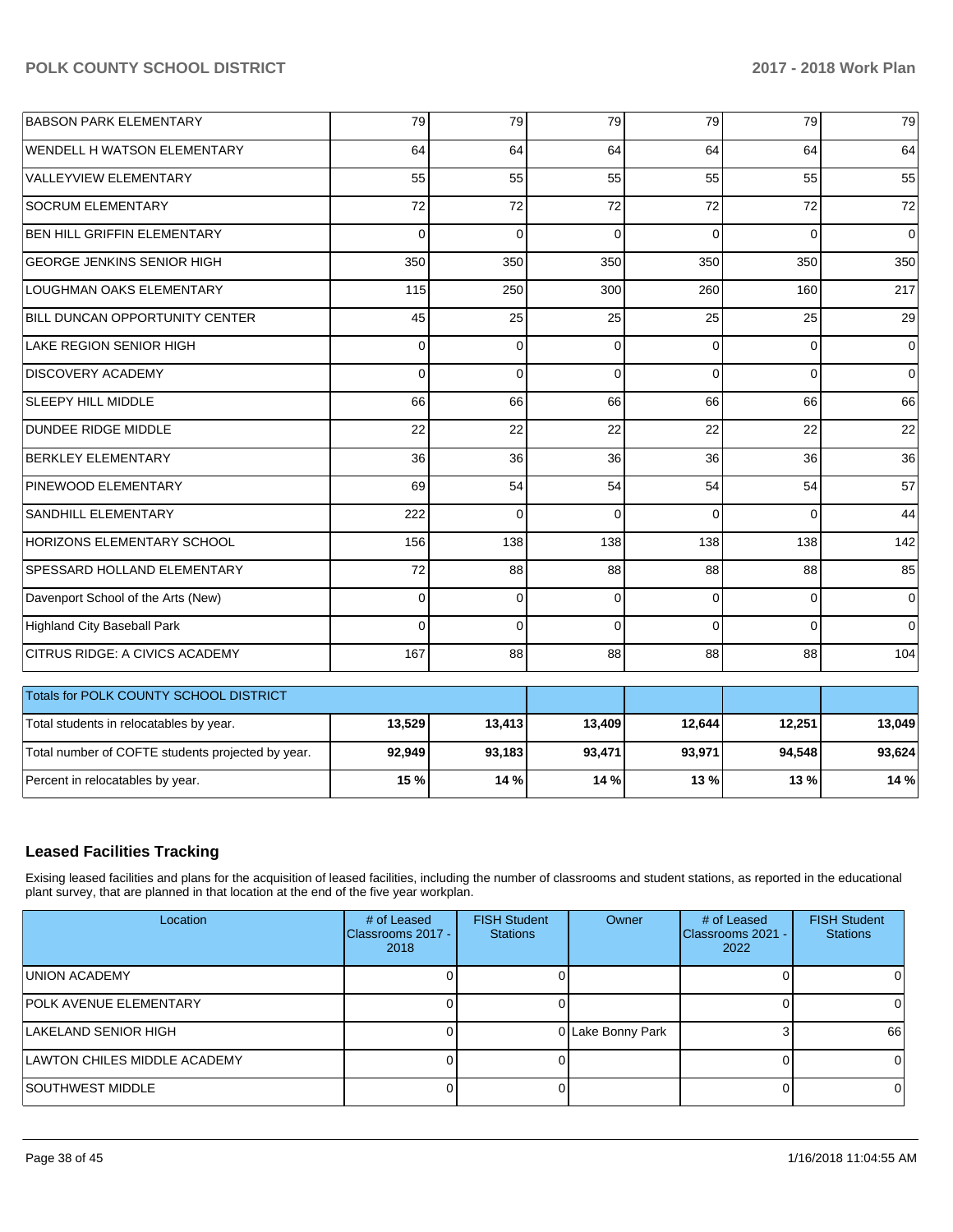| <b>BABSON PARK ELEMENTARY</b>                     | 79           | 79           | 79          | 79       | 79       | 79          |
|---------------------------------------------------|--------------|--------------|-------------|----------|----------|-------------|
| <b>WENDELL H WATSON ELEMENTARY</b>                | 64           | 64           | 64          | 64       | 64       | 64          |
| VALLEYVIEW ELEMENTARY                             | 55           | 55           | 55          | 55       | 55       | 55          |
| <b>SOCRUM ELEMENTARY</b>                          | 72           | 72           | 72          | 72       | 72       | 72          |
| <b>BEN HILL GRIFFIN ELEMENTARY</b>                | $\Omega$     | $\Omega$     | $\Omega$    | $\Omega$ | $\Omega$ | $\Omega$    |
| <b>GEORGE JENKINS SENIOR HIGH</b>                 | 350          | 350          | 350         | 350      | 350      | 350         |
| LOUGHMAN OAKS ELEMENTARY                          | 115          | 250          | 300         | 260      | 160      | 217         |
| <b>BILL DUNCAN OPPORTUNITY CENTER</b>             | 45           | 25           | 25          | 25       | 25       | 29          |
| <b>LAKE REGION SENIOR HIGH</b>                    | $\Omega$     | $\mathbf 0$  | $\mathbf 0$ | $\Omega$ | 0        | $\mathbf 0$ |
| <b>DISCOVERY ACADEMY</b>                          | $\mathbf{0}$ | $\mathbf{0}$ | 0           | $\Omega$ | $\Omega$ | $\mathbf 0$ |
| <b>SLEEPY HILL MIDDLE</b>                         | 66           | 66           | 66          | 66       | 66       | 66          |
| <b>DUNDEE RIDGE MIDDLE</b>                        | 22           | 22           | 22          | 22       | 22       | 22          |
| <b>BERKLEY ELEMENTARY</b>                         | 36           | 36           | 36          | 36       | 36       | 36          |
| PINEWOOD ELEMENTARY                               | 69           | 54           | 54          | 54       | 54       | 57          |
| <b>SANDHILL ELEMENTARY</b>                        | 222          | $\Omega$     | $\Omega$    | $\Omega$ | $\Omega$ | 44          |
| HORIZONS ELEMENTARY SCHOOL                        | 156          | 138          | 138         | 138      | 138      | 142         |
| SPESSARD HOLLAND ELEMENTARY                       | 72           | 88           | 88          | 88       | 88       | 85          |
| Davenport School of the Arts (New)                | $\Omega$     | $\mathbf 0$  | $\mathbf 0$ | $\Omega$ | 0        | $\mathbf 0$ |
| <b>Highland City Baseball Park</b>                | $\Omega$     | $\Omega$     | 0           | $\Omega$ | $\Omega$ | $\Omega$    |
| CITRUS RIDGE: A CIVICS ACADEMY                    | 167          | 88           | 88          | 88       | 88       | 104         |
| Totals for POLK COUNTY SCHOOL DISTRICT            |              |              |             |          |          |             |
| Total students in relocatables by year.           | 13,529       | 13,413       | 13,409      | 12,644   | 12,251   | 13,049      |
| Total number of COFTE students projected by year. | 92,949       | 93,183       | 93,471      | 93,971   | 94,548   | 93,624      |
| Percent in relocatables by year.                  | 15 %         | 14 %         | 14 %        | 13 %     | 13 %     | 14 %        |

# **Leased Facilities Tracking**

Exising leased facilities and plans for the acquisition of leased facilities, including the number of classrooms and student stations, as reported in the educational plant survey, that are planned in that location at the end of the five year workplan.

| Location                      | # of Leased<br>Classrooms 2017 -<br>2018 | <b>FISH Student</b><br><b>Stations</b> | Owner             | # of Leased<br>Classrooms 2021 -<br>2022 | <b>FISH Student</b><br><b>Stations</b> |
|-------------------------------|------------------------------------------|----------------------------------------|-------------------|------------------------------------------|----------------------------------------|
| UNION ACADEMY                 |                                          |                                        |                   |                                          |                                        |
| <b>POLK AVENUE ELEMENTARY</b> |                                          |                                        |                   |                                          |                                        |
| LAKELAND SENIOR HIGH          |                                          |                                        | 0 Lake Bonny Park |                                          | 66                                     |
| LAWTON CHILES MIDDLE ACADEMY  |                                          |                                        |                   |                                          | 0                                      |
| <b>SOUTHWEST MIDDLE</b>       |                                          |                                        |                   |                                          |                                        |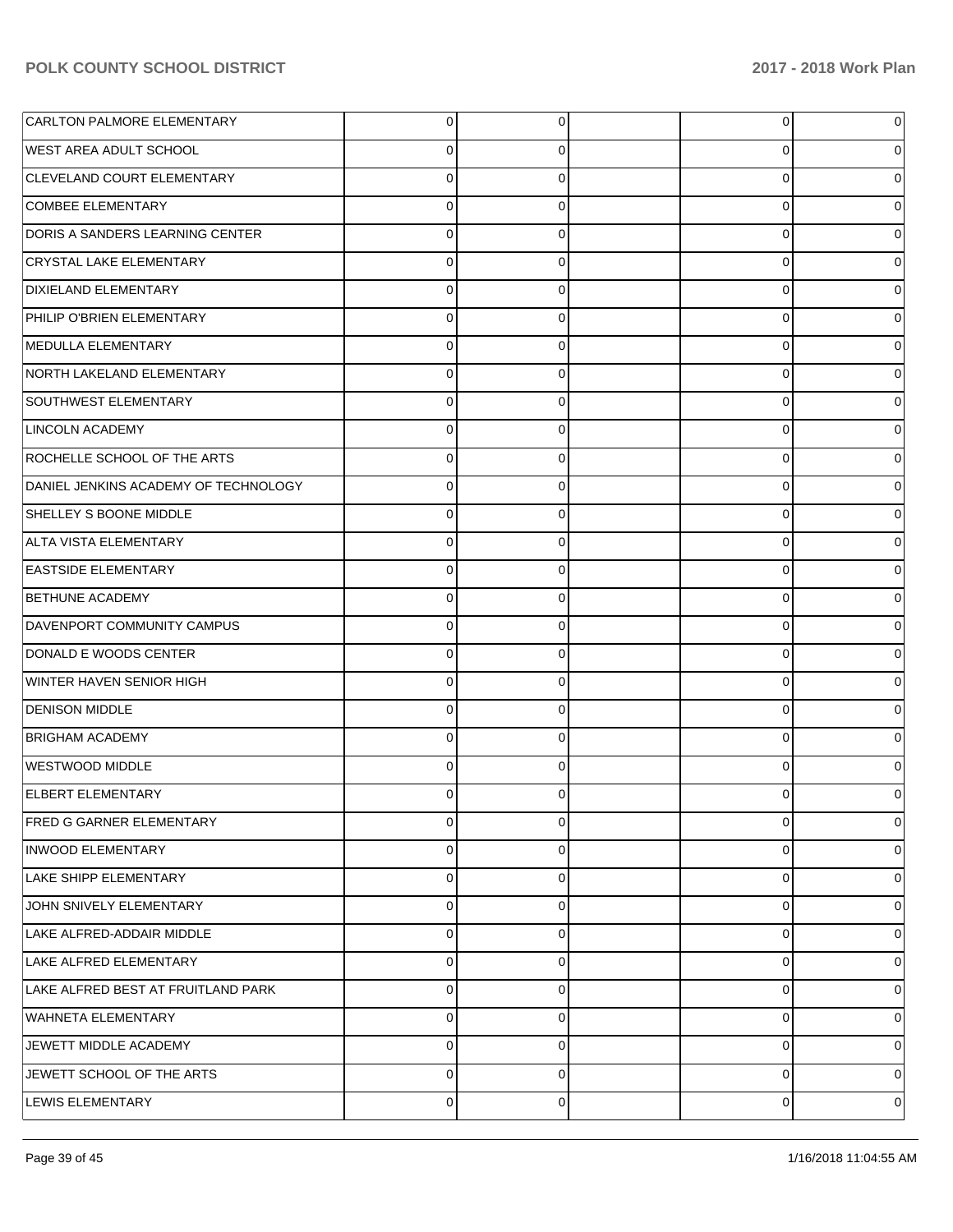| <b>CARLTON PALMORE ELEMENTARY</b>    | 0           | 0              | $\overline{0}$ | 0 |
|--------------------------------------|-------------|----------------|----------------|---|
| <b>WEST AREA ADULT SCHOOL</b>        | 0           | 0              | 0              | 0 |
| CLEVELAND COURT ELEMENTARY           | $\mathbf 0$ | 0              | $\mathbf 0$    |   |
| <b>COMBEE ELEMENTARY</b>             | $\Omega$    | 0              | 0              | 0 |
| DORIS A SANDERS LEARNING CENTER      | $\mathbf 0$ | 0              | $\mathbf 0$    |   |
| <b>CRYSTAL LAKE ELEMENTARY</b>       | $\Omega$    | 0              | $\mathbf 0$    | 0 |
| <b>DIXIELAND ELEMENTARY</b>          | $\mathbf 0$ | 0              | $\mathbf 0$    |   |
| PHILIP O'BRIEN ELEMENTARY            | $\Omega$    | 0              | 0              | 0 |
| MEDULLA ELEMENTARY                   | $\Omega$    | 0              | $\mathbf 0$    |   |
| NORTH LAKELAND ELEMENTARY            | $\Omega$    | 0              | 0              | 0 |
| SOUTHWEST ELEMENTARY                 | $\Omega$    | 0              | 0              |   |
| <b>LINCOLN ACADEMY</b>               | $\Omega$    | 0              | $\mathbf 0$    | 0 |
| ROCHELLE SCHOOL OF THE ARTS          | $\Omega$    | 0              | 0              |   |
| DANIEL JENKINS ACADEMY OF TECHNOLOGY | $\Omega$    | $\Omega$       | 0              | 0 |
| SHELLEY S BOONE MIDDLE               | $\Omega$    | 0              | $\mathbf 0$    |   |
| ALTA VISTA ELEMENTARY                | $\Omega$    | $\Omega$       | 0              | 0 |
| <b>EASTSIDE ELEMENTARY</b>           | $\Omega$    | 0              | 0              |   |
| <b>BETHUNE ACADEMY</b>               | $\Omega$    | $\Omega$       | $\mathbf 0$    | 0 |
| DAVENPORT COMMUNITY CAMPUS           | $\Omega$    | 0              | 0              |   |
| DONALD E WOODS CENTER                | 0           | $\Omega$       | $\mathbf 0$    | 0 |
| WINTER HAVEN SENIOR HIGH             | $\Omega$    | 0              | $\mathbf 0$    |   |
| <b>DENISON MIDDLE</b>                | $\Omega$    | $\Omega$       | 0              | 0 |
| <b>BRIGHAM ACADEMY</b>               | $\Omega$    | 0              | $\mathbf 0$    |   |
| WESTWOOD MIDDLE                      | $\Omega$    | 0              | $\mathbf 0$    |   |
| <b>ELBERT ELEMENTARY</b>             | 0           | 0              | 0              |   |
| FRED G GARNER ELEMENTARY             | 0           | $\overline{0}$ | $\overline{0}$ | 0 |
| <b>INWOOD ELEMENTARY</b>             | 0           | 0              | 0              | 0 |
| <b>LAKE SHIPP ELEMENTARY</b>         | 0           | $\Omega$       | 0              | 0 |
| JOHN SNIVELY ELEMENTARY              | $\mathbf 0$ | 0              | $\mathbf 0$    | 0 |
| LAKE ALFRED-ADDAIR MIDDLE            | $\mathbf 0$ | $\Omega$       | $\mathbf 0$    | 0 |
| LAKE ALFRED ELEMENTARY               | $\mathbf 0$ | 0              | 0              | 0 |
| LAKE ALFRED BEST AT FRUITLAND PARK   | $\mathbf 0$ | 0              | $\mathbf 0$    | 0 |
| WAHNETA ELEMENTARY                   | $\mathbf 0$ | 0              | $\mathbf 0$    | 0 |
| JEWETT MIDDLE ACADEMY                | 0           | $\Omega$       | 0              | 0 |
| JEWETT SCHOOL OF THE ARTS            | $\mathbf 0$ | 0              | $\mathbf 0$    | 0 |
| <b>LEWIS ELEMENTARY</b>              | 0           | 0              | 0              | 0 |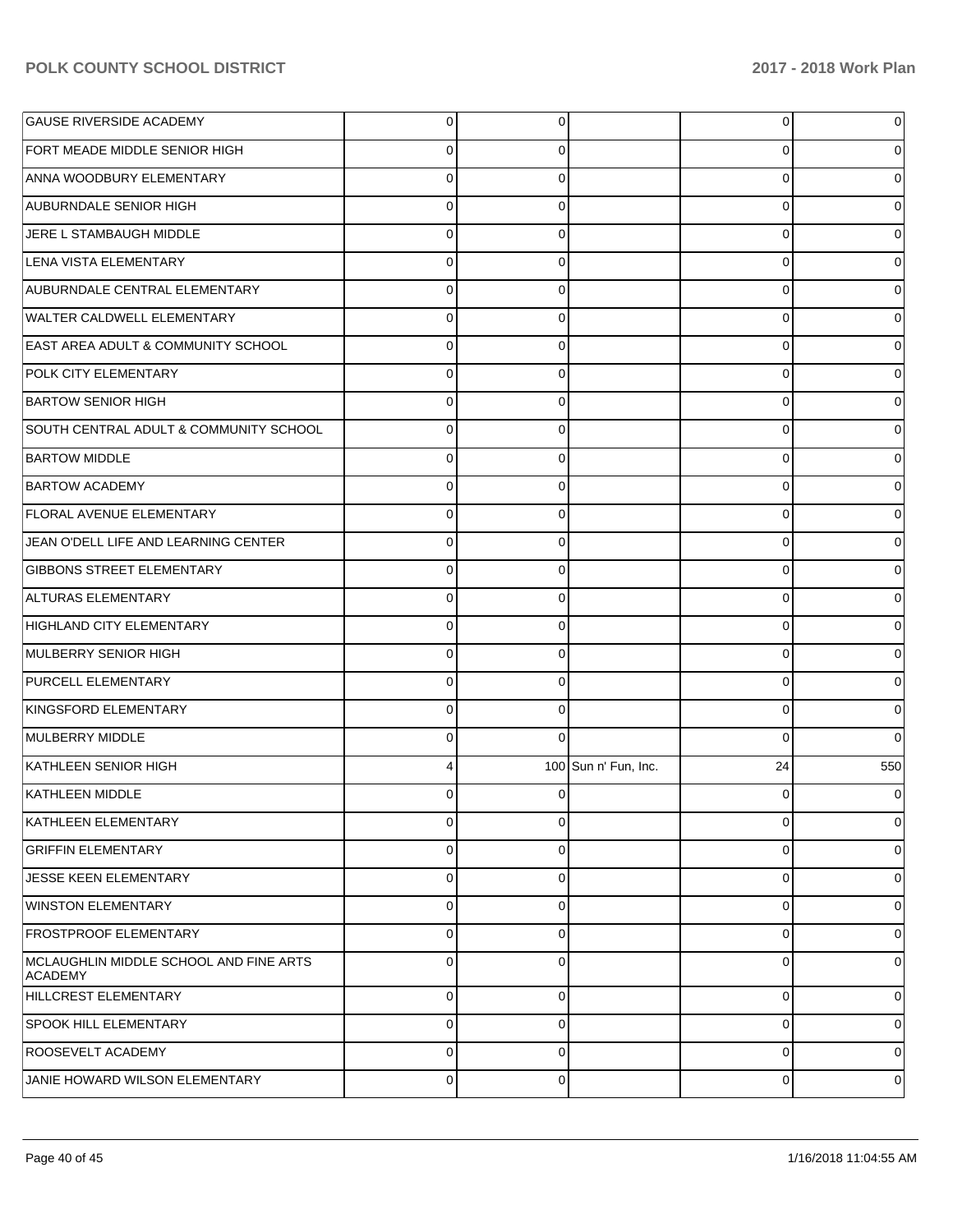| <b>GAUSE RIVERSIDE ACADEMY</b>                           | 0              | 0              |                      | 0           | 0        |
|----------------------------------------------------------|----------------|----------------|----------------------|-------------|----------|
| FORT MEADE MIDDLE SENIOR HIGH                            | 0              | 0              |                      | 0           | 0        |
| ANNA WOODBURY ELEMENTARY                                 | $\Omega$       | 0              |                      | 0           | 0        |
| <b>AUBURNDALE SENIOR HIGH</b>                            | $\Omega$       | 0              |                      | 0           | 0        |
| JERE L STAMBAUGH MIDDLE                                  | $\Omega$       | 0              |                      | 0           | 0        |
| <b>LENA VISTA ELEMENTARY</b>                             | $\Omega$       | 0              |                      | 0           | 0        |
| AUBURNDALE CENTRAL ELEMENTARY                            | $\Omega$       | 0              |                      | 0           | 0        |
| WALTER CALDWELL ELEMENTARY                               | $\Omega$       | 0              |                      | 0           | 0        |
| <b>EAST AREA ADULT &amp; COMMUNITY SCHOOL</b>            | $\Omega$       | 0              |                      | 0           | 0        |
| POLK CITY ELEMENTARY                                     | $\Omega$       | 0              |                      | 0           | 0        |
| <b>BARTOW SENIOR HIGH</b>                                | $\Omega$       | 0              |                      | 0           | 0        |
| SOUTH CENTRAL ADULT & COMMUNITY SCHOOL                   | $\Omega$       | 0              |                      | 0           | 0        |
| <b>BARTOW MIDDLE</b>                                     | $\Omega$       | 0              |                      | 0           | 0        |
| <b>BARTOW ACADEMY</b>                                    | $\Omega$       | 0              |                      | 0           | 0        |
| <b>FLORAL AVENUE ELEMENTARY</b>                          | $\Omega$       | 0              |                      | 0           | 0        |
| JEAN O'DELL LIFE AND LEARNING CENTER                     | $\Omega$       | 0              |                      | 0           | 0        |
| <b>GIBBONS STREET ELEMENTARY</b>                         | $\Omega$       | 0              |                      | 0           | 0        |
| ALTURAS ELEMENTARY                                       | $\Omega$       | 0              |                      | 0           | 0        |
| HIGHLAND CITY ELEMENTARY                                 | $\Omega$       | 0              |                      | 0           | 0        |
| MULBERRY SENIOR HIGH                                     | $\Omega$       | 0              |                      | 0           | 0        |
| PURCELL ELEMENTARY                                       | $\Omega$       | 0              |                      | 0           | 0        |
| KINGSFORD ELEMENTARY                                     | $\Omega$       | 0              |                      | 0           | 0        |
| MULBERRY MIDDLE                                          | $\Omega$       | $\Omega$       |                      | 0           | $\Omega$ |
| KATHLEEN SENIOR HIGH                                     | 4              |                | 100 Sun n' Fun, Inc. | 24          | 550      |
| KATHLEEN MIDDLE                                          |                | 0              |                      | $\Omega$    |          |
| KATHLEEN ELEMENTARY                                      | $\overline{0}$ | $\overline{0}$ |                      | 0           | 0        |
| <b>GRIFFIN ELEMENTARY</b>                                | 0              | 0              |                      | 0           | 0        |
| JESSE KEEN ELEMENTARY                                    | 0              | $\mathbf 0$    |                      | 0           | 0        |
| WINSTON ELEMENTARY                                       | 0              | $\mathbf 0$    |                      | 0           | 0        |
| <b>FROSTPROOF ELEMENTARY</b>                             | 0              | 0              |                      | 0           | 0        |
| MCLAUGHLIN MIDDLE SCHOOL AND FINE ARTS<br><b>ACADEMY</b> | 0              | 0              |                      | 0           | 0        |
| HILLCREST ELEMENTARY                                     | $\Omega$       | $\Omega$       |                      | $\mathbf 0$ | $\Omega$ |
| <b>SPOOK HILL ELEMENTARY</b>                             | $\Omega$       | $\Omega$       |                      | $\mathbf 0$ | 0        |
| <b>ROOSEVELT ACADEMY</b>                                 | $\Omega$       | $\Omega$       |                      | $\mathbf 0$ | 0        |
| JANIE HOWARD WILSON ELEMENTARY                           | $\mathbf 0$    | $\mathbf 0$    |                      | $\mathbf 0$ | 0        |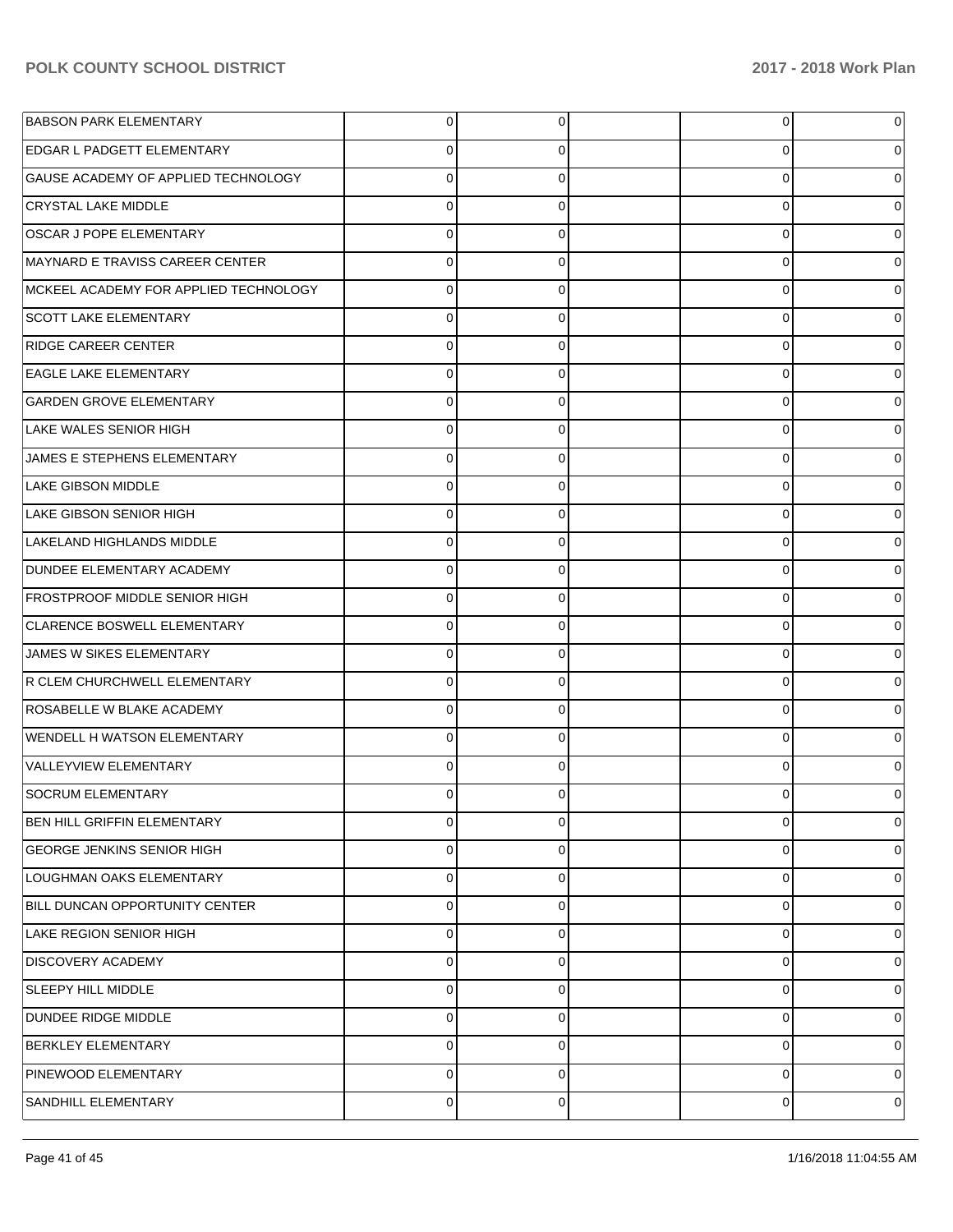| <b>BABSON PARK ELEMENTARY</b>         | 0        | 0 | $\overline{0}$ | 0 |
|---------------------------------------|----------|---|----------------|---|
| <b>EDGAR L PADGETT ELEMENTARY</b>     | 0        | O | 0              |   |
| GAUSE ACADEMY OF APPLIED TECHNOLOGY   | $\Omega$ | 0 | 0              |   |
| CRYSTAL LAKE MIDDLE                   | 0        | 0 | 0              |   |
| OSCAR J POPE ELEMENTARY               | 0        |   | 0              |   |
| MAYNARD E TRAVISS CAREER CENTER       | 0        | 0 | 0              |   |
| MCKEEL ACADEMY FOR APPLIED TECHNOLOGY | 0        | 0 | 0              |   |
| <b>SCOTT LAKE ELEMENTARY</b>          | 0        | 0 | 0              |   |
| <b>RIDGE CAREER CENTER</b>            | 0        | 0 | 0              |   |
| <b>EAGLE LAKE ELEMENTARY</b>          | 0        | 0 | 0              |   |
| <b>GARDEN GROVE ELEMENTARY</b>        | 0        |   | 0              |   |
| LAKE WALES SENIOR HIGH                | 0        | 0 | 0              |   |
| JAMES E STEPHENS ELEMENTARY           | 0        | 0 | 0              |   |
| <b>LAKE GIBSON MIDDLE</b>             | 0        | 0 | 0              |   |
| LAKE GIBSON SENIOR HIGH               | 0        | 0 | 0              |   |
| LAKELAND HIGHLANDS MIDDLE             | 0        | 0 | 0              |   |
| <b>DUNDEE ELEMENTARY ACADEMY</b>      | O        |   | 0              |   |
| <b>FROSTPROOF MIDDLE SENIOR HIGH</b>  | 0        | 0 | 0              |   |
| CLARENCE BOSWELL ELEMENTARY           | 0        | 0 | 0              |   |
| JAMES W SIKES ELEMENTARY              | $\Omega$ | 0 | 0              |   |
| R CLEM CHURCHWELL ELEMENTARY          | O        | 0 | 0              |   |
| ROSABELLE W BLAKE ACADEMY             | $\Omega$ | 0 | 0              |   |
| <b>WENDELL H WATSON ELEMENTARY</b>    | O        |   | 0              |   |
| VALLEYVIEW ELEMENTARY                 | 0        | 0 | 0              |   |
| SOCRUM ELEMENTARY                     | O        |   | 0              |   |
| BEN HILL GRIFFIN ELEMENTARY           | 0        | 0 | 0              |   |
| <b>GEORGE JENKINS SENIOR HIGH</b>     | 0        | 0 | 0              | 0 |
| LOUGHMAN OAKS ELEMENTARY              | 0        | 0 | 0              | 0 |
| BILL DUNCAN OPPORTUNITY CENTER        | 0        | 0 | 0              | 0 |
| LAKE REGION SENIOR HIGH               | $\Omega$ | 0 | 0              | 0 |
| <b>DISCOVERY ACADEMY</b>              | 0        | 0 | 0              | 0 |
| <b>SLEEPY HILL MIDDLE</b>             | 0        | 0 | 0              | 0 |
| DUNDEE RIDGE MIDDLE                   | 0        | 0 | 0              | 0 |
| <b>BERKLEY ELEMENTARY</b>             | $\Omega$ | 0 | 0              | 0 |
| PINEWOOD ELEMENTARY                   | 0        | 0 | 0              | 0 |
| SANDHILL ELEMENTARY                   | 0        | 0 | 0              | 0 |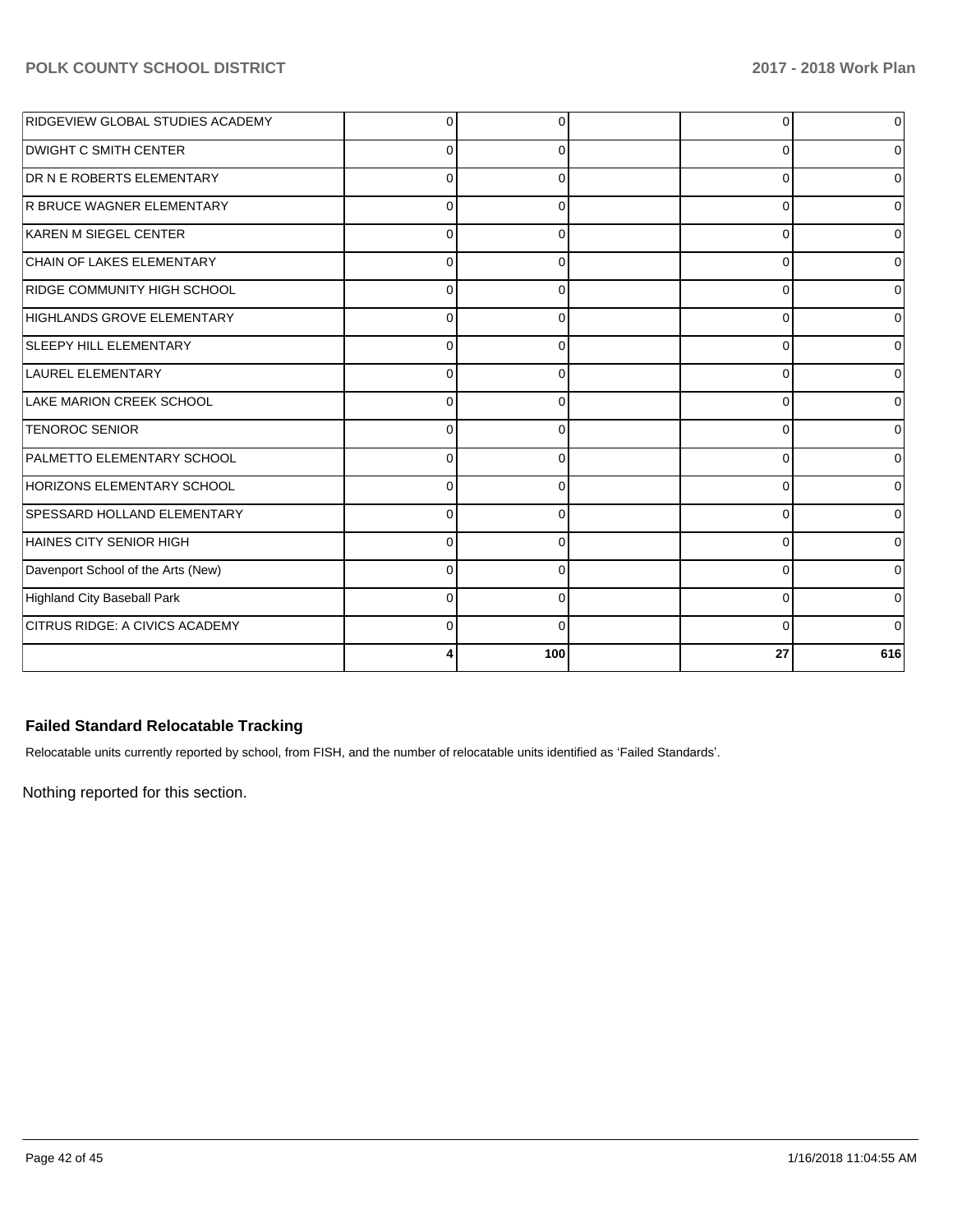| RIDGEVIEW GLOBAL STUDIES ACADEMY      |          |          | 0        |     |
|---------------------------------------|----------|----------|----------|-----|
| <b>DWIGHT C SMITH CENTER</b>          | $\Omega$ |          | $\Omega$ |     |
| DR N E ROBERTS ELEMENTARY             | $\Omega$ | $\Omega$ | 0        |     |
| R BRUCE WAGNER ELEMENTARY             | $\Omega$ | $\Omega$ | $\Omega$ |     |
| KAREN M SIEGEL CENTER                 | 0        | 0        | 0        |     |
| CHAIN OF LAKES ELEMENTARY             | 0        |          | $\Omega$ |     |
| RIDGE COMMUNITY HIGH SCHOOL           | $\Omega$ | 0        | 0        |     |
| HIGHLANDS GROVE ELEMENTARY            | U        | n        | $\Omega$ |     |
| <b>SLEEPY HILL ELEMENTARY</b>         | $\Omega$ |          | $\Omega$ |     |
| LAUREL ELEMENTARY                     | U        |          | $\Omega$ |     |
| LAKE MARION CREEK SCHOOL              | $\Omega$ | U        | $\Omega$ |     |
| <b>TENOROC SENIOR</b>                 | 0        | ∩        | $\Omega$ |     |
| PALMETTO ELEMENTARY SCHOOL            | $\Omega$ | ∩        | 0        |     |
| <b>HORIZONS ELEMENTARY SCHOOL</b>     | $\Omega$ | ∩        | 0        |     |
| SPESSARD HOLLAND ELEMENTARY           | $\Omega$ | 0        | 0        |     |
| HAINES CITY SENIOR HIGH               | $\Omega$ | ∩        | 0        |     |
| Davenport School of the Arts (New)    | O        |          | $\Omega$ |     |
| <b>Highland City Baseball Park</b>    | U        |          | $\Omega$ |     |
| <b>CITRUS RIDGE: A CIVICS ACADEMY</b> | $\Omega$ | O        | 0        |     |
|                                       |          | 100      | 27       | 616 |

# **Failed Standard Relocatable Tracking**

Relocatable units currently reported by school, from FISH, and the number of relocatable units identified as 'Failed Standards'.

Nothing reported for this section.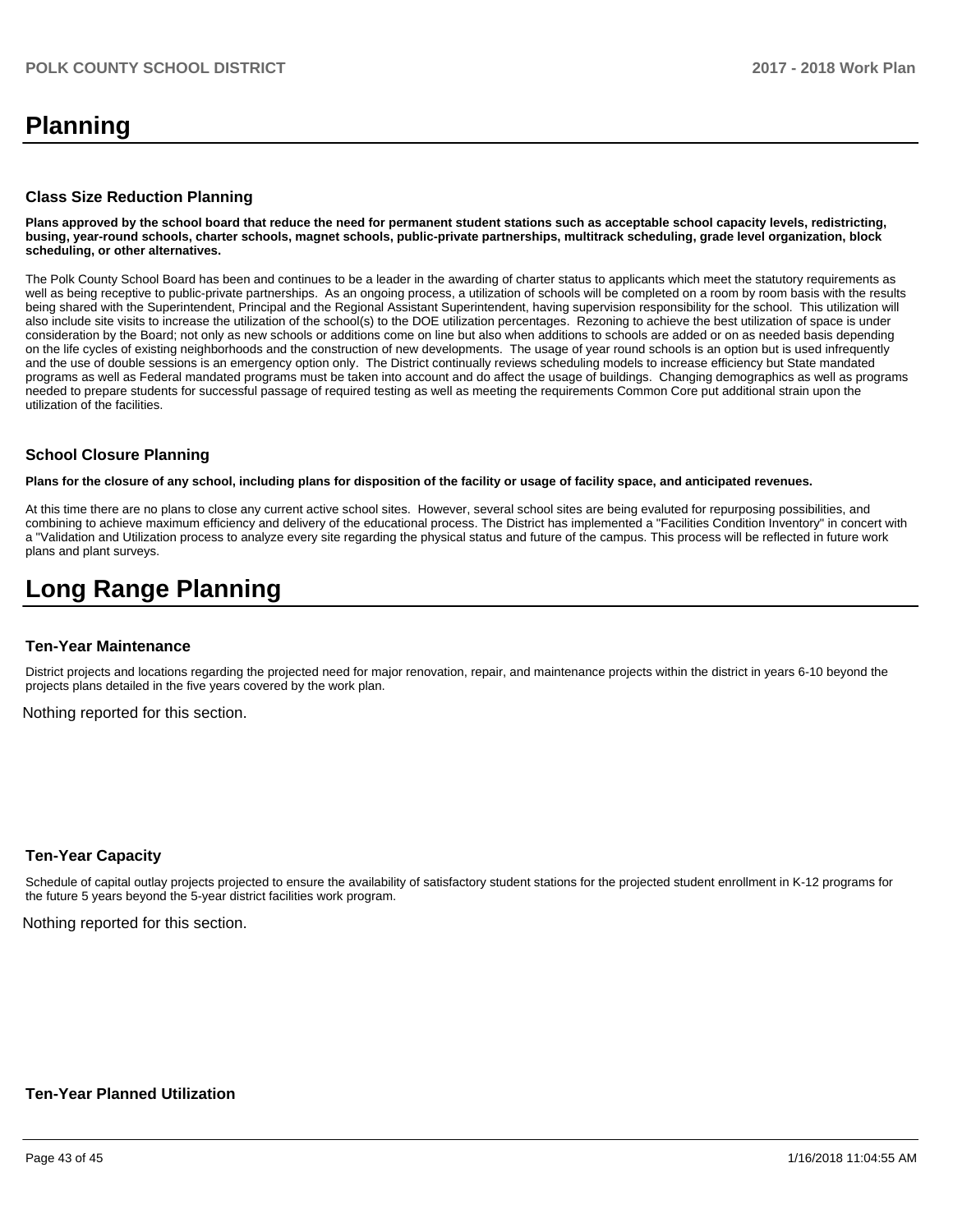# **Planning**

#### **Class Size Reduction Planning**

**Plans approved by the school board that reduce the need for permanent student stations such as acceptable school capacity levels, redistricting, busing, year-round schools, charter schools, magnet schools, public-private partnerships, multitrack scheduling, grade level organization, block scheduling, or other alternatives.**

The Polk County School Board has been and continues to be a leader in the awarding of charter status to applicants which meet the statutory requirements as well as being receptive to public-private partnerships. As an ongoing process, a utilization of schools will be completed on a room by room basis with the results being shared with the Superintendent, Principal and the Regional Assistant Superintendent, having supervision responsibility for the school. This utilization will also include site visits to increase the utilization of the school(s) to the DOE utilization percentages. Rezoning to achieve the best utilization of space is under consideration by the Board; not only as new schools or additions come on line but also when additions to schools are added or on as needed basis depending on the life cycles of existing neighborhoods and the construction of new developments. The usage of year round schools is an option but is used infrequently and the use of double sessions is an emergency option only. The District continually reviews scheduling models to increase efficiency but State mandated programs as well as Federal mandated programs must be taken into account and do affect the usage of buildings. Changing demographics as well as programs needed to prepare students for successful passage of required testing as well as meeting the requirements Common Core put additional strain upon the utilization of the facilities.

#### **School Closure Planning**

**Plans for the closure of any school, including plans for disposition of the facility or usage of facility space, and anticipated revenues.** 

At this time there are no plans to close any current active school sites. However, several school sites are being evaluted for repurposing possibilities, and combining to achieve maximum efficiency and delivery of the educational process. The District has implemented a "Facilities Condition Inventory" in concert with a "Validation and Utilization process to analyze every site regarding the physical status and future of the campus. This process will be reflected in future work plans and plant surveys.

# **Long Range Planning**

#### **Ten-Year Maintenance**

District projects and locations regarding the projected need for major renovation, repair, and maintenance projects within the district in years 6-10 beyond the projects plans detailed in the five years covered by the work plan.

Nothing reported for this section.

#### **Ten-Year Capacity**

Schedule of capital outlay projects projected to ensure the availability of satisfactory student stations for the projected student enrollment in K-12 programs for the future 5 years beyond the 5-year district facilities work program.

Nothing reported for this section.

#### **Ten-Year Planned Utilization**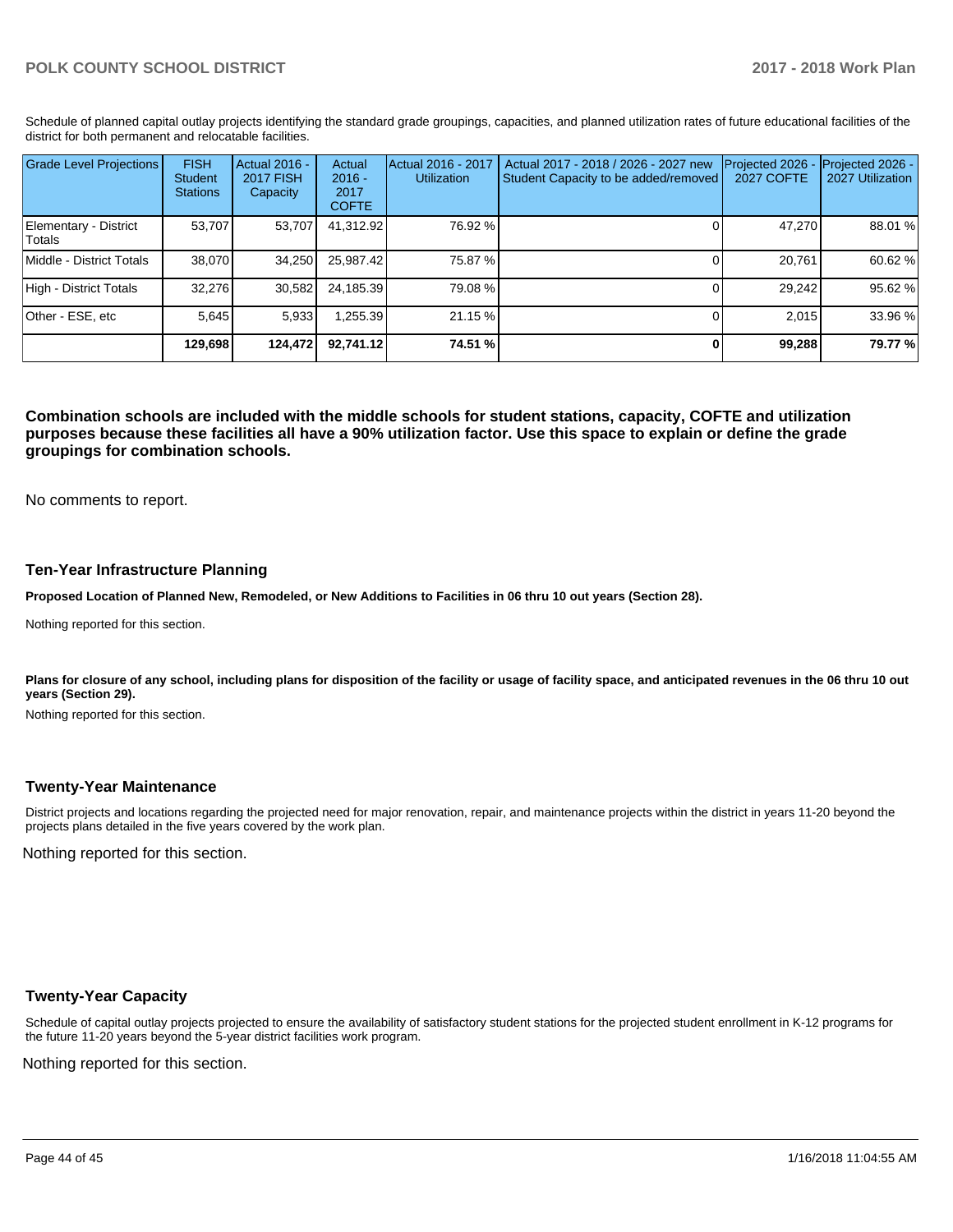Schedule of planned capital outlay projects identifying the standard grade groupings, capacities, and planned utilization rates of future educational facilities of the district for both permanent and relocatable facilities.

| <b>Grade Level Projections</b>   | <b>FISH</b><br><b>Student</b><br><b>Stations</b> | Actual 2016 -<br><b>2017 FISH</b><br>Capacity | Actual<br>$2016 -$<br>2017<br><b>COFTE</b> | Actual 2016 - 2017<br><b>Utilization</b> | Actual 2017 - 2018 / 2026 - 2027 new<br>Student Capacity to be added/removed | Projected 2026<br>2027 COFTE | Projected 2026 -<br>2027 Utilization |
|----------------------------------|--------------------------------------------------|-----------------------------------------------|--------------------------------------------|------------------------------------------|------------------------------------------------------------------------------|------------------------------|--------------------------------------|
| Elementary - District<br> Totals | 53.707                                           | 53,707                                        | 41,312.92                                  | 76.92 %                                  |                                                                              | 47,270                       | 88.01 %                              |
| Middle - District Totals         | 38.070                                           | 34.250                                        | 25.987.42                                  | 75.87 %                                  |                                                                              | 20.761                       | 60.62%                               |
| High - District Totals           | 32.276                                           | 30,582                                        | 24,185.39                                  | 79.08%                                   |                                                                              | 29,242                       | 95.62%                               |
| Other - ESE, etc                 | 5.645                                            | 5,933                                         | ,255.39                                    | 21.15 %                                  |                                                                              | 2.015                        | 33.96 %                              |
|                                  | 129.698                                          | 124.472                                       | 92.741.12                                  | 74.51 %                                  |                                                                              | 99,288                       | 79.77 %                              |

**Combination schools are included with the middle schools for student stations, capacity, COFTE and utilization purposes because these facilities all have a 90% utilization factor. Use this space to explain or define the grade groupings for combination schools.** 

No comments to report.

#### **Ten-Year Infrastructure Planning**

**Proposed Location of Planned New, Remodeled, or New Additions to Facilities in 06 thru 10 out years (Section 28).**

Nothing reported for this section.

Plans for closure of any school, including plans for disposition of the facility or usage of facility space, and anticipated revenues in the 06 thru 10 out **years (Section 29).**

Nothing reported for this section.

#### **Twenty-Year Maintenance**

District projects and locations regarding the projected need for major renovation, repair, and maintenance projects within the district in years 11-20 beyond the projects plans detailed in the five years covered by the work plan.

Nothing reported for this section.

#### **Twenty-Year Capacity**

Schedule of capital outlay projects projected to ensure the availability of satisfactory student stations for the projected student enrollment in K-12 programs for the future 11-20 years beyond the 5-year district facilities work program.

Nothing reported for this section.